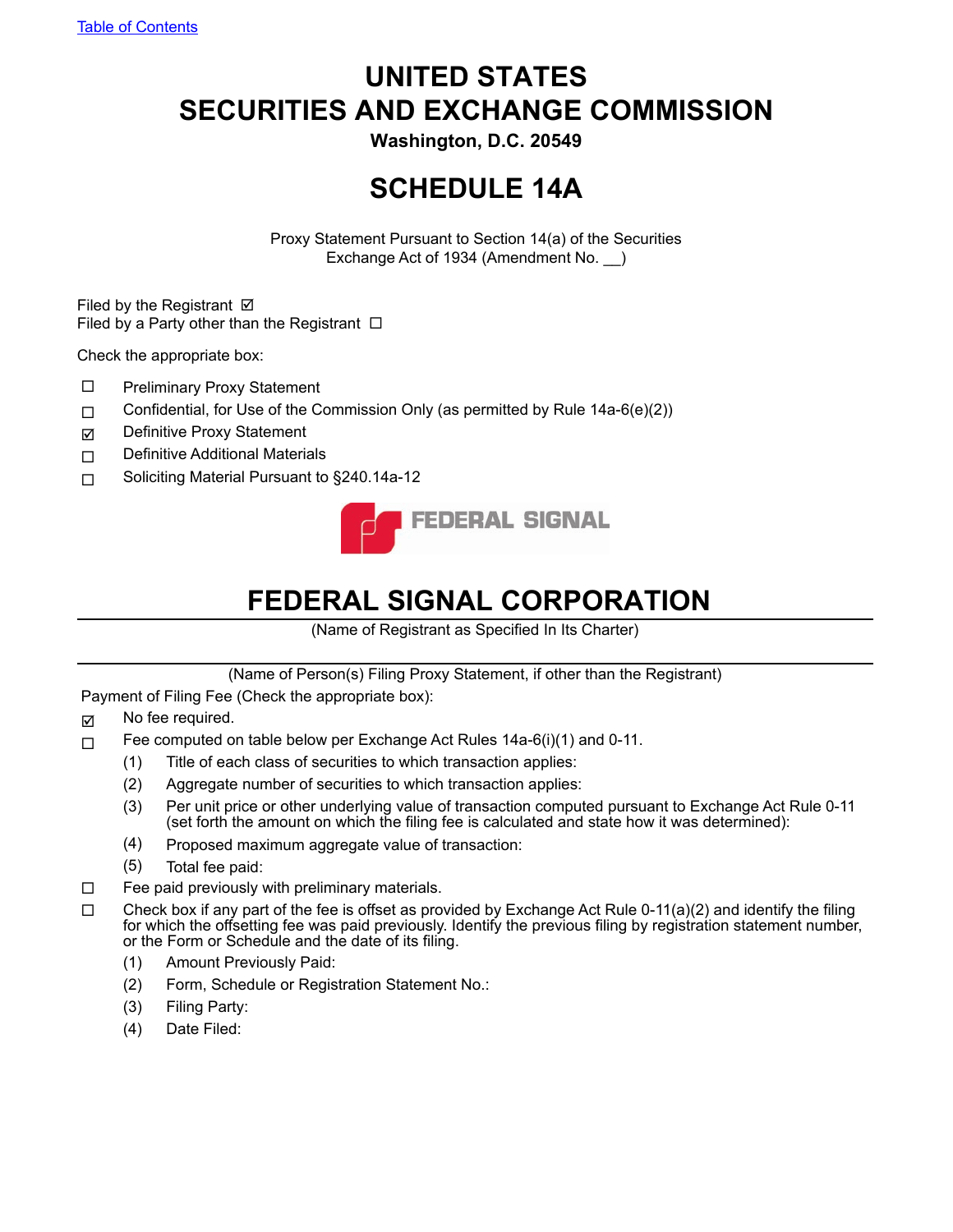# **UNITED STATES SECURITIES AND EXCHANGE COMMISSION**

**Washington, D.C. 20549**

# **SCHEDULE 14A**

Proxy Statement Pursuant to Section 14(a) of the Securities Exchange Act of 1934 (Amendment No. \_\_)

Filed by the Registrant  $\boxtimes$ Filed by a Party other than the Registrant  $\Box$ 

Check the appropriate box:

- $\square$  Preliminary Proxy Statement
- $\Box$  Confidential, for Use of the Commission Only (as permitted by Rule 14a-6(e)(2))
- Definitive Proxy Statement
- □ Definitive Additional Materials
- □ Soliciting Material Pursuant to §240.14a-12



# **FEDERAL SIGNAL CORPORATION**

(Name of Registrant as Specified In Its Charter)

(Name of Person(s) Filing Proxy Statement, if other than the Registrant)

Payment of Filing Fee (Check the appropriate box):

- $\boxdot$  No fee required.
- $\Box$  Fee computed on table below per Exchange Act Rules 14a-6(i)(1) and 0-11.
	- (1) Title of each class of securities to which transaction applies:
	- (2) Aggregate number of securities to which transaction applies:
	- (3) Per unit price or other underlying value of transaction computed pursuant to Exchange Act Rule 0-11 (set forth the amount on which the filing fee is calculated and state how it was determined):
	- (4) Proposed maximum aggregate value of transaction:
	- (5) Total fee paid:
- $\square$  Fee paid previously with preliminary materials.
- $\Box$  Check box if any part of the fee is offset as provided by Exchange Act Rule 0-11(a)(2) and identify the filing for which the offsetting fee was paid previously. Identify the previous filing by registration statement number, or the Form or Schedule and the date of its filing.
	- (1) Amount Previously Paid:
	- (2) Form, Schedule or Registration Statement No.:
	- (3) Filing Party:
	- (4) Date Filed: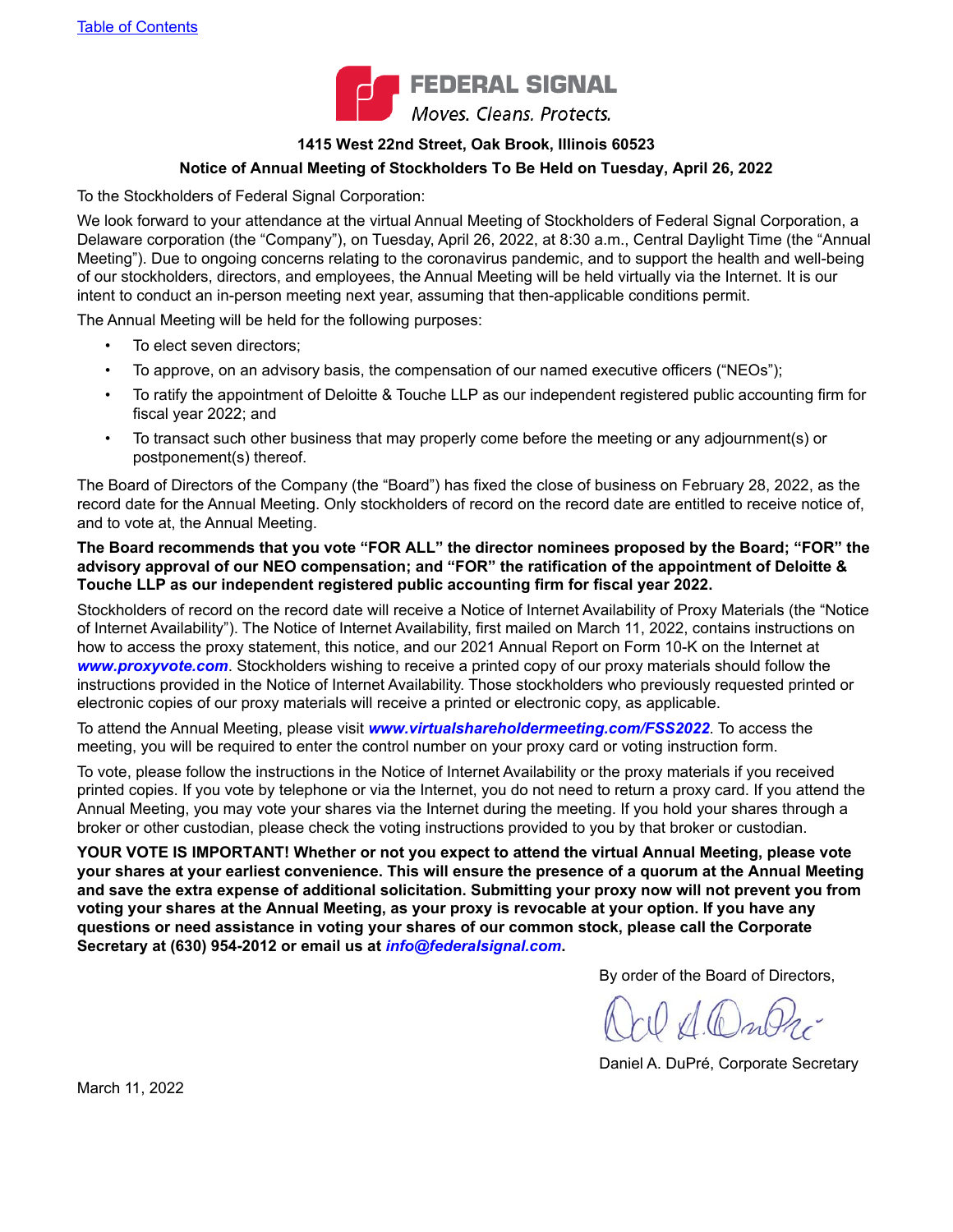

#### **1415 West 22nd Street, Oak Brook, Illinois 60523**

#### **Notice of Annual Meeting of Stockholders To Be Held on Tuesday, April 26, 2022**

To the Stockholders of Federal Signal Corporation:

We look forward to your attendance at the virtual Annual Meeting of Stockholders of Federal Signal Corporation, a Delaware corporation (the "Company"), on Tuesday, April 26, 2022, at 8:30 a.m., Central Daylight Time (the "Annual Meeting"). Due to ongoing concerns relating to the coronavirus pandemic, and to support the health and well-being of our stockholders, directors, and employees, the Annual Meeting will be held virtually via the Internet. It is our intent to conduct an in-person meeting next year, assuming that then-applicable conditions permit.

The Annual Meeting will be held for the following purposes:

- To elect seven directors;
- To approve, on an advisory basis, the compensation of our named executive officers ("NEOs");
- To ratify the appointment of Deloitte & Touche LLP as our independent registered public accounting firm for fiscal year 2022; and
- To transact such other business that may properly come before the meeting or any adjournment(s) or postponement(s) thereof.

The Board of Directors of the Company (the "Board") has fixed the close of business on February 28, 2022, as the record date for the Annual Meeting. Only stockholders of record on the record date are entitled to receive notice of, and to vote at, the Annual Meeting.

#### **The Board recommends that you vote "FOR ALL" the director nominees proposed by the Board; "FOR" the advisory approval of our NEO compensation; and "FOR" the ratification of the appointment of Deloitte & Touche LLP as our independent registered public accounting firm for fiscal year 2022.**

Stockholders of record on the record date will receive a Notice of Internet Availability of Proxy Materials (the "Notice of Internet Availability"). The Notice of Internet Availability, first mailed on March 11, 2022, contains instructions on how to access the proxy statement, this notice, and our 2021 Annual Report on Form 10-K on the Internet at *www.proxyvote.com*. Stockholders wishing to receive a printed copy of our proxy materials should follow the instructions provided in the Notice of Internet Availability. Those stockholders who previously requested printed or electronic copies of our proxy materials will receive a printed or electronic copy, as applicable.

To attend the Annual Meeting, please visit *www.virtualshareholdermeeting.com/FSS2022*. To access the meeting, you will be required to enter the control number on your proxy card or voting instruction form.

To vote, please follow the instructions in the Notice of Internet Availability or the proxy materials if you received printed copies. If you vote by telephone or via the Internet, you do not need to return a proxy card. If you attend the Annual Meeting, you may vote your shares via the Internet during the meeting. If you hold your shares through a broker or other custodian, please check the voting instructions provided to you by that broker or custodian.

**YOUR VOTE IS IMPORTANT! Whether or not you expect to attend the virtual Annual Meeting, please vote your shares at your earliest convenience. This will ensure the presence of a quorum at the Annual Meeting and save the extra expense of additional solicitation. Submitting your proxy now will not prevent you from voting your shares at the Annual Meeting, as your proxy is revocable at your option. If you have any questions or need assistance in voting your shares of our common stock, please call the Corporate Secretary at (630) 954-2012 or email us at** *info@federalsignal.com***.**

By order of the Board of Directors,

 $\mathcal{A}(b)$ 

Daniel A. DuPré, Corporate Secretary

March 11, 2022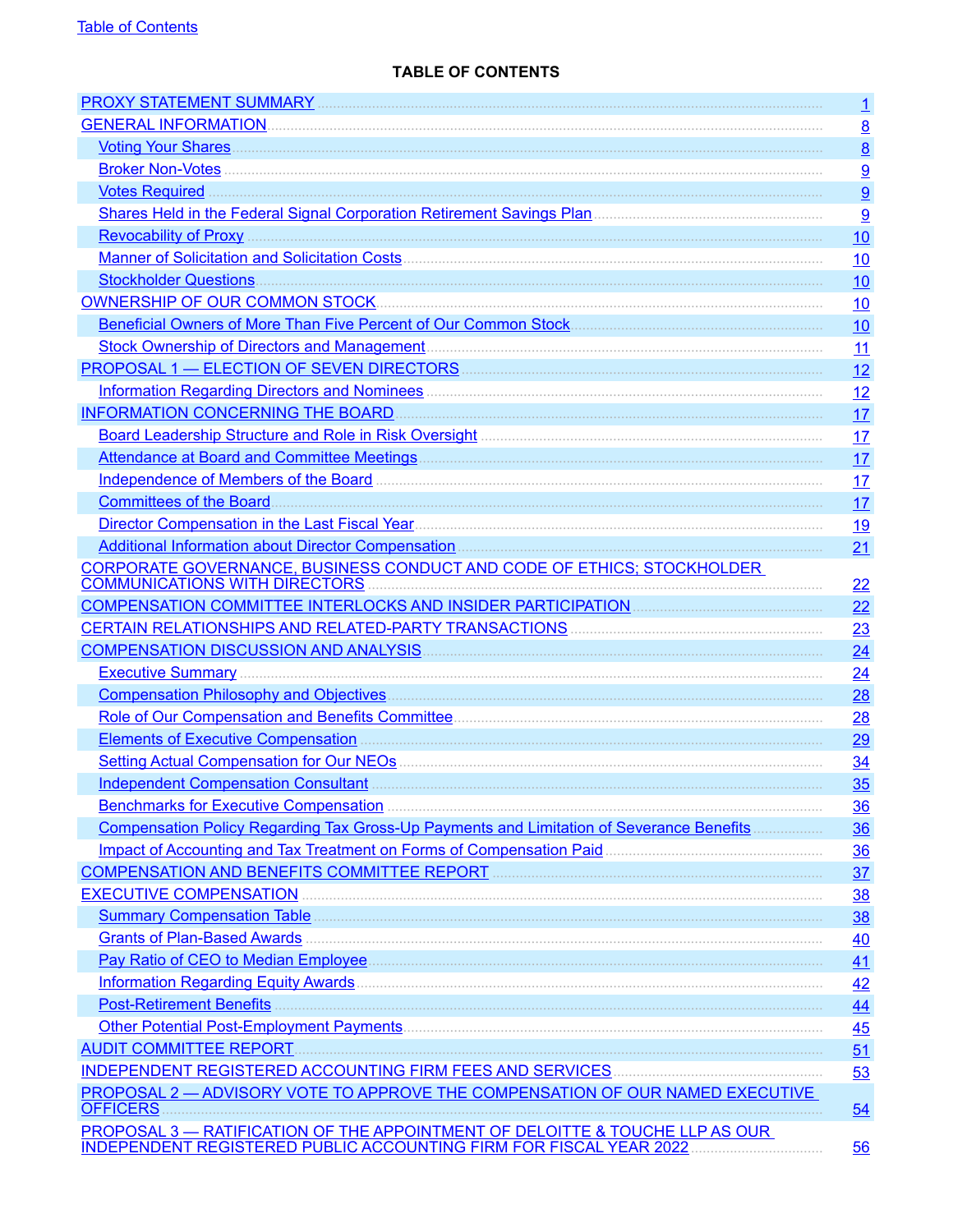## **TABLE OF CONTENTS**

<span id="page-2-0"></span>

|                                                                                                                                                                                                                                     | $\mathbf{1}$    |
|-------------------------------------------------------------------------------------------------------------------------------------------------------------------------------------------------------------------------------------|-----------------|
|                                                                                                                                                                                                                                     | $\underline{8}$ |
|                                                                                                                                                                                                                                     | $\underline{8}$ |
|                                                                                                                                                                                                                                     | 9               |
| Votes Required <b>Executive</b> Constitution of the Constitution of the Constitution of the Constitution of the Constitution of the Constitution of the Constitution of the Constitution of the Constitution of the Constitution of | 9               |
|                                                                                                                                                                                                                                     | 9               |
|                                                                                                                                                                                                                                     | 10              |
|                                                                                                                                                                                                                                     | 10              |
|                                                                                                                                                                                                                                     | 10              |
|                                                                                                                                                                                                                                     | 10              |
|                                                                                                                                                                                                                                     | 10              |
|                                                                                                                                                                                                                                     | 11              |
|                                                                                                                                                                                                                                     | 12              |
| Information Regarding Directors and Nominees <b>Commission Contract and September 2016</b>                                                                                                                                          | 12              |
|                                                                                                                                                                                                                                     | 17              |
|                                                                                                                                                                                                                                     | 17              |
|                                                                                                                                                                                                                                     | 17              |
| Independence of Members of the Board Manual Communication of the Society of the Board Manual Communication of                                                                                                                       | 17              |
|                                                                                                                                                                                                                                     | 17              |
|                                                                                                                                                                                                                                     | <u>19</u>       |
| Additional Information about Director Compensation <b>Company and Contact Company and Company and Company and Company</b>                                                                                                           | 21              |
| <b>CORPORATE GOVERNANCE, BUSINESS CONDUCT AND CODE OF ETHICS; STOCKHOLDER</b><br><b>COMMUNICATIONS WITH DIRECTORS</b>                                                                                                               | 22              |
|                                                                                                                                                                                                                                     | 22              |
|                                                                                                                                                                                                                                     | 23              |
|                                                                                                                                                                                                                                     | 24              |
|                                                                                                                                                                                                                                     | 24              |
|                                                                                                                                                                                                                                     | 28              |
|                                                                                                                                                                                                                                     | 28              |
|                                                                                                                                                                                                                                     | 29              |
|                                                                                                                                                                                                                                     | 34              |
| Independent Compensation Consultant <b>Election Consultant Election Consultant Election Consultant Election Consultant Election Consultant Election Consultant Election Consultant Election Consultant Election </b>                | 35              |
| Benchmarks for Executive Compensation <b>Executive Compensation</b>                                                                                                                                                                 | 36              |
| Compensation Policy Regarding Tax Gross-Up Payments and Limitation of Severance Benefits                                                                                                                                            | 36              |
|                                                                                                                                                                                                                                     | 36              |
| COMPENSATION AND BENEFITS COMMITTEE REPORT <b>COMMITTION</b>                                                                                                                                                                        | 37              |
| <b>EXECUTIVE COMPENSATION</b>                                                                                                                                                                                                       | <u>38</u>       |
|                                                                                                                                                                                                                                     | 38              |
|                                                                                                                                                                                                                                     | 40              |
|                                                                                                                                                                                                                                     | 41              |
|                                                                                                                                                                                                                                     | 42              |
|                                                                                                                                                                                                                                     | 44              |
|                                                                                                                                                                                                                                     | 45              |
| <b>AUDIT COMMITTEE REPORT</b>                                                                                                                                                                                                       | 51              |
|                                                                                                                                                                                                                                     | 53              |
| PROPOSAL 2 - ADVISORY VOTE TO APPROVE THE COMPENSATION OF OUR NAMED EXECUTIVE<br><b>OFFICERS</b>                                                                                                                                    | 54              |
| PROPOSAL 3 - RATIFICATION OF THE APPOINTMENT OF DELOITTE & TOUCHE LLP AS OUR<br><b>INDEPENDENT REGISTERED PUBLIC ACCOUNTING FIRM FOR FISCAL YEAR 2022</b>                                                                           | 56              |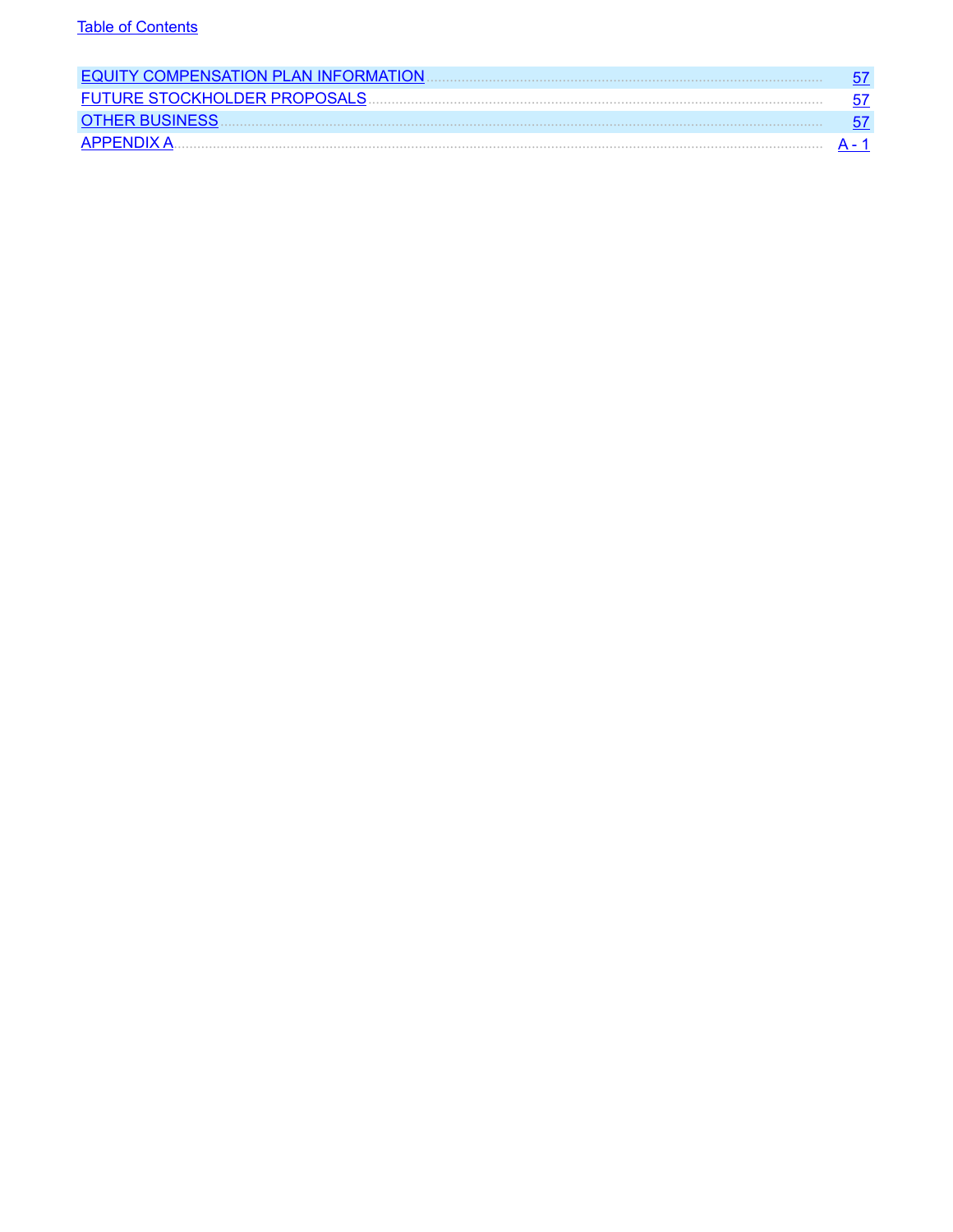| <b>EQUITY COMPENSATION PLAN INFORMATION.</b> |  |
|----------------------------------------------|--|
| <b>FUTURE STOCKHOLDER PROPOSALS</b>          |  |
| <b>OTHER BUSINESS</b>                        |  |
| APPENDIX A                                   |  |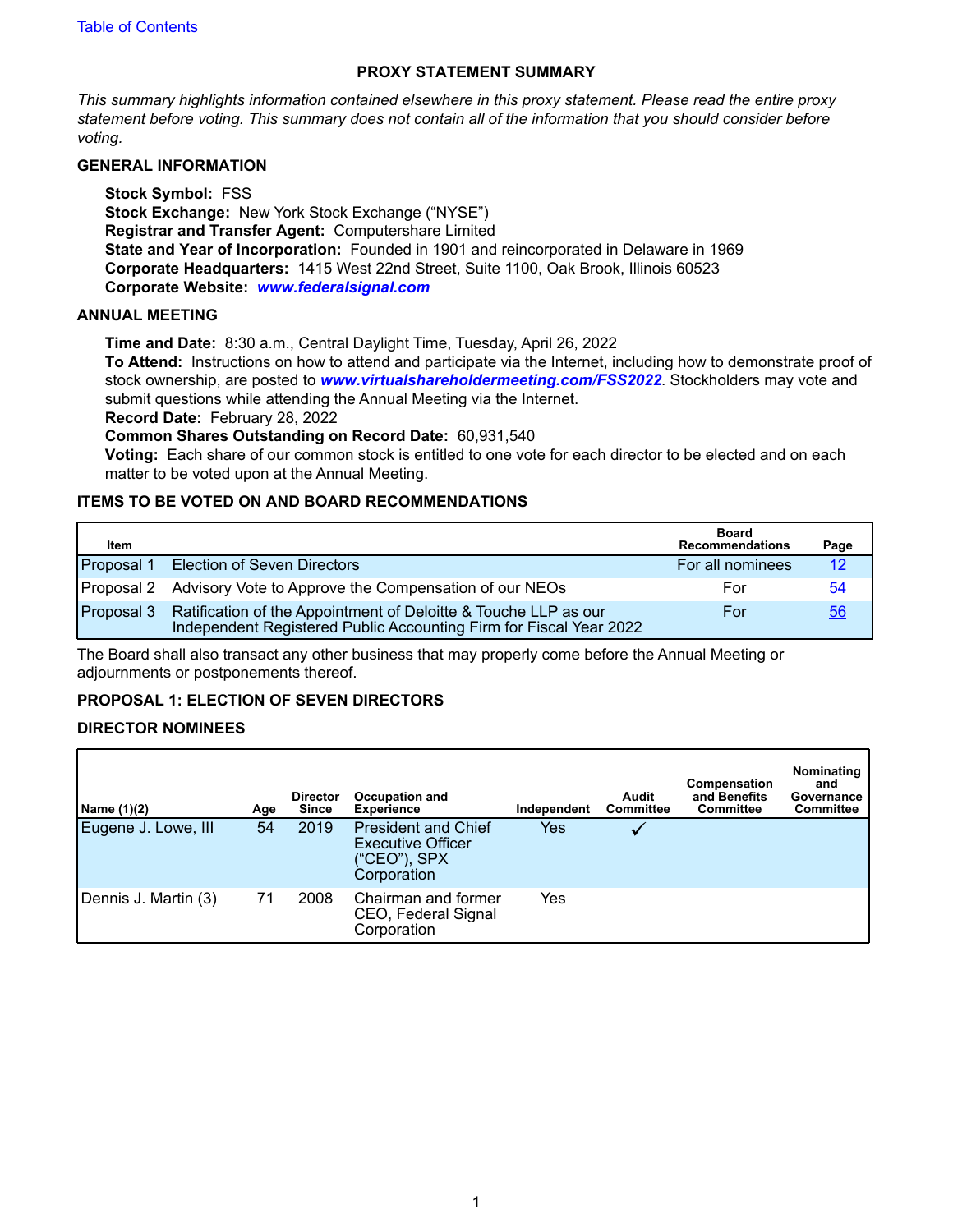#### **PROXY STATEMENT SUMMARY**

<span id="page-4-0"></span>*This summary highlights information contained elsewhere in this proxy statement. Please read the entire proxy statement before voting. This summary does not contain all of the information that you should consider before voting.*

#### **GENERAL INFORMATION**

**Stock Symbol:** FSS **Stock Exchange:** New York Stock Exchange ("NYSE") **Registrar and Transfer Agent:** Computershare Limited **State and Year of Incorporation:** Founded in 1901 and reincorporated in Delaware in 1969 **Corporate Headquarters:** 1415 West 22nd Street, Suite 1100, Oak Brook, Illinois 60523 **Corporate Website:** *www.federalsignal.com*

#### **ANNUAL MEETING**

**Time and Date:** 8:30 a.m., Central Daylight Time, Tuesday, April 26, 2022

**To Attend:** Instructions on how to attend and participate via the Internet, including how to demonstrate proof of stock ownership, are posted to *www.virtualshareholdermeeting.com/FSS2022*. Stockholders may vote and submit questions while attending the Annual Meeting via the Internet.

**Record Date:** February 28, 2022

**Common Shares Outstanding on Record Date:** 60,931,540

**Voting:** Each share of our common stock is entitled to one vote for each director to be elected and on each matter to be voted upon at the Annual Meeting.

#### **ITEMS TO BE VOTED ON AND BOARD RECOMMENDATIONS**

| Item               |                                                                                                                                       | <b>Board</b><br><b>Recommendations</b> | Page       |
|--------------------|---------------------------------------------------------------------------------------------------------------------------------------|----------------------------------------|------------|
| Proposal 1         | <b>Election of Seven Directors</b>                                                                                                    | For all nominees                       | <u> 12</u> |
|                    | Proposal 2 Advisory Vote to Approve the Compensation of our NEOs                                                                      | For                                    | 54         |
| <b>IProposal 3</b> | Ratification of the Appointment of Deloitte & Touche LLP as our<br>Independent Registered Public Accounting Firm for Fiscal Year 2022 | For                                    | 56         |

The Board shall also transact any other business that may properly come before the Annual Meeting or adjournments or postponements thereof.

#### **PROPOSAL 1: ELECTION OF SEVEN DIRECTORS**

#### **DIRECTOR NOMINEES**

| Name (1)(2)          | Age | <b>Director</b><br><b>Since</b> | <b>Occupation and</b><br><b>Experience</b>                                            | Independent | Audit<br>Committee | Compensation<br>and Benefits<br><b>Committee</b> | Nominating<br>and<br>Governance<br>Committee |
|----------------------|-----|---------------------------------|---------------------------------------------------------------------------------------|-------------|--------------------|--------------------------------------------------|----------------------------------------------|
| Eugene J. Lowe, III  | 54  | 2019                            | <b>President and Chief</b><br><b>Executive Officer</b><br>("CEO"), SPX<br>Corporation | Yes         |                    |                                                  |                                              |
| Dennis J. Martin (3) | 71  | 2008                            | Chairman and former<br>CEO, Federal Signal<br>Corporation                             | Yes         |                    |                                                  |                                              |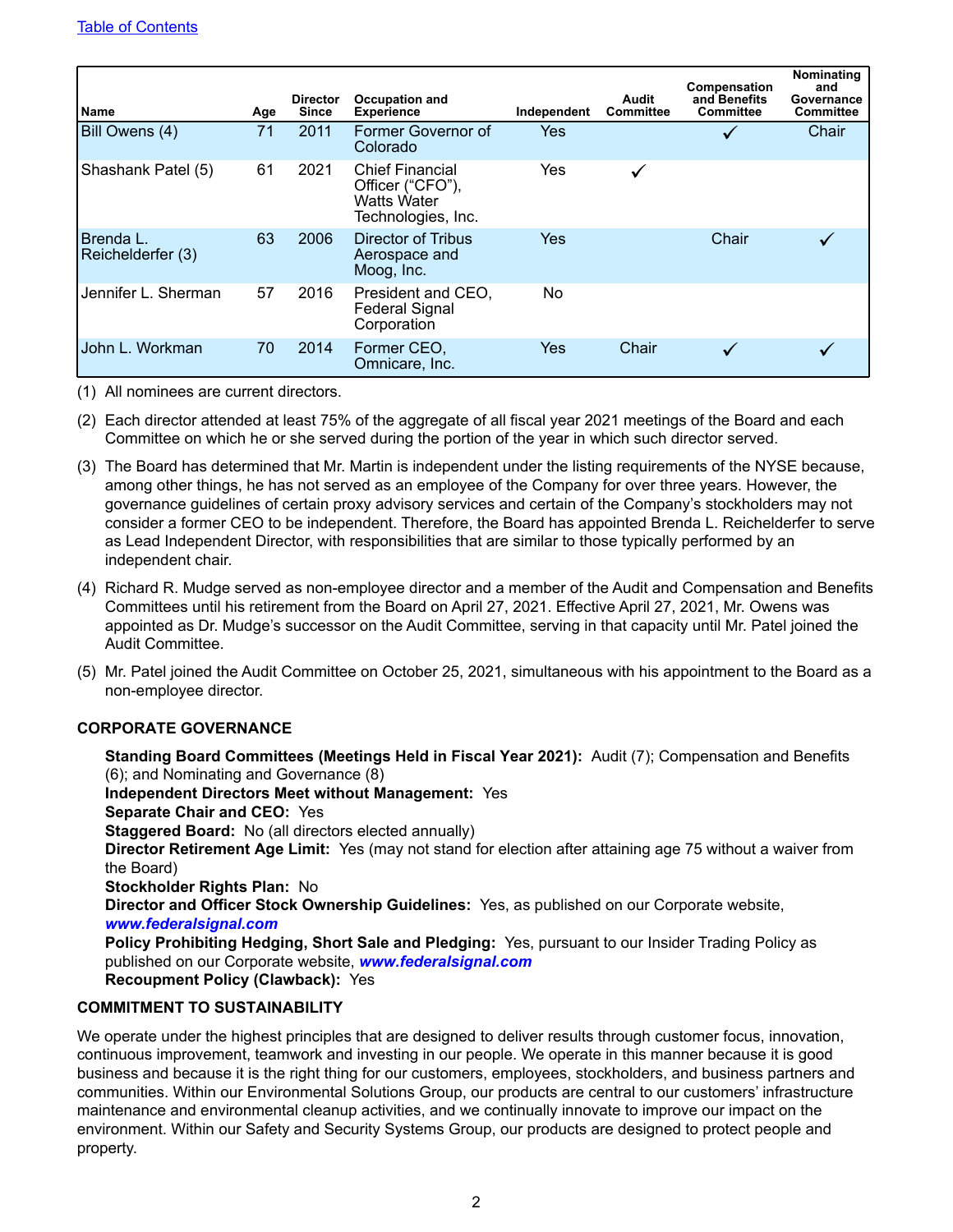| <b>Name</b>                    | Age | <b>Director</b><br><b>Since</b> | <b>Occupation and</b><br><b>Experience</b>                                             | Independent | Audit<br><b>Committee</b> | Compensation<br>and Benefits<br><b>Committee</b> | Nominating<br>and<br>Governance<br><b>Committee</b> |
|--------------------------------|-----|---------------------------------|----------------------------------------------------------------------------------------|-------------|---------------------------|--------------------------------------------------|-----------------------------------------------------|
| Bill Owens (4)                 | 71  | 2011                            | Former Governor of<br>Colorado                                                         | <b>Yes</b>  |                           |                                                  | Chair                                               |
| Shashank Patel (5)             | 61  | 2021                            | <b>Chief Financial</b><br>Officer ("CFO"),<br><b>Watts Water</b><br>Technologies, Inc. | Yes         | $\checkmark$              |                                                  |                                                     |
| Brenda L.<br>Reichelderfer (3) | 63  | 2006                            | Director of Tribus<br>Aerospace and<br>Moog, Inc.                                      | Yes         |                           | Chair                                            |                                                     |
| Jennifer L. Sherman            | 57  | 2016                            | President and CEO.<br><b>Federal Signal</b><br>Corporation                             | No          |                           |                                                  |                                                     |
| John L. Workman                | 70  | 2014                            | Former CEO,<br>Omnicare, Inc.                                                          | Yes         | Chair                     |                                                  |                                                     |

(1) All nominees are current directors.

- (2) Each director attended at least 75% of the aggregate of all fiscal year 2021 meetings of the Board and each Committee on which he or she served during the portion of the year in which such director served.
- (3) The Board has determined that Mr. Martin is independent under the listing requirements of the NYSE because, among other things, he has not served as an employee of the Company for over three years. However, the governance guidelines of certain proxy advisory services and certain of the Company's stockholders may not consider a former CEO to be independent. Therefore, the Board has appointed Brenda L. Reichelderfer to serve as Lead Independent Director, with responsibilities that are similar to those typically performed by an independent chair.
- (4) Richard R. Mudge served as non-employee director and a member of the Audit and Compensation and Benefits Committees until his retirement from the Board on April 27, 2021. Effective April 27, 2021, Mr. Owens was appointed as Dr. Mudge's successor on the Audit Committee, serving in that capacity until Mr. Patel joined the Audit Committee.
- (5) Mr. Patel joined the Audit Committee on October 25, 2021, simultaneous with his appointment to the Board as a non-employee director.

## **CORPORATE GOVERNANCE**

**Standing Board Committees (Meetings Held in Fiscal Year 2021):** Audit (7); Compensation and Benefits (6); and Nominating and Governance (8) **Independent Directors Meet without Management:** Yes **Separate Chair and CEO:** Yes **Staggered Board:** No (all directors elected annually) **Director Retirement Age Limit:** Yes (may not stand for election after attaining age 75 without a waiver from the Board) **Stockholder Rights Plan:** No **Director and Officer Stock Ownership Guidelines:** Yes, as published on our Corporate website, *www.federalsignal.com* **Policy Prohibiting Hedging, Short Sale and Pledging:** Yes, pursuant to our Insider Trading Policy as published on our Corporate website, *www.federalsignal.com* **Recoupment Policy (Clawback):** Yes

## **COMMITMENT TO SUSTAINABILITY**

We operate under the highest principles that are designed to deliver results through customer focus, innovation, continuous improvement, teamwork and investing in our people. We operate in this manner because it is good business and because it is the right thing for our customers, employees, stockholders, and business partners and communities. Within our Environmental Solutions Group, our products are central to our customers' infrastructure maintenance and environmental cleanup activities, and we continually innovate to improve our impact on the environment. Within our Safety and Security Systems Group, our products are designed to protect people and property.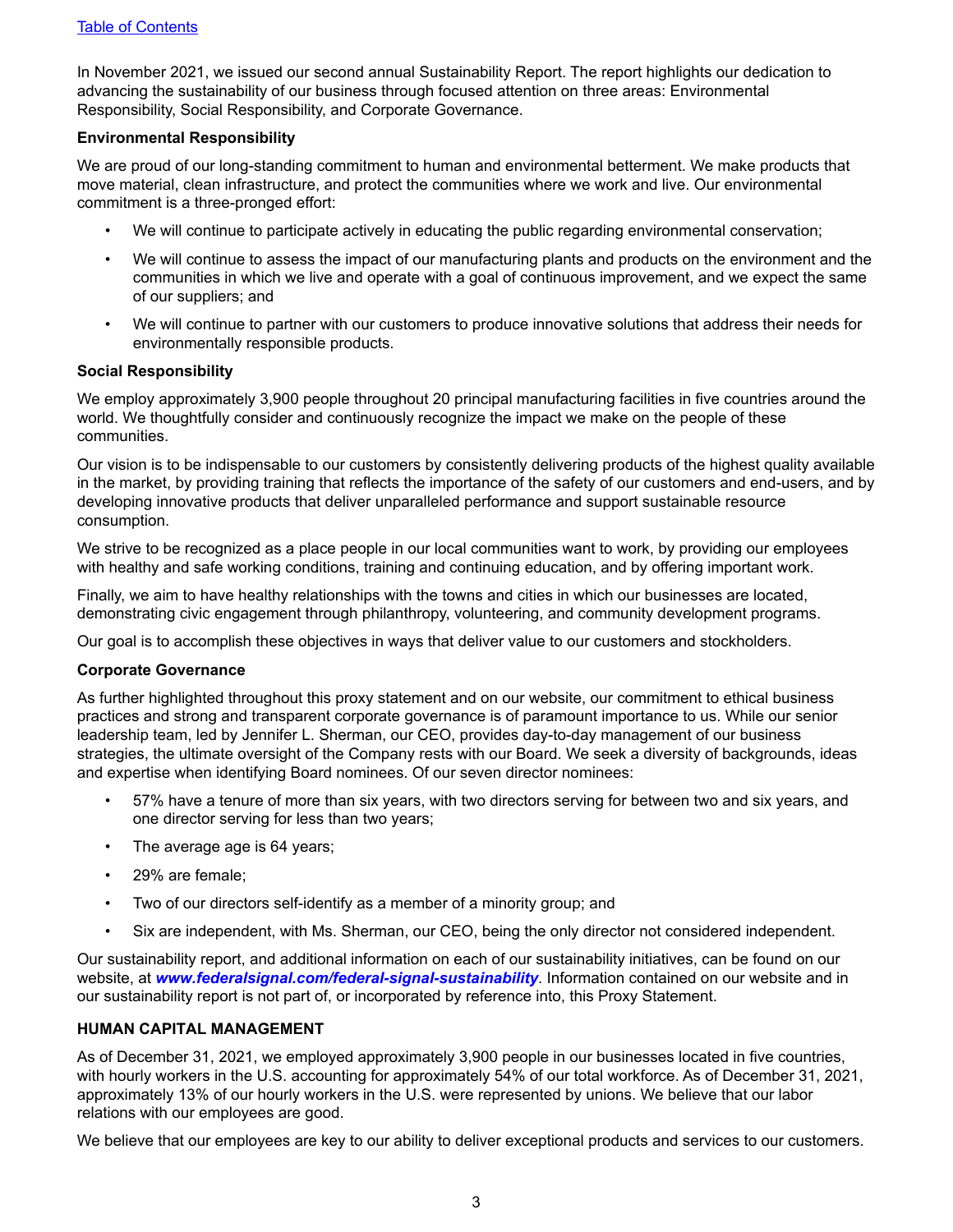In November 2021, we issued our second annual Sustainability Report. The report highlights our dedication to advancing the sustainability of our business through focused attention on three areas: Environmental Responsibility, Social Responsibility, and Corporate Governance.

#### **Environmental Responsibility**

We are proud of our long-standing commitment to human and environmental betterment. We make products that move material, clean infrastructure, and protect the communities where we work and live. Our environmental commitment is a three-pronged effort:

- We will continue to participate actively in educating the public regarding environmental conservation;
- We will continue to assess the impact of our manufacturing plants and products on the environment and the communities in which we live and operate with a goal of continuous improvement, and we expect the same of our suppliers; and
- We will continue to partner with our customers to produce innovative solutions that address their needs for environmentally responsible products.

#### **Social Responsibility**

We employ approximately 3,900 people throughout 20 principal manufacturing facilities in five countries around the world. We thoughtfully consider and continuously recognize the impact we make on the people of these communities.

Our vision is to be indispensable to our customers by consistently delivering products of the highest quality available in the market, by providing training that reflects the importance of the safety of our customers and end-users, and by developing innovative products that deliver unparalleled performance and support sustainable resource consumption.

We strive to be recognized as a place people in our local communities want to work, by providing our employees with healthy and safe working conditions, training and continuing education, and by offering important work.

Finally, we aim to have healthy relationships with the towns and cities in which our businesses are located, demonstrating civic engagement through philanthropy, volunteering, and community development programs.

Our goal is to accomplish these objectives in ways that deliver value to our customers and stockholders.

#### **Corporate Governance**

As further highlighted throughout this proxy statement and on our website, our commitment to ethical business practices and strong and transparent corporate governance is of paramount importance to us. While our senior leadership team, led by Jennifer L. Sherman, our CEO, provides day-to-day management of our business strategies, the ultimate oversight of the Company rests with our Board. We seek a diversity of backgrounds, ideas and expertise when identifying Board nominees. Of our seven director nominees:

- 57% have a tenure of more than six years, with two directors serving for between two and six years, and one director serving for less than two years;
- The average age is 64 years;
- 29% are female;
- Two of our directors self-identify as a member of a minority group; and
- Six are independent, with Ms. Sherman, our CEO, being the only director not considered independent.

Our sustainability report, and additional information on each of our sustainability initiatives, can be found on our website, at *www.federalsignal.com/federal-signal-sustainability*. Information contained on our website and in our sustainability report is not part of, or incorporated by reference into, this Proxy Statement.

#### **HUMAN CAPITAL MANAGEMENT**

As of December 31, 2021, we employed approximately 3,900 people in our businesses located in five countries, with hourly workers in the U.S. accounting for approximately 54% of our total workforce. As of December 31, 2021, approximately 13% of our hourly workers in the U.S. were represented by unions. We believe that our labor relations with our employees are good.

We believe that our employees are key to our ability to deliver exceptional products and services to our customers.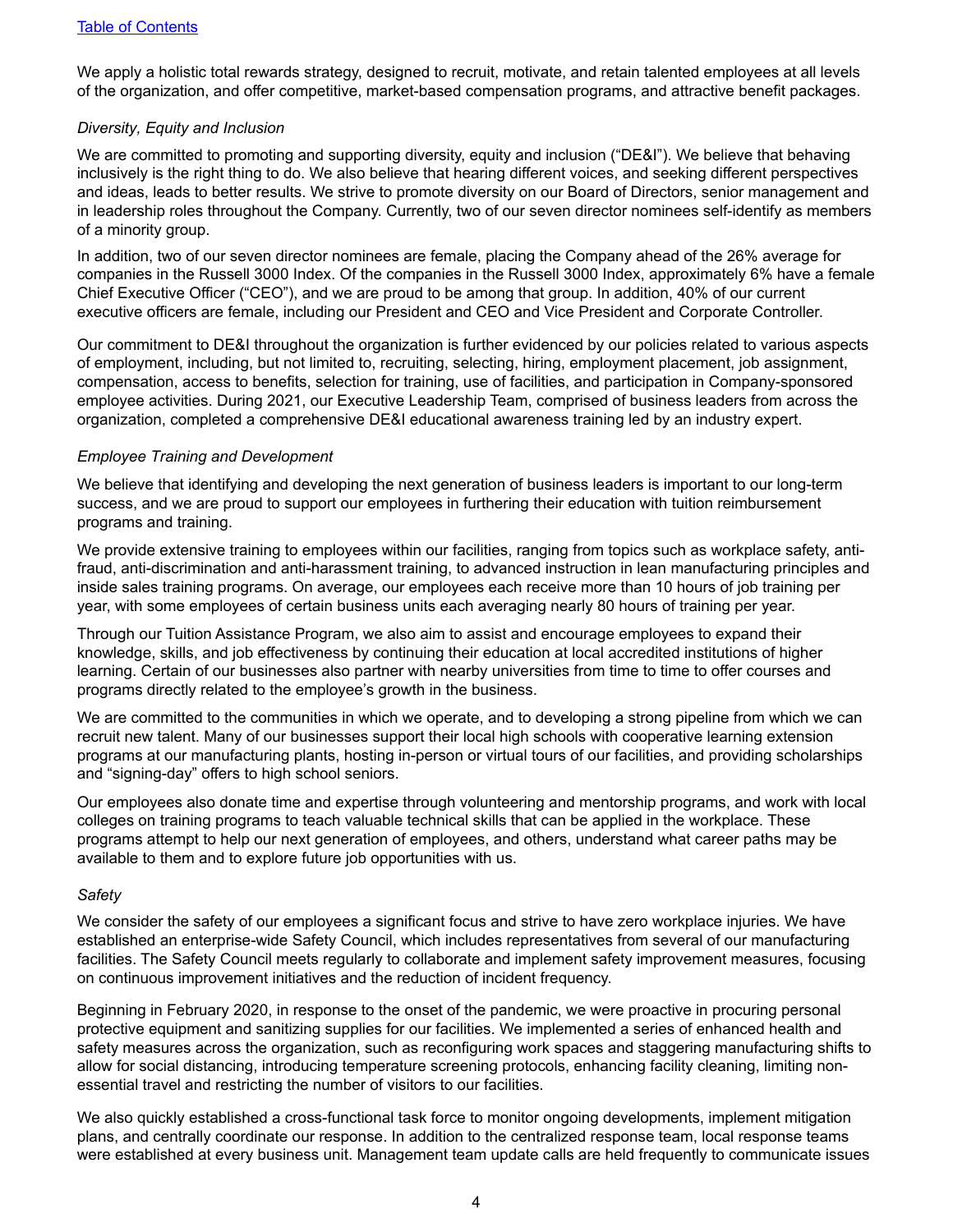We apply a holistic total rewards strategy, designed to recruit, motivate, and retain talented employees at all levels of the organization, and offer competitive, market-based compensation programs, and attractive benefit packages.

#### *Diversity, Equity and Inclusion*

We are committed to promoting and supporting diversity, equity and inclusion ("DE&I"). We believe that behaving inclusively is the right thing to do. We also believe that hearing different voices, and seeking different perspectives and ideas, leads to better results. We strive to promote diversity on our Board of Directors, senior management and in leadership roles throughout the Company. Currently, two of our seven director nominees self-identify as members of a minority group.

In addition, two of our seven director nominees are female, placing the Company ahead of the 26% average for companies in the Russell 3000 Index. Of the companies in the Russell 3000 Index, approximately 6% have a female Chief Executive Officer ("CEO"), and we are proud to be among that group. In addition, 40% of our current executive officers are female, including our President and CEO and Vice President and Corporate Controller.

Our commitment to DE&I throughout the organization is further evidenced by our policies related to various aspects of employment, including, but not limited to, recruiting, selecting, hiring, employment placement, job assignment, compensation, access to benefits, selection for training, use of facilities, and participation in Company-sponsored employee activities. During 2021, our Executive Leadership Team, comprised of business leaders from across the organization, completed a comprehensive DE&I educational awareness training led by an industry expert.

#### *Employee Training and Development*

We believe that identifying and developing the next generation of business leaders is important to our long-term success, and we are proud to support our employees in furthering their education with tuition reimbursement programs and training.

We provide extensive training to employees within our facilities, ranging from topics such as workplace safety, antifraud, anti-discrimination and anti-harassment training, to advanced instruction in lean manufacturing principles and inside sales training programs. On average, our employees each receive more than 10 hours of job training per year, with some employees of certain business units each averaging nearly 80 hours of training per year.

Through our Tuition Assistance Program, we also aim to assist and encourage employees to expand their knowledge, skills, and job effectiveness by continuing their education at local accredited institutions of higher learning. Certain of our businesses also partner with nearby universities from time to time to offer courses and programs directly related to the employee's growth in the business.

We are committed to the communities in which we operate, and to developing a strong pipeline from which we can recruit new talent. Many of our businesses support their local high schools with cooperative learning extension programs at our manufacturing plants, hosting in-person or virtual tours of our facilities, and providing scholarships and "signing-day" offers to high school seniors.

Our employees also donate time and expertise through volunteering and mentorship programs, and work with local colleges on training programs to teach valuable technical skills that can be applied in the workplace. These programs attempt to help our next generation of employees, and others, understand what career paths may be available to them and to explore future job opportunities with us.

#### *Safety*

We consider the safety of our employees a significant focus and strive to have zero workplace injuries. We have established an enterprise-wide Safety Council, which includes representatives from several of our manufacturing facilities. The Safety Council meets regularly to collaborate and implement safety improvement measures, focusing on continuous improvement initiatives and the reduction of incident frequency.

Beginning in February 2020, in response to the onset of the pandemic, we were proactive in procuring personal protective equipment and sanitizing supplies for our facilities. We implemented a series of enhanced health and safety measures across the organization, such as reconfiguring work spaces and staggering manufacturing shifts to allow for social distancing, introducing temperature screening protocols, enhancing facility cleaning, limiting nonessential travel and restricting the number of visitors to our facilities.

We also quickly established a cross-functional task force to monitor ongoing developments, implement mitigation plans, and centrally coordinate our response. In addition to the centralized response team, local response teams were established at every business unit. Management team update calls are held frequently to communicate issues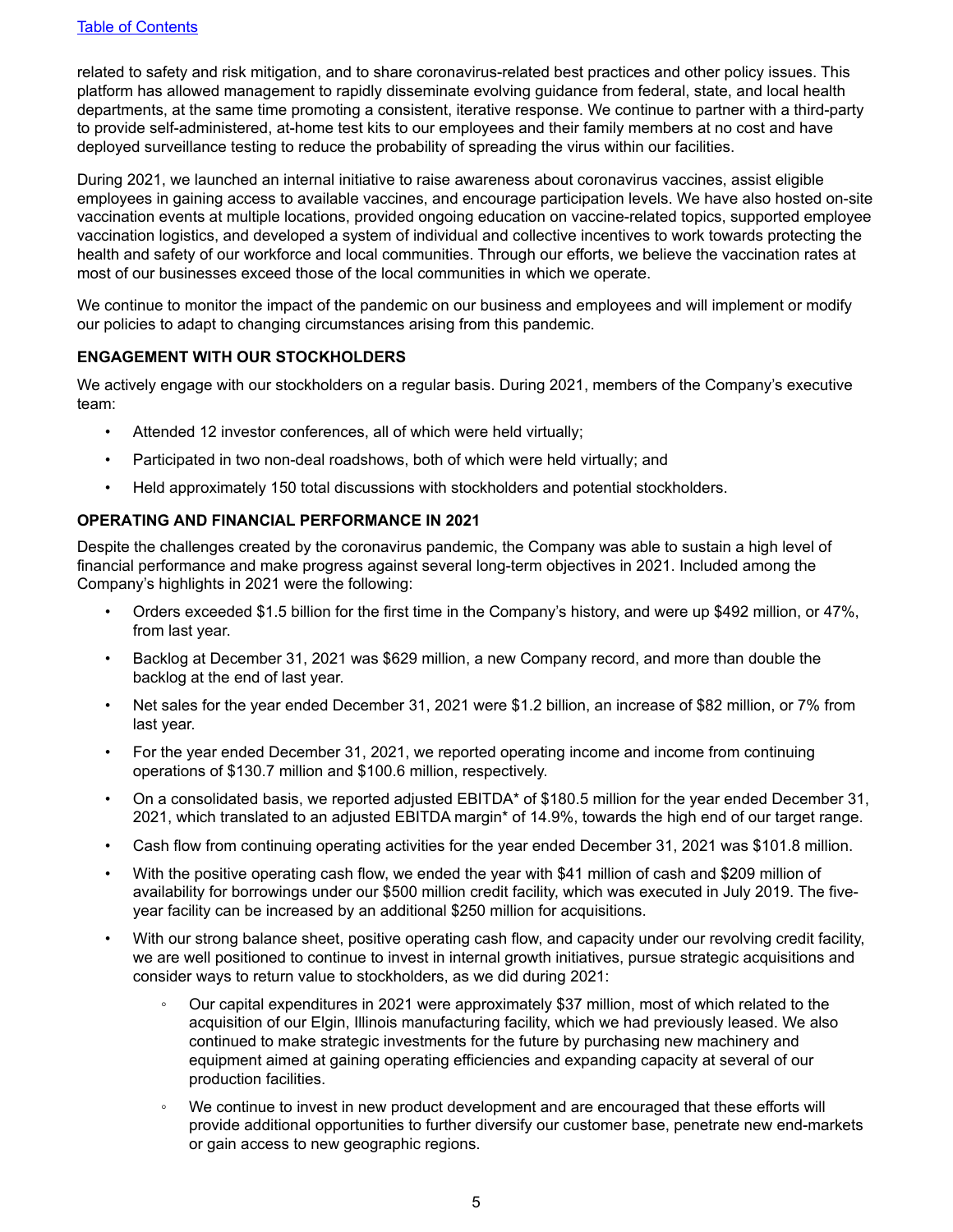related to safety and risk mitigation, and to share coronavirus-related best practices and other policy issues. This platform has allowed management to rapidly disseminate evolving guidance from federal, state, and local health departments, at the same time promoting a consistent, iterative response. We continue to partner with a third-party to provide self-administered, at-home test kits to our employees and their family members at no cost and have deployed surveillance testing to reduce the probability of spreading the virus within our facilities.

During 2021, we launched an internal initiative to raise awareness about coronavirus vaccines, assist eligible employees in gaining access to available vaccines, and encourage participation levels. We have also hosted on-site vaccination events at multiple locations, provided ongoing education on vaccine-related topics, supported employee vaccination logistics, and developed a system of individual and collective incentives to work towards protecting the health and safety of our workforce and local communities. Through our efforts, we believe the vaccination rates at most of our businesses exceed those of the local communities in which we operate.

We continue to monitor the impact of the pandemic on our business and employees and will implement or modify our policies to adapt to changing circumstances arising from this pandemic.

#### **ENGAGEMENT WITH OUR STOCKHOLDERS**

We actively engage with our stockholders on a regular basis. During 2021, members of the Company's executive team:

- Attended 12 investor conferences, all of which were held virtually;
- Participated in two non-deal roadshows, both of which were held virtually; and
- Held approximately 150 total discussions with stockholders and potential stockholders.

#### **OPERATING AND FINANCIAL PERFORMANCE IN 2021**

Despite the challenges created by the coronavirus pandemic, the Company was able to sustain a high level of financial performance and make progress against several long-term objectives in 2021. Included among the Company's highlights in 2021 were the following:

- Orders exceeded \$1.5 billion for the first time in the Company's history, and were up \$492 million, or 47%, from last year.
- Backlog at December 31, 2021 was \$629 million, a new Company record, and more than double the backlog at the end of last year.
- Net sales for the year ended December 31, 2021 were \$1.2 billion, an increase of \$82 million, or 7% from last year.
- For the year ended December 31, 2021, we reported operating income and income from continuing operations of \$130.7 million and \$100.6 million, respectively.
- On a consolidated basis, we reported adjusted EBITDA\* of \$180.5 million for the year ended December 31, 2021, which translated to an adjusted EBITDA margin\* of 14.9%, towards the high end of our target range.
- Cash flow from continuing operating activities for the year ended December 31, 2021 was \$101.8 million.
- With the positive operating cash flow, we ended the year with \$41 million of cash and \$209 million of availability for borrowings under our \$500 million credit facility, which was executed in July 2019. The fiveyear facility can be increased by an additional \$250 million for acquisitions.
- With our strong balance sheet, positive operating cash flow, and capacity under our revolving credit facility, we are well positioned to continue to invest in internal growth initiatives, pursue strategic acquisitions and consider ways to return value to stockholders, as we did during 2021:
	- Our capital expenditures in 2021 were approximately \$37 million, most of which related to the acquisition of our Elgin, Illinois manufacturing facility, which we had previously leased. We also continued to make strategic investments for the future by purchasing new machinery and equipment aimed at gaining operating efficiencies and expanding capacity at several of our production facilities.
	- We continue to invest in new product development and are encouraged that these efforts will provide additional opportunities to further diversify our customer base, penetrate new end-markets or gain access to new geographic regions.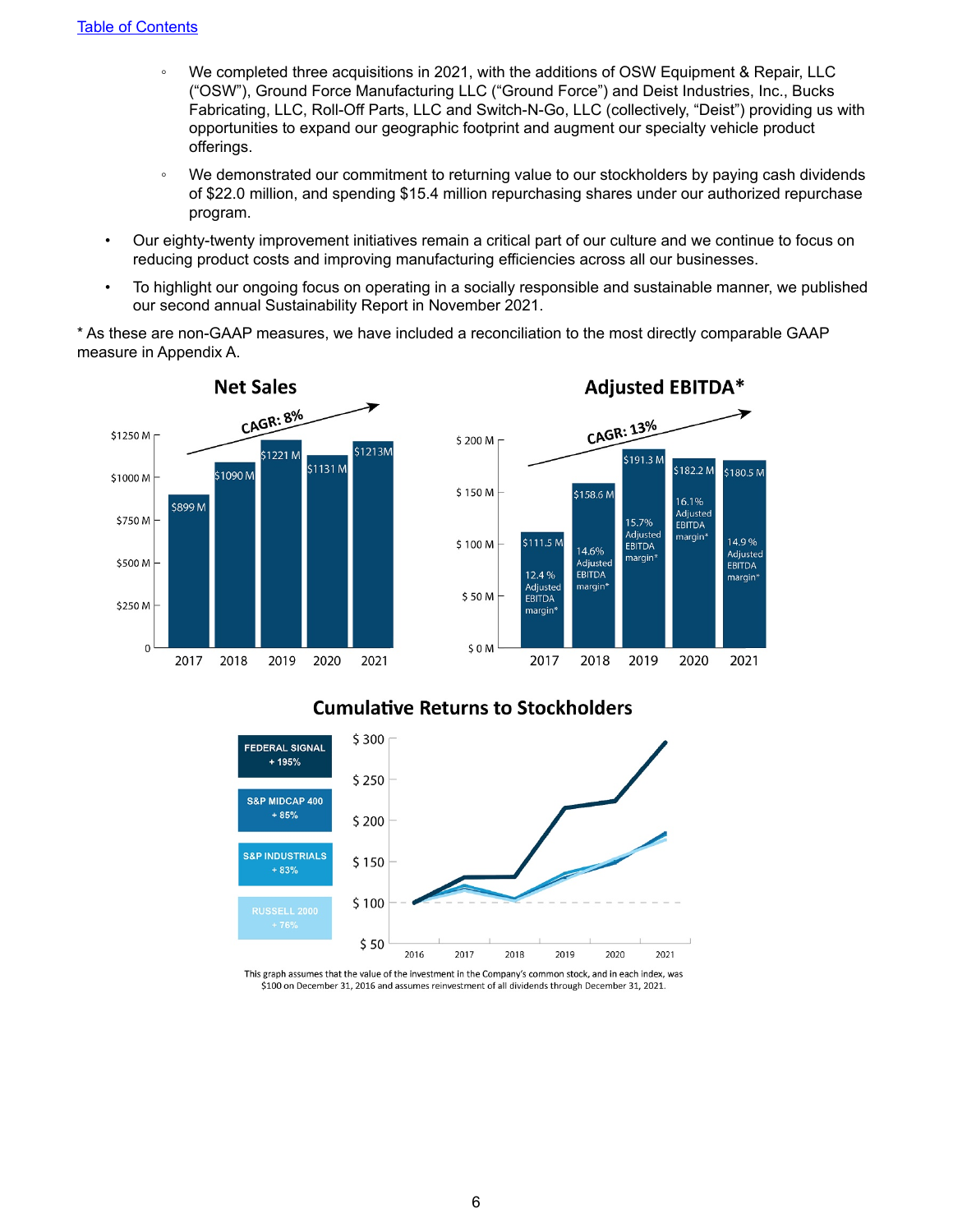- *◦* We completed three acquisitions in 2021, with the additions of OSW Equipment & Repair, LLC ("OSW"), Ground Force Manufacturing LLC ("Ground Force") and Deist Industries, Inc., Bucks Fabricating, LLC, Roll-Off Parts, LLC and Switch-N-Go, LLC (collectively, "Deist") providing us with opportunities to expand our geographic footprint and augment our specialty vehicle product offerings.
- We demonstrated our commitment to returning value to our stockholders by paying cash dividends of \$22.0 million, and spending \$15.4 million repurchasing shares under our authorized repurchase program.
- Our eighty-twenty improvement initiatives remain a critical part of our culture and we continue to focus on reducing product costs and improving manufacturing efficiencies across all our businesses.
- To highlight our ongoing focus on operating in a socially responsible and sustainable manner, we published our second annual Sustainability Report in November 2021.

\* As these are non-GAAP measures, we have included a reconciliation to the most directly comparable GAAP measure in Appendix A.





## **Cumulative Returns to Stockholders**



This graph assumes that the value of the investment in the Company's common stock, and in each index, was \$100 on December 31, 2016 and assumes reinvestment of all dividends through December 31, 2021.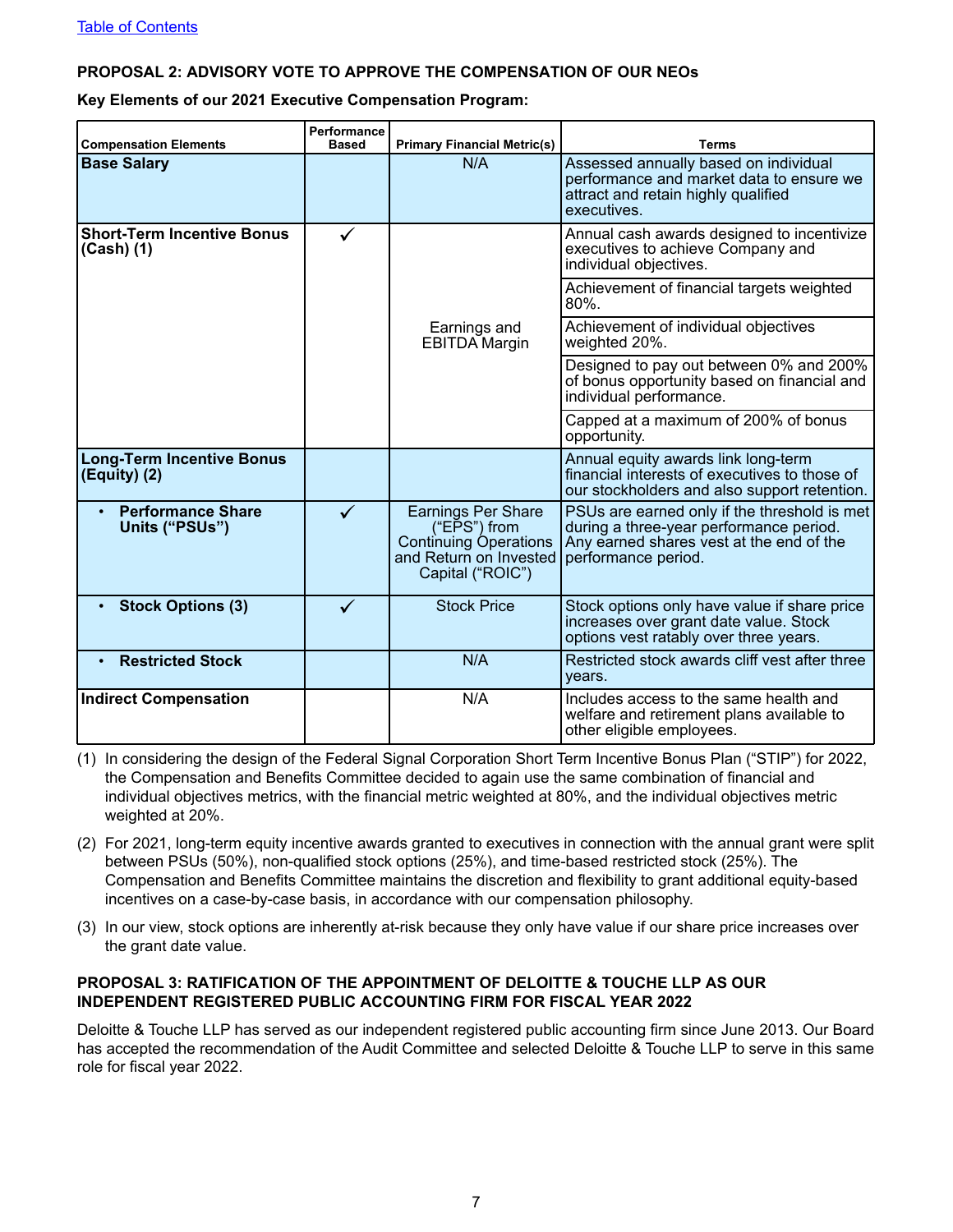### **PROPOSAL 2: ADVISORY VOTE TO APPROVE THE COMPENSATION OF OUR NEOs**

**Key Elements of our 2021 Executive Compensation Program:**

| <b>Compensation Elements</b>                       | Performance<br><b>Based</b> | <b>Primary Financial Metric(s)</b>                                                                                      | Terms                                                                                                                                                      |  |  |  |  |  |
|----------------------------------------------------|-----------------------------|-------------------------------------------------------------------------------------------------------------------------|------------------------------------------------------------------------------------------------------------------------------------------------------------|--|--|--|--|--|
| <b>Base Salary</b>                                 |                             | N/A                                                                                                                     | Assessed annually based on individual<br>performance and market data to ensure we<br>attract and retain highly qualified<br>executives.                    |  |  |  |  |  |
| <b>Short-Term Incentive Bonus</b><br>$(Cash)$ (1)  | ✓                           |                                                                                                                         | Annual cash awards designed to incentivize<br>executives to achieve Company and<br>individual objectives.                                                  |  |  |  |  |  |
|                                                    |                             |                                                                                                                         | Achievement of financial targets weighted<br>$80\%$ .                                                                                                      |  |  |  |  |  |
|                                                    |                             | Achievement of individual objectives<br>Earnings and<br>weighted 20%.<br><b>EBITDA Margin</b>                           |                                                                                                                                                            |  |  |  |  |  |
|                                                    |                             |                                                                                                                         | Designed to pay out between 0% and 200%<br>of bonus opportunity based on financial and<br>individual performance.                                          |  |  |  |  |  |
|                                                    |                             |                                                                                                                         | Capped at a maximum of 200% of bonus<br>opportunity.                                                                                                       |  |  |  |  |  |
| <b>Long-Term Incentive Bonus</b><br>$(Equity)$ (2) |                             |                                                                                                                         | Annual equity awards link long-term<br>financial interests of executives to those of<br>our stockholders and also support retention.                       |  |  |  |  |  |
| <b>Performance Share</b><br>Units ("PSUs")         | $\checkmark$                | <b>Earnings Per Share</b><br>("EPS") from<br><b>Continuing Operations</b><br>and Return on Invested<br>Capital ("ROIC") | PSUs are earned only if the threshold is met<br>during a three-year performance period.<br>Any earned shares vest at the end of the<br>performance period. |  |  |  |  |  |
| <b>Stock Options (3)</b><br>$\bullet$              | ✓                           | <b>Stock Price</b>                                                                                                      | Stock options only have value if share price<br>increases over grant date value. Stock<br>options vest ratably over three years.                           |  |  |  |  |  |
| <b>Restricted Stock</b>                            |                             | N/A                                                                                                                     | Restricted stock awards cliff vest after three<br>years.                                                                                                   |  |  |  |  |  |
| <b>Indirect Compensation</b>                       |                             | N/A                                                                                                                     | Includes access to the same health and<br>welfare and retirement plans available to<br>other eligible employees.                                           |  |  |  |  |  |

- (1) In considering the design of the Federal Signal Corporation Short Term Incentive Bonus Plan ("STIP") for 2022, the Compensation and Benefits Committee decided to again use the same combination of financial and individual objectives metrics, with the financial metric weighted at 80%, and the individual objectives metric weighted at 20%.
- (2) For 2021, long-term equity incentive awards granted to executives in connection with the annual grant were split between PSUs (50%), non-qualified stock options (25%), and time-based restricted stock (25%). The Compensation and Benefits Committee maintains the discretion and flexibility to grant additional equity-based incentives on a case-by-case basis, in accordance with our compensation philosophy.
- (3) In our view, stock options are inherently at-risk because they only have value if our share price increases over the grant date value.

#### **PROPOSAL 3: RATIFICATION OF THE APPOINTMENT OF DELOITTE & TOUCHE LLP AS OUR INDEPENDENT REGISTERED PUBLIC ACCOUNTING FIRM FOR FISCAL YEAR 2022**

Deloitte & Touche LLP has served as our independent registered public accounting firm since June 2013. Our Board has accepted the recommendation of the Audit Committee and selected Deloitte & Touche LLP to serve in this same role for fiscal year 2022.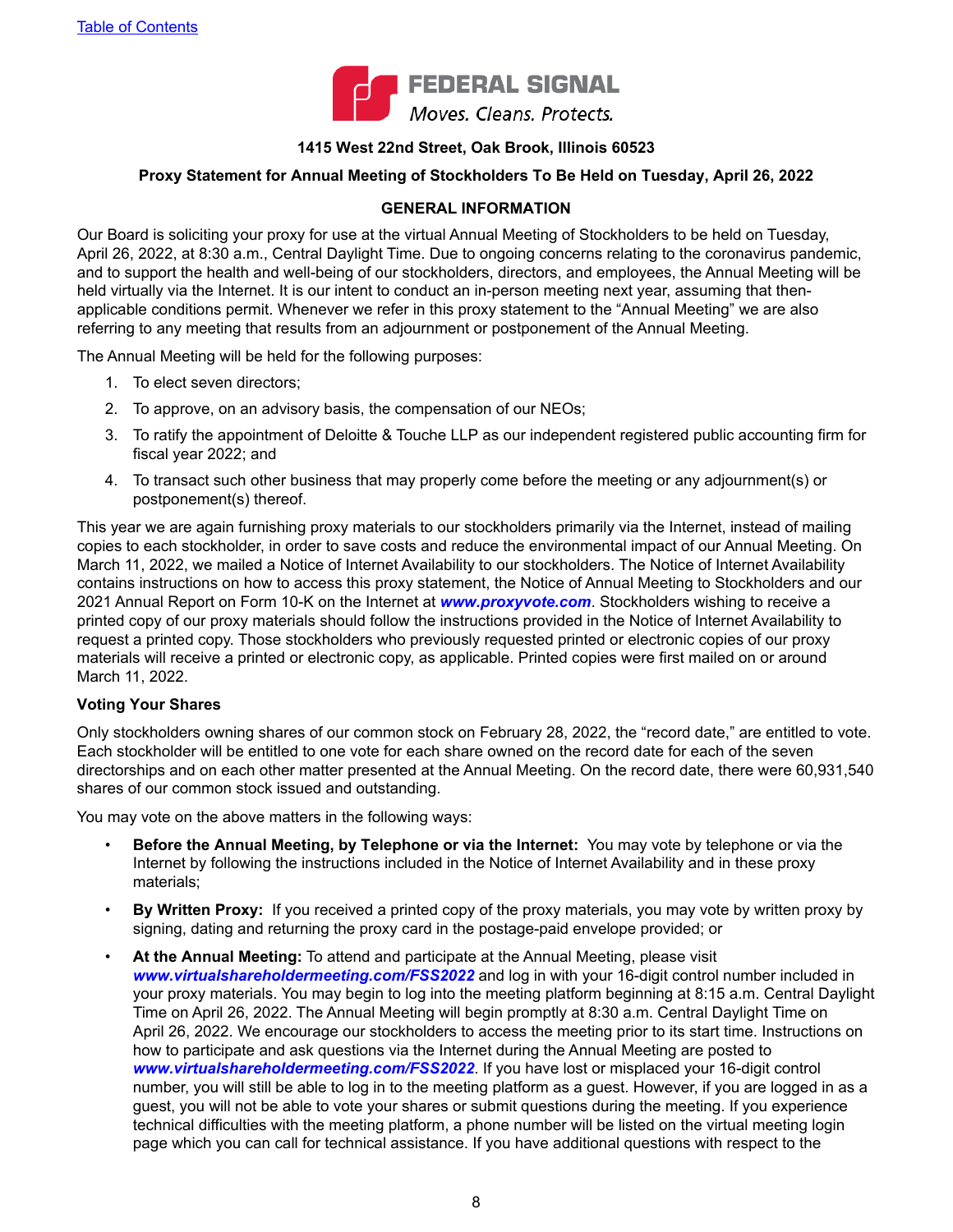

#### **1415 West 22nd Street, Oak Brook, Illinois 60523**

#### <span id="page-11-0"></span>**Proxy Statement for Annual Meeting of Stockholders To Be Held on Tuesday, April 26, 2022**

#### **GENERAL INFORMATION**

Our Board is soliciting your proxy for use at the virtual Annual Meeting of Stockholders to be held on Tuesday, April 26, 2022, at 8:30 a.m., Central Daylight Time. Due to ongoing concerns relating to the coronavirus pandemic, and to support the health and well-being of our stockholders, directors, and employees, the Annual Meeting will be held virtually via the Internet. It is our intent to conduct an in-person meeting next year, assuming that thenapplicable conditions permit. Whenever we refer in this proxy statement to the "Annual Meeting" we are also referring to any meeting that results from an adjournment or postponement of the Annual Meeting.

The Annual Meeting will be held for the following purposes:

- 1. To elect seven directors;
- 2. To approve, on an advisory basis, the compensation of our NEOs;
- 3. To ratify the appointment of Deloitte & Touche LLP as our independent registered public accounting firm for fiscal year 2022; and
- 4. To transact such other business that may properly come before the meeting or any adjournment(s) or postponement(s) thereof.

This year we are again furnishing proxy materials to our stockholders primarily via the Internet, instead of mailing copies to each stockholder, in order to save costs and reduce the environmental impact of our Annual Meeting. On March 11, 2022, we mailed a Notice of Internet Availability to our stockholders. The Notice of Internet Availability contains instructions on how to access this proxy statement, the Notice of Annual Meeting to Stockholders and our 2021 Annual Report on Form 10-K on the Internet at *www.proxyvote.com*. Stockholders wishing to receive a printed copy of our proxy materials should follow the instructions provided in the Notice of Internet Availability to request a printed copy. Those stockholders who previously requested printed or electronic copies of our proxy materials will receive a printed or electronic copy, as applicable. Printed copies were first mailed on or around March 11, 2022.

#### **Voting Your Shares**

Only stockholders owning shares of our common stock on February 28, 2022, the "record date," are entitled to vote. Each stockholder will be entitled to one vote for each share owned on the record date for each of the seven directorships and on each other matter presented at the Annual Meeting. On the record date, there were 60,931,540 shares of our common stock issued and outstanding.

You may vote on the above matters in the following ways:

- **Before the Annual Meeting, by Telephone or via the Internet:** You may vote by telephone or via the Internet by following the instructions included in the Notice of Internet Availability and in these proxy materials;
- **By Written Proxy:** If you received a printed copy of the proxy materials, you may vote by written proxy by signing, dating and returning the proxy card in the postage-paid envelope provided; or
- **At the Annual Meeting:** To attend and participate at the Annual Meeting, please visit *www.virtualshareholdermeeting.com/FSS2022* and log in with your 16-digit control number included in your proxy materials. You may begin to log into the meeting platform beginning at 8:15 a.m. Central Daylight Time on April 26, 2022. The Annual Meeting will begin promptly at 8:30 a.m. Central Daylight Time on April 26, 2022. We encourage our stockholders to access the meeting prior to its start time. Instructions on how to participate and ask questions via the Internet during the Annual Meeting are posted to *www.virtualshareholdermeeting.com/FSS2022*. If you have lost or misplaced your 16-digit control number, you will still be able to log in to the meeting platform as a guest. However, if you are logged in as a guest, you will not be able to vote your shares or submit questions during the meeting. If you experience technical difficulties with the meeting platform, a phone number will be listed on the virtual meeting login page which you can call for technical assistance. If you have additional questions with respect to the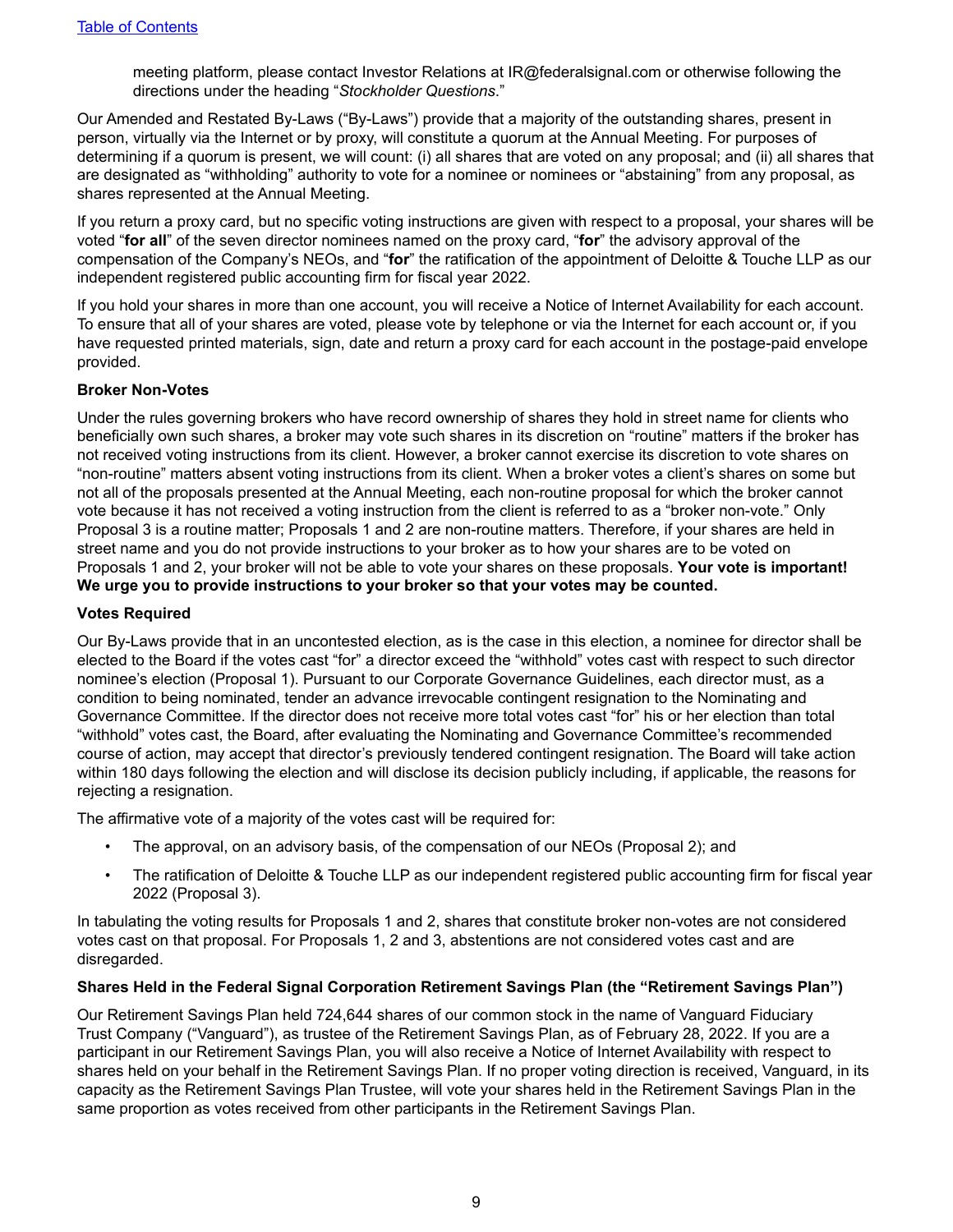meeting platform, please contact Investor Relations at IR@federalsignal.com or otherwise following the directions under the heading "*Stockholder Questions*."

<span id="page-12-0"></span>Our Amended and Restated By-Laws ("By-Laws") provide that a majority of the outstanding shares, present in person, virtually via the Internet or by proxy, will constitute a quorum at the Annual Meeting. For purposes of determining if a quorum is present, we will count: (i) all shares that are voted on any proposal; and (ii) all shares that are designated as "withholding" authority to vote for a nominee or nominees or "abstaining" from any proposal, as shares represented at the Annual Meeting.

If you return a proxy card, but no specific voting instructions are given with respect to a proposal, your shares will be voted "**for all**" of the seven director nominees named on the proxy card, "**for**" the advisory approval of the compensation of the Company's NEOs, and "**for**" the ratification of the appointment of Deloitte & Touche LLP as our independent registered public accounting firm for fiscal year 2022.

If you hold your shares in more than one account, you will receive a Notice of Internet Availability for each account. To ensure that all of your shares are voted, please vote by telephone or via the Internet for each account or, if you have requested printed materials, sign, date and return a proxy card for each account in the postage-paid envelope provided.

#### **Broker Non-Votes**

Under the rules governing brokers who have record ownership of shares they hold in street name for clients who beneficially own such shares, a broker may vote such shares in its discretion on "routine" matters if the broker has not received voting instructions from its client. However, a broker cannot exercise its discretion to vote shares on "non-routine" matters absent voting instructions from its client. When a broker votes a client's shares on some but not all of the proposals presented at the Annual Meeting, each non-routine proposal for which the broker cannot vote because it has not received a voting instruction from the client is referred to as a "broker non-vote." Only Proposal 3 is a routine matter; Proposals 1 and 2 are non-routine matters. Therefore, if your shares are held in street name and you do not provide instructions to your broker as to how your shares are to be voted on Proposals 1 and 2, your broker will not be able to vote your shares on these proposals. **Your vote is important! We urge you to provide instructions to your broker so that your votes may be counted.**

#### **Votes Required**

Our By-Laws provide that in an uncontested election, as is the case in this election, a nominee for director shall be elected to the Board if the votes cast "for" a director exceed the "withhold" votes cast with respect to such director nominee's election (Proposal 1). Pursuant to our Corporate Governance Guidelines, each director must, as a condition to being nominated, tender an advance irrevocable contingent resignation to the Nominating and Governance Committee. If the director does not receive more total votes cast "for" his or her election than total "withhold" votes cast, the Board, after evaluating the Nominating and Governance Committee's recommended course of action, may accept that director's previously tendered contingent resignation. The Board will take action within 180 days following the election and will disclose its decision publicly including, if applicable, the reasons for rejecting a resignation.

The affirmative vote of a majority of the votes cast will be required for:

- The approval, on an advisory basis, of the compensation of our NEOs (Proposal 2); and
- The ratification of Deloitte & Touche LLP as our independent registered public accounting firm for fiscal year 2022 (Proposal 3).

In tabulating the voting results for Proposals 1 and 2, shares that constitute broker non-votes are not considered votes cast on that proposal. For Proposals 1, 2 and 3, abstentions are not considered votes cast and are disregarded.

#### **Shares Held in the Federal Signal Corporation Retirement Savings Plan (the "Retirement Savings Plan")**

Our Retirement Savings Plan held 724,644 shares of our common stock in the name of Vanguard Fiduciary Trust Company ("Vanguard"), as trustee of the Retirement Savings Plan, as of February 28, 2022. If you are a participant in our Retirement Savings Plan, you will also receive a Notice of Internet Availability with respect to shares held on your behalf in the Retirement Savings Plan. If no proper voting direction is received, Vanguard, in its capacity as the Retirement Savings Plan Trustee, will vote your shares held in the Retirement Savings Plan in the same proportion as votes received from other participants in the Retirement Savings Plan.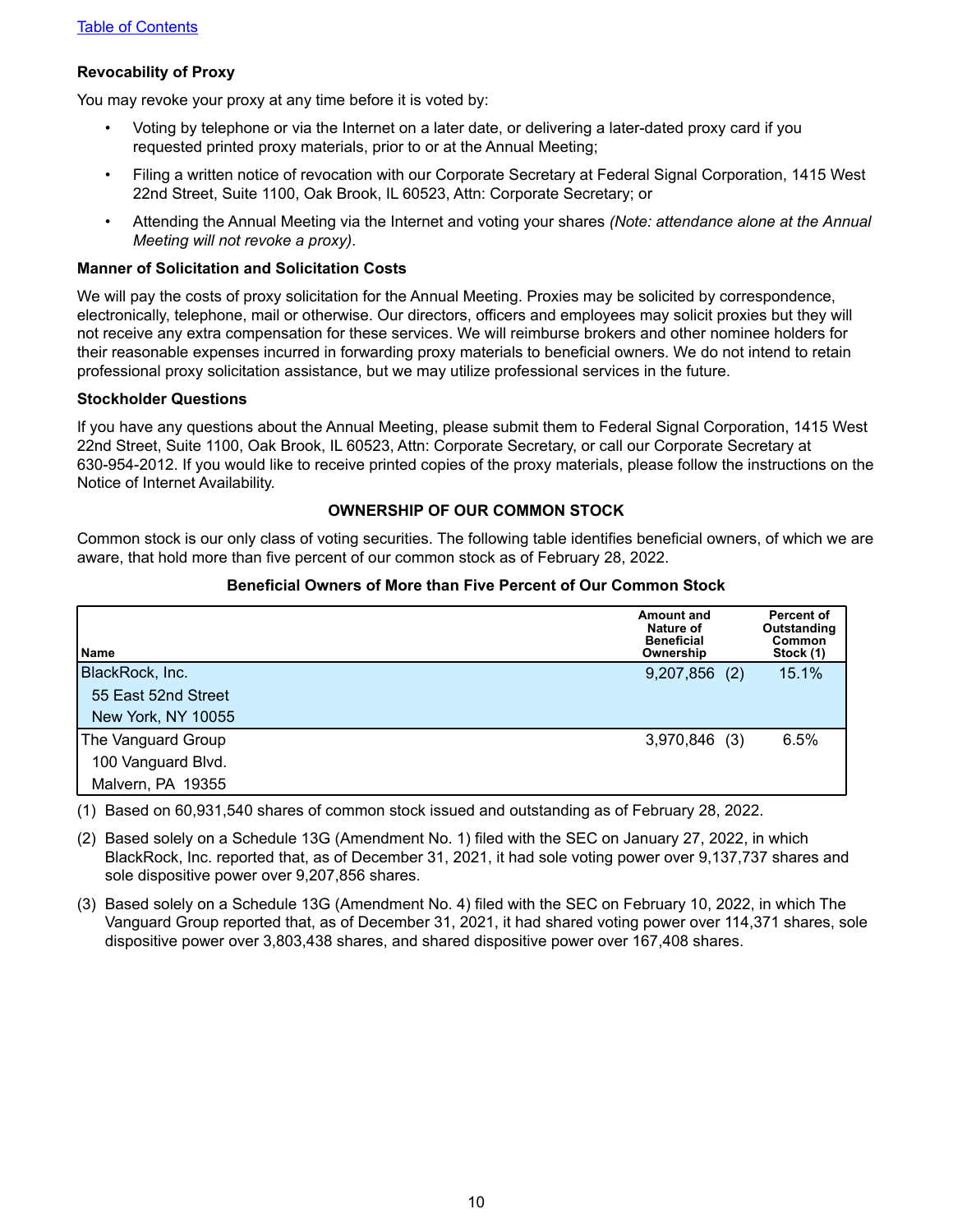#### <span id="page-13-0"></span>**Revocability of Proxy**

You may revoke your proxy at any time before it is voted by:

- Voting by telephone or via the Internet on a later date, or delivering a later-dated proxy card if you requested printed proxy materials, prior to or at the Annual Meeting;
- Filing a written notice of revocation with our Corporate Secretary at Federal Signal Corporation, 1415 West 22nd Street, Suite 1100, Oak Brook, IL 60523, Attn: Corporate Secretary; or
- Attending the Annual Meeting via the Internet and voting your shares *(Note: attendance alone at the Annual Meeting will not revoke a proxy)*.

#### **Manner of Solicitation and Solicitation Costs**

We will pay the costs of proxy solicitation for the Annual Meeting. Proxies may be solicited by correspondence, electronically, telephone, mail or otherwise. Our directors, officers and employees may solicit proxies but they will not receive any extra compensation for these services. We will reimburse brokers and other nominee holders for their reasonable expenses incurred in forwarding proxy materials to beneficial owners. We do not intend to retain professional proxy solicitation assistance, but we may utilize professional services in the future.

#### **Stockholder Questions**

If you have any questions about the Annual Meeting, please submit them to Federal Signal Corporation, 1415 West 22nd Street, Suite 1100, Oak Brook, IL 60523, Attn: Corporate Secretary, or call our Corporate Secretary at 630-954-2012. If you would like to receive printed copies of the proxy materials, please follow the instructions on the Notice of Internet Availability.

#### **OWNERSHIP OF OUR COMMON STOCK**

Common stock is our only class of voting securities. The following table identifies beneficial owners, of which we are aware, that hold more than five percent of our common stock as of February 28, 2022.

| l Name              | <b>Amount and</b><br>Nature of<br><b>Beneficial</b><br>Ownership | Percent of<br>Outstanding<br>Common<br>Stock (1) |
|---------------------|------------------------------------------------------------------|--------------------------------------------------|
| BlackRock, Inc.     | $9,207,856$ (2)                                                  | 15.1%                                            |
| 55 East 52nd Street |                                                                  |                                                  |
| New York, NY 10055  |                                                                  |                                                  |
| The Vanguard Group  | 3,970,846 (3)                                                    | 6.5%                                             |
| 100 Vanguard Blvd.  |                                                                  |                                                  |
| Malvern, PA 19355   |                                                                  |                                                  |

#### **Beneficial Owners of More than Five Percent of Our Common Stock**

(1) Based on 60,931,540 shares of common stock issued and outstanding as of February 28, 2022.

(2) Based solely on a Schedule 13G (Amendment No. 1) filed with the SEC on January 27, 2022, in which BlackRock, Inc. reported that, as of December 31, 2021, it had sole voting power over 9,137,737 shares and sole dispositive power over 9,207,856 shares.

(3) Based solely on a Schedule 13G (Amendment No. 4) filed with the SEC on February 10, 2022, in which The Vanguard Group reported that, as of December 31, 2021, it had shared voting power over 114,371 shares, sole dispositive power over 3,803,438 shares, and shared dispositive power over 167,408 shares.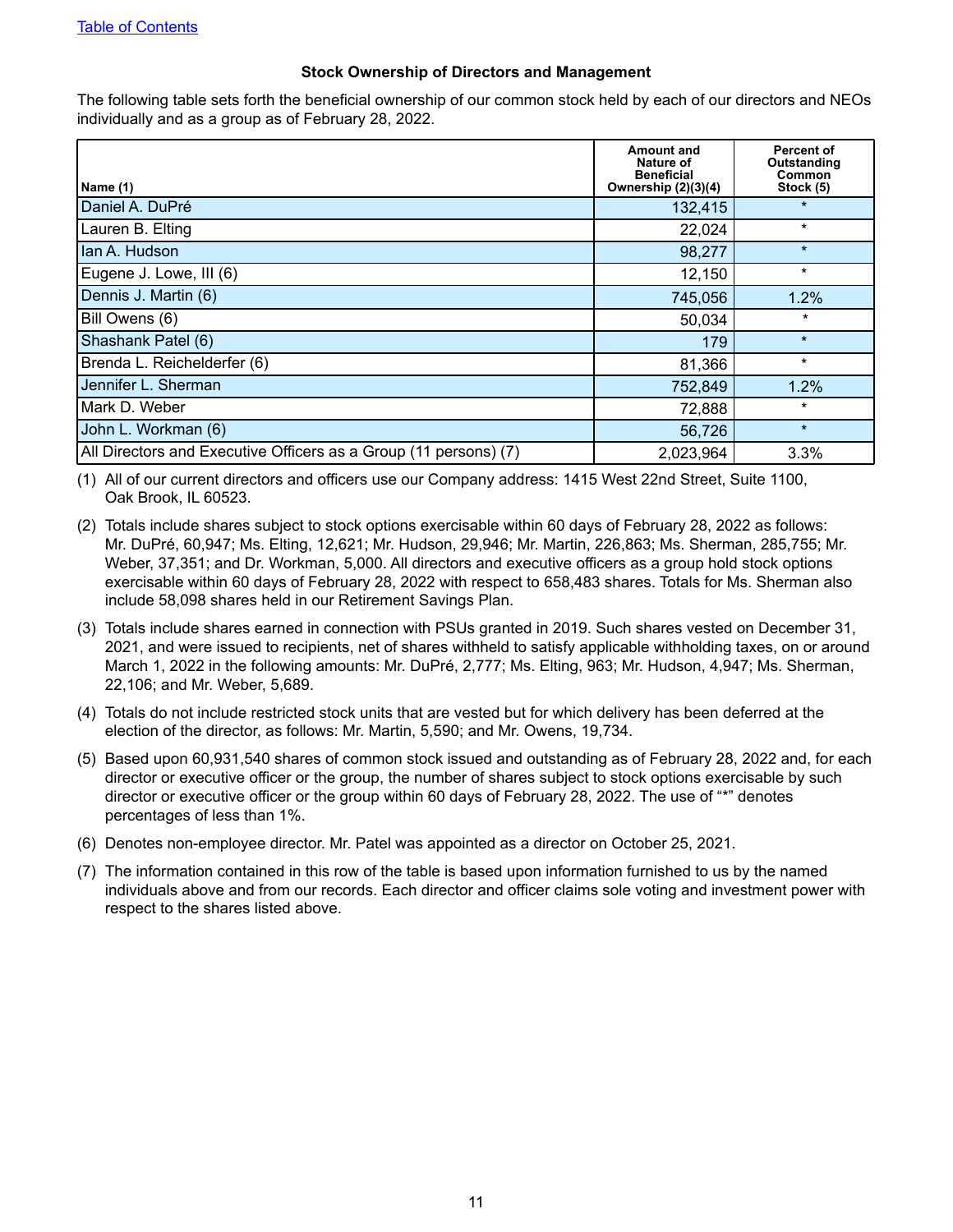#### **Stock Ownership of Directors and Management**

<span id="page-14-0"></span>The following table sets forth the beneficial ownership of our common stock held by each of our directors and NEOs individually and as a group as of February 28, 2022.

|                                                                  | Amount and<br>Nature of<br><b>Beneficial</b> | Percent of<br>Outstanding<br>Common |
|------------------------------------------------------------------|----------------------------------------------|-------------------------------------|
| Name (1)                                                         | Ownership (2)(3)(4)                          | Stock (5)                           |
| Daniel A. DuPré                                                  | 132,415                                      | $\star$                             |
| Lauren B. Elting                                                 | 22,024                                       | $\ast$                              |
| Ian A. Hudson                                                    | 98,277                                       | $\star$                             |
| Eugene J. Lowe, III (6)                                          | 12,150                                       | $\star$                             |
| Dennis J. Martin (6)                                             | 745,056                                      | 1.2%                                |
| Bill Owens (6)                                                   | 50,034                                       | $\star$                             |
| Shashank Patel (6)                                               | 179                                          | $\star$                             |
| Brenda L. Reichelderfer (6)                                      | 81,366                                       | $\star$                             |
| Jennifer L. Sherman                                              | 752,849                                      | 1.2%                                |
| Mark D. Weber                                                    | 72,888                                       | $\ast$                              |
| John L. Workman (6)                                              | 56,726                                       | $\star$                             |
| All Directors and Executive Officers as a Group (11 persons) (7) | 2,023,964                                    | 3.3%                                |

(1) All of our current directors and officers use our Company address: 1415 West 22nd Street, Suite 1100, Oak Brook, IL 60523.

- (2) Totals include shares subject to stock options exercisable within 60 days of February 28, 2022 as follows: Mr. DuPré, 60,947; Ms. Elting, 12,621; Mr. Hudson, 29,946; Mr. Martin, 226,863; Ms. Sherman, 285,755; Mr. Weber, 37,351; and Dr. Workman, 5,000. All directors and executive officers as a group hold stock options exercisable within 60 days of February 28, 2022 with respect to 658,483 shares. Totals for Ms. Sherman also include 58,098 shares held in our Retirement Savings Plan.
- (3) Totals include shares earned in connection with PSUs granted in 2019. Such shares vested on December 31, 2021, and were issued to recipients, net of shares withheld to satisfy applicable withholding taxes, on or around March 1, 2022 in the following amounts: Mr. DuPré, 2,777; Ms. Elting, 963; Mr. Hudson, 4,947; Ms. Sherman, 22,106; and Mr. Weber, 5,689.
- (4) Totals do not include restricted stock units that are vested but for which delivery has been deferred at the election of the director, as follows: Mr. Martin, 5,590; and Mr. Owens, 19,734.
- (5) Based upon 60,931,540 shares of common stock issued and outstanding as of February 28, 2022 and, for each director or executive officer or the group, the number of shares subject to stock options exercisable by such director or executive officer or the group within 60 days of February 28, 2022. The use of "\*" denotes percentages of less than 1%.
- (6) Denotes non-employee director. Mr. Patel was appointed as a director on October 25, 2021.
- (7) The information contained in this row of the table is based upon information furnished to us by the named individuals above and from our records. Each director and officer claims sole voting and investment power with respect to the shares listed above.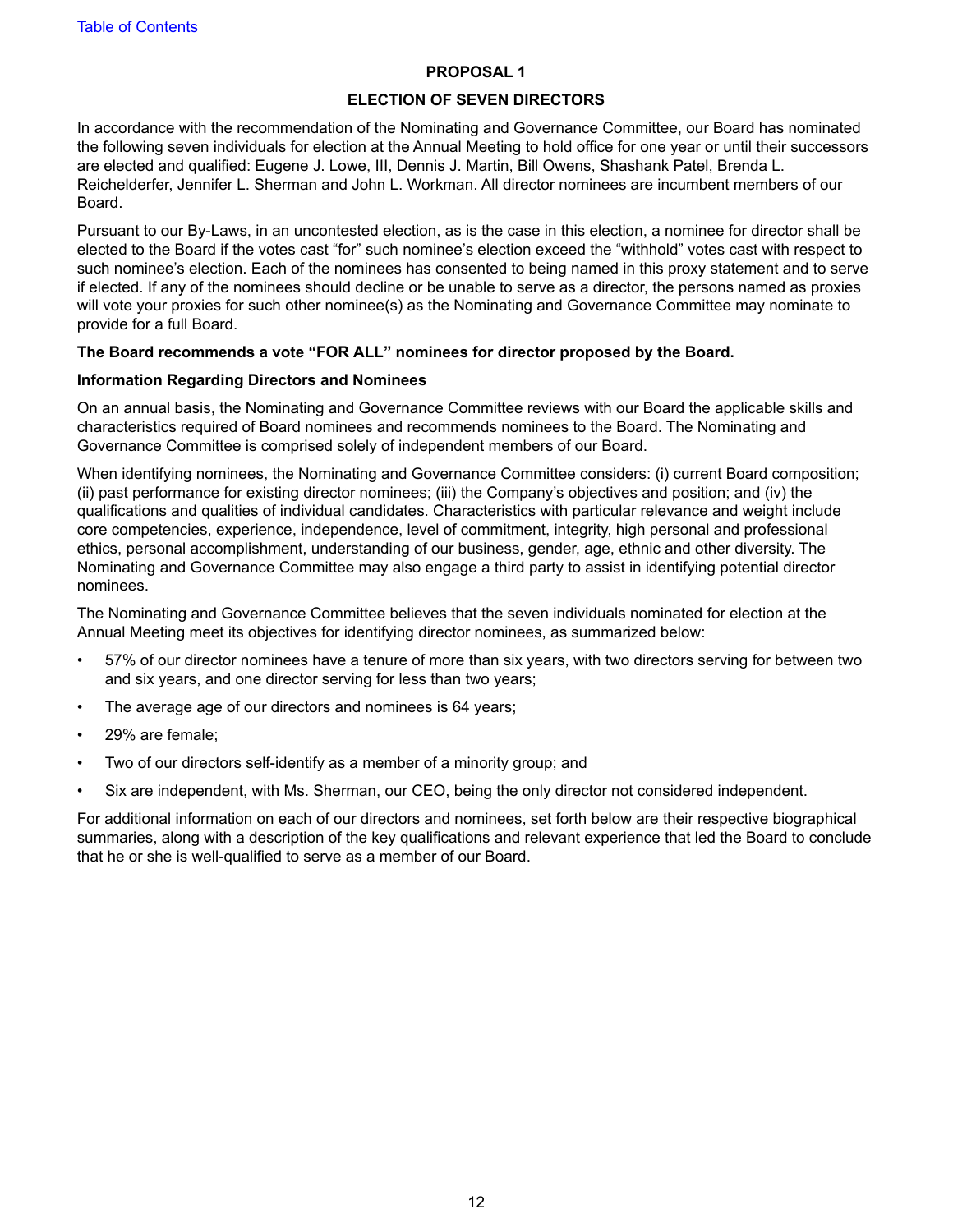#### **PROPOSAL 1**

#### **ELECTION OF SEVEN DIRECTORS**

<span id="page-15-0"></span>In accordance with the recommendation of the Nominating and Governance Committee, our Board has nominated the following seven individuals for election at the Annual Meeting to hold office for one year or until their successors are elected and qualified: Eugene J. Lowe, III, Dennis J. Martin, Bill Owens, Shashank Patel, Brenda L. Reichelderfer, Jennifer L. Sherman and John L. Workman. All director nominees are incumbent members of our Board.

Pursuant to our By-Laws, in an uncontested election, as is the case in this election, a nominee for director shall be elected to the Board if the votes cast "for" such nominee's election exceed the "withhold" votes cast with respect to such nominee's election. Each of the nominees has consented to being named in this proxy statement and to serve if elected. If any of the nominees should decline or be unable to serve as a director, the persons named as proxies will vote your proxies for such other nominee(s) as the Nominating and Governance Committee may nominate to provide for a full Board.

#### **The Board recommends a vote "FOR ALL" nominees for director proposed by the Board.**

#### **Information Regarding Directors and Nominees**

On an annual basis, the Nominating and Governance Committee reviews with our Board the applicable skills and characteristics required of Board nominees and recommends nominees to the Board. The Nominating and Governance Committee is comprised solely of independent members of our Board.

When identifying nominees, the Nominating and Governance Committee considers: (i) current Board composition; (ii) past performance for existing director nominees; (iii) the Company's objectives and position; and (iv) the qualifications and qualities of individual candidates. Characteristics with particular relevance and weight include core competencies, experience, independence, level of commitment, integrity, high personal and professional ethics, personal accomplishment, understanding of our business, gender, age, ethnic and other diversity. The Nominating and Governance Committee may also engage a third party to assist in identifying potential director nominees.

The Nominating and Governance Committee believes that the seven individuals nominated for election at the Annual Meeting meet its objectives for identifying director nominees, as summarized below:

- 57% of our director nominees have a tenure of more than six years, with two directors serving for between two and six years, and one director serving for less than two years;
- The average age of our directors and nominees is 64 years;
- 29% are female;
- Two of our directors self-identify as a member of a minority group; and
- Six are independent, with Ms. Sherman, our CEO, being the only director not considered independent.

For additional information on each of our directors and nominees, set forth below are their respective biographical summaries, along with a description of the key qualifications and relevant experience that led the Board to conclude that he or she is well-qualified to serve as a member of our Board.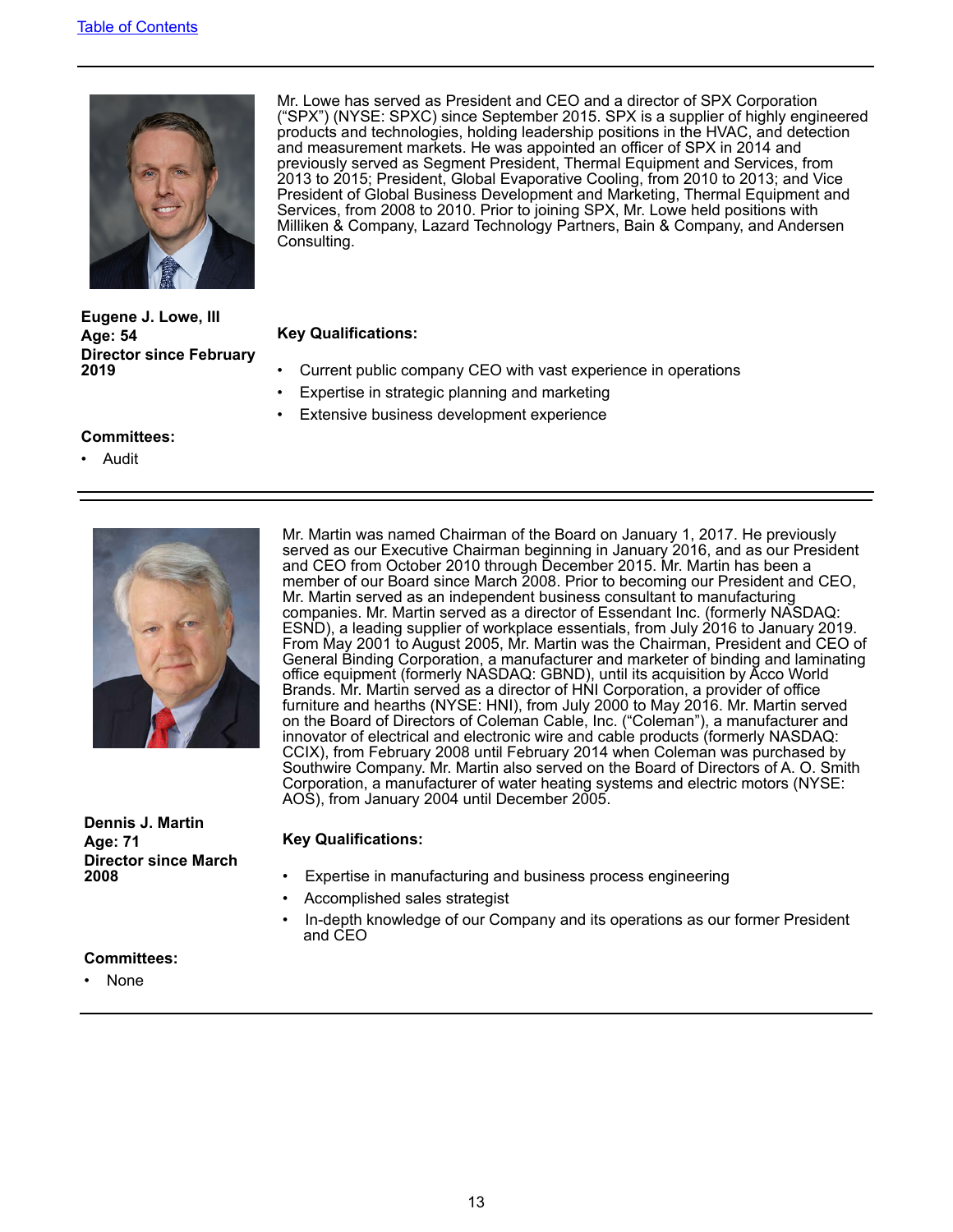

Mr. Lowe has served as President and CEO and a director of SPX Corporation ("SPX") (NYSE: SPXC) since September 2015. SPX is a supplier of highly engineered products and technologies, holding leadership positions in the HVAC, and detection and measurement markets. He was appointed an officer of SPX in 2014 and previously served as Segment President, Thermal Equipment and Services, from 2013 to 2015; President, Global Evaporative Cooling, from 2010 to 2013; and Vice President of Global Business Development and Marketing, Thermal Equipment and Services, from 2008 to 2010. Prior to joining SPX, Mr. Lowe held positions with Milliken & Company, Lazard Technology Partners, Bain & Company, and Andersen Consulting.

#### **Age: 54 Key Qualifications:**

- **2019** Current public company CEO with vast experience in operations
- Expertise in strategic planning and marketing
- Extensive business development experience

#### **Committees:**

**Eugene J. Lowe, III**

**Director since February** 

• Audit



**Dennis J. Martin Age: 71 Key Qualifications: Director since March** 

Mr. Martin was named Chairman of the Board on January 1, 2017. He previously served as our Executive Chairman beginning in January 2016, and as our President and CEO from October 2010 through December 2015. Mr. Martin has been a member of our Board since March 2008. Prior to becoming our President and CEO, Mr. Martin served as an independent business consultant to manufacturing companies. Mr. Martin served as a director of Essendant Inc. (formerly NASDAQ: ESND), a leading supplier of workplace essentials, from July 2016 to January 2019. From May 2001 to August 2005, Mr. Martin was the Chairman, President and CEO of General Binding Corporation, a manufacturer and marketer of binding and laminating office equipment (formerly NASDAQ: GBND), until its acquisition by Acco World Brands. Mr. Martin served as a director of HNI Corporation, a provider of office furniture and hearths (NYSE: HNI), from July 2000 to May 2016. Mr. Martin served on the Board of Directors of Coleman Cable, Inc. ("Coleman"), a manufacturer and innovator of electrical and electronic wire and cable products (formerly NASDAQ: CCIX), from February 2008 until February 2014 when Coleman was purchased by Southwire Company. Mr. Martin also served on the Board of Directors of A. O. Smith Corporation, a manufacturer of water heating systems and electric motors (NYSE: AOS), from January 2004 until December 2005.

- Expertise in manufacturing and business process engineering
- Accomplished sales strategist
- In-depth knowledge of our Company and its operations as our former President and CEO

#### **Committees:**

• None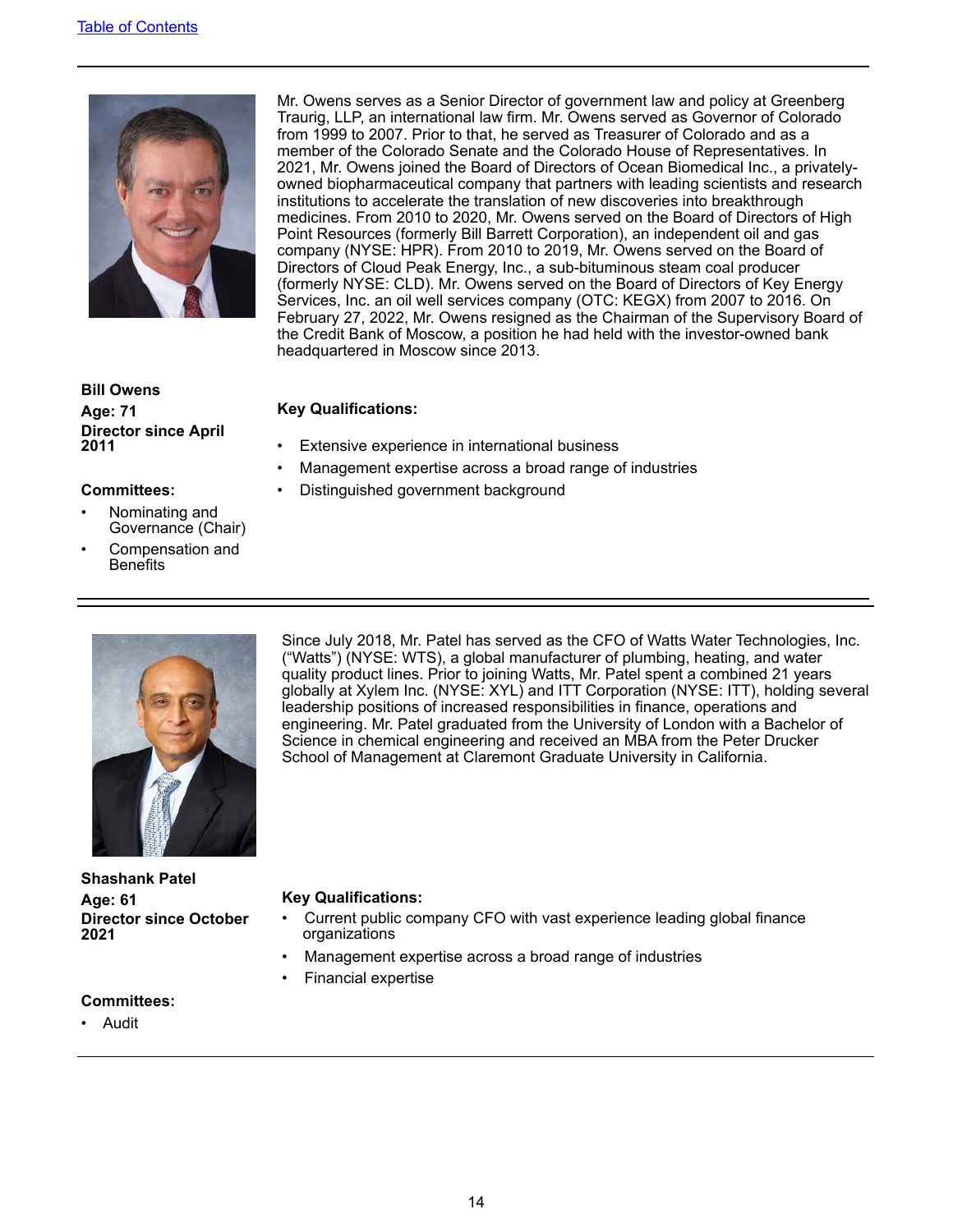

Mr. Owens serves as a Senior Director of government law and policy at Greenberg Traurig, LLP, an international law firm. Mr. Owens served as Governor of Colorado from 1999 to 2007. Prior to that, he served as Treasurer of Colorado and as a member of the Colorado Senate and the Colorado House of Representatives. In 2021, Mr. Owens joined the Board of Directors of Ocean Biomedical Inc., a privatelyowned biopharmaceutical company that partners with leading scientists and research institutions to accelerate the translation of new discoveries into breakthrough medicines. From 2010 to 2020, Mr. Owens served on the Board of Directors of High Point Resources (formerly Bill Barrett Corporation), an independent oil and gas company (NYSE: HPR). From 2010 to 2019, Mr. Owens served on the Board of Directors of Cloud Peak Energy, Inc., a sub-bituminous steam coal producer (formerly NYSE: CLD). Mr. Owens served on the Board of Directors of Key Energy Services, Inc. an oil well services company (OTC: KEGX) from 2007 to 2016. On February 27, 2022, Mr. Owens resigned as the Chairman of the Supervisory Board of the Credit Bank of Moscow, a position he had held with the investor-owned bank headquartered in Moscow since 2013.

**Bill Owens Age: 71 Key Qualifications: Director since April** 

- Nominating and Governance (Chair)
- Compensation and **Benefits**

- **Extensive experience in international business**
- Management expertise across a broad range of industries
- **Committees:** Distinguished government background



Since July 2018, Mr. Patel has served as the CFO of Watts Water Technologies, Inc. ("Watts") (NYSE: WTS), a global manufacturer of plumbing, heating, and water quality product lines. Prior to joining Watts, Mr. Patel spent a combined 21 years globally at Xylem Inc. (NYSE: XYL) and ITT Corporation (NYSE: ITT), holding several leadership positions of increased responsibilities in finance, operations and engineering. Mr. Patel graduated from the University of London with a Bachelor of Science in chemical engineering and received an MBA from the Peter Drucker School of Management at Claremont Graduate University in California.

**Shashank Patel Age: 61 Key Qualifications: Director since October 2021**

- Current public company CFO with vast experience leading global finance organizations
- Management expertise across a broad range of industries
- Financial expertise

#### **Committees:**

• Audit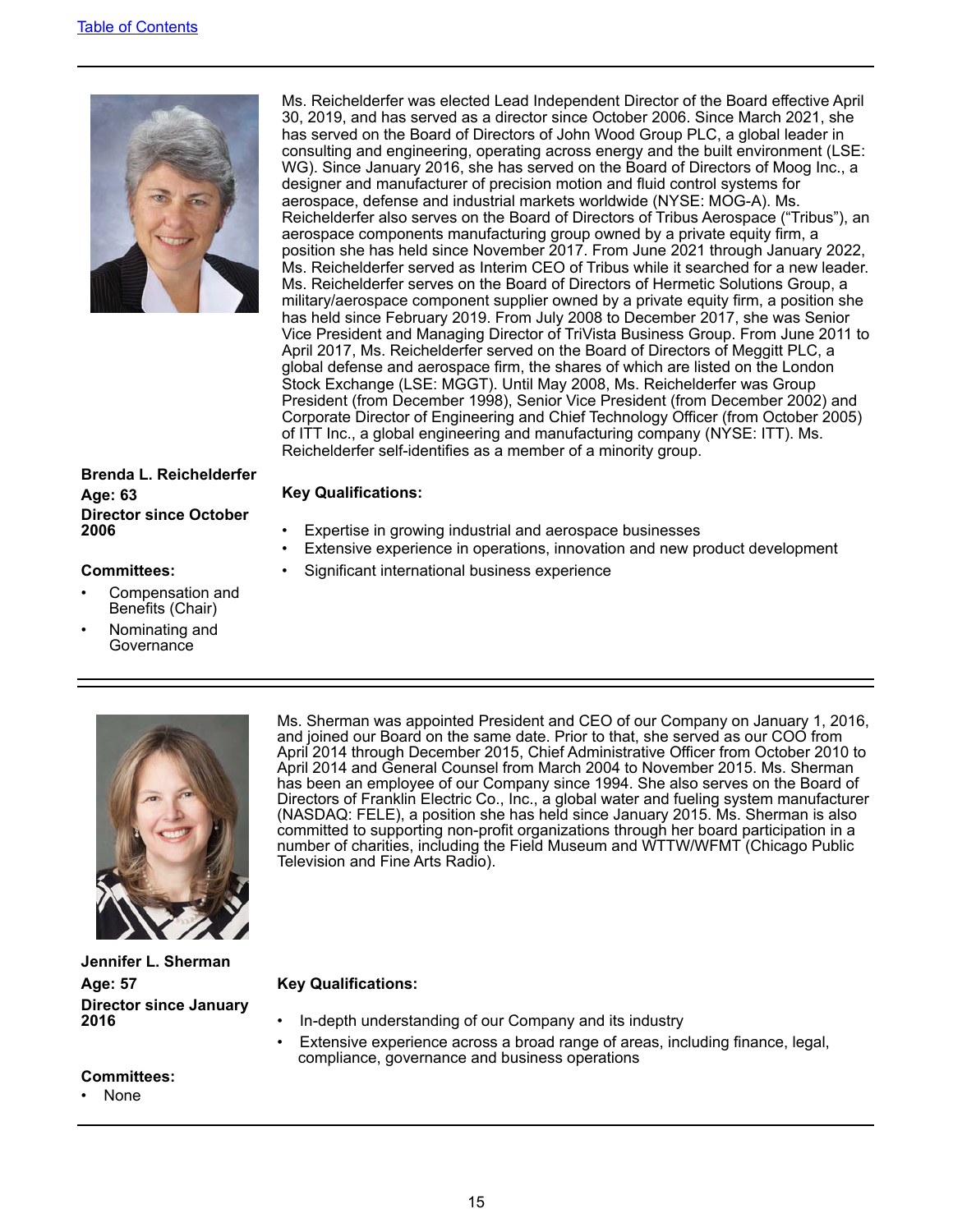

Ms. Reichelderfer was elected Lead Independent Director of the Board effective April 30, 2019, and has served as a director since October 2006. Since March 2021, she has served on the Board of Directors of John Wood Group PLC, a global leader in consulting and engineering, operating across energy and the built environment (LSE: WG). Since January 2016, she has served on the Board of Directors of Moog Inc., a designer and manufacturer of precision motion and fluid control systems for aerospace, defense and industrial markets worldwide (NYSE: MOG-A). Ms. Reichelderfer also serves on the Board of Directors of Tribus Aerospace ("Tribus"), an aerospace components manufacturing group owned by a private equity firm, a position she has held since November 2017. From June 2021 through January 2022, Ms. Reichelderfer served as Interim CEO of Tribus while it searched for a new leader. Ms. Reichelderfer serves on the Board of Directors of Hermetic Solutions Group, a military/aerospace component supplier owned by a private equity firm, a position she has held since February 2019. From July 2008 to December 2017, she was Senior Vice President and Managing Director of TriVista Business Group. From June 2011 to April 2017, Ms. Reichelderfer served on the Board of Directors of Meggitt PLC, a global defense and aerospace firm, the shares of which are listed on the London Stock Exchange (LSE: MGGT). Until May 2008, Ms. Reichelderfer was Group President (from December 1998), Senior Vice President (from December 2002) and Corporate Director of Engineering and Chief Technology Officer (from October 2005) of ITT Inc., a global engineering and manufacturing company (NYSE: ITT). Ms. Reichelderfer self-identifies as a member of a minority group.

# **Brenda L. Reichelderfer Age: 63 Key Qualifications: Director since October**

- **Expertise in growing industrial and aerospace businesses**
- Extensive experience in operations, innovation and new product development
- **Committees:** Significant international business experience

- Compensation and Benefits (Chair)
- Nominating and **Governance**



Ms. Sherman was appointed President and CEO of our Company on January 1, 2016, and joined our Board on the same date. Prior to that, she served as our COO from April 2014 through December 2015, Chief Administrative Officer from October 2010 to April 2014 and General Counsel from March 2004 to November 2015. Ms. Sherman has been an employee of our Company since 1994. She also serves on the Board of Directors of Franklin Electric Co., Inc., a global water and fueling system manufacturer (NASDAQ: FELE), a position she has held since January 2015. Ms. Sherman is also committed to supporting non-profit organizations through her board participation in a number of charities, including the Field Museum and WTTW/WFMT (Chicago Public Television and Fine Arts Radio).

- **2016** In-depth understanding of our Company and its industry
- Extensive experience across a broad range of areas, including finance, legal, compliance, governance and business operations

**Jennifer L. Sherman Age: 57 Key Qualifications: Director since January** 

#### **Committees:**

• None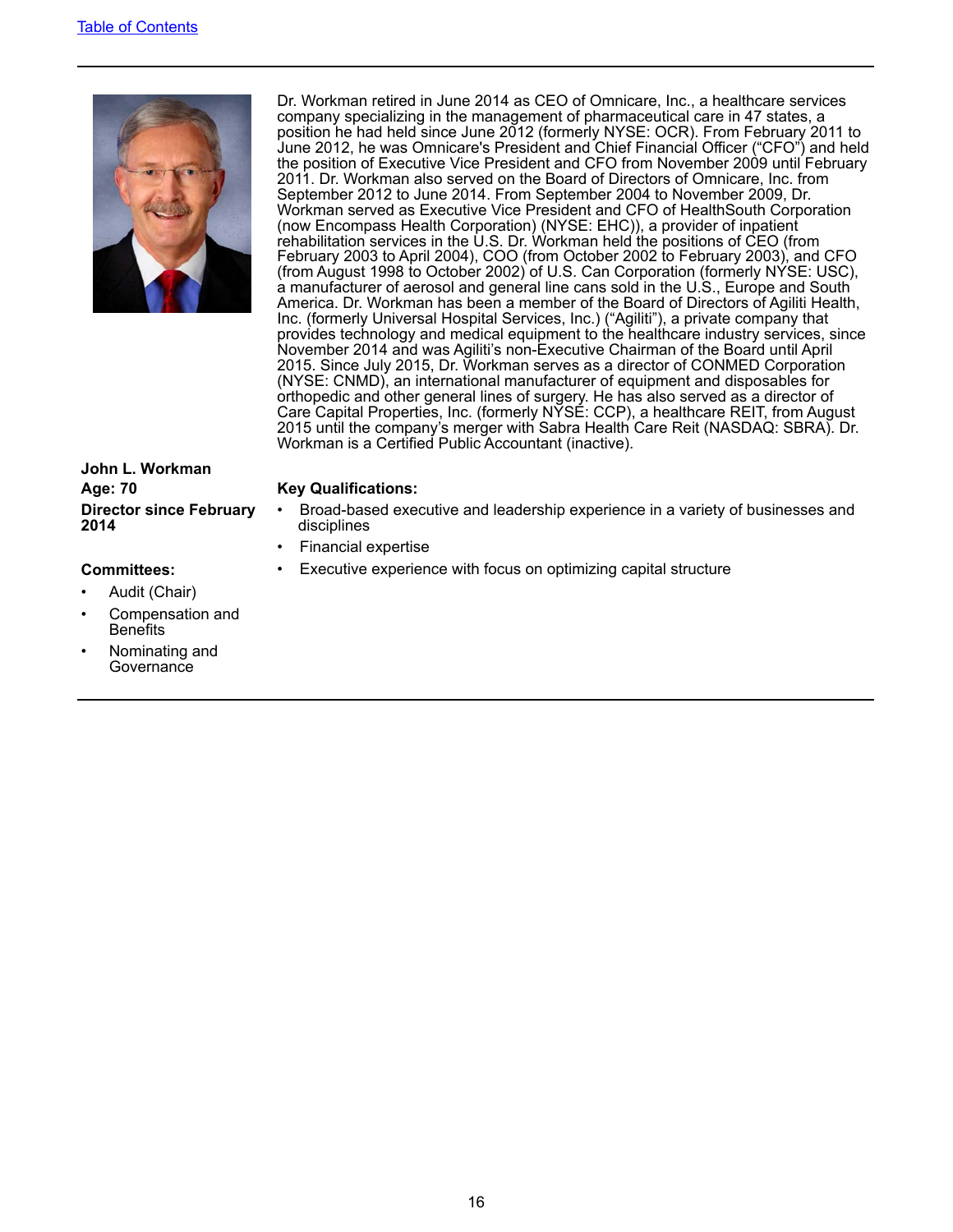

Dr. Workman retired in June 2014 as CEO of Omnicare, Inc., a healthcare services company specializing in the management of pharmaceutical care in 47 states, a position he had held since June 2012 (formerly NYSE: OCR). From February 2011 to June 2012, he was Omnicare's President and Chief Financial Officer ("CFO") and held the position of Executive Vice President and CFO from November 2009 until February 2011. Dr. Workman also served on the Board of Directors of Omnicare, Inc. from September 2012 to June 2014. From September 2004 to November 2009, Dr. Workman served as Executive Vice President and CFO of HealthSouth Corporation (now Encompass Health Corporation) (NYSE: EHC)), a provider of inpatient rehabilitation services in the U.S. Dr. Workman held the positions of CEO (from February 2003 to April 2004), COO (from October 2002 to February 2003), and CFO (from August 1998 to October 2002) of U.S. Can Corporation (formerly NYSE: USC), a manufacturer of aerosol and general line cans sold in the U.S., Europe and South America. Dr. Workman has been a member of the Board of Directors of Agiliti Health, Inc. (formerly Universal Hospital Services, Inc.) ("Agiliti"), a private company that provides technology and medical equipment to the healthcare industry services, since November 2014 and was Agiliti's non-Executive Chairman of the Board until April 2015. Since July 2015, Dr. Workman serves as a director of CONMED Corporation (NYSE: CNMD), an international manufacturer of equipment and disposables for orthopedic and other general lines of surgery. He has also served as a director of Care Capital Properties, Inc. (formerly NYSE: CCP), a healthcare REIT, from August 2015 until the company's merger with Sabra Health Care Reit (NASDAQ: SBRA). Dr. Workman is a Certified Public Accountant (inactive).

#### **John L. Workman Age: 70 Key Qualifications: Director since February 2014**

- Broad-based executive and leadership experience in a variety of businesses and disciplines
- Financial expertise
- **Committees:** Executive experience with focus on optimizing capital structure

- Audit (Chair)
- Compensation and **Benefits**
- Nominating and **Governance**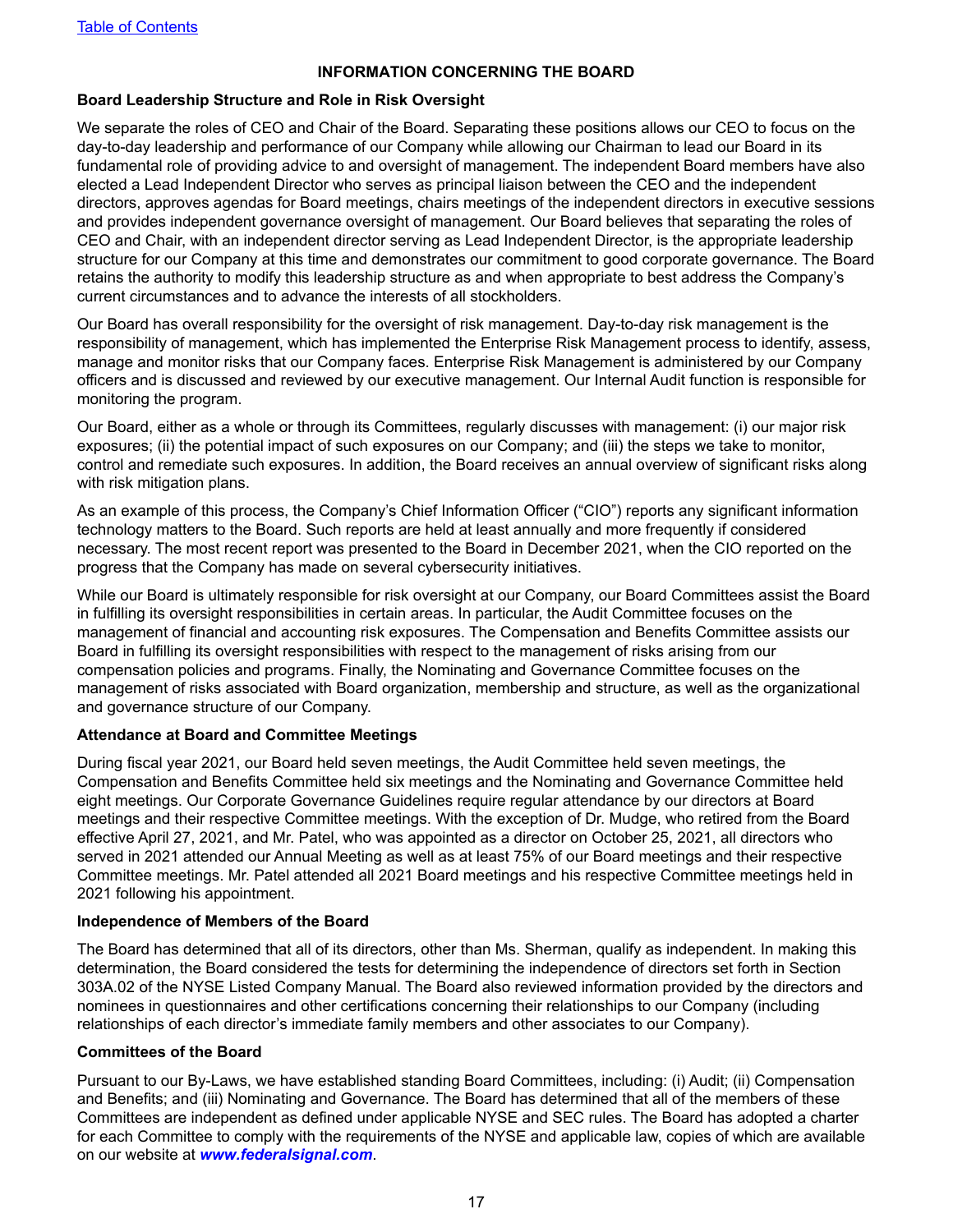#### **INFORMATION CONCERNING THE BOARD**

#### <span id="page-20-0"></span>**Board Leadership Structure and Role in Risk Oversight**

We separate the roles of CEO and Chair of the Board. Separating these positions allows our CEO to focus on the day-to-day leadership and performance of our Company while allowing our Chairman to lead our Board in its fundamental role of providing advice to and oversight of management. The independent Board members have also elected a Lead Independent Director who serves as principal liaison between the CEO and the independent directors, approves agendas for Board meetings, chairs meetings of the independent directors in executive sessions and provides independent governance oversight of management. Our Board believes that separating the roles of CEO and Chair, with an independent director serving as Lead Independent Director, is the appropriate leadership structure for our Company at this time and demonstrates our commitment to good corporate governance. The Board retains the authority to modify this leadership structure as and when appropriate to best address the Company's current circumstances and to advance the interests of all stockholders.

Our Board has overall responsibility for the oversight of risk management. Day-to-day risk management is the responsibility of management, which has implemented the Enterprise Risk Management process to identify, assess, manage and monitor risks that our Company faces. Enterprise Risk Management is administered by our Company officers and is discussed and reviewed by our executive management. Our Internal Audit function is responsible for monitoring the program.

Our Board, either as a whole or through its Committees, regularly discusses with management: (i) our major risk exposures; (ii) the potential impact of such exposures on our Company; and (iii) the steps we take to monitor, control and remediate such exposures. In addition, the Board receives an annual overview of significant risks along with risk mitigation plans.

As an example of this process, the Company's Chief Information Officer ("CIO") reports any significant information technology matters to the Board. Such reports are held at least annually and more frequently if considered necessary. The most recent report was presented to the Board in December 2021, when the CIO reported on the progress that the Company has made on several cybersecurity initiatives.

While our Board is ultimately responsible for risk oversight at our Company, our Board Committees assist the Board in fulfilling its oversight responsibilities in certain areas. In particular, the Audit Committee focuses on the management of financial and accounting risk exposures. The Compensation and Benefits Committee assists our Board in fulfilling its oversight responsibilities with respect to the management of risks arising from our compensation policies and programs. Finally, the Nominating and Governance Committee focuses on the management of risks associated with Board organization, membership and structure, as well as the organizational and governance structure of our Company.

#### **Attendance at Board and Committee Meetings**

During fiscal year 2021, our Board held seven meetings, the Audit Committee held seven meetings, the Compensation and Benefits Committee held six meetings and the Nominating and Governance Committee held eight meetings. Our Corporate Governance Guidelines require regular attendance by our directors at Board meetings and their respective Committee meetings. With the exception of Dr. Mudge, who retired from the Board effective April 27, 2021, and Mr. Patel, who was appointed as a director on October 25, 2021, all directors who served in 2021 attended our Annual Meeting as well as at least 75% of our Board meetings and their respective Committee meetings. Mr. Patel attended all 2021 Board meetings and his respective Committee meetings held in 2021 following his appointment.

#### **Independence of Members of the Board**

The Board has determined that all of its directors, other than Ms. Sherman, qualify as independent. In making this determination, the Board considered the tests for determining the independence of directors set forth in Section 303A.02 of the NYSE Listed Company Manual. The Board also reviewed information provided by the directors and nominees in questionnaires and other certifications concerning their relationships to our Company (including relationships of each director's immediate family members and other associates to our Company).

#### **Committees of the Board**

Pursuant to our By-Laws, we have established standing Board Committees, including: (i) Audit; (ii) Compensation and Benefits; and (iii) Nominating and Governance. The Board has determined that all of the members of these Committees are independent as defined under applicable NYSE and SEC rules. The Board has adopted a charter for each Committee to comply with the requirements of the NYSE and applicable law, copies of which are available on our website at *www.federalsignal.com*.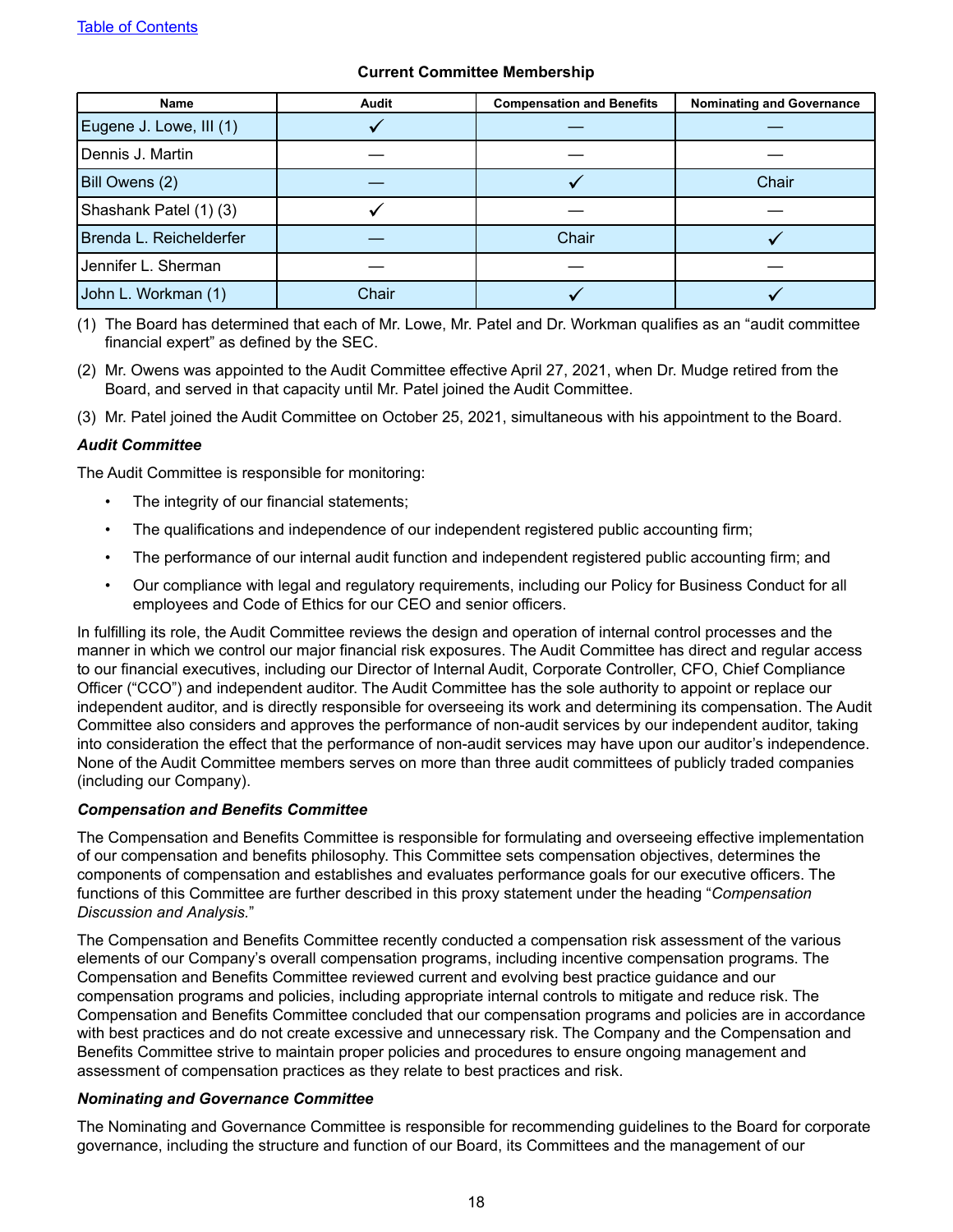#### **Current Committee Membership**

| Name                    | Audit | <b>Compensation and Benefits</b> | <b>Nominating and Governance</b> |  |
|-------------------------|-------|----------------------------------|----------------------------------|--|
| Eugene J. Lowe, III (1) |       |                                  |                                  |  |
| Dennis J. Martin        |       |                                  |                                  |  |
| Bill Owens (2)          |       | Chair                            |                                  |  |
| Shashank Patel (1) (3)  |       |                                  |                                  |  |
| Brenda L. Reichelderfer |       | Chair                            |                                  |  |
| Jennifer L. Sherman     |       |                                  |                                  |  |
| John L. Workman (1)     | Chair |                                  |                                  |  |

(1) The Board has determined that each of Mr. Lowe, Mr. Patel and Dr. Workman qualifies as an "audit committee financial expert" as defined by the SEC.

(2) Mr. Owens was appointed to the Audit Committee effective April 27, 2021, when Dr. Mudge retired from the Board, and served in that capacity until Mr. Patel joined the Audit Committee.

(3) Mr. Patel joined the Audit Committee on October 25, 2021, simultaneous with his appointment to the Board.

#### *Audit Committee*

The Audit Committee is responsible for monitoring:

- The integrity of our financial statements;
- The qualifications and independence of our independent registered public accounting firm;
- The performance of our internal audit function and independent registered public accounting firm; and
- Our compliance with legal and regulatory requirements, including our Policy for Business Conduct for all employees and Code of Ethics for our CEO and senior officers.

In fulfilling its role, the Audit Committee reviews the design and operation of internal control processes and the manner in which we control our major financial risk exposures. The Audit Committee has direct and regular access to our financial executives, including our Director of Internal Audit, Corporate Controller, CFO, Chief Compliance Officer ("CCO") and independent auditor. The Audit Committee has the sole authority to appoint or replace our independent auditor, and is directly responsible for overseeing its work and determining its compensation. The Audit Committee also considers and approves the performance of non-audit services by our independent auditor, taking into consideration the effect that the performance of non-audit services may have upon our auditor's independence. None of the Audit Committee members serves on more than three audit committees of publicly traded companies (including our Company).

#### *Compensation and Benefits Committee*

The Compensation and Benefits Committee is responsible for formulating and overseeing effective implementation of our compensation and benefits philosophy. This Committee sets compensation objectives, determines the components of compensation and establishes and evaluates performance goals for our executive officers. The functions of this Committee are further described in this proxy statement under the heading "*Compensation Discussion and Analysis.*"

The Compensation and Benefits Committee recently conducted a compensation risk assessment of the various elements of our Company's overall compensation programs, including incentive compensation programs. The Compensation and Benefits Committee reviewed current and evolving best practice guidance and our compensation programs and policies, including appropriate internal controls to mitigate and reduce risk. The Compensation and Benefits Committee concluded that our compensation programs and policies are in accordance with best practices and do not create excessive and unnecessary risk. The Company and the Compensation and Benefits Committee strive to maintain proper policies and procedures to ensure ongoing management and assessment of compensation practices as they relate to best practices and risk.

#### *Nominating and Governance Committee*

The Nominating and Governance Committee is responsible for recommending guidelines to the Board for corporate governance, including the structure and function of our Board, its Committees and the management of our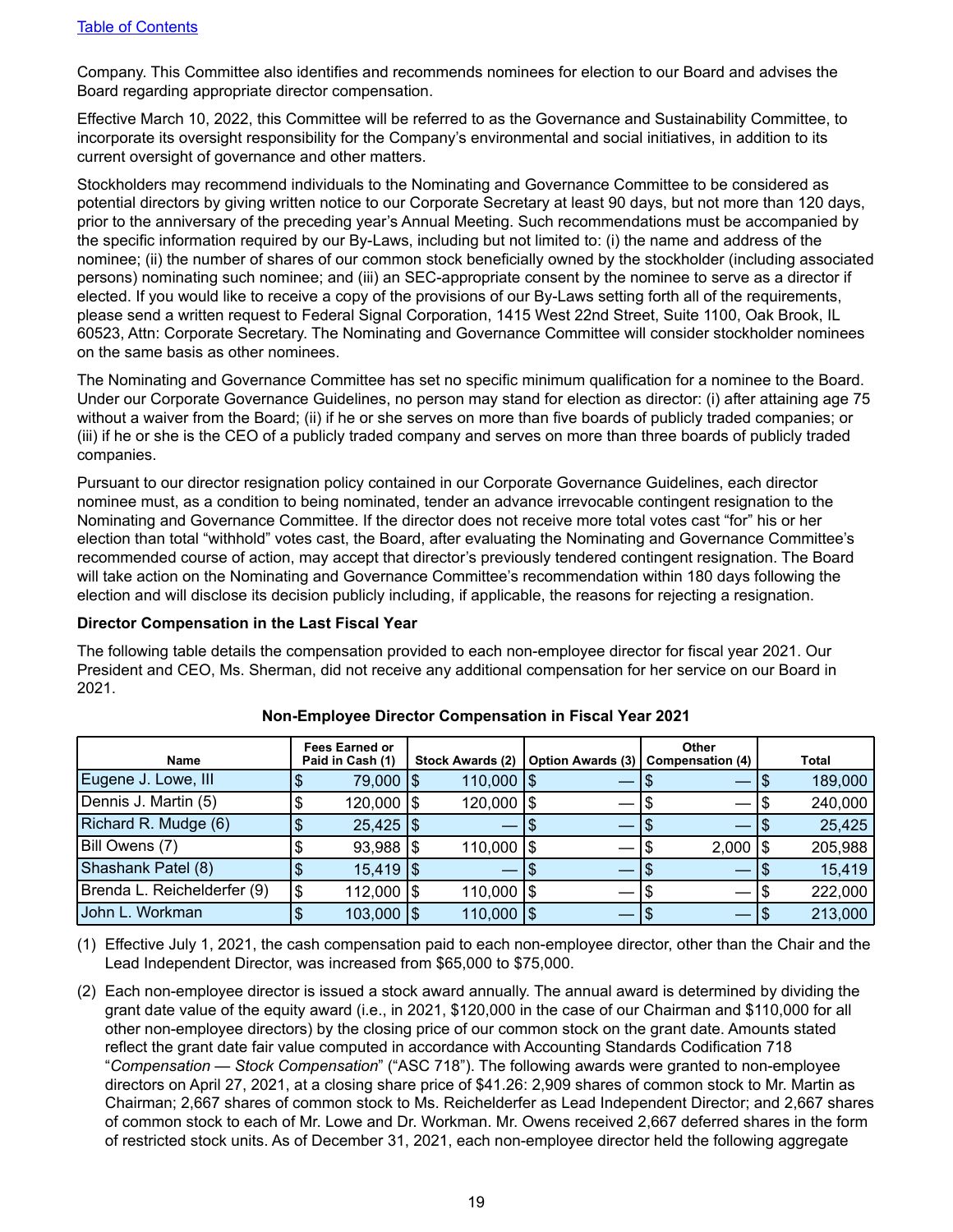<span id="page-22-0"></span>Company. This Committee also identifies and recommends nominees for election to our Board and advises the Board regarding appropriate director compensation.

Effective March 10, 2022, this Committee will be referred to as the Governance and Sustainability Committee, to incorporate its oversight responsibility for the Company's environmental and social initiatives, in addition to its current oversight of governance and other matters.

Stockholders may recommend individuals to the Nominating and Governance Committee to be considered as potential directors by giving written notice to our Corporate Secretary at least 90 days, but not more than 120 days, prior to the anniversary of the preceding year's Annual Meeting. Such recommendations must be accompanied by the specific information required by our By-Laws, including but not limited to: (i) the name and address of the nominee; (ii) the number of shares of our common stock beneficially owned by the stockholder (including associated persons) nominating such nominee; and (iii) an SEC-appropriate consent by the nominee to serve as a director if elected. If you would like to receive a copy of the provisions of our By-Laws setting forth all of the requirements, please send a written request to Federal Signal Corporation, 1415 West 22nd Street, Suite 1100, Oak Brook, IL 60523, Attn: Corporate Secretary. The Nominating and Governance Committee will consider stockholder nominees on the same basis as other nominees.

The Nominating and Governance Committee has set no specific minimum qualification for a nominee to the Board. Under our Corporate Governance Guidelines, no person may stand for election as director: (i) after attaining age 75 without a waiver from the Board; (ii) if he or she serves on more than five boards of publicly traded companies; or (iii) if he or she is the CEO of a publicly traded company and serves on more than three boards of publicly traded companies.

Pursuant to our director resignation policy contained in our Corporate Governance Guidelines, each director nominee must, as a condition to being nominated, tender an advance irrevocable contingent resignation to the Nominating and Governance Committee. If the director does not receive more total votes cast "for" his or her election than total "withhold" votes cast, the Board, after evaluating the Nominating and Governance Committee's recommended course of action, may accept that director's previously tendered contingent resignation. The Board will take action on the Nominating and Governance Committee's recommendation within 180 days following the election and will disclose its decision publicly including, if applicable, the reasons for rejecting a resignation.

#### **Director Compensation in the Last Fiscal Year**

The following table details the compensation provided to each non-employee director for fiscal year 2021. Our President and CEO, Ms. Sherman, did not receive any additional compensation for her service on our Board in 2021.

| Name                        | <b>Fees Earned or</b><br>Paid in Cash (1) | Stock Awards (2)     |    | Option Awards (3)   Compensation (4) |    | Other |    | Total   |
|-----------------------------|-------------------------------------------|----------------------|----|--------------------------------------|----|-------|----|---------|
| Eugene J. Lowe, III         | 79,000   \$                               | $110,000$ $\sqrt{5}$ |    |                                      |    |       |    | 189,000 |
| Dennis J. Martin (5)        | 120,000   \$                              | 120,000   \$         |    |                                      |    |       | ۰D | 240,000 |
| Richard R. Mudge (6)        | $25,425$ \\$                              |                      |    |                                      |    |       |    | 25,425  |
| Bill Owens (7)              | $93,988$ $\frac{1}{3}$                    | $110,000$ $\sqrt{5}$ |    |                                      |    | 2,000 | 15 | 205,988 |
| Shashank Patel (8)          | $15,419$ $\sqrt{3}$                       |                      | ۱J |                                      |    | __    |    | 15,419  |
| Brenda L. Reichelderfer (9) | \$<br>112,000   \$                        | $110,000$ $\sqrt{5}$ |    |                                      |    |       |    | 222,000 |
| John L. Workman             | $103,000$ $\sqrt{5}$                      | 110,000   \$         |    |                                      | ΙФ |       |    | 213,000 |

## **Non-Employee Director Compensation in Fiscal Year 2021**

(1) Effective July 1, 2021, the cash compensation paid to each non-employee director, other than the Chair and the Lead Independent Director, was increased from \$65,000 to \$75,000.

(2) Each non-employee director is issued a stock award annually. The annual award is determined by dividing the grant date value of the equity award (i.e., in 2021, \$120,000 in the case of our Chairman and \$110,000 for all other non-employee directors) by the closing price of our common stock on the grant date. Amounts stated reflect the grant date fair value computed in accordance with Accounting Standards Codification 718 "*Compensation — Stock Compensation*" ("ASC 718"). The following awards were granted to non-employee directors on April 27, 2021, at a closing share price of \$41.26: 2,909 shares of common stock to Mr. Martin as Chairman; 2,667 shares of common stock to Ms. Reichelderfer as Lead Independent Director; and 2,667 shares of common stock to each of Mr. Lowe and Dr. Workman. Mr. Owens received 2,667 deferred shares in the form of restricted stock units. As of December 31, 2021, each non-employee director held the following aggregate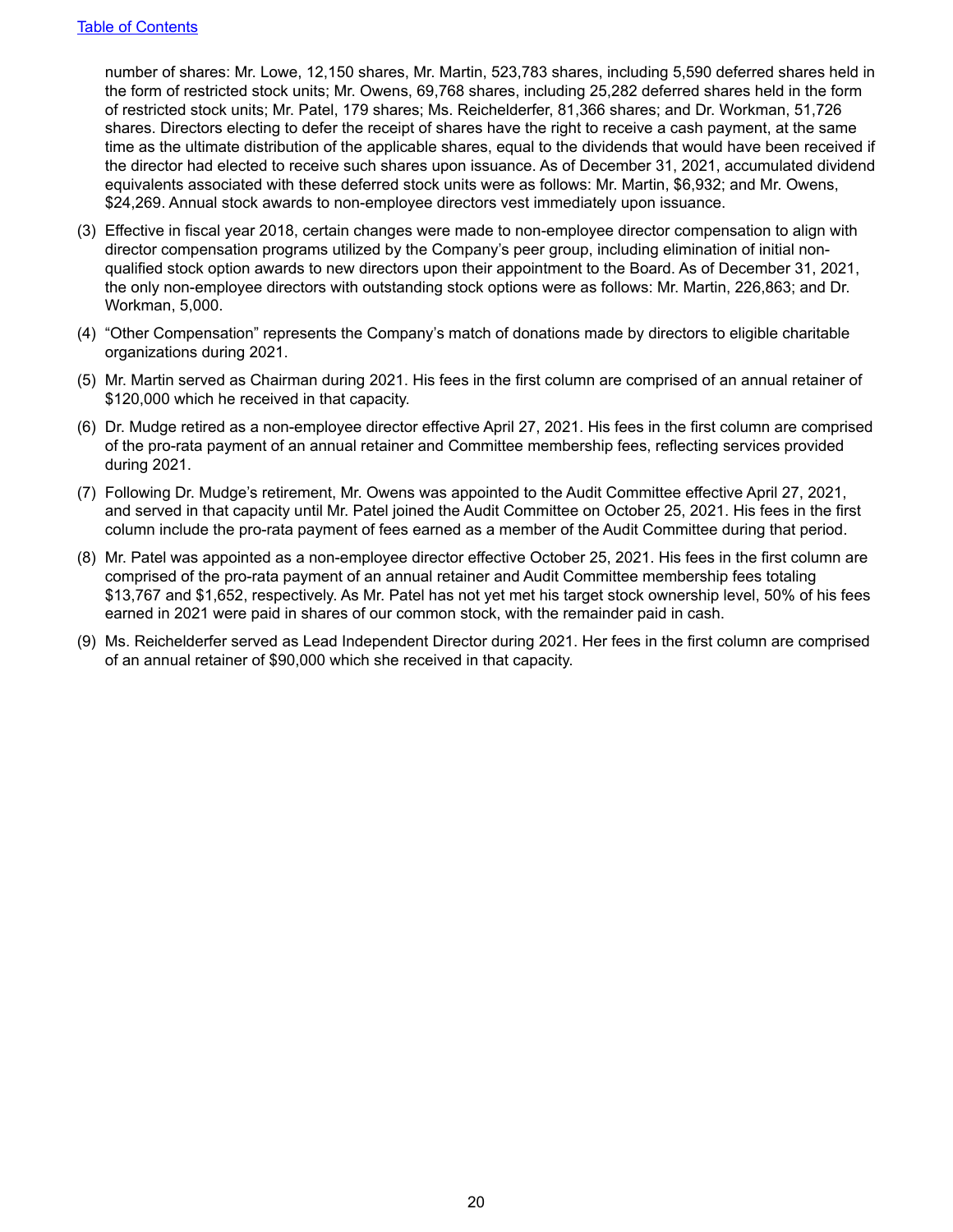number of shares: Mr. Lowe, 12,150 shares, Mr. Martin, 523,783 shares, including 5,590 deferred shares held in the form of restricted stock units; Mr. Owens, 69,768 shares, including 25,282 deferred shares held in the form of restricted stock units; Mr. Patel, 179 shares; Ms. Reichelderfer, 81,366 shares; and Dr. Workman, 51,726 shares. Directors electing to defer the receipt of shares have the right to receive a cash payment, at the same time as the ultimate distribution of the applicable shares, equal to the dividends that would have been received if the director had elected to receive such shares upon issuance. As of December 31, 2021, accumulated dividend equivalents associated with these deferred stock units were as follows: Mr. Martin, \$6,932; and Mr. Owens, \$24,269. Annual stock awards to non-employee directors vest immediately upon issuance.

- (3) Effective in fiscal year 2018, certain changes were made to non-employee director compensation to align with director compensation programs utilized by the Company's peer group, including elimination of initial nonqualified stock option awards to new directors upon their appointment to the Board. As of December 31, 2021, the only non-employee directors with outstanding stock options were as follows: Mr. Martin, 226,863; and Dr. Workman, 5,000.
- (4) "Other Compensation" represents the Company's match of donations made by directors to eligible charitable organizations during 2021.
- (5) Mr. Martin served as Chairman during 2021. His fees in the first column are comprised of an annual retainer of \$120,000 which he received in that capacity.
- (6) Dr. Mudge retired as a non-employee director effective April 27, 2021. His fees in the first column are comprised of the pro-rata payment of an annual retainer and Committee membership fees, reflecting services provided during 2021.
- (7) Following Dr. Mudge's retirement, Mr. Owens was appointed to the Audit Committee effective April 27, 2021, and served in that capacity until Mr. Patel joined the Audit Committee on October 25, 2021. His fees in the first column include the pro-rata payment of fees earned as a member of the Audit Committee during that period.
- (8) Mr. Patel was appointed as a non-employee director effective October 25, 2021. His fees in the first column are comprised of the pro-rata payment of an annual retainer and Audit Committee membership fees totaling \$13,767 and \$1,652, respectively. As Mr. Patel has not yet met his target stock ownership level, 50% of his fees earned in 2021 were paid in shares of our common stock, with the remainder paid in cash.
- (9) Ms. Reichelderfer served as Lead Independent Director during 2021. Her fees in the first column are comprised of an annual retainer of \$90,000 which she received in that capacity.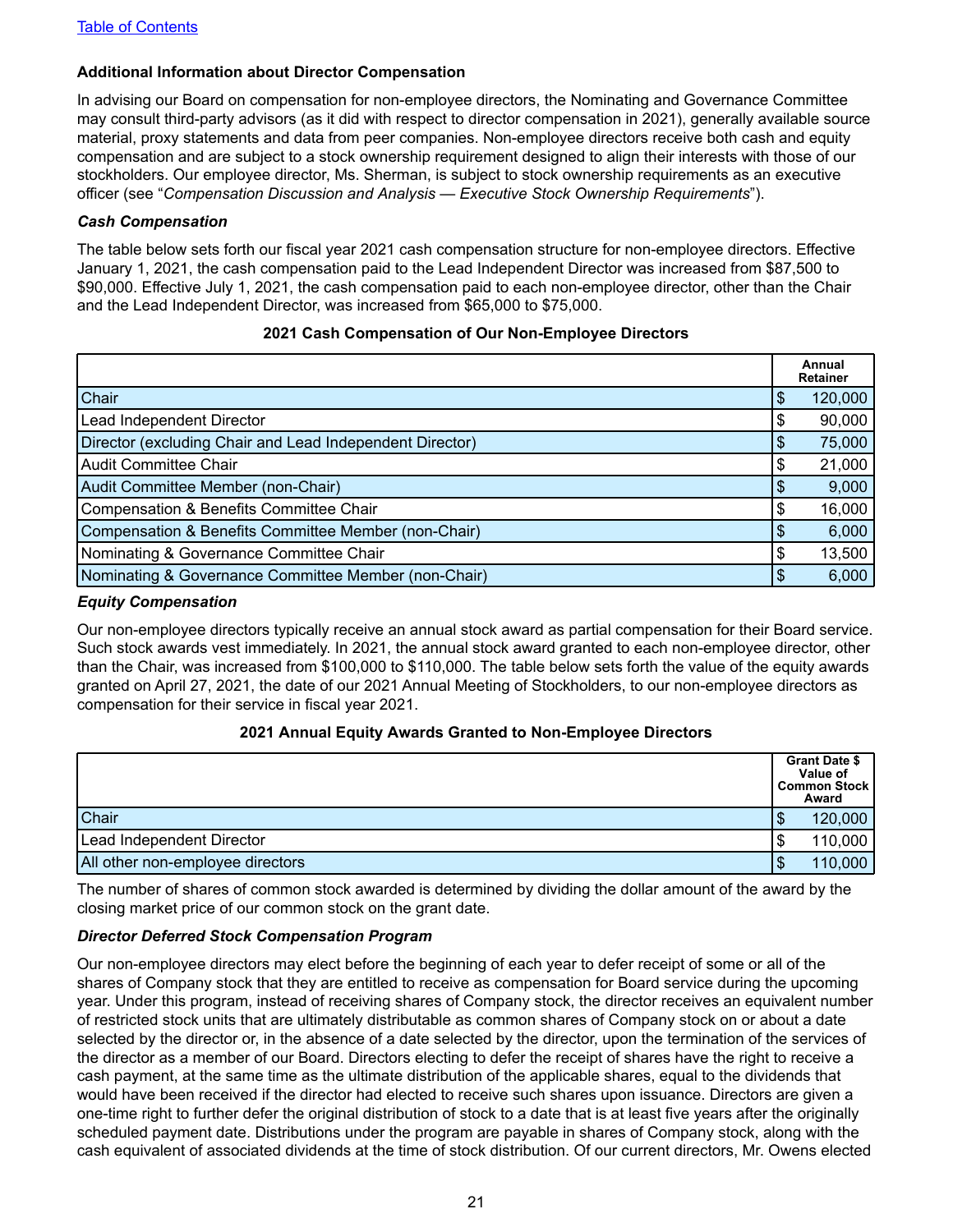#### <span id="page-24-0"></span>**Additional Information about Director Compensation**

In advising our Board on compensation for non-employee directors, the Nominating and Governance Committee may consult third-party advisors (as it did with respect to director compensation in 2021), generally available source material, proxy statements and data from peer companies. Non-employee directors receive both cash and equity compensation and are subject to a stock ownership requirement designed to align their interests with those of our stockholders. Our employee director, Ms. Sherman, is subject to stock ownership requirements as an executive officer (see "*Compensation Discussion and Analysis — Executive Stock Ownership Requirements*").

#### *Cash Compensation*

The table below sets forth our fiscal year 2021 cash compensation structure for non-employee directors. Effective January 1, 2021, the cash compensation paid to the Lead Independent Director was increased from \$87,500 to \$90,000. Effective July 1, 2021, the cash compensation paid to each non-employee director, other than the Chair and the Lead Independent Director, was increased from \$65,000 to \$75,000.

#### **2021 Cash Compensation of Our Non-Employee Directors**

|                                                          |    | Annual<br><b>Retainer</b> |
|----------------------------------------------------------|----|---------------------------|
| Chair                                                    | S  | 120,000                   |
| Lead Independent Director                                | \$ | 90,000                    |
| Director (excluding Chair and Lead Independent Director) | \$ | 75,000                    |
| <b>Audit Committee Chair</b>                             | \$ | 21,000                    |
| Audit Committee Member (non-Chair)                       | \$ | 9,000                     |
| Compensation & Benefits Committee Chair                  | S  | 16,000                    |
| Compensation & Benefits Committee Member (non-Chair)     |    | 6,000                     |
| Nominating & Governance Committee Chair                  | S  | 13,500                    |
| Nominating & Governance Committee Member (non-Chair)     | \$ | 6,000                     |

#### *Equity Compensation*

Our non-employee directors typically receive an annual stock award as partial compensation for their Board service. Such stock awards vest immediately. In 2021, the annual stock award granted to each non-employee director, other than the Chair, was increased from \$100,000 to \$110,000. The table below sets forth the value of the equity awards granted on April 27, 2021, the date of our 2021 Annual Meeting of Stockholders, to our non-employee directors as compensation for their service in fiscal year 2021.

#### **2021 Annual Equity Awards Granted to Non-Employee Directors**

|                                  |        | <b>Grant Date \$</b><br>Value of<br><b>Common Stock</b><br>Award |
|----------------------------------|--------|------------------------------------------------------------------|
| Chair                            | D      | 120,000                                                          |
| Lead Independent Director        | S      | 110,000                                                          |
| All other non-employee directors | œ<br>Ъ | 110,000                                                          |

The number of shares of common stock awarded is determined by dividing the dollar amount of the award by the closing market price of our common stock on the grant date.

#### *Director Deferred Stock Compensation Program*

Our non-employee directors may elect before the beginning of each year to defer receipt of some or all of the shares of Company stock that they are entitled to receive as compensation for Board service during the upcoming year. Under this program, instead of receiving shares of Company stock, the director receives an equivalent number of restricted stock units that are ultimately distributable as common shares of Company stock on or about a date selected by the director or, in the absence of a date selected by the director, upon the termination of the services of the director as a member of our Board. Directors electing to defer the receipt of shares have the right to receive a cash payment, at the same time as the ultimate distribution of the applicable shares, equal to the dividends that would have been received if the director had elected to receive such shares upon issuance. Directors are given a one-time right to further defer the original distribution of stock to a date that is at least five years after the originally scheduled payment date. Distributions under the program are payable in shares of Company stock, along with the cash equivalent of associated dividends at the time of stock distribution. Of our current directors, Mr. Owens elected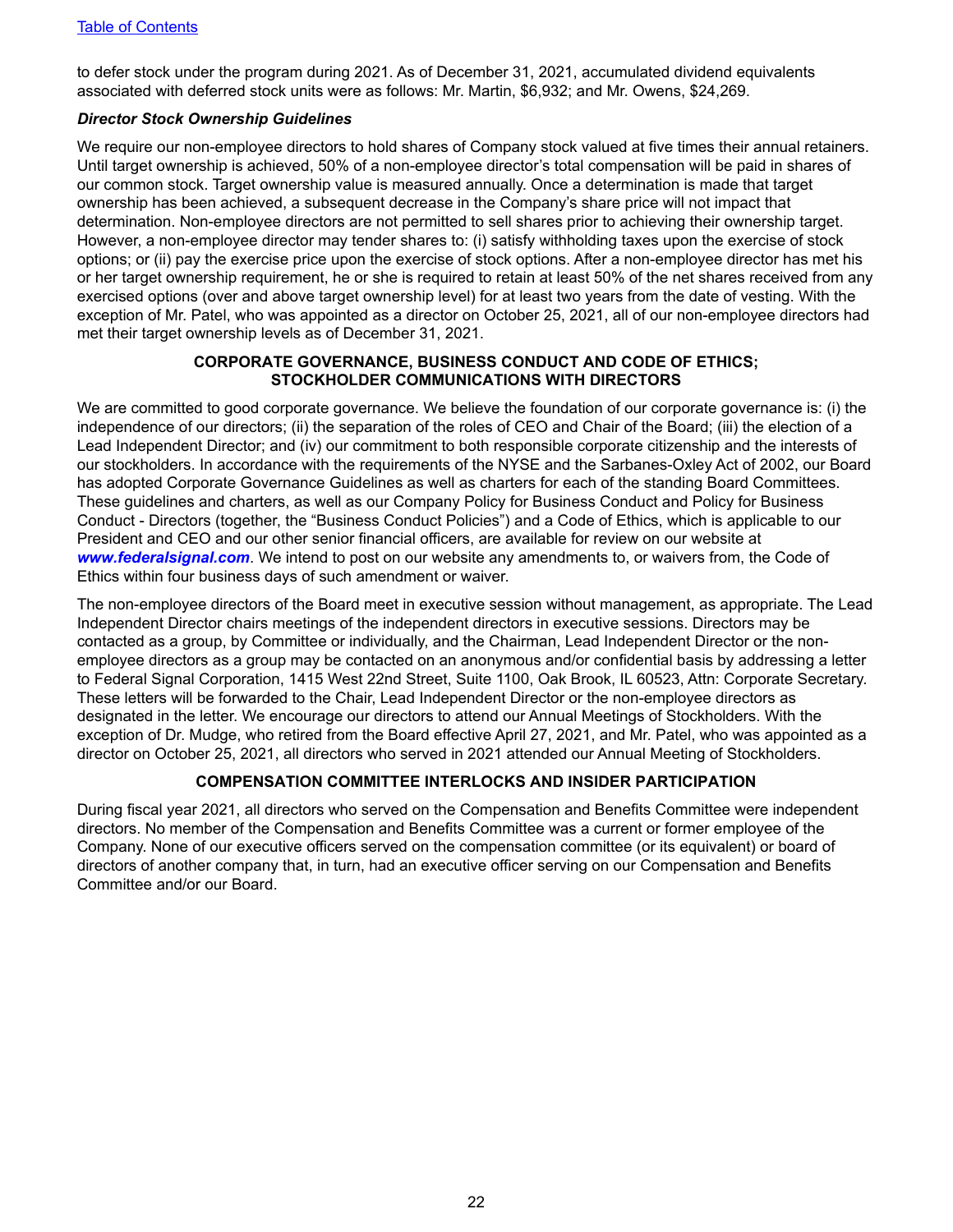<span id="page-25-0"></span>to defer stock under the program during 2021. As of December 31, 2021, accumulated dividend equivalents associated with deferred stock units were as follows: Mr. Martin, \$6,932; and Mr. Owens, \$24,269.

#### *Director Stock Ownership Guidelines*

We require our non-employee directors to hold shares of Company stock valued at five times their annual retainers. Until target ownership is achieved, 50% of a non-employee director's total compensation will be paid in shares of our common stock. Target ownership value is measured annually. Once a determination is made that target ownership has been achieved, a subsequent decrease in the Company's share price will not impact that determination. Non-employee directors are not permitted to sell shares prior to achieving their ownership target. However, a non-employee director may tender shares to: (i) satisfy withholding taxes upon the exercise of stock options; or (ii) pay the exercise price upon the exercise of stock options. After a non-employee director has met his or her target ownership requirement, he or she is required to retain at least 50% of the net shares received from any exercised options (over and above target ownership level) for at least two years from the date of vesting. With the exception of Mr. Patel, who was appointed as a director on October 25, 2021, all of our non-employee directors had met their target ownership levels as of December 31, 2021.

#### **CORPORATE GOVERNANCE, BUSINESS CONDUCT AND CODE OF ETHICS; STOCKHOLDER COMMUNICATIONS WITH DIRECTORS**

We are committed to good corporate governance. We believe the foundation of our corporate governance is: (i) the independence of our directors; (ii) the separation of the roles of CEO and Chair of the Board; (iii) the election of a Lead Independent Director; and (iv) our commitment to both responsible corporate citizenship and the interests of our stockholders. In accordance with the requirements of the NYSE and the Sarbanes-Oxley Act of 2002, our Board has adopted Corporate Governance Guidelines as well as charters for each of the standing Board Committees. These guidelines and charters, as well as our Company Policy for Business Conduct and Policy for Business Conduct - Directors (together, the "Business Conduct Policies") and a Code of Ethics, which is applicable to our President and CEO and our other senior financial officers, are available for review on our website at *www.federalsignal.com*. We intend to post on our website any amendments to, or waivers from, the Code of Ethics within four business days of such amendment or waiver.

The non-employee directors of the Board meet in executive session without management, as appropriate. The Lead Independent Director chairs meetings of the independent directors in executive sessions. Directors may be contacted as a group, by Committee or individually, and the Chairman, Lead Independent Director or the nonemployee directors as a group may be contacted on an anonymous and/or confidential basis by addressing a letter to Federal Signal Corporation, 1415 West 22nd Street, Suite 1100, Oak Brook, IL 60523, Attn: Corporate Secretary. These letters will be forwarded to the Chair, Lead Independent Director or the non-employee directors as designated in the letter. We encourage our directors to attend our Annual Meetings of Stockholders. With the exception of Dr. Mudge, who retired from the Board effective April 27, 2021, and Mr. Patel, who was appointed as a director on October 25, 2021, all directors who served in 2021 attended our Annual Meeting of Stockholders.

#### **COMPENSATION COMMITTEE INTERLOCKS AND INSIDER PARTICIPATION**

During fiscal year 2021, all directors who served on the Compensation and Benefits Committee were independent directors. No member of the Compensation and Benefits Committee was a current or former employee of the Company. None of our executive officers served on the compensation committee (or its equivalent) or board of directors of another company that, in turn, had an executive officer serving on our Compensation and Benefits Committee and/or our Board.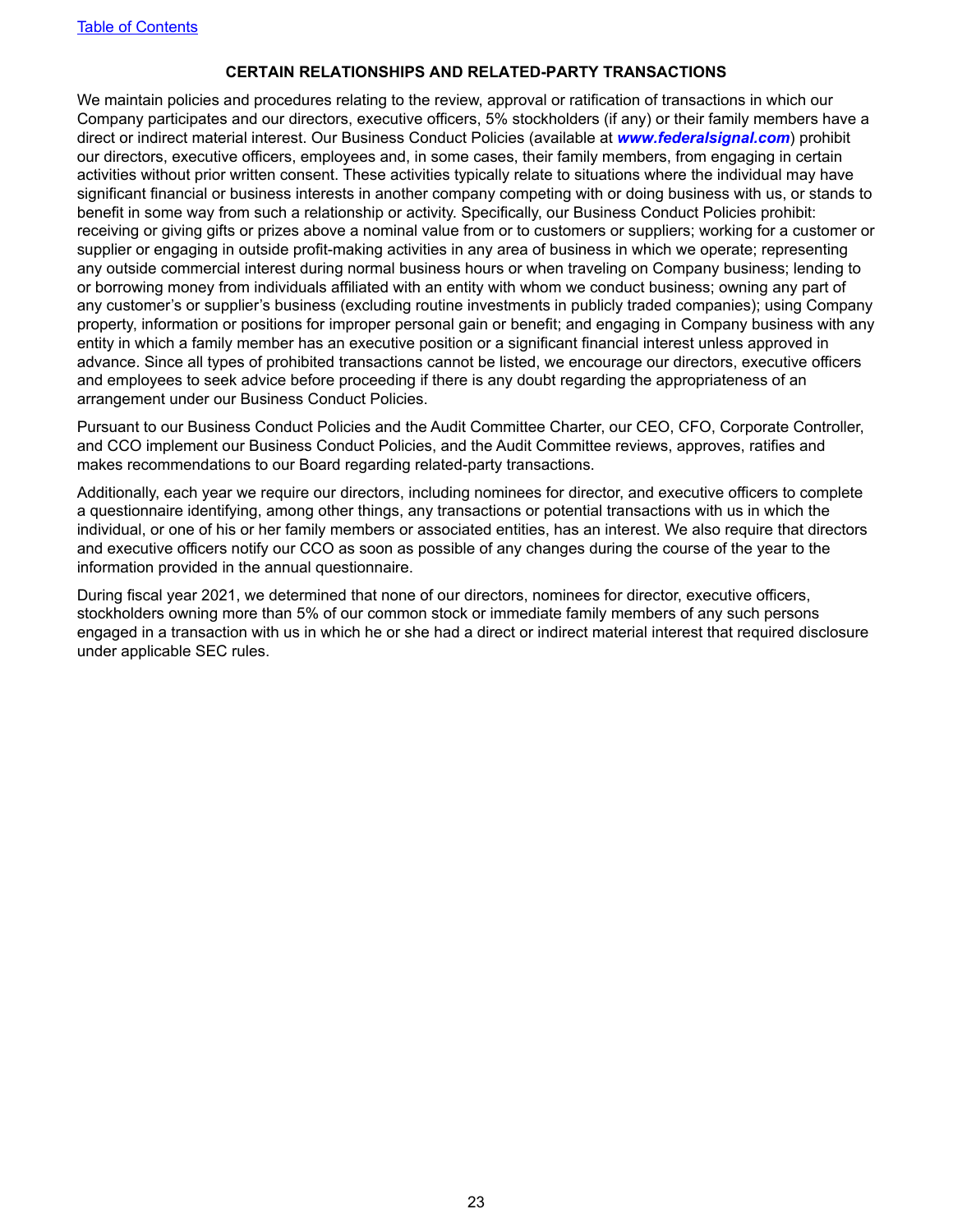#### **CERTAIN RELATIONSHIPS AND RELATED-PARTY TRANSACTIONS**

<span id="page-26-0"></span>We maintain policies and procedures relating to the review, approval or ratification of transactions in which our Company participates and our directors, executive officers, 5% stockholders (if any) or their family members have a direct or indirect material interest. Our Business Conduct Policies (available at *www.federalsignal.com*) prohibit our directors, executive officers, employees and, in some cases, their family members, from engaging in certain activities without prior written consent. These activities typically relate to situations where the individual may have significant financial or business interests in another company competing with or doing business with us, or stands to benefit in some way from such a relationship or activity. Specifically, our Business Conduct Policies prohibit: receiving or giving gifts or prizes above a nominal value from or to customers or suppliers; working for a customer or supplier or engaging in outside profit-making activities in any area of business in which we operate; representing any outside commercial interest during normal business hours or when traveling on Company business; lending to or borrowing money from individuals affiliated with an entity with whom we conduct business; owning any part of any customer's or supplier's business (excluding routine investments in publicly traded companies); using Company property, information or positions for improper personal gain or benefit; and engaging in Company business with any entity in which a family member has an executive position or a significant financial interest unless approved in advance. Since all types of prohibited transactions cannot be listed, we encourage our directors, executive officers and employees to seek advice before proceeding if there is any doubt regarding the appropriateness of an arrangement under our Business Conduct Policies.

Pursuant to our Business Conduct Policies and the Audit Committee Charter, our CEO, CFO, Corporate Controller, and CCO implement our Business Conduct Policies, and the Audit Committee reviews, approves, ratifies and makes recommendations to our Board regarding related-party transactions.

Additionally, each year we require our directors, including nominees for director, and executive officers to complete a questionnaire identifying, among other things, any transactions or potential transactions with us in which the individual, or one of his or her family members or associated entities, has an interest. We also require that directors and executive officers notify our CCO as soon as possible of any changes during the course of the year to the information provided in the annual questionnaire.

During fiscal year 2021, we determined that none of our directors, nominees for director, executive officers, stockholders owning more than 5% of our common stock or immediate family members of any such persons engaged in a transaction with us in which he or she had a direct or indirect material interest that required disclosure under applicable SEC rules.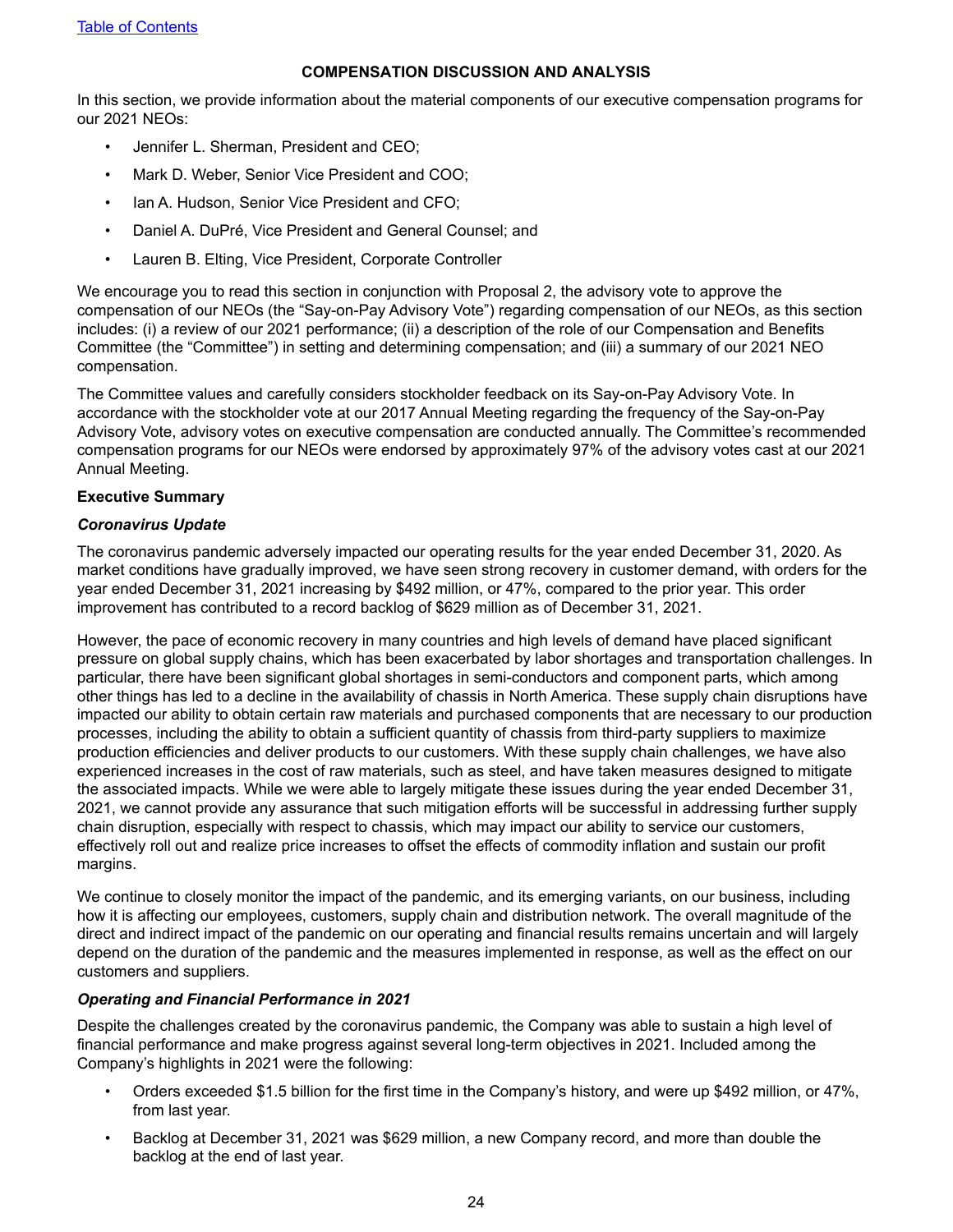#### **COMPENSATION DISCUSSION AND ANALYSIS**

<span id="page-27-0"></span>In this section, we provide information about the material components of our executive compensation programs for our 2021 NEOs:

- Jennifer L. Sherman, President and CEO;
- Mark D. Weber, Senior Vice President and COO;
- Ian A. Hudson, Senior Vice President and CFO;
- Daniel A. DuPré, Vice President and General Counsel; and
- Lauren B. Elting, Vice President, Corporate Controller

We encourage you to read this section in conjunction with Proposal 2, the advisory vote to approve the compensation of our NEOs (the "Say-on-Pay Advisory Vote") regarding compensation of our NEOs, as this section includes: (i) a review of our 2021 performance; (ii) a description of the role of our Compensation and Benefits Committee (the "Committee") in setting and determining compensation; and (iii) a summary of our 2021 NEO compensation.

The Committee values and carefully considers stockholder feedback on its Say-on-Pay Advisory Vote. In accordance with the stockholder vote at our 2017 Annual Meeting regarding the frequency of the Say-on-Pay Advisory Vote, advisory votes on executive compensation are conducted annually. The Committee's recommended compensation programs for our NEOs were endorsed by approximately 97% of the advisory votes cast at our 2021 Annual Meeting.

#### **Executive Summary**

#### *Coronavirus Update*

The coronavirus pandemic adversely impacted our operating results for the year ended December 31, 2020. As market conditions have gradually improved, we have seen strong recovery in customer demand, with orders for the year ended December 31, 2021 increasing by \$492 million, or 47%, compared to the prior year. This order improvement has contributed to a record backlog of \$629 million as of December 31, 2021.

However, the pace of economic recovery in many countries and high levels of demand have placed significant pressure on global supply chains, which has been exacerbated by labor shortages and transportation challenges. In particular, there have been significant global shortages in semi-conductors and component parts, which among other things has led to a decline in the availability of chassis in North America. These supply chain disruptions have impacted our ability to obtain certain raw materials and purchased components that are necessary to our production processes, including the ability to obtain a sufficient quantity of chassis from third-party suppliers to maximize production efficiencies and deliver products to our customers. With these supply chain challenges, we have also experienced increases in the cost of raw materials, such as steel, and have taken measures designed to mitigate the associated impacts. While we were able to largely mitigate these issues during the year ended December 31, 2021, we cannot provide any assurance that such mitigation efforts will be successful in addressing further supply chain disruption, especially with respect to chassis, which may impact our ability to service our customers, effectively roll out and realize price increases to offset the effects of commodity inflation and sustain our profit margins.

We continue to closely monitor the impact of the pandemic, and its emerging variants, on our business, including how it is affecting our employees, customers, supply chain and distribution network. The overall magnitude of the direct and indirect impact of the pandemic on our operating and financial results remains uncertain and will largely depend on the duration of the pandemic and the measures implemented in response, as well as the effect on our customers and suppliers.

#### *Operating and Financial Performance in 2021*

Despite the challenges created by the coronavirus pandemic, the Company was able to sustain a high level of financial performance and make progress against several long-term objectives in 2021. Included among the Company's highlights in 2021 were the following:

- Orders exceeded \$1.5 billion for the first time in the Company's history, and were up \$492 million, or 47%, from last year.
- Backlog at December 31, 2021 was \$629 million, a new Company record, and more than double the backlog at the end of last year.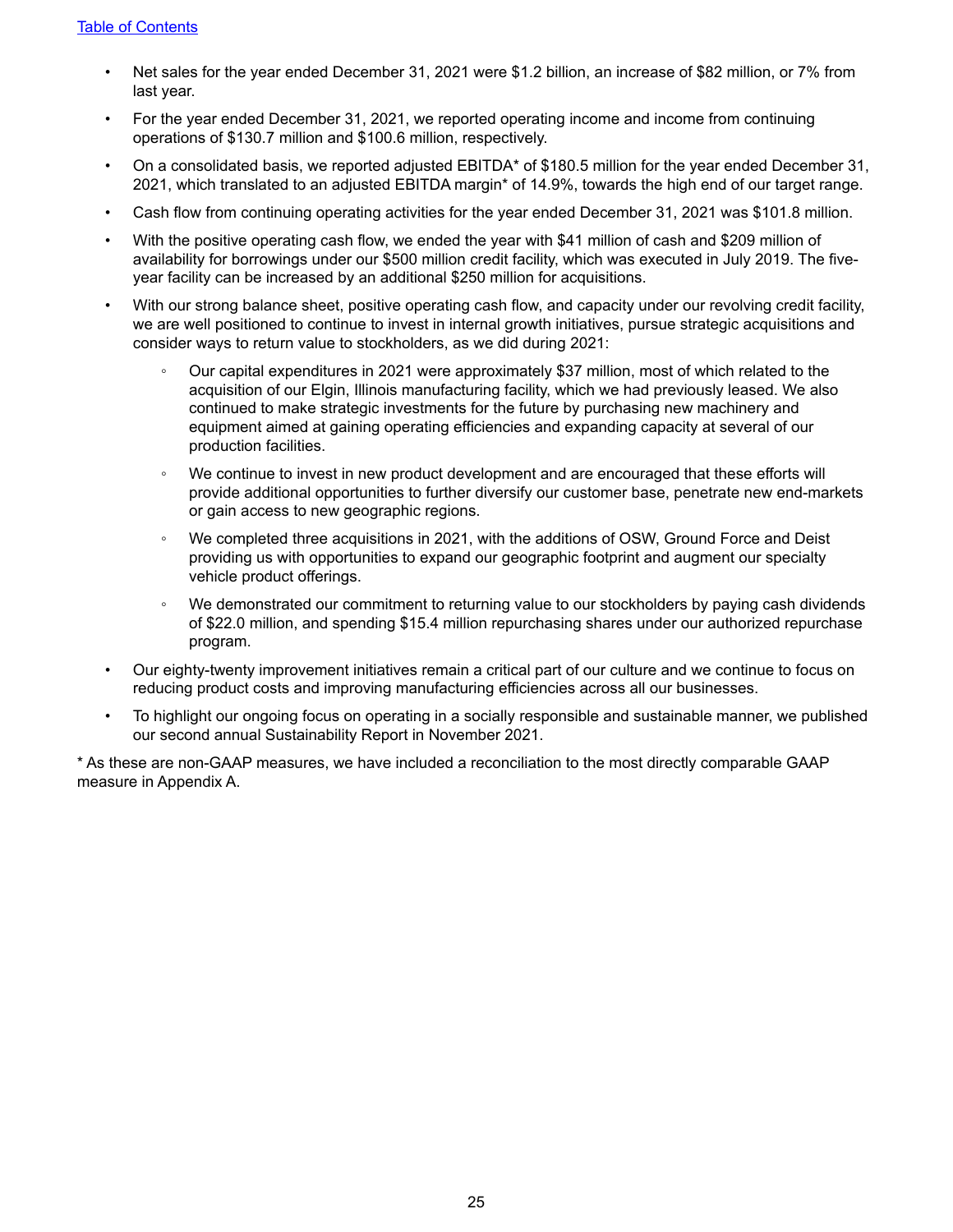- Net sales for the year ended December 31, 2021 were \$1.2 billion, an increase of \$82 million, or 7% from last year.
- For the year ended December 31, 2021, we reported operating income and income from continuing operations of \$130.7 million and \$100.6 million, respectively.
- On a consolidated basis, we reported adjusted EBITDA\* of \$180.5 million for the year ended December 31, 2021, which translated to an adjusted EBITDA margin\* of 14.9%, towards the high end of our target range.
- Cash flow from continuing operating activities for the year ended December 31, 2021 was \$101.8 million.
- With the positive operating cash flow, we ended the year with \$41 million of cash and \$209 million of availability for borrowings under our \$500 million credit facility, which was executed in July 2019. The fiveyear facility can be increased by an additional \$250 million for acquisitions.
- With our strong balance sheet, positive operating cash flow, and capacity under our revolving credit facility, we are well positioned to continue to invest in internal growth initiatives, pursue strategic acquisitions and consider ways to return value to stockholders, as we did during 2021:
	- Our capital expenditures in 2021 were approximately \$37 million, most of which related to the acquisition of our Elgin, Illinois manufacturing facility, which we had previously leased. We also continued to make strategic investments for the future by purchasing new machinery and equipment aimed at gaining operating efficiencies and expanding capacity at several of our production facilities.
	- We continue to invest in new product development and are encouraged that these efforts will provide additional opportunities to further diversify our customer base, penetrate new end-markets or gain access to new geographic regions.
	- *◦* We completed three acquisitions in 2021, with the additions of OSW, Ground Force and Deist providing us with opportunities to expand our geographic footprint and augment our specialty vehicle product offerings.
	- We demonstrated our commitment to returning value to our stockholders by paying cash dividends of \$22.0 million, and spending \$15.4 million repurchasing shares under our authorized repurchase program.
- Our eighty-twenty improvement initiatives remain a critical part of our culture and we continue to focus on reducing product costs and improving manufacturing efficiencies across all our businesses.
- To highlight our ongoing focus on operating in a socially responsible and sustainable manner, we published our second annual Sustainability Report in November 2021.

\* As these are non-GAAP measures, we have included a reconciliation to the most directly comparable GAAP measure in Appendix A.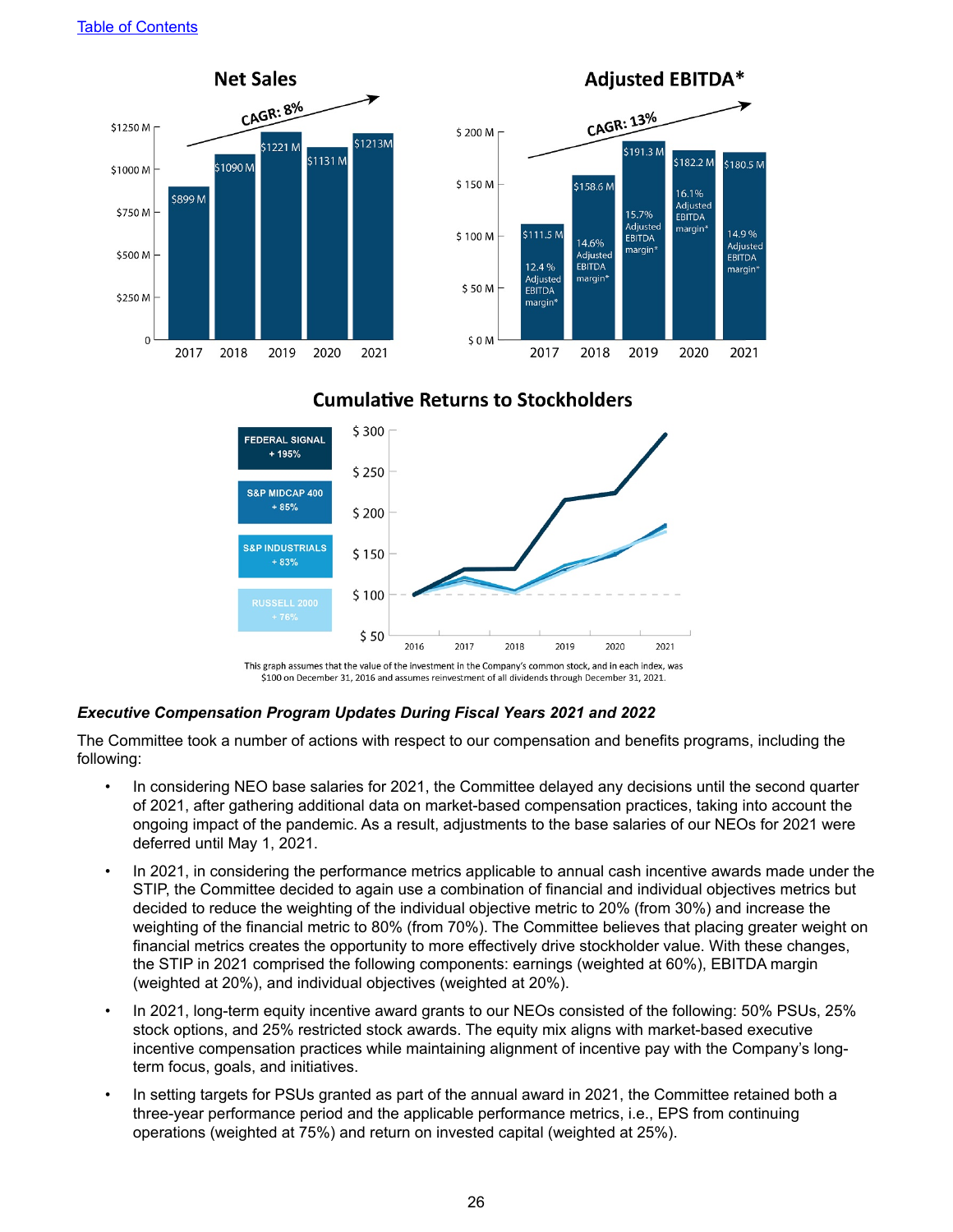

### **Cumulative Returns to Stockholders**



\$100 on December 31, 2016 and assumes reinvestment of all dividends through December 31, 2021.

#### *Executive Compensation Program Updates During Fiscal Years 2021 and 2022*

The Committee took a number of actions with respect to our compensation and benefits programs, including the following:

- *•* In considering NEO base salaries for 2021, the Committee delayed any decisions until the second quarter of 2021, after gathering additional data on market-based compensation practices, taking into account the ongoing impact of the pandemic. As a result, adjustments to the base salaries of our NEOs for 2021 were deferred until May 1, 2021.
- In 2021, in considering the performance metrics applicable to annual cash incentive awards made under the STIP, the Committee decided to again use a combination of financial and individual objectives metrics but decided to reduce the weighting of the individual objective metric to 20% (from 30%) and increase the weighting of the financial metric to 80% (from 70%). The Committee believes that placing greater weight on financial metrics creates the opportunity to more effectively drive stockholder value. With these changes, the STIP in 2021 comprised the following components: earnings (weighted at 60%), EBITDA margin (weighted at 20%), and individual objectives (weighted at 20%).
- In 2021, long-term equity incentive award grants to our NEOs consisted of the following: 50% PSUs, 25% stock options, and 25% restricted stock awards. The equity mix aligns with market-based executive incentive compensation practices while maintaining alignment of incentive pay with the Company's longterm focus, goals, and initiatives.
- In setting targets for PSUs granted as part of the annual award in 2021, the Committee retained both a three-year performance period and the applicable performance metrics, i.e., EPS from continuing operations (weighted at 75%) and return on invested capital (weighted at 25%).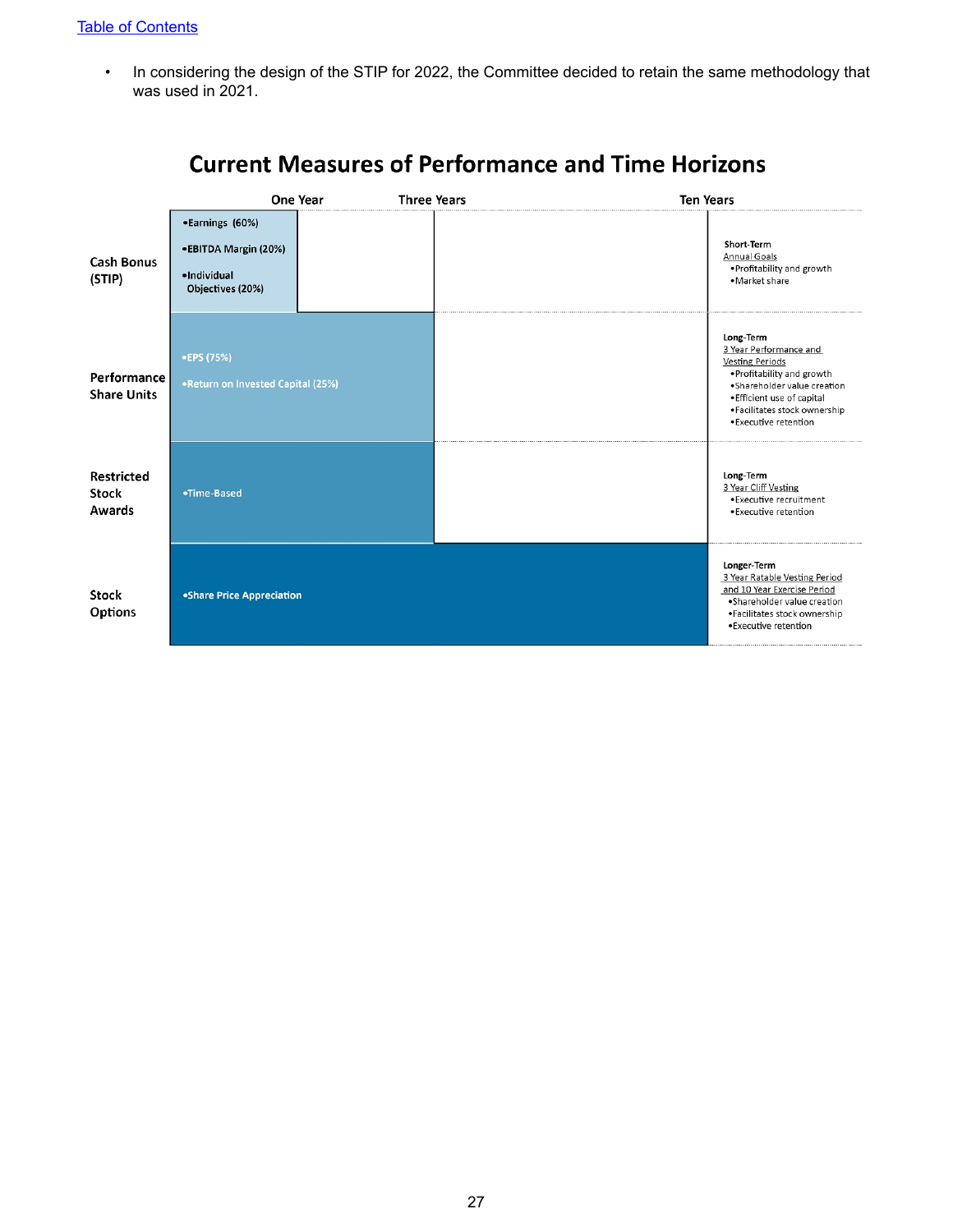• In considering the design of the STIP for 2022, the Committee decided to retain the same methodology that was used in 2021.

|                                   |                                                                            | One Year | <b>Three Years</b> | <b>Ten Years</b> |                                                                                                                                                                                                                   |
|-----------------------------------|----------------------------------------------------------------------------|----------|--------------------|------------------|-------------------------------------------------------------------------------------------------------------------------------------------------------------------------------------------------------------------|
| <b>Cash Bonus</b><br>(STIP)       | •Earnings (60%)<br>•EBITDA Margin (20%)<br>·Individual<br>Objectives (20%) |          |                    |                  | Short-Term<br>Annual Goals<br>. Profitability and growth<br>•Market share                                                                                                                                         |
| Performance<br><b>Share Units</b> | •EPS (75%)<br>.Return on Invested Capital (25%)                            |          |                    |                  | Long-Term<br>3 Year Performance and<br><b>Vesting Periods</b><br>. Profitability and growth<br>·Shareholder value creation<br>• Efficient use of capital<br>·Facilitates stock ownership<br>· Executive retention |
| Restricted<br>Stock<br>Awards     | •Time-Based                                                                |          |                    |                  | Long-Term<br>3 Year Cliff Vesting<br>• Executive recruitment<br>• Executive retention                                                                                                                             |
| <b>Stock</b><br>Options           | •Share Price Appreciation                                                  |          |                    |                  | Longer-Term<br>3 Year Ratable Vesting Period<br>and 10 Year Exercise Period<br>·Shareholder value creation<br>·Facilitates stock ownership<br>· Executive retention                                               |

# **Current Measures of Performance and Time Horizons**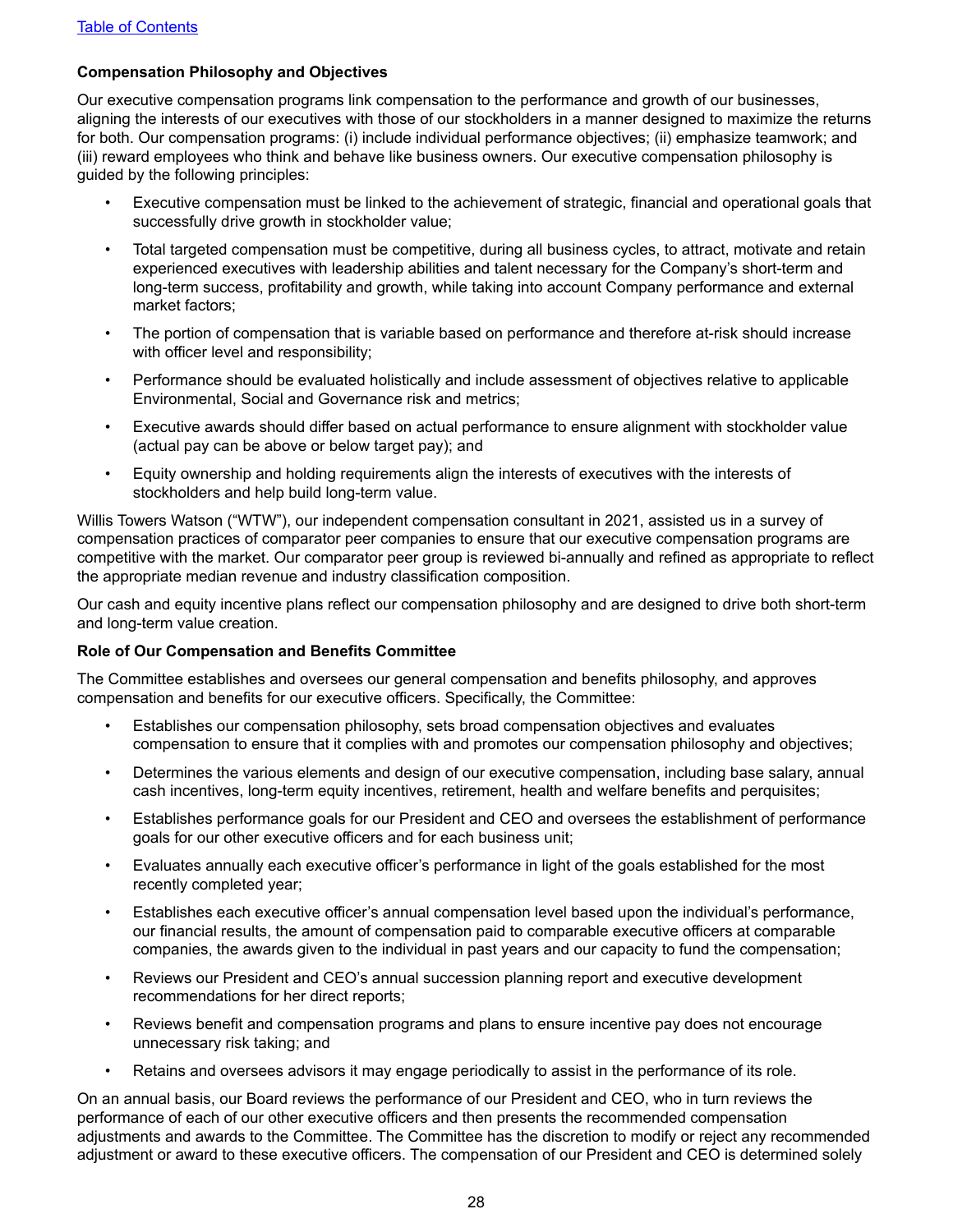### <span id="page-31-0"></span>**Compensation Philosophy and Objectives**

Our executive compensation programs link compensation to the performance and growth of our businesses, aligning the interests of our executives with those of our stockholders in a manner designed to maximize the returns for both. Our compensation programs: (i) include individual performance objectives; (ii) emphasize teamwork; and (iii) reward employees who think and behave like business owners. Our executive compensation philosophy is guided by the following principles:

- Executive compensation must be linked to the achievement of strategic, financial and operational goals that successfully drive growth in stockholder value;
- Total targeted compensation must be competitive, during all business cycles, to attract, motivate and retain experienced executives with leadership abilities and talent necessary for the Company's short-term and long-term success, profitability and growth, while taking into account Company performance and external market factors;
- The portion of compensation that is variable based on performance and therefore at-risk should increase with officer level and responsibility;
- Performance should be evaluated holistically and include assessment of objectives relative to applicable Environmental, Social and Governance risk and metrics;
- Executive awards should differ based on actual performance to ensure alignment with stockholder value (actual pay can be above or below target pay); and
- Equity ownership and holding requirements align the interests of executives with the interests of stockholders and help build long-term value.

Willis Towers Watson ("WTW"), our independent compensation consultant in 2021, assisted us in a survey of compensation practices of comparator peer companies to ensure that our executive compensation programs are competitive with the market. Our comparator peer group is reviewed bi-annually and refined as appropriate to reflect the appropriate median revenue and industry classification composition.

Our cash and equity incentive plans reflect our compensation philosophy and are designed to drive both short-term and long-term value creation.

#### **Role of Our Compensation and Benefits Committee**

The Committee establishes and oversees our general compensation and benefits philosophy, and approves compensation and benefits for our executive officers. Specifically, the Committee:

- Establishes our compensation philosophy, sets broad compensation objectives and evaluates compensation to ensure that it complies with and promotes our compensation philosophy and objectives;
- Determines the various elements and design of our executive compensation, including base salary, annual cash incentives, long-term equity incentives, retirement, health and welfare benefits and perquisites;
- Establishes performance goals for our President and CEO and oversees the establishment of performance goals for our other executive officers and for each business unit;
- Evaluates annually each executive officer's performance in light of the goals established for the most recently completed year;
- Establishes each executive officer's annual compensation level based upon the individual's performance, our financial results, the amount of compensation paid to comparable executive officers at comparable companies, the awards given to the individual in past years and our capacity to fund the compensation;
- Reviews our President and CEO's annual succession planning report and executive development recommendations for her direct reports;
- Reviews benefit and compensation programs and plans to ensure incentive pay does not encourage unnecessary risk taking; and
- Retains and oversees advisors it may engage periodically to assist in the performance of its role.

On an annual basis, our Board reviews the performance of our President and CEO, who in turn reviews the performance of each of our other executive officers and then presents the recommended compensation adjustments and awards to the Committee. The Committee has the discretion to modify or reject any recommended adjustment or award to these executive officers. The compensation of our President and CEO is determined solely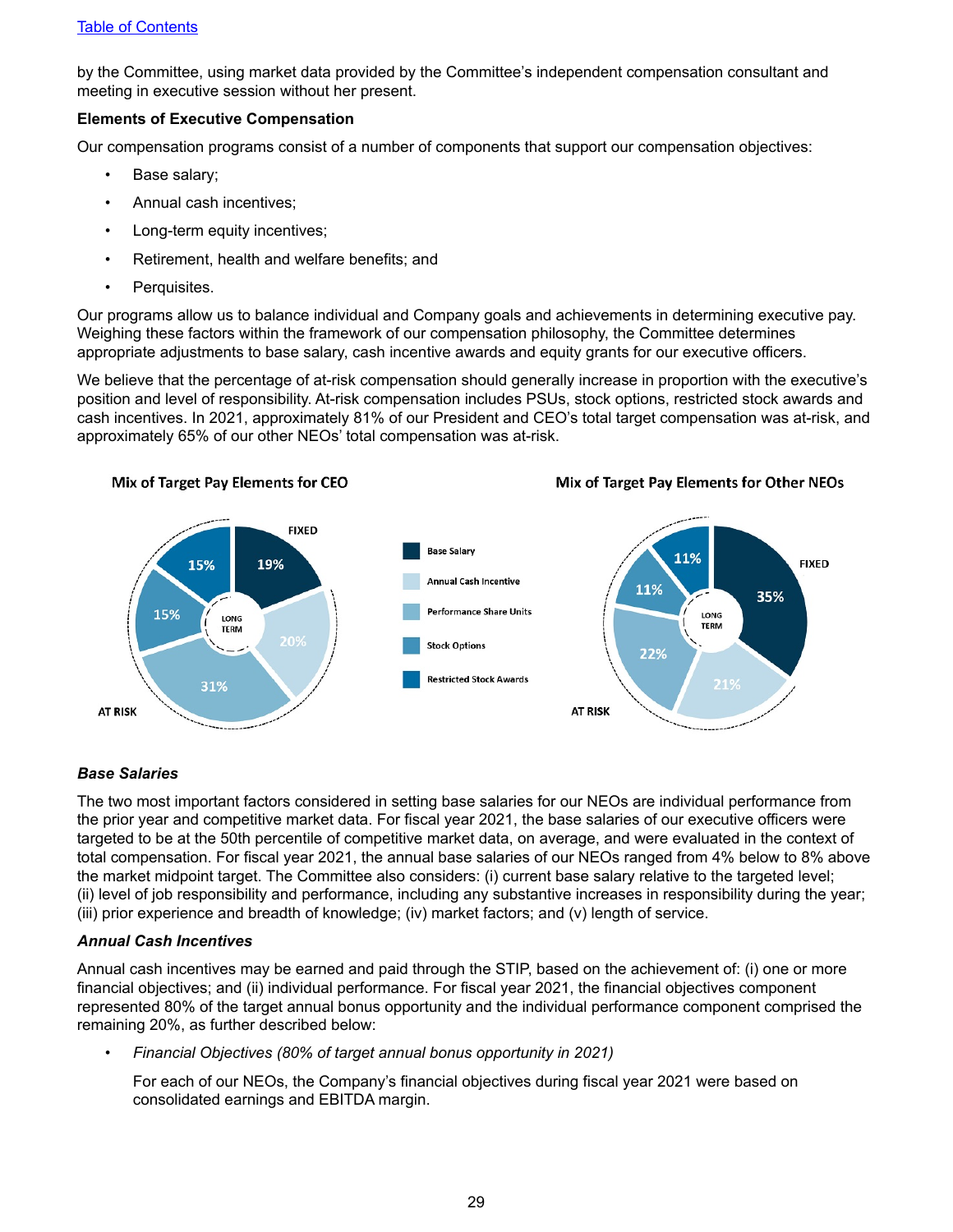<span id="page-32-0"></span>by the Committee, using market data provided by the Committee's independent compensation consultant and meeting in executive session without her present.

#### **Elements of Executive Compensation**

Our compensation programs consist of a number of components that support our compensation objectives:

- Base salary;
- Annual cash incentives;
- Long-term equity incentives;
- Retirement, health and welfare benefits; and
- Perquisites.

Our programs allow us to balance individual and Company goals and achievements in determining executive pay. Weighing these factors within the framework of our compensation philosophy, the Committee determines appropriate adjustments to base salary, cash incentive awards and equity grants for our executive officers.

We believe that the percentage of at-risk compensation should generally increase in proportion with the executive's position and level of responsibility. At-risk compensation includes PSUs, stock options, restricted stock awards and cash incentives. In 2021, approximately 81% of our President and CEO's total target compensation was at-risk, and approximately 65% of our other NEOs' total compensation was at-risk.



#### *Base Salaries*

The two most important factors considered in setting base salaries for our NEOs are individual performance from the prior year and competitive market data. For fiscal year 2021, the base salaries of our executive officers were targeted to be at the 50th percentile of competitive market data, on average, and were evaluated in the context of total compensation. For fiscal year 2021, the annual base salaries of our NEOs ranged from 4% below to 8% above the market midpoint target. The Committee also considers: (i) current base salary relative to the targeted level; (ii) level of job responsibility and performance, including any substantive increases in responsibility during the year; (iii) prior experience and breadth of knowledge; (iv) market factors; and (v) length of service.

#### *Annual Cash Incentives*

Annual cash incentives may be earned and paid through the STIP, based on the achievement of: (i) one or more financial objectives; and (ii) individual performance. For fiscal year 2021, the financial objectives component represented 80% of the target annual bonus opportunity and the individual performance component comprised the remaining 20%, as further described below:

• *Financial Objectives (80% of target annual bonus opportunity in 2021)*

For each of our NEOs, the Company's financial objectives during fiscal year 2021 were based on consolidated earnings and EBITDA margin.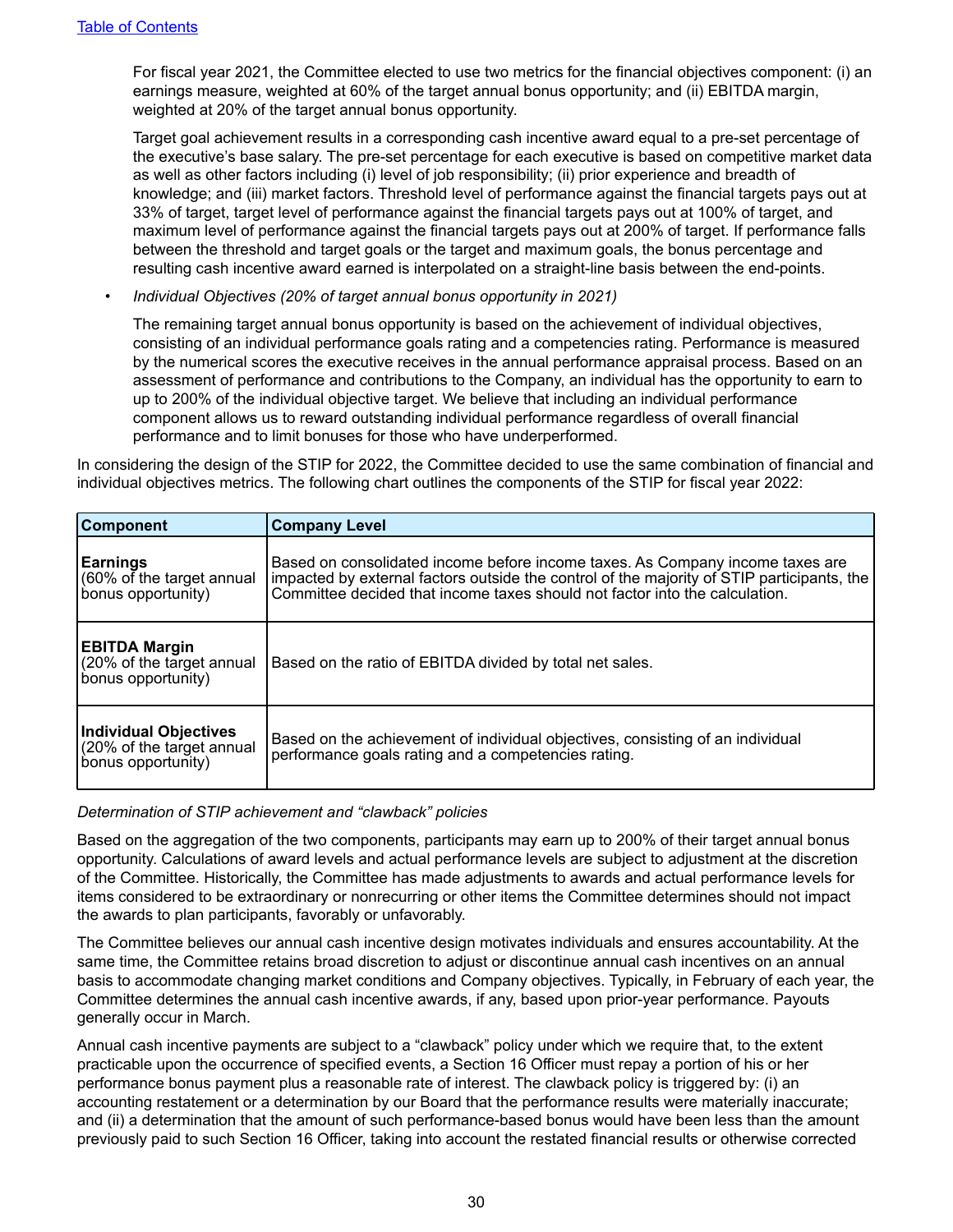For fiscal year 2021, the Committee elected to use two metrics for the financial objectives component: (i) an earnings measure, weighted at 60% of the target annual bonus opportunity; and (ii) EBITDA margin, weighted at 20% of the target annual bonus opportunity.

Target goal achievement results in a corresponding cash incentive award equal to a pre-set percentage of the executive's base salary. The pre-set percentage for each executive is based on competitive market data as well as other factors including (i) level of job responsibility; (ii) prior experience and breadth of knowledge; and (iii) market factors. Threshold level of performance against the financial targets pays out at 33% of target, target level of performance against the financial targets pays out at 100% of target, and maximum level of performance against the financial targets pays out at 200% of target. If performance falls between the threshold and target goals or the target and maximum goals, the bonus percentage and resulting cash incentive award earned is interpolated on a straight-line basis between the end-points.

*• Individual Objectives (20% of target annual bonus opportunity in 2021)*

The remaining target annual bonus opportunity is based on the achievement of individual objectives, consisting of an individual performance goals rating and a competencies rating. Performance is measured by the numerical scores the executive receives in the annual performance appraisal process. Based on an assessment of performance and contributions to the Company, an individual has the opportunity to earn to up to 200% of the individual objective target. We believe that including an individual performance component allows us to reward outstanding individual performance regardless of overall financial performance and to limit bonuses for those who have underperformed.

In considering the design of the STIP for 2022, the Committee decided to use the same combination of financial and individual objectives metrics. The following chart outlines the components of the STIP for fiscal year 2022:

| <b>Component</b>                                                         | <b>Company Level</b>                                                                                                                                                                                                                                       |
|--------------------------------------------------------------------------|------------------------------------------------------------------------------------------------------------------------------------------------------------------------------------------------------------------------------------------------------------|
| <b>Earnings</b><br>60% of the target annual<br>bonus opportunity)        | Based on consolidated income before income taxes. As Company income taxes are<br>impacted by external factors outside the control of the majority of STIP participants, the<br>Committee decided that income taxes should not factor into the calculation. |
| <b>EBITDA Margin</b><br>(20% of the target annual<br>bonus opportunity)  | Based on the ratio of EBITDA divided by total net sales.                                                                                                                                                                                                   |
| Individual Objectives<br>(20% of the target annual<br>bonus opportunity) | Based on the achievement of individual objectives, consisting of an individual<br>performance goals rating and a competencies rating.                                                                                                                      |

#### *Determination of STIP achievement and "clawback" policies*

Based on the aggregation of the two components, participants may earn up to 200% of their target annual bonus opportunity. Calculations of award levels and actual performance levels are subject to adjustment at the discretion of the Committee. Historically, the Committee has made adjustments to awards and actual performance levels for items considered to be extraordinary or nonrecurring or other items the Committee determines should not impact the awards to plan participants, favorably or unfavorably.

The Committee believes our annual cash incentive design motivates individuals and ensures accountability. At the same time, the Committee retains broad discretion to adjust or discontinue annual cash incentives on an annual basis to accommodate changing market conditions and Company objectives. Typically, in February of each year, the Committee determines the annual cash incentive awards, if any, based upon prior-year performance. Payouts generally occur in March.

Annual cash incentive payments are subject to a "clawback" policy under which we require that, to the extent practicable upon the occurrence of specified events, a Section 16 Officer must repay a portion of his or her performance bonus payment plus a reasonable rate of interest. The clawback policy is triggered by: (i) an accounting restatement or a determination by our Board that the performance results were materially inaccurate; and (ii) a determination that the amount of such performance-based bonus would have been less than the amount previously paid to such Section 16 Officer, taking into account the restated financial results or otherwise corrected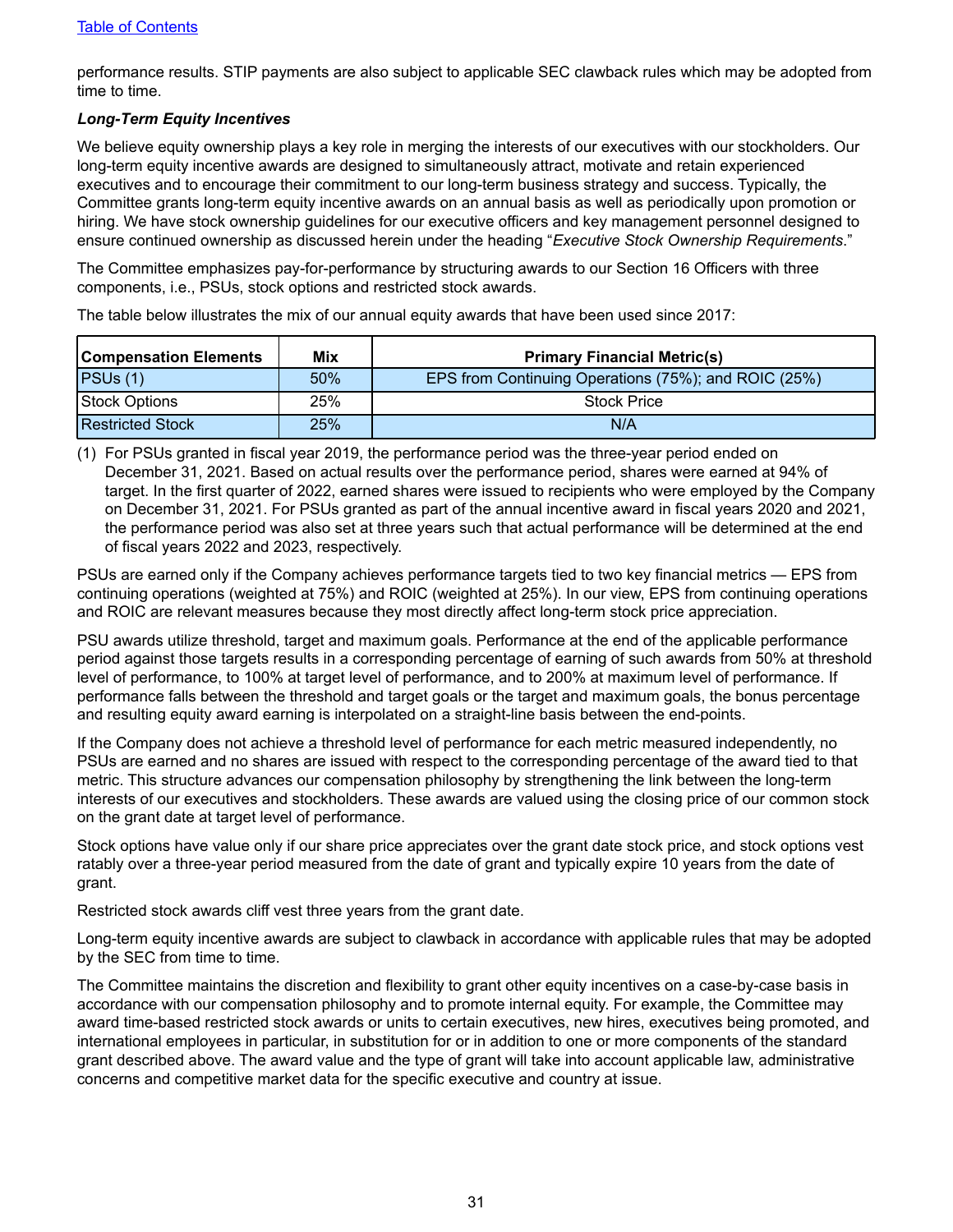performance results. STIP payments are also subject to applicable SEC clawback rules which may be adopted from time to time.

#### *Long-Term Equity Incentives*

We believe equity ownership plays a key role in merging the interests of our executives with our stockholders. Our long-term equity incentive awards are designed to simultaneously attract, motivate and retain experienced executives and to encourage their commitment to our long-term business strategy and success. Typically, the Committee grants long-term equity incentive awards on an annual basis as well as periodically upon promotion or hiring. We have stock ownership guidelines for our executive officers and key management personnel designed to ensure continued ownership as discussed herein under the heading "*Executive Stock Ownership Requirements*."

The Committee emphasizes pay-for-performance by structuring awards to our Section 16 Officers with three components, i.e., PSUs, stock options and restricted stock awards.

The table below illustrates the mix of our annual equity awards that have been used since 2017:

| <b>Compensation Elements</b> | Mix | <b>Primary Financial Metric(s)</b>                   |
|------------------------------|-----|------------------------------------------------------|
| PSUs(1)                      | 50% | EPS from Continuing Operations (75%); and ROIC (25%) |
| Stock Options                | 25% | <b>Stock Price</b>                                   |
| <b>Restricted Stock</b>      | 25% | N/A                                                  |

(1) For PSUs granted in fiscal year 2019, the performance period was the three-year period ended on December 31, 2021. Based on actual results over the performance period, shares were earned at 94% of target. In the first quarter of 2022, earned shares were issued to recipients who were employed by the Company on December 31, 2021. For PSUs granted as part of the annual incentive award in fiscal years 2020 and 2021, the performance period was also set at three years such that actual performance will be determined at the end of fiscal years 2022 and 2023, respectively.

PSUs are earned only if the Company achieves performance targets tied to two key financial metrics — EPS from continuing operations (weighted at 75%) and ROIC (weighted at 25%). In our view, EPS from continuing operations and ROIC are relevant measures because they most directly affect long-term stock price appreciation.

PSU awards utilize threshold, target and maximum goals. Performance at the end of the applicable performance period against those targets results in a corresponding percentage of earning of such awards from 50% at threshold level of performance, to 100% at target level of performance, and to 200% at maximum level of performance. If performance falls between the threshold and target goals or the target and maximum goals, the bonus percentage and resulting equity award earning is interpolated on a straight-line basis between the end-points.

If the Company does not achieve a threshold level of performance for each metric measured independently, no PSUs are earned and no shares are issued with respect to the corresponding percentage of the award tied to that metric. This structure advances our compensation philosophy by strengthening the link between the long-term interests of our executives and stockholders. These awards are valued using the closing price of our common stock on the grant date at target level of performance.

Stock options have value only if our share price appreciates over the grant date stock price, and stock options vest ratably over a three-year period measured from the date of grant and typically expire 10 years from the date of grant.

Restricted stock awards cliff vest three years from the grant date.

Long-term equity incentive awards are subject to clawback in accordance with applicable rules that may be adopted by the SEC from time to time.

The Committee maintains the discretion and flexibility to grant other equity incentives on a case-by-case basis in accordance with our compensation philosophy and to promote internal equity. For example, the Committee may award time-based restricted stock awards or units to certain executives, new hires, executives being promoted, and international employees in particular, in substitution for or in addition to one or more components of the standard grant described above. The award value and the type of grant will take into account applicable law, administrative concerns and competitive market data for the specific executive and country at issue.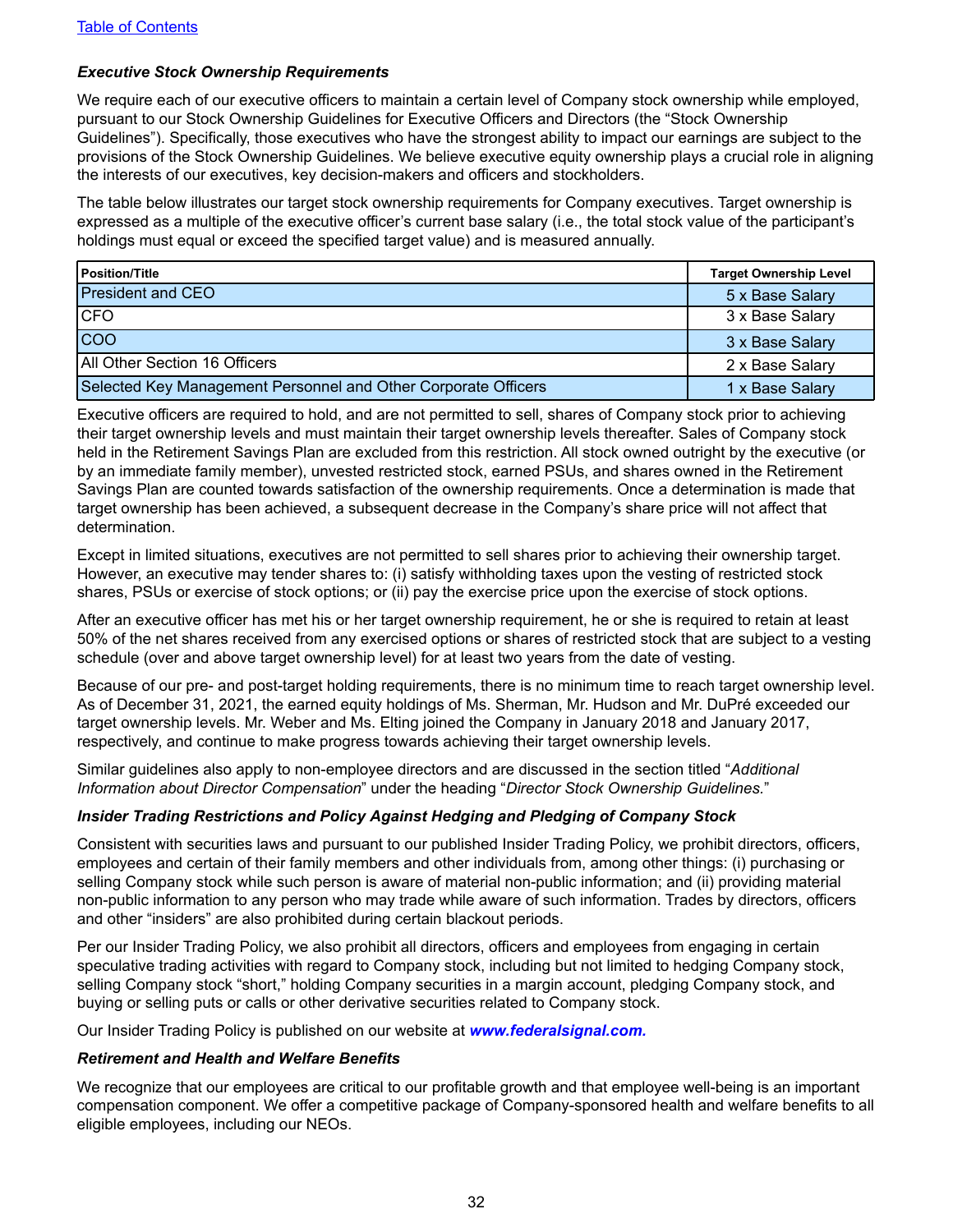#### *Executive Stock Ownership Requirements*

We require each of our executive officers to maintain a certain level of Company stock ownership while employed, pursuant to our Stock Ownership Guidelines for Executive Officers and Directors (the "Stock Ownership Guidelines"). Specifically, those executives who have the strongest ability to impact our earnings are subject to the provisions of the Stock Ownership Guidelines. We believe executive equity ownership plays a crucial role in aligning the interests of our executives, key decision-makers and officers and stockholders.

The table below illustrates our target stock ownership requirements for Company executives. Target ownership is expressed as a multiple of the executive officer's current base salary (i.e., the total stock value of the participant's holdings must equal or exceed the specified target value) and is measured annually.

| l Position/Title                                               | <b>Target Ownership Level</b> |
|----------------------------------------------------------------|-------------------------------|
| <b>President and CEO</b>                                       | 5 x Base Salary               |
| <b>CFO</b>                                                     | 3 x Base Salary               |
| coo                                                            | 3 x Base Salary               |
| All Other Section 16 Officers                                  | 2 x Base Salary               |
| Selected Key Management Personnel and Other Corporate Officers | 1 x Base Salary               |

Executive officers are required to hold, and are not permitted to sell, shares of Company stock prior to achieving their target ownership levels and must maintain their target ownership levels thereafter. Sales of Company stock held in the Retirement Savings Plan are excluded from this restriction. All stock owned outright by the executive (or by an immediate family member), unvested restricted stock, earned PSUs, and shares owned in the Retirement Savings Plan are counted towards satisfaction of the ownership requirements. Once a determination is made that target ownership has been achieved, a subsequent decrease in the Company's share price will not affect that determination.

Except in limited situations, executives are not permitted to sell shares prior to achieving their ownership target. However, an executive may tender shares to: (i) satisfy withholding taxes upon the vesting of restricted stock shares, PSUs or exercise of stock options; or (ii) pay the exercise price upon the exercise of stock options.

After an executive officer has met his or her target ownership requirement, he or she is required to retain at least 50% of the net shares received from any exercised options or shares of restricted stock that are subject to a vesting schedule (over and above target ownership level) for at least two years from the date of vesting.

Because of our pre- and post-target holding requirements, there is no minimum time to reach target ownership level. As of December 31, 2021, the earned equity holdings of Ms. Sherman, Mr. Hudson and Mr. DuPré exceeded our target ownership levels. Mr. Weber and Ms. Elting joined the Company in January 2018 and January 2017, respectively, and continue to make progress towards achieving their target ownership levels.

Similar guidelines also apply to non-employee directors and are discussed in the section titled "*Additional Information about Director Compensation*" under the heading "*Director Stock Ownership Guidelines.*"

#### *Insider Trading Restrictions and Policy Against Hedging and Pledging of Company Stock*

Consistent with securities laws and pursuant to our published Insider Trading Policy, we prohibit directors, officers, employees and certain of their family members and other individuals from, among other things: (i) purchasing or selling Company stock while such person is aware of material non-public information; and (ii) providing material non-public information to any person who may trade while aware of such information. Trades by directors, officers and other "insiders" are also prohibited during certain blackout periods.

Per our Insider Trading Policy, we also prohibit all directors, officers and employees from engaging in certain speculative trading activities with regard to Company stock, including but not limited to hedging Company stock, selling Company stock "short," holding Company securities in a margin account, pledging Company stock, and buying or selling puts or calls or other derivative securities related to Company stock.

Our Insider Trading Policy is published on our website at *www.federalsignal.com.* 

#### *Retirement and Health and Welfare Benefits*

We recognize that our employees are critical to our profitable growth and that employee well-being is an important compensation component. We offer a competitive package of Company-sponsored health and welfare benefits to all eligible employees, including our NEOs.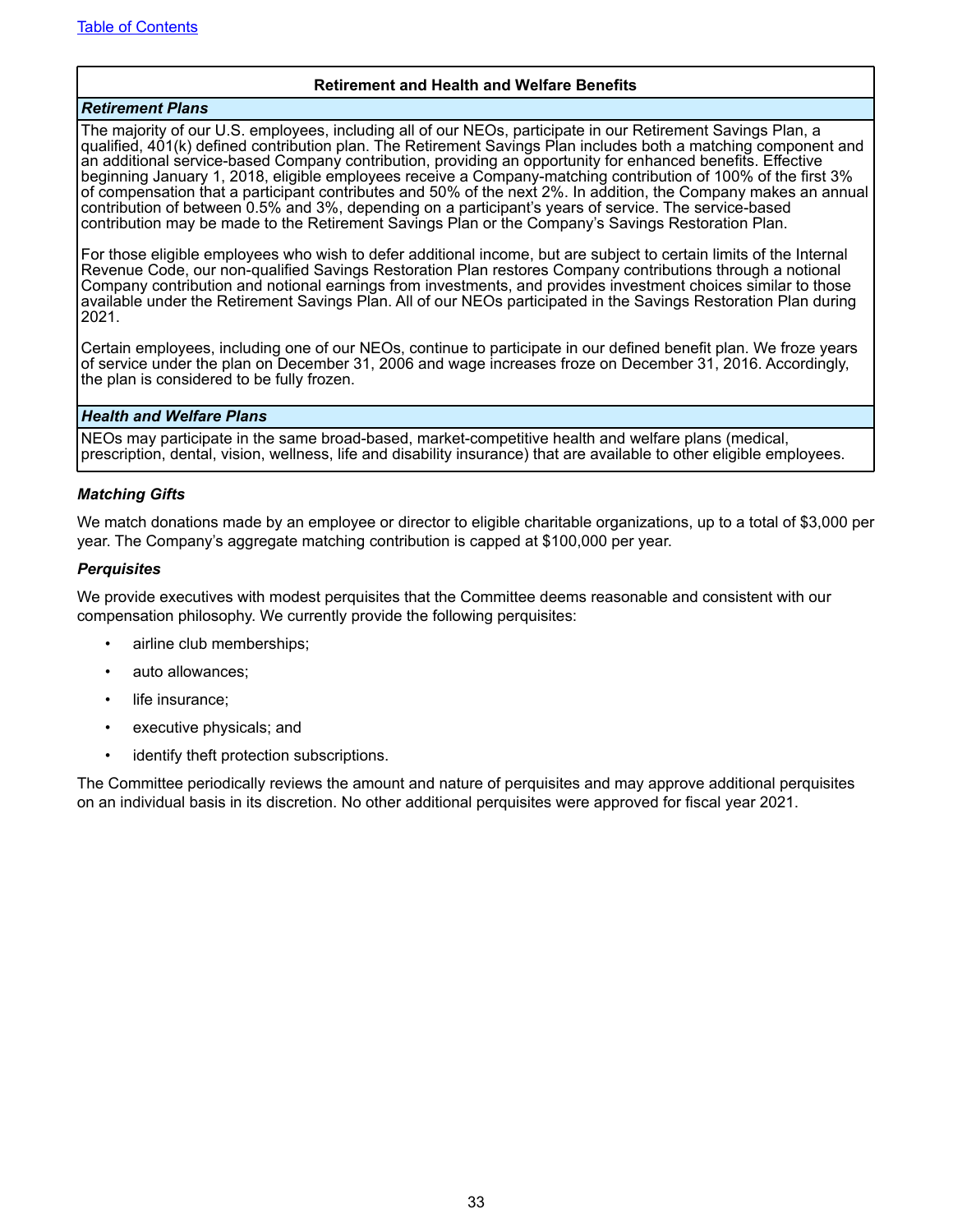#### **Retirement and Health and Welfare Benefits**

#### *Retirement Plans*

The majority of our U.S. employees, including all of our NEOs, participate in our Retirement Savings Plan, a qualified, 401(k) defined contribution plan. The Retirement Savings Plan includes both a matching component and an additional service-based Company contribution, providing an opportunity for enhanced benefits. Effective beginning January 1, 2018, eligible employees receive a Company-matching contribution of 100% of the first 3% of compensation that a participant contributes and 50% of the next 2%. In addition, the Company makes an annual contribution of between 0.5% and 3%, depending on a participant's years of service. The service-based contribution may be made to the Retirement Savings Plan or the Company's Savings Restoration Plan.

For those eligible employees who wish to defer additional income, but are subject to certain limits of the Internal Revenue Code, our non-qualified Savings Restoration Plan restores Company contributions through a notional Company contribution and notional earnings from investments, and provides investment choices similar to those available under the Retirement Savings Plan. All of our NEOs participated in the Savings Restoration Plan during 2021.

Certain employees, including one of our NEOs, continue to participate in our defined benefit plan. We froze years of service under the plan on December 31, 2006 and wage increases froze on December 31, 2016. Accordingly, the plan is considered to be fully frozen.

#### *Health and Welfare Plans*

NEOs may participate in the same broad-based, market-competitive health and welfare plans (medical, prescription, dental, vision, wellness, life and disability insurance) that are available to other eligible employees.

#### *Matching Gifts*

We match donations made by an employee or director to eligible charitable organizations, up to a total of \$3,000 per year. The Company's aggregate matching contribution is capped at \$100,000 per year.

#### *Perquisites*

We provide executives with modest perquisites that the Committee deems reasonable and consistent with our compensation philosophy. We currently provide the following perquisites:

- airline club memberships;
- auto allowances;
- life insurance:
- executive physicals; and
- identify theft protection subscriptions.

The Committee periodically reviews the amount and nature of perquisites and may approve additional perquisites on an individual basis in its discretion. No other additional perquisites were approved for fiscal year 2021.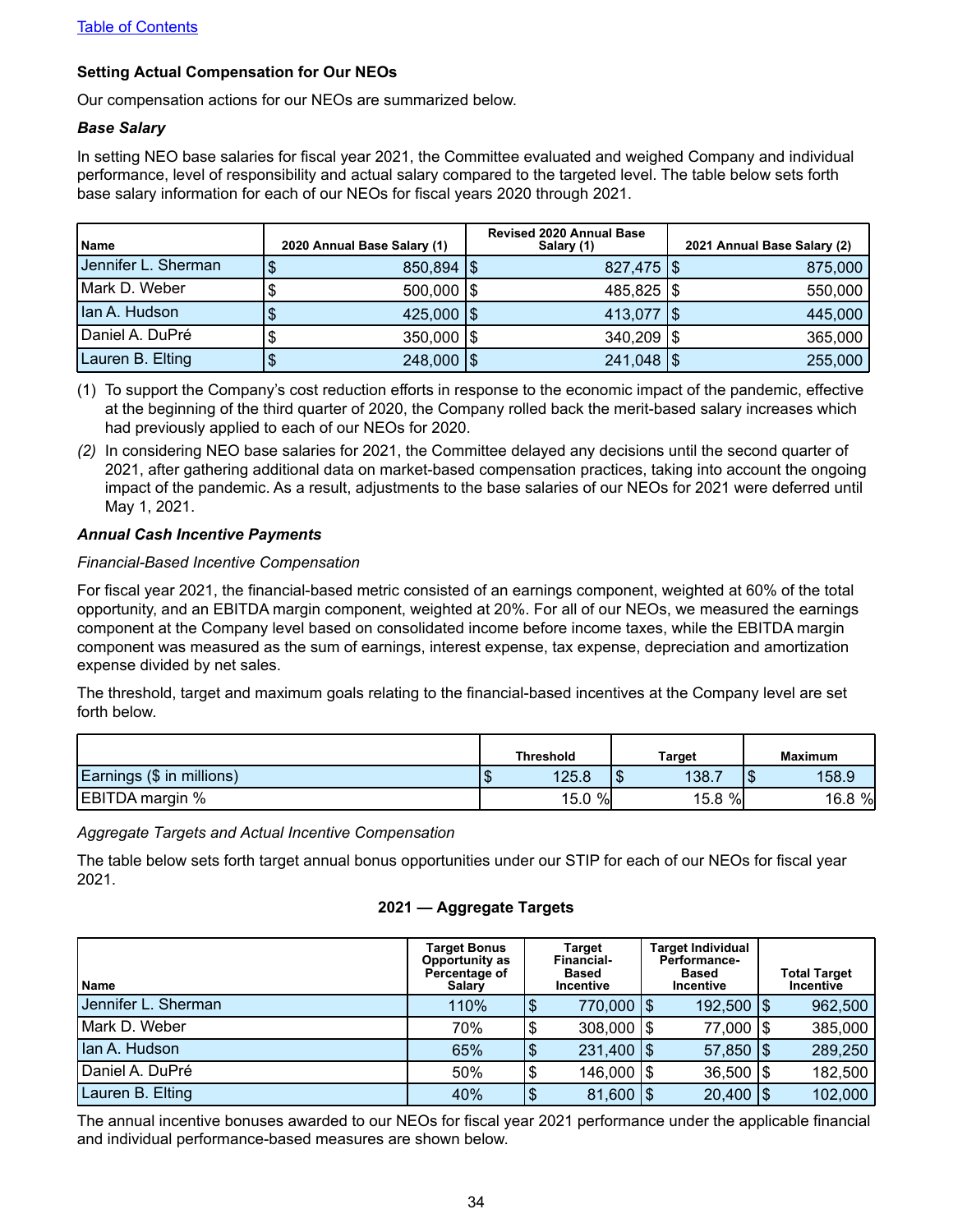### <span id="page-37-0"></span>**Setting Actual Compensation for Our NEOs**

Our compensation actions for our NEOs are summarized below.

#### *Base Salary*

In setting NEO base salaries for fiscal year 2021, the Committee evaluated and weighed Company and individual performance, level of responsibility and actual salary compared to the targeted level. The table below sets forth base salary information for each of our NEOs for fiscal years 2020 through 2021.

| l Name                 | 2020 Annual Base Salary (1) |     | <b>Revised 2020 Annual Base</b><br>Salary (1) | 2021 Annual Base Salary (2) |
|------------------------|-----------------------------|-----|-----------------------------------------------|-----------------------------|
| I Jennifer L. Sherman. | $850,894$ $\frac{1}{9}$     |     | $827,475$ $\frac{1}{9}$                       | 875,000                     |
| Mark D. Weber          | $500,000$ $\frac{1}{3}$     |     | $485,825$ $\frac{1}{9}$                       | 550,000                     |
| Ian A. Hudson          | $425,000$ $\sqrt{\$}$       |     | 413,077   \$                                  | 445,000                     |
| Daniel A. DuPré        | $350,000$ $\frac{1}{3}$     |     | $340,209$ $\frac{1}{9}$                       | 365,000                     |
| Lauren B. Elting       | 248,000                     | 1\$ | $241,048$ $\frac{1}{9}$                       | 255,000                     |

(1) To support the Company's cost reduction efforts in response to the economic impact of the pandemic, effective at the beginning of the third quarter of 2020, the Company rolled back the merit-based salary increases which had previously applied to each of our NEOs for 2020.

*(2)* In considering NEO base salaries for 2021, the Committee delayed any decisions until the second quarter of 2021, after gathering additional data on market-based compensation practices, taking into account the ongoing impact of the pandemic. As a result, adjustments to the base salaries of our NEOs for 2021 were deferred until May 1, 2021.

#### *Annual Cash Incentive Payments*

#### *Financial-Based Incentive Compensation*

For fiscal year 2021, the financial-based metric consisted of an earnings component, weighted at 60% of the total opportunity, and an EBITDA margin component, weighted at 20%. For all of our NEOs, we measured the earnings component at the Company level based on consolidated income before income taxes, while the EBITDA margin component was measured as the sum of earnings, interest expense, tax expense, depreciation and amortization expense divided by net sales.

The threshold, target and maximum goals relating to the financial-based incentives at the Company level are set forth below.

|                           | <b>Threshold</b><br>Target |        |            |           |     | <b>Maximum</b> |
|---------------------------|----------------------------|--------|------------|-----------|-----|----------------|
| Earnings (\$ in millions) | мD                         | 125.8  | ה ו<br>ם ו | 138.      | aD. | 158.9          |
| EBITDA margin %           |                            | 15.0 % |            | $15.8 \%$ |     | 16.8 %         |

*Aggregate Targets and Actual Incentive Compensation* 

The table below sets forth target annual bonus opportunities under our STIP for each of our NEOs for fiscal year 2021.

#### **2021 — Aggregate Targets**

| l Name              | <b>Target Bonus</b><br>Opportunity as<br>Percentage of<br>Salary |     | Target<br><b>Financial-</b><br>Based<br>Incentive | <b>Target Individual</b><br><b>Performance-</b><br>Based<br><b>Incentive</b> | <b>Total Target</b><br><b>Incentive</b> |
|---------------------|------------------------------------------------------------------|-----|---------------------------------------------------|------------------------------------------------------------------------------|-----------------------------------------|
| Jennifer L. Sherman | 110%                                                             | 1\$ | 770,000   \$                                      | 192,500   \$                                                                 | 962,500                                 |
| Mark D. Weber       | 70%                                                              | '\$ | $308,000$ $\frac{1}{9}$                           | 77,000   \$                                                                  | 385,000                                 |
| Ian A. Hudson       | 65%                                                              | 1\$ | $231,400$ $\frac{1}{9}$                           | $57,850$ $\frac{1}{9}$                                                       | 289,250                                 |
| Daniel A. DuPré     | 50%                                                              | '\$ | 146,000   \$                                      | $36,500$ $\frac{1}{9}$                                                       | 182,500                                 |
| Lauren B. Elting    | 40%                                                              | \$  | $81,600$ $\frac{1}{3}$                            | $20,400$   \$                                                                | 102,000                                 |

The annual incentive bonuses awarded to our NEOs for fiscal year 2021 performance under the applicable financial and individual performance-based measures are shown below.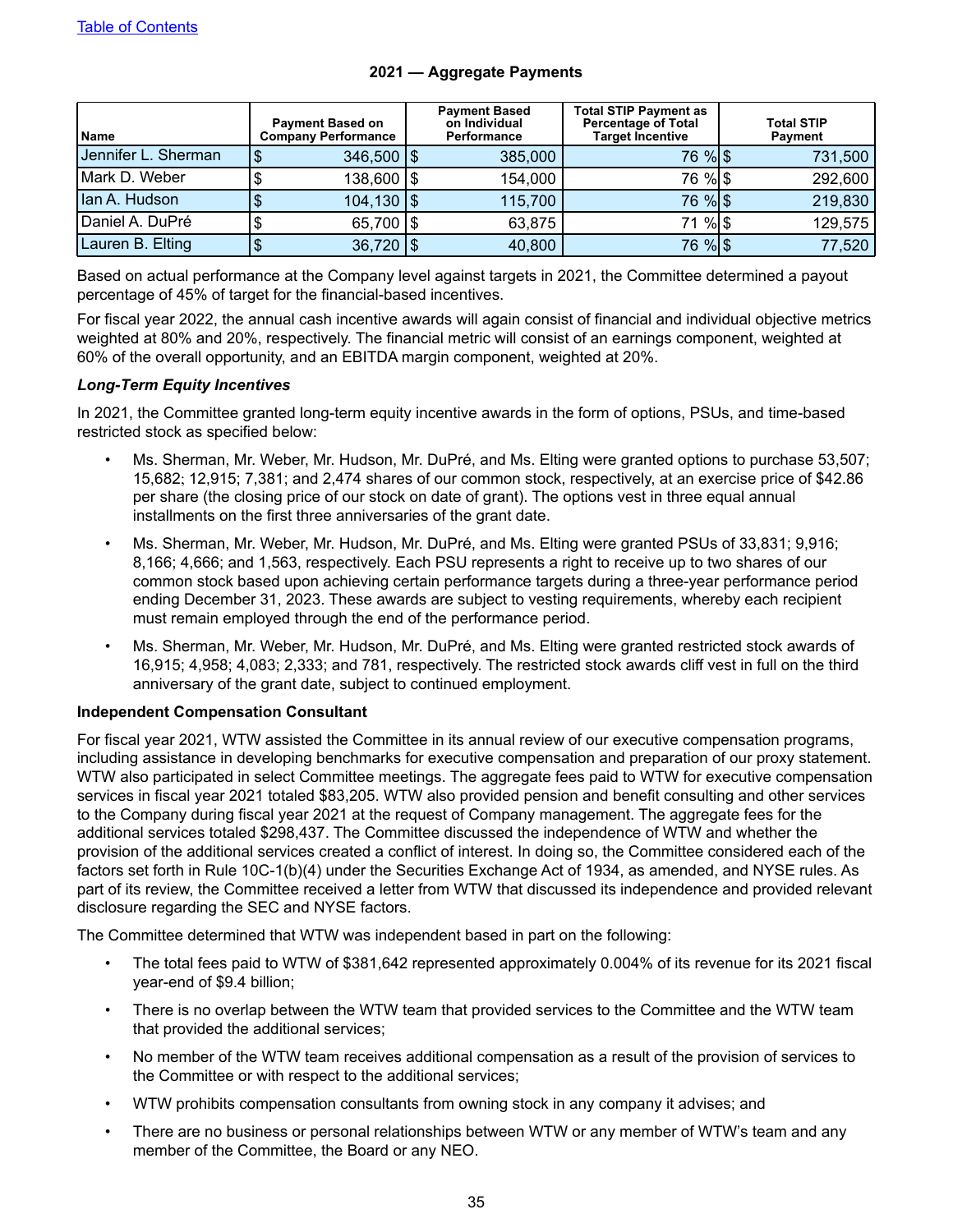<span id="page-38-0"></span>

| l Name              | <b>Payment Based on</b><br><b>Company Performance</b> |  | <b>Payment Based</b><br>on Individual<br><b>Performance</b> | <b>Total STIP Payment as</b><br><b>Percentage of Total</b><br><b>Target Incentive</b> | <b>Total STIP</b><br><b>Payment</b> |  |  |
|---------------------|-------------------------------------------------------|--|-------------------------------------------------------------|---------------------------------------------------------------------------------------|-------------------------------------|--|--|
| Jennifer L. Sherman | $346,500$ $\frac{1}{9}$                               |  | 385,000                                                     | 76 % \$                                                                               | 731,500                             |  |  |
| Mark D. Weber       | 138,600   \$                                          |  | 154,000                                                     | 76 % \$                                                                               | 292,600                             |  |  |
| Ian A. Hudson       | $104,130$ $\sqrt{5}$                                  |  | 115,700                                                     | 76 % \$                                                                               | 219,830                             |  |  |
| Daniel A. DuPré     | 65,700   \$                                           |  | 63,875                                                      | 71 % \$                                                                               | 129,575                             |  |  |
| Lauren B. Elting    | $36,720$   \$                                         |  | 40,800                                                      | 76 % \$                                                                               | 77,520                              |  |  |

#### **2021 — Aggregate Payments**

Based on actual performance at the Company level against targets in 2021, the Committee determined a payout percentage of 45% of target for the financial-based incentives.

For fiscal year 2022, the annual cash incentive awards will again consist of financial and individual objective metrics weighted at 80% and 20%, respectively. The financial metric will consist of an earnings component, weighted at 60% of the overall opportunity, and an EBITDA margin component, weighted at 20%.

#### *Long-Term Equity Incentives*

In 2021, the Committee granted long-term equity incentive awards in the form of options, PSUs, and time-based restricted stock as specified below:

- Ms. Sherman, Mr. Weber, Mr. Hudson, Mr. DuPré, and Ms. Elting were granted options to purchase 53,507; 15,682; 12,915; 7,381; and 2,474 shares of our common stock, respectively, at an exercise price of \$42.86 per share (the closing price of our stock on date of grant). The options vest in three equal annual installments on the first three anniversaries of the grant date.
- Ms. Sherman, Mr. Weber, Mr. Hudson, Mr. DuPré, and Ms. Elting were granted PSUs of 33,831; 9,916; 8,166; 4,666; and 1,563, respectively. Each PSU represents a right to receive up to two shares of our common stock based upon achieving certain performance targets during a three-year performance period ending December 31, 2023. These awards are subject to vesting requirements, whereby each recipient must remain employed through the end of the performance period.
- Ms. Sherman, Mr. Weber, Mr. Hudson, Mr. DuPré, and Ms. Elting were granted restricted stock awards of 16,915; 4,958; 4,083; 2,333; and 781, respectively. The restricted stock awards cliff vest in full on the third anniversary of the grant date, subject to continued employment.

#### **Independent Compensation Consultant**

For fiscal year 2021, WTW assisted the Committee in its annual review of our executive compensation programs, including assistance in developing benchmarks for executive compensation and preparation of our proxy statement. WTW also participated in select Committee meetings. The aggregate fees paid to WTW for executive compensation services in fiscal year 2021 totaled \$83,205. WTW also provided pension and benefit consulting and other services to the Company during fiscal year 2021 at the request of Company management. The aggregate fees for the additional services totaled \$298,437. The Committee discussed the independence of WTW and whether the provision of the additional services created a conflict of interest. In doing so, the Committee considered each of the factors set forth in Rule 10C-1(b)(4) under the Securities Exchange Act of 1934, as amended, and NYSE rules. As part of its review, the Committee received a letter from WTW that discussed its independence and provided relevant disclosure regarding the SEC and NYSE factors.

The Committee determined that WTW was independent based in part on the following:

- The total fees paid to WTW of \$381,642 represented approximately 0.004% of its revenue for its 2021 fiscal year-end of \$9.4 billion;
- There is no overlap between the WTW team that provided services to the Committee and the WTW team that provided the additional services;
- No member of the WTW team receives additional compensation as a result of the provision of services to the Committee or with respect to the additional services;
- WTW prohibits compensation consultants from owning stock in any company it advises; and
- There are no business or personal relationships between WTW or any member of WTW's team and any member of the Committee, the Board or any NEO.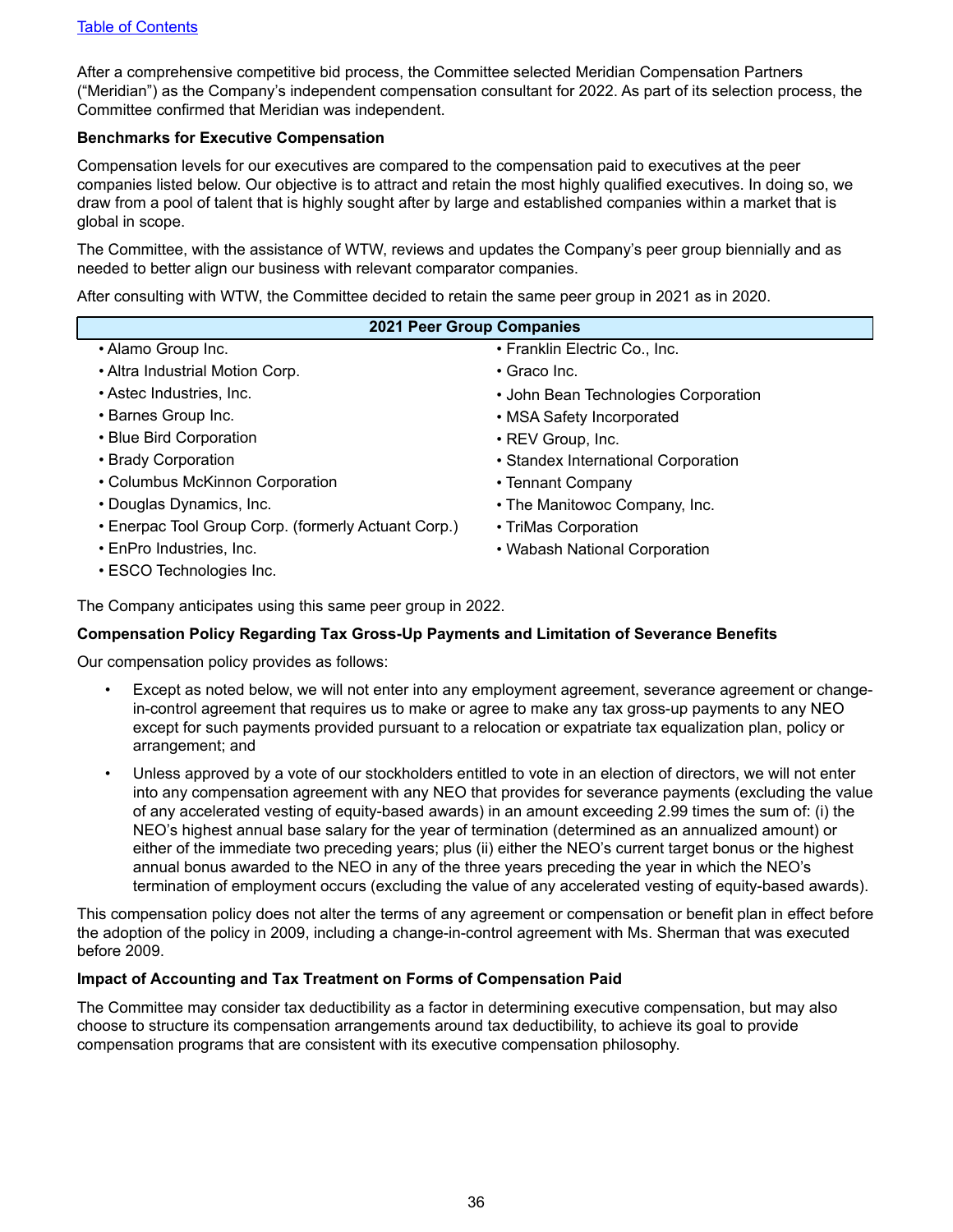<span id="page-39-0"></span>After a comprehensive competitive bid process, the Committee selected Meridian Compensation Partners ("Meridian") as the Company's independent compensation consultant for 2022. As part of its selection process, the Committee confirmed that Meridian was independent.

#### **Benchmarks for Executive Compensation**

Compensation levels for our executives are compared to the compensation paid to executives at the peer companies listed below. Our objective is to attract and retain the most highly qualified executives. In doing so, we draw from a pool of talent that is highly sought after by large and established companies within a market that is global in scope.

The Committee, with the assistance of WTW, reviews and updates the Company's peer group biennially and as needed to better align our business with relevant comparator companies.

After consulting with WTW, the Committee decided to retain the same peer group in 2021 as in 2020.

| <b>2021 Peer Group Companies</b>                    |                                      |
|-----------------------------------------------------|--------------------------------------|
| • Alamo Group Inc.                                  | • Franklin Electric Co., Inc.        |
| • Altra Industrial Motion Corp.                     | $\cdot$ Graco Inc.                   |
| • Astec Industries, Inc.                            | • John Bean Technologies Corporation |
| • Barnes Group Inc.                                 | • MSA Safety Incorporated            |
| • Blue Bird Corporation                             | • REV Group, Inc.                    |
| • Brady Corporation                                 | • Standex International Corporation  |
| • Columbus McKinnon Corporation                     | • Tennant Company                    |
| • Douglas Dynamics, Inc.                            | • The Manitowoc Company, Inc.        |
| • Enerpac Tool Group Corp. (formerly Actuant Corp.) | • TriMas Corporation                 |
| • EnPro Industries, Inc.                            | • Wabash National Corporation        |
| • ESCO Technologies Inc.                            |                                      |
|                                                     |                                      |

The Company anticipates using this same peer group in 2022.

#### **Compensation Policy Regarding Tax Gross-Up Payments and Limitation of Severance Benefits**

Our compensation policy provides as follows:

- Except as noted below, we will not enter into any employment agreement, severance agreement or changein-control agreement that requires us to make or agree to make any tax gross-up payments to any NEO except for such payments provided pursuant to a relocation or expatriate tax equalization plan, policy or arrangement; and
- Unless approved by a vote of our stockholders entitled to vote in an election of directors, we will not enter into any compensation agreement with any NEO that provides for severance payments (excluding the value of any accelerated vesting of equity-based awards) in an amount exceeding 2.99 times the sum of: (i) the NEO's highest annual base salary for the year of termination (determined as an annualized amount) or either of the immediate two preceding years; plus (ii) either the NEO's current target bonus or the highest annual bonus awarded to the NEO in any of the three years preceding the year in which the NEO's termination of employment occurs (excluding the value of any accelerated vesting of equity-based awards).

This compensation policy does not alter the terms of any agreement or compensation or benefit plan in effect before the adoption of the policy in 2009, including a change-in-control agreement with Ms. Sherman that was executed before 2009.

#### **Impact of Accounting and Tax Treatment on Forms of Compensation Paid**

The Committee may consider tax deductibility as a factor in determining executive compensation, but may also choose to structure its compensation arrangements around tax deductibility, to achieve its goal to provide compensation programs that are consistent with its executive compensation philosophy.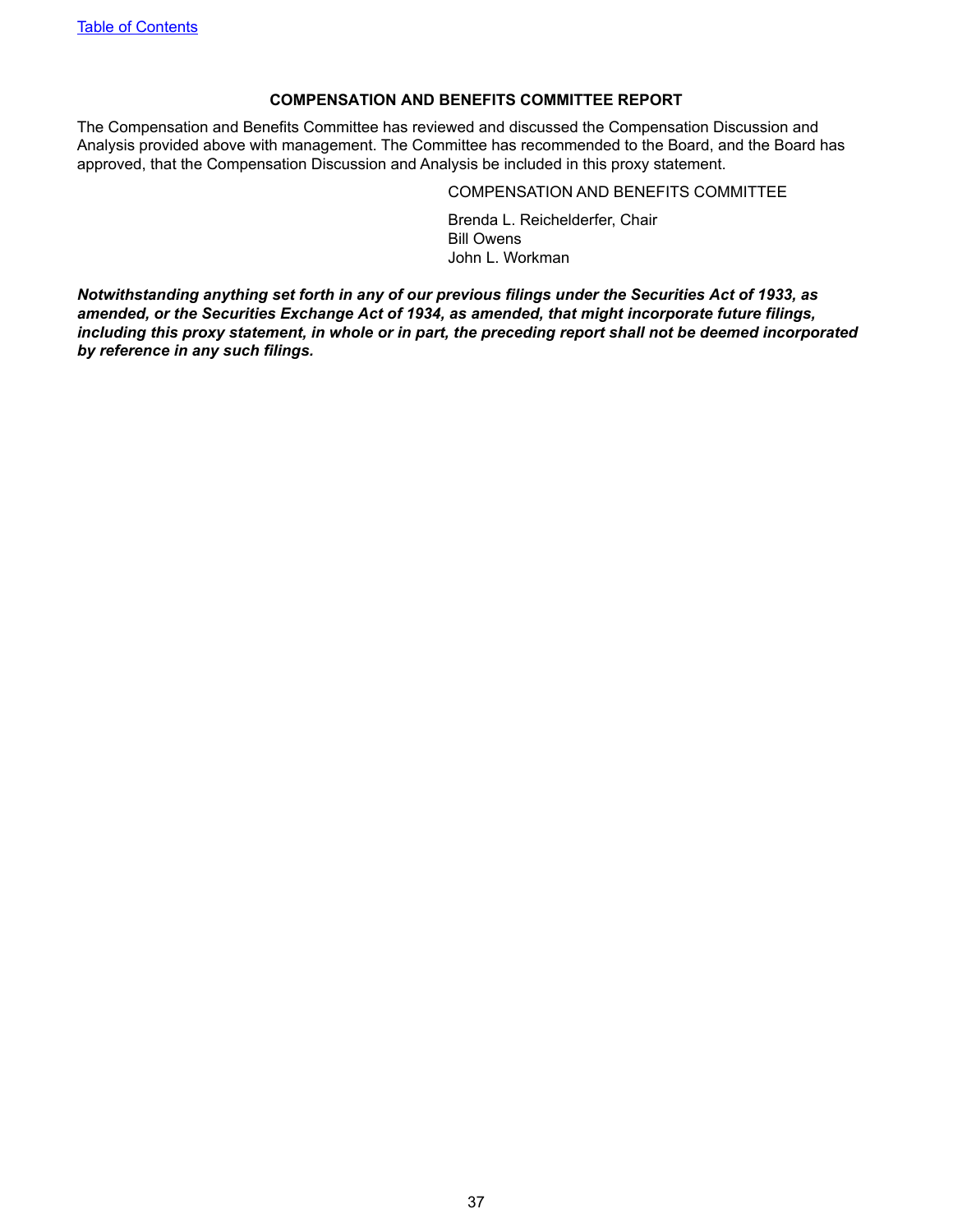### **COMPENSATION AND BENEFITS COMMITTEE REPORT**

<span id="page-40-0"></span>The Compensation and Benefits Committee has reviewed and discussed the Compensation Discussion and Analysis provided above with management. The Committee has recommended to the Board, and the Board has approved, that the Compensation Discussion and Analysis be included in this proxy statement.

#### COMPENSATION AND BENEFITS COMMITTEE

Brenda L. Reichelderfer, Chair Bill Owens John L. Workman

*Notwithstanding anything set forth in any of our previous filings under the Securities Act of 1933, as amended, or the Securities Exchange Act of 1934, as amended, that might incorporate future filings, including this proxy statement, in whole or in part, the preceding report shall not be deemed incorporated by reference in any such filings.*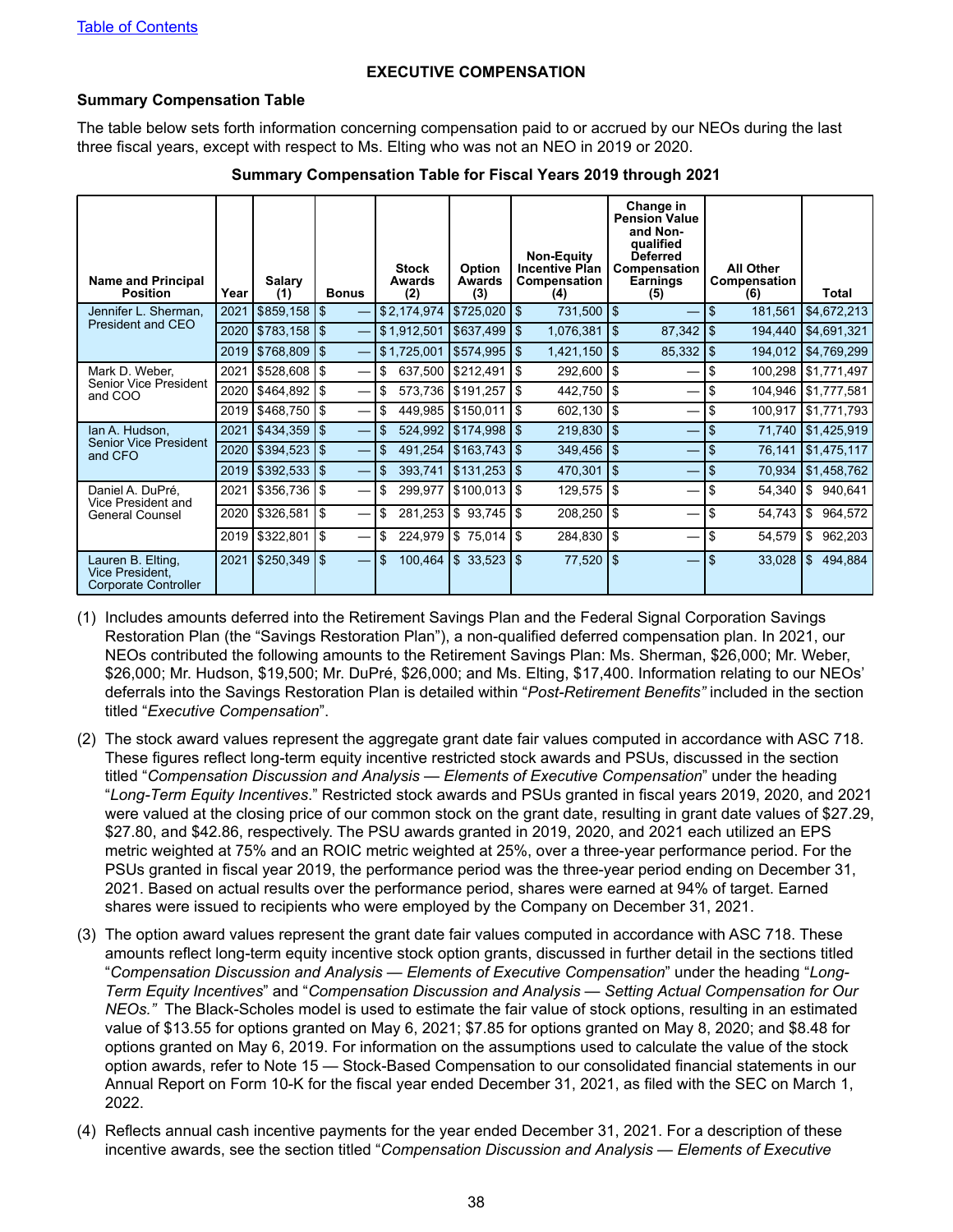### **EXECUTIVE COMPENSATION**

#### <span id="page-41-0"></span>**Summary Compensation Table**

The table below sets forth information concerning compensation paid to or accrued by our NEOs during the last three fiscal years, except with respect to Ms. Elting who was not an NEO in 2019 or 2020.

| <b>Name and Principal</b><br><b>Position</b>                 | Year | <b>Salary</b><br>(1) | <b>Bonus</b>            | <b>Stock</b><br>Awards<br>(2) | Option<br>Awards<br>(3) | Non-Equity<br><b>Incentive Plan</b><br><b>Compensation</b><br>(4) | Change in<br><b>Pension Value</b><br>and Non-<br>qualified<br>Deferred<br>Compensation<br><b>Earnings</b><br>(5) | <b>All Other</b><br>Compensation<br>(6) | Total                  |
|--------------------------------------------------------------|------|----------------------|-------------------------|-------------------------------|-------------------------|-------------------------------------------------------------------|------------------------------------------------------------------------------------------------------------------|-----------------------------------------|------------------------|
| Jennifer L. Sherman.<br>President and CEO                    | 2021 | $$859,158$ \\$       |                         | \$2,174,974                   | \$725,020               | l\$<br>731,500   \$                                               |                                                                                                                  | $\mathfrak{S}$<br>181,561               | \$4,672,213            |
|                                                              | 2020 | \$783,158            | $\sqrt{3}$              | \$1,912,501                   | \$637,499               | 1\$<br>1,076,381                                                  | 87,342<br>$\overline{1}$                                                                                         | $\overline{1}$                          | 194,440   \$4,691,321  |
|                                                              | 2019 | \$768,809            | $\overline{\mathbf{3}}$ | \$1,725,001                   | \$574,995               | l\$<br>$1,421,150$   \$                                           | $85,332$ \\$                                                                                                     |                                         | 194,012   \$4,769,299  |
| Mark D. Weber,                                               | 2021 | \$528,608            | \$                      | 637,500<br>\$                 | \$212,491               | l \$<br>292,600                                                   | 1\$<br>$\overline{\phantom{0}}$                                                                                  | \$                                      | 100,298   \$1,771,497  |
| Senior Vice President<br>and COO                             | 2020 | \$464,892            | l\$                     | \$                            | 573,736   \$191,257     | ا \$<br>442,750   \$                                              |                                                                                                                  | \$                                      | 104,946   \$1,777,581  |
|                                                              | 2019 | \$468,750            | 5                       | \$                            | 449,985   \$150,011     | ا \$<br>602,130                                                   | 1\$                                                                                                              | \$<br>100,917                           | \$1,771,793            |
| lan A. Hudson,                                               | 2021 | \$434,359            | \$                      | \$                            | 524,992   \$174,998     | l\$<br>$219,830$   \$                                             | $\overline{\phantom{0}}$                                                                                         | \$                                      | 71,740   \$1,425,919   |
| Senior Vice President<br>and CFO                             | 2020 | \$394,523            | 5                       | \$                            | 491,254   \$163,743     | $\overline{1}$<br>$349,456$ \\$                                   | ⇔                                                                                                                | \$<br>76,141                            | $\frac{1}{31,475,117}$ |
|                                                              | 2019 | \$392,533            | $\sqrt{3}$              | 393,741<br>\$                 | \$131,253               | 1\$<br>470,301                                                    | 1\$                                                                                                              | \$                                      | 70,934   \$1,458,762   |
| Daniel A. DuPré,<br>Vice President and                       | 2021 | \$356,736            | \$                      | \$<br>299,977                 | \$100,013               | l \$<br>$129,575$   \$                                            |                                                                                                                  | \$<br>54,340                            | \$940,641              |
| General Counsel                                              | 2020 | \$326,581            | l \$                    | \$                            | 281,253   \$93,745      | l \$<br>208,250                                                   | 1\$                                                                                                              | \$<br>$54,743$ $\frac{1}{9}$            | 964,572                |
|                                                              | 2019 | \$322,801            | 1\$                     | \$                            | 224,979   \$75,014   \$ | 284,830   \$                                                      |                                                                                                                  | \$<br>54,579                            | 962,203<br>l \$        |
| Lauren B. Elting,<br>Vice President.<br>Corporate Controller | 2021 | \$250,349            | $\mathfrak{S}$          | $\mathfrak{S}$<br>100,464     | $\frac{1}{3}$ 33,523    | $77,520$   \$<br>1\$                                              | –                                                                                                                | \$<br>33,028                            | $\frac{1}{9}$ 494,884  |

#### **Summary Compensation Table for Fiscal Years 2019 through 2021**

- (1) Includes amounts deferred into the Retirement Savings Plan and the Federal Signal Corporation Savings Restoration Plan (the "Savings Restoration Plan"), a non-qualified deferred compensation plan. In 2021, our NEOs contributed the following amounts to the Retirement Savings Plan: Ms. Sherman, \$26,000; Mr. Weber, \$26,000; Mr. Hudson, \$19,500; Mr. DuPré, \$26,000; and Ms. Elting, \$17,400. Information relating to our NEOs' deferrals into the Savings Restoration Plan is detailed within "*Post-Retirement Benefits"* included in the section titled "*Executive Compensation*".
- (2) The stock award values represent the aggregate grant date fair values computed in accordance with ASC 718. These figures reflect long-term equity incentive restricted stock awards and PSUs, discussed in the section titled "*Compensation Discussion and Analysis* — *Elements of Executive Compensation*" under the heading "*Long-Term Equity Incentives*." Restricted stock awards and PSUs granted in fiscal years 2019, 2020, and 2021 were valued at the closing price of our common stock on the grant date, resulting in grant date values of \$27.29, \$27.80, and \$42.86, respectively. The PSU awards granted in 2019, 2020, and 2021 each utilized an EPS metric weighted at 75% and an ROIC metric weighted at 25%, over a three-year performance period. For the PSUs granted in fiscal year 2019, the performance period was the three-year period ending on December 31, 2021. Based on actual results over the performance period, shares were earned at 94% of target. Earned shares were issued to recipients who were employed by the Company on December 31, 2021.
- (3) The option award values represent the grant date fair values computed in accordance with ASC 718. These amounts reflect long-term equity incentive stock option grants, discussed in further detail in the sections titled "*Compensation Discussion and Analysis* — *Elements of Executive Compensation*" under the heading "*Long-Term Equity Incentives*" and "*Compensation Discussion and Analysis* — *Setting Actual Compensation for Our NEOs."* The Black-Scholes model is used to estimate the fair value of stock options, resulting in an estimated value of \$13.55 for options granted on May 6, 2021; \$7.85 for options granted on May 8, 2020; and \$8.48 for options granted on May 6, 2019. For information on the assumptions used to calculate the value of the stock option awards, refer to Note 15 — Stock-Based Compensation to our consolidated financial statements in our Annual Report on Form 10-K for the fiscal year ended December 31, 2021, as filed with the SEC on March 1, 2022.
- (4) Reflects annual cash incentive payments for the year ended December 31, 2021. For a description of these incentive awards, see the section titled "*Compensation Discussion and Analysis — Elements of Executive*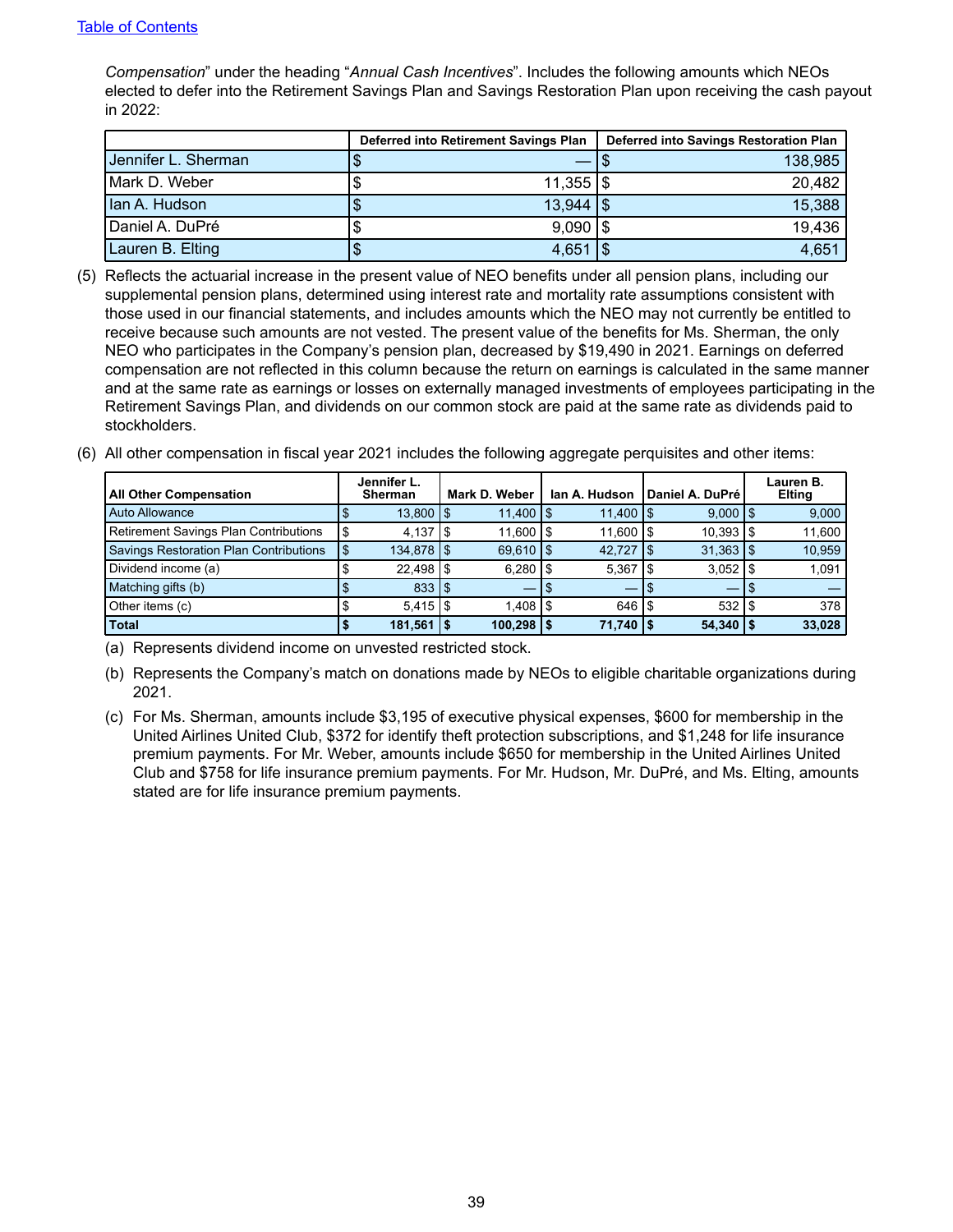*Compensation*" under the heading "*Annual Cash Incentives*". Includes the following amounts which NEOs elected to defer into the Retirement Savings Plan and Savings Restoration Plan upon receiving the cash payout in 2022:

|                     | Deferred into Retirement Savings Plan |                        | Deferred into Savings Restoration Plan |         |  |  |  |
|---------------------|---------------------------------------|------------------------|----------------------------------------|---------|--|--|--|
| Jennifer L. Sherman |                                       |                        |                                        | 138,985 |  |  |  |
| Mark D. Weber       |                                       | $11,355$ $\frac{1}{3}$ |                                        | 20,482  |  |  |  |
| Ian A. Hudson       |                                       | $13,944$ $\frac{1}{3}$ |                                        | 15,388  |  |  |  |
| Daniel A. DuPré     |                                       | $9,090$ $\sqrt{3}$     |                                        | 19,436  |  |  |  |
| Lauren B. Elting    |                                       | 4,651                  |                                        | 4,651   |  |  |  |

- (5) Reflects the actuarial increase in the present value of NEO benefits under all pension plans, including our supplemental pension plans, determined using interest rate and mortality rate assumptions consistent with those used in our financial statements, and includes amounts which the NEO may not currently be entitled to receive because such amounts are not vested. The present value of the benefits for Ms. Sherman, the only NEO who participates in the Company's pension plan, decreased by \$19,490 in 2021. Earnings on deferred compensation are not reflected in this column because the return on earnings is calculated in the same manner and at the same rate as earnings or losses on externally managed investments of employees participating in the Retirement Savings Plan, and dividends on our common stock are paid at the same rate as dividends paid to stockholders.
- (6) All other compensation in fiscal year 2021 includes the following aggregate perquisites and other items:

| <b>All Other Compensation</b>                | Jennifer L.<br><b>Sherman</b> | Mark D. Weber       | lan A. Hudson       | Daniel A. DuPré        |     | Lauren B.<br><b>Elting</b> |
|----------------------------------------------|-------------------------------|---------------------|---------------------|------------------------|-----|----------------------------|
| Auto Allowance                               | $13,800$ $\sqrt{5}$           | $11,400$ $\sqrt{5}$ | $11,400$ $\boxed{$  | $9,000$   \$           |     | 9,000                      |
| <b>Retirement Savings Plan Contributions</b> | $4,137$ $\frac{1}{9}$         | $11,600$ $\sqrt{5}$ | $11,600$ $\vert$ \$ | $10,393$ $\frac{1}{3}$ |     | 11,600                     |
| Savings Restoration Plan Contributions       | $134,878$ $\frac{1}{3}$       | $69.610$ S          | $42,727$ \\$        | $31.363$ $\frac{1}{3}$ |     | 10,959                     |
| Dividend income (a)                          | $22,498$   \$                 | $6,280$   \$        | 5,367               | $3,052$   \$           |     | 1,091                      |
| Matching gifts (b)                           | 833 S                         |                     |                     |                        |     |                            |
| Other items (c)                              | $5.415$ S                     | $1,408$ $\sqrt{5}$  | 646 S               | 532                    | ۱\$ | 378                        |
| <b>Total</b>                                 | $181,561$ $\frac{1}{5}$       | $100,298$   \$      | $71,740$   \$       | 54,340                 |     | 33,028                     |

(a) Represents dividend income on unvested restricted stock.

(b) Represents the Company's match on donations made by NEOs to eligible charitable organizations during 2021.

(c) For Ms. Sherman, amounts include \$3,195 of executive physical expenses, \$600 for membership in the United Airlines United Club, \$372 for identify theft protection subscriptions, and \$1,248 for life insurance premium payments. For Mr. Weber, amounts include \$650 for membership in the United Airlines United Club and \$758 for life insurance premium payments. For Mr. Hudson, Mr. DuPré, and Ms. Elting, amounts stated are for life insurance premium payments.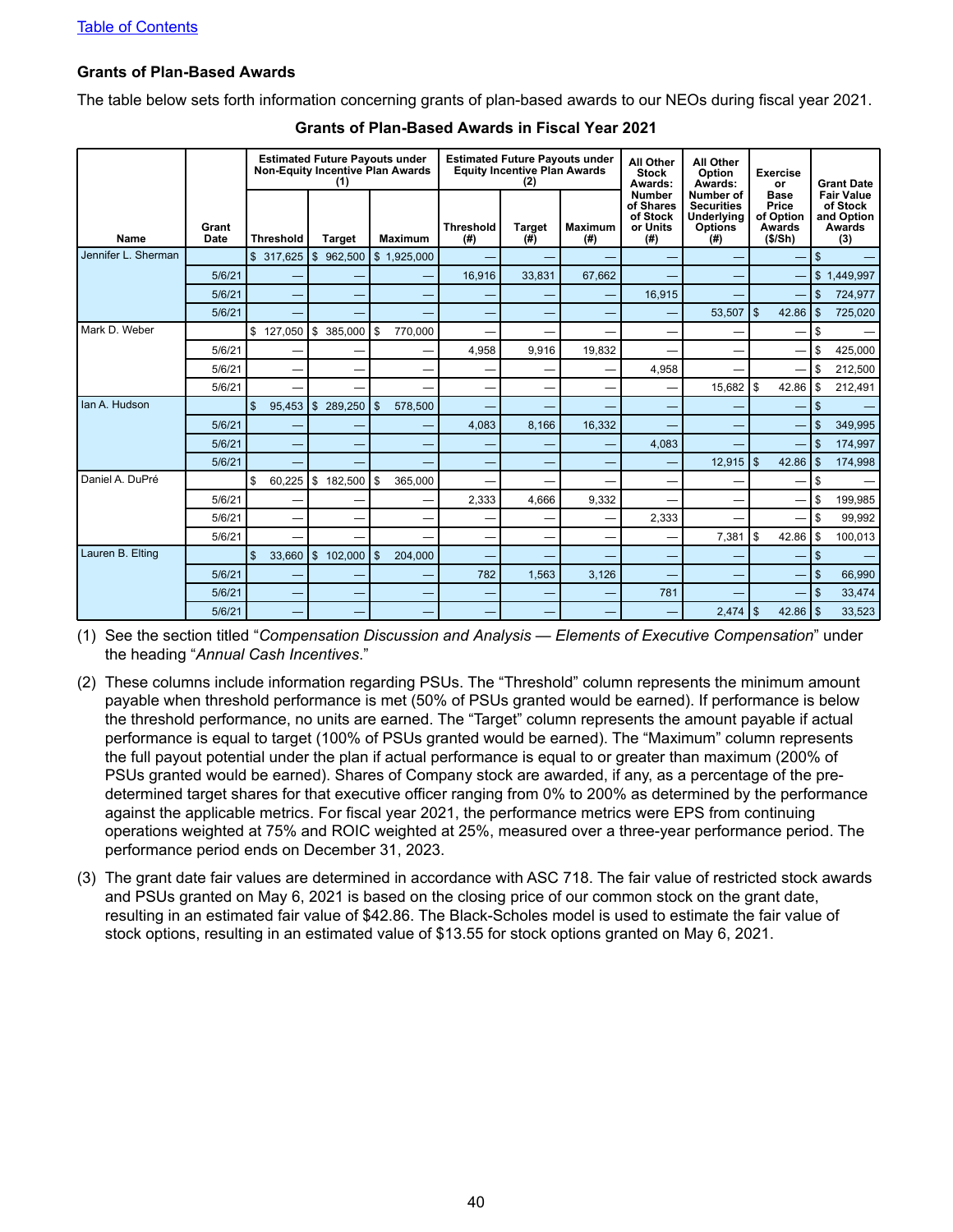#### <span id="page-43-0"></span>**Grants of Plan-Based Awards**

The table below sets forth information concerning grants of plan-based awards to our NEOs during fiscal year 2021.

|                     |                      |                        | <b>Estimated Future Payouts under</b><br>(1) | <b>Non-Equity Incentive Plan Awards</b> |                          | <b>Estimated Future Payouts under</b><br><b>Equity Incentive Plan Awards</b><br>(2) |                        | All Other<br><b>Stock</b><br>Awards:                       | All Other<br>Option<br>Awards:                                        | <b>Exercise</b><br>or                                  | <b>Grant Date</b>                                            |
|---------------------|----------------------|------------------------|----------------------------------------------|-----------------------------------------|--------------------------|-------------------------------------------------------------------------------------|------------------------|------------------------------------------------------------|-----------------------------------------------------------------------|--------------------------------------------------------|--------------------------------------------------------------|
| <b>Name</b>         | Grant<br><b>Date</b> | <b>Threshold</b>       | <b>Target</b>                                | <b>Maximum</b>                          | <b>Threshold</b><br>(# ) | <b>Target</b><br>(#)                                                                | <b>Maximum</b><br>(# ) | <b>Number</b><br>of Shares<br>of Stock<br>or Units<br>(# ) | Number of<br><b>Securities</b><br>Underlying<br><b>Options</b><br>(4) | <b>Base</b><br>Price<br>of Option<br>Awards<br>(\$/Sh) | <b>Fair Value</b><br>of Stock<br>and Option<br>Awards<br>(3) |
| Jennifer L. Sherman |                      | \$ 317,625             | \$962,500                                    | \$1,925,000                             |                          |                                                                                     |                        |                                                            |                                                                       |                                                        | $\mathsf{\$}$                                                |
|                     | 5/6/21               |                        |                                              |                                         | 16.916                   | 33.831                                                                              | 67.662                 |                                                            |                                                                       |                                                        | \$1,449,997                                                  |
|                     | 5/6/21               |                        |                                              |                                         |                          |                                                                                     |                        | 16,915                                                     |                                                                       |                                                        | $\mathfrak{s}$<br>724,977                                    |
|                     | 5/6/21               |                        |                                              |                                         |                          |                                                                                     |                        |                                                            | 53,507                                                                | $\mathfrak{s}$<br>42.86                                | $\mathfrak{s}$<br>725,020                                    |
| Mark D. Weber       |                      | \$127,050              | \$385,000                                    | \$<br>770,000                           | $\overline{\phantom{0}}$ | -                                                                                   | -                      | -                                                          |                                                                       |                                                        | \$                                                           |
|                     | 5/6/21               | -                      |                                              | -                                       | 4.958                    | 9.916                                                                               | 19.832                 |                                                            |                                                                       | -                                                      | 425,000<br>\$                                                |
|                     | 5/6/21               | $\sim$                 | -                                            |                                         |                          |                                                                                     |                        | 4,958                                                      |                                                                       |                                                        | 212,500<br>\$                                                |
|                     | 5/6/21               | -                      | —                                            | -                                       | -                        |                                                                                     |                        |                                                            | 15,682                                                                | \$<br>42.86                                            | 212,491<br>\$                                                |
| lan A. Hudson       |                      | $\mathbb{S}$<br>95,453 | \$289,250                                    | \$<br>578,500                           | -                        |                                                                                     |                        |                                                            |                                                                       |                                                        | $\mathfrak{s}$                                               |
|                     | 5/6/21               |                        |                                              |                                         | 4,083                    | 8,166                                                                               | 16,332                 |                                                            |                                                                       |                                                        | 349,995<br>$\mathbb{S}$                                      |
|                     | 5/6/21               |                        |                                              |                                         |                          |                                                                                     |                        | 4,083                                                      |                                                                       |                                                        | $\mathbb{S}$<br>174,997                                      |
|                     | 5/6/21               |                        |                                              |                                         | -                        |                                                                                     |                        |                                                            | 12,915                                                                | l \$<br>42.86                                          | $\mathsf{\$}$<br>174,998                                     |
| Daniel A. DuPré     |                      | \$<br>60,225           | \$<br>182,500                                | \$<br>365,000                           |                          |                                                                                     |                        |                                                            |                                                                       |                                                        | \$                                                           |
|                     | 5/6/21               |                        |                                              |                                         | 2,333                    | 4,666                                                                               | 9,332                  |                                                            |                                                                       |                                                        | \$<br>199,985                                                |
|                     | 5/6/21               | -                      | -                                            |                                         |                          |                                                                                     |                        | 2,333                                                      |                                                                       |                                                        | \$<br>99,992                                                 |
|                     | 5/6/21               |                        |                                              |                                         | —                        |                                                                                     |                        |                                                            | 7,381                                                                 | \$<br>42.86                                            | \$<br>100,013                                                |
| Lauren B. Elting    |                      | \$<br>33,660           | $\mathsf{s}$<br>102,000                      | $\mathfrak{L}$<br>204,000               |                          |                                                                                     |                        |                                                            |                                                                       |                                                        | $\mathsf{\$}$                                                |
|                     | 5/6/21               |                        |                                              |                                         | 782                      | 1,563                                                                               | 3,126                  |                                                            |                                                                       |                                                        | $\mathfrak{s}$<br>66,990                                     |
|                     | 5/6/21               |                        |                                              |                                         |                          |                                                                                     |                        | 781                                                        |                                                                       |                                                        | $\mathsf{\$}$<br>33,474                                      |
|                     | 5/6/21               |                        |                                              |                                         |                          |                                                                                     |                        |                                                            | $2,474$ \\$                                                           |                                                        | 33,523                                                       |

#### **Grants of Plan-Based Awards in Fiscal Year 2021**

(1) See the section titled "*Compensation Discussion and Analysis — Elements of Executive Compensation*" under the heading "*Annual Cash Incentives*."

- (2) These columns include information regarding PSUs. The "Threshold" column represents the minimum amount payable when threshold performance is met (50% of PSUs granted would be earned). If performance is below the threshold performance, no units are earned. The "Target" column represents the amount payable if actual performance is equal to target (100% of PSUs granted would be earned). The "Maximum" column represents the full payout potential under the plan if actual performance is equal to or greater than maximum (200% of PSUs granted would be earned). Shares of Company stock are awarded, if any, as a percentage of the predetermined target shares for that executive officer ranging from 0% to 200% as determined by the performance against the applicable metrics. For fiscal year 2021, the performance metrics were EPS from continuing operations weighted at 75% and ROIC weighted at 25%, measured over a three-year performance period. The performance period ends on December 31, 2023.
- (3) The grant date fair values are determined in accordance with ASC 718. The fair value of restricted stock awards and PSUs granted on May 6, 2021 is based on the closing price of our common stock on the grant date, resulting in an estimated fair value of \$42.86. The Black-Scholes model is used to estimate the fair value of stock options, resulting in an estimated value of \$13.55 for stock options granted on May 6, 2021.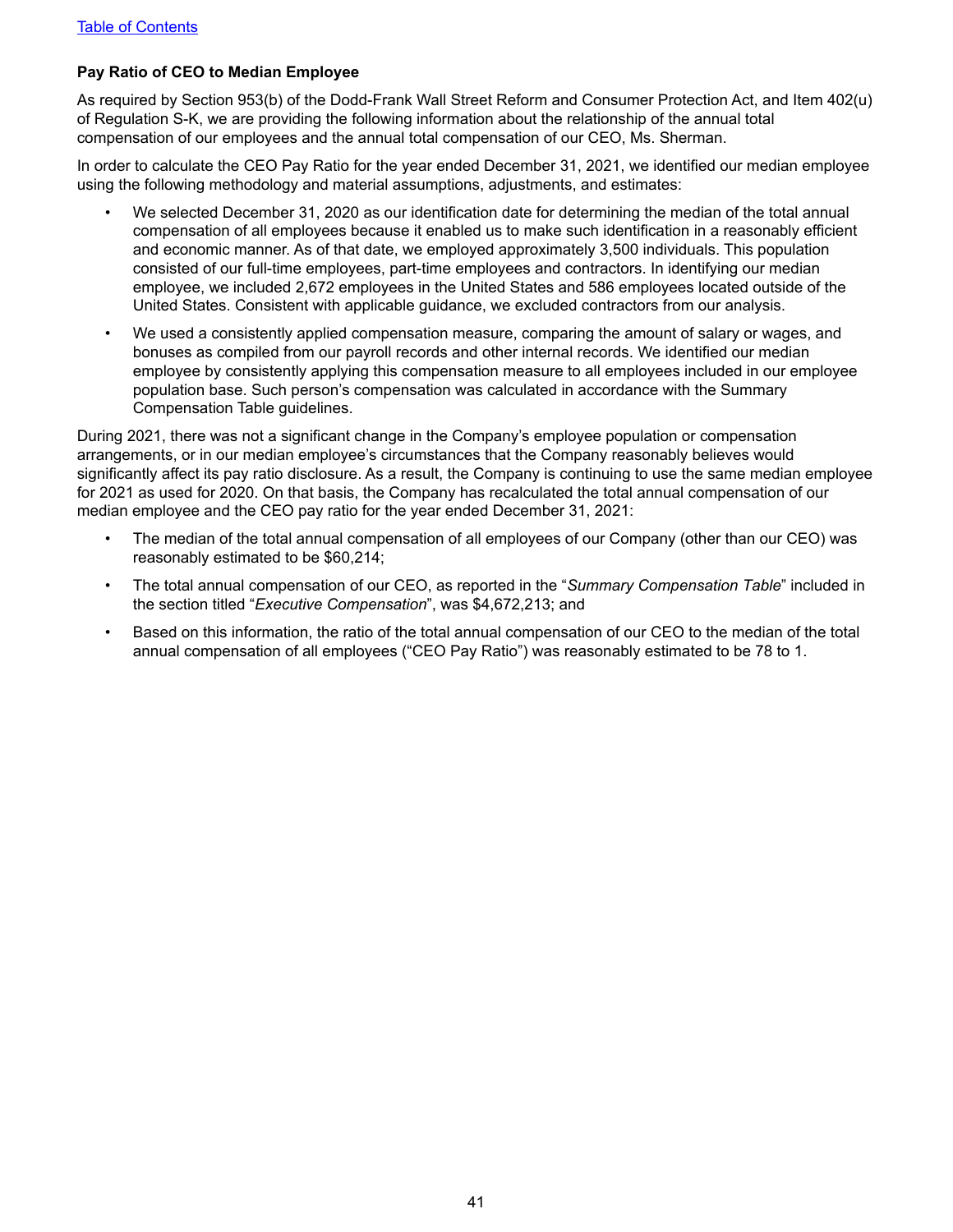### <span id="page-44-0"></span>**Pay Ratio of CEO to Median Employee**

As required by Section 953(b) of the Dodd-Frank Wall Street Reform and Consumer Protection Act, and Item 402(u) of Regulation S-K, we are providing the following information about the relationship of the annual total compensation of our employees and the annual total compensation of our CEO, Ms. Sherman.

In order to calculate the CEO Pay Ratio for the year ended December 31, 2021, we identified our median employee using the following methodology and material assumptions, adjustments, and estimates:

- We selected December 31, 2020 as our identification date for determining the median of the total annual compensation of all employees because it enabled us to make such identification in a reasonably efficient and economic manner. As of that date, we employed approximately 3,500 individuals. This population consisted of our full-time employees, part-time employees and contractors. In identifying our median employee, we included 2,672 employees in the United States and 586 employees located outside of the United States. Consistent with applicable guidance, we excluded contractors from our analysis.
- We used a consistently applied compensation measure, comparing the amount of salary or wages, and bonuses as compiled from our payroll records and other internal records. We identified our median employee by consistently applying this compensation measure to all employees included in our employee population base. Such person's compensation was calculated in accordance with the Summary Compensation Table guidelines.

During 2021, there was not a significant change in the Company's employee population or compensation arrangements, or in our median employee's circumstances that the Company reasonably believes would significantly affect its pay ratio disclosure. As a result, the Company is continuing to use the same median employee for 2021 as used for 2020. On that basis, the Company has recalculated the total annual compensation of our median employee and the CEO pay ratio for the year ended December 31, 2021:

- The median of the total annual compensation of all employees of our Company (other than our CEO) was reasonably estimated to be \$60,214;
- The total annual compensation of our CEO, as reported in the "*Summary Compensation Table*" included in the section titled "*Executive Compensation*", was \$4,672,213; and
- Based on this information, the ratio of the total annual compensation of our CEO to the median of the total annual compensation of all employees ("CEO Pay Ratio") was reasonably estimated to be 78 to 1.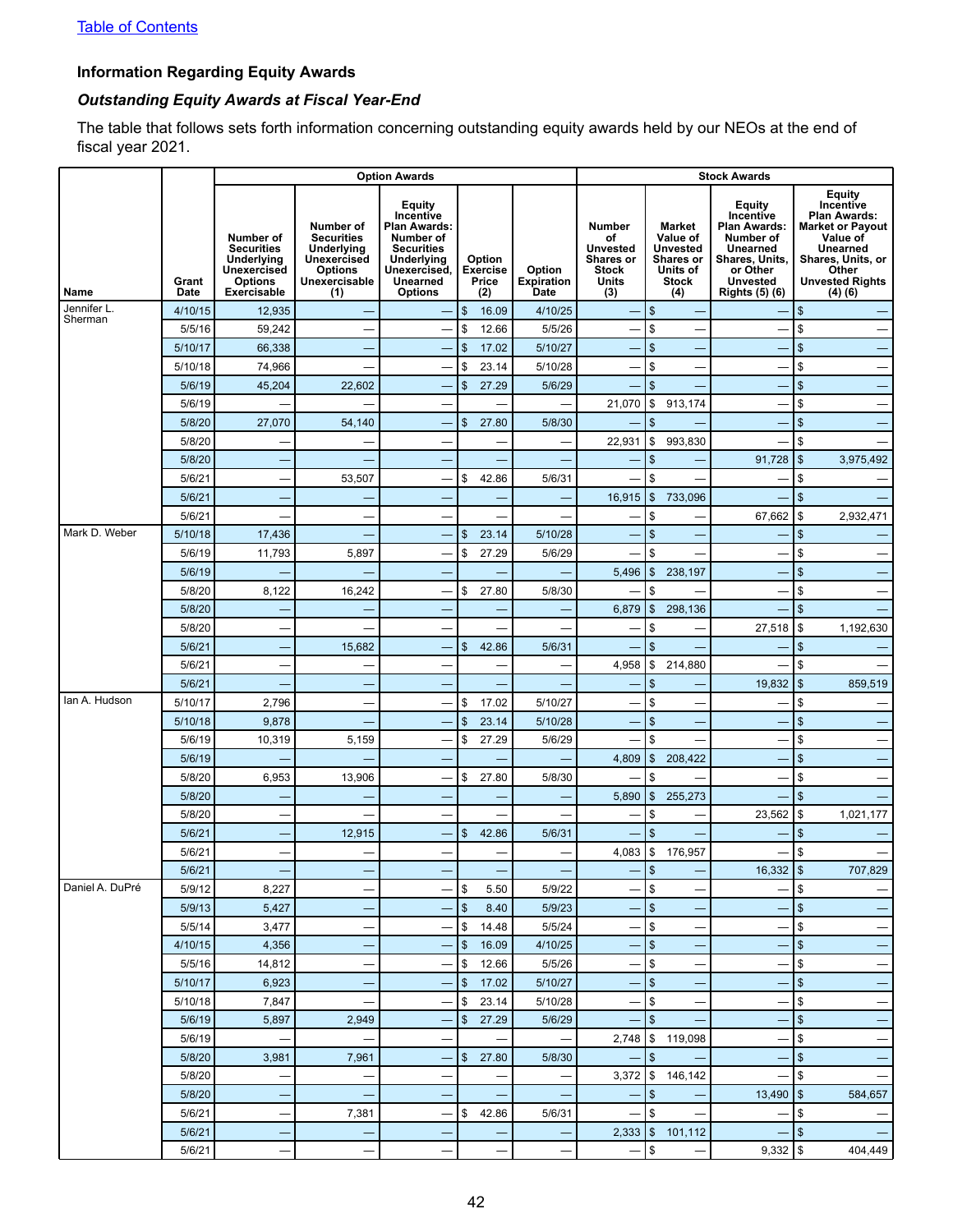## <span id="page-45-0"></span>**Information Regarding Equity Awards**

## *Outstanding Equity Awards at Fiscal Year-End*

The table that follows sets forth information concerning outstanding equity awards held by our NEOs at the end of fiscal year 2021.

|                 |                      |                                                                                                     |                                                                                                       | <b>Option Awards</b>                                                                                                                            |                                           |                                     |                                                                                     |                                                                                              |                                                                                                                                        |                                                                                                                                                                        |
|-----------------|----------------------|-----------------------------------------------------------------------------------------------------|-------------------------------------------------------------------------------------------------------|-------------------------------------------------------------------------------------------------------------------------------------------------|-------------------------------------------|-------------------------------------|-------------------------------------------------------------------------------------|----------------------------------------------------------------------------------------------|----------------------------------------------------------------------------------------------------------------------------------------|------------------------------------------------------------------------------------------------------------------------------------------------------------------------|
| Name            | Grant<br><b>Date</b> | Number of<br><b>Securities</b><br>Underlying<br>Unexercised<br><b>Options</b><br><b>Exercisable</b> | Number of<br><b>Securities</b><br>Underlying<br>Unexercised<br><b>Options</b><br>Unexercisable<br>(1) | Equity<br>Incentive<br><b>Plan Awards:</b><br>Number of<br><b>Securities</b><br>Underlying<br>Unexercised,<br><b>Unearned</b><br><b>Options</b> | Option<br><b>Exercise</b><br>Price<br>(2) | Option<br><b>Expiration</b><br>Date | <b>Number</b><br>of<br><b>Unvested</b><br>Shares or<br><b>Stock</b><br>Units<br>(3) | Market<br>Value of<br><b>Unvested</b><br><b>Shares or</b><br>Units of<br><b>Stock</b><br>(4) | Equity<br>Incentive<br><b>Plan Awards:</b><br>Number of<br>Unearned<br>Shares, Units,<br>or Other<br>Unvested<br><b>Rights (5) (6)</b> | <b>Equity</b><br>Incentive<br><b>Plan Awards:</b><br>Market or Payout<br>Value of<br><b>Unearned</b><br>Shares, Units, or<br>Other<br><b>Unvested Rights</b><br>(4)(6) |
| Jennifer L.     | 4/10/15              | 12,935                                                                                              |                                                                                                       |                                                                                                                                                 | \$<br>16.09                               | 4/10/25                             |                                                                                     | \$                                                                                           |                                                                                                                                        | \$                                                                                                                                                                     |
| Sherman         | 5/5/16               | 59,242                                                                                              |                                                                                                       |                                                                                                                                                 | \$<br>12.66                               | 5/5/26                              |                                                                                     | \$                                                                                           |                                                                                                                                        | \$                                                                                                                                                                     |
|                 | 5/10/17              | 66,338                                                                                              |                                                                                                       |                                                                                                                                                 | \$<br>17.02                               | 5/10/27                             |                                                                                     | \$                                                                                           |                                                                                                                                        | $\mathfrak{s}$                                                                                                                                                         |
|                 | 5/10/18              | 74,966                                                                                              | —                                                                                                     | —                                                                                                                                               | \$<br>23.14                               | 5/10/28                             | -                                                                                   | \$                                                                                           |                                                                                                                                        | \$<br>-                                                                                                                                                                |
|                 | 5/6/19               | 45,204                                                                                              | 22,602                                                                                                |                                                                                                                                                 | \$<br>27.29                               | 5/6/29                              |                                                                                     | \$                                                                                           |                                                                                                                                        | $\mathfrak{s}$                                                                                                                                                         |
|                 | 5/6/19               |                                                                                                     |                                                                                                       |                                                                                                                                                 |                                           |                                     | 21,070                                                                              | \$<br>913,174                                                                                |                                                                                                                                        | \$                                                                                                                                                                     |
|                 | 5/8/20               | 27,070                                                                                              | 54,140                                                                                                | -                                                                                                                                               | \$<br>27.80                               | 5/8/30                              |                                                                                     | \$                                                                                           |                                                                                                                                        | $\mathfrak{s}$                                                                                                                                                         |
|                 | 5/8/20               | —                                                                                                   |                                                                                                       | -                                                                                                                                               | -                                         |                                     | 22,931                                                                              | \$<br>993,830                                                                                |                                                                                                                                        | \$                                                                                                                                                                     |
|                 | 5/8/20               |                                                                                                     |                                                                                                       | -                                                                                                                                               |                                           |                                     |                                                                                     | \$                                                                                           | 91,728                                                                                                                                 | $\sqrt{3}$<br>3,975,492                                                                                                                                                |
|                 | 5/6/21               | —                                                                                                   | 53,507                                                                                                | -                                                                                                                                               | \$<br>42.86                               | 5/6/31                              | -                                                                                   | \$                                                                                           | -                                                                                                                                      | \$                                                                                                                                                                     |
|                 | 5/6/21               |                                                                                                     |                                                                                                       | -                                                                                                                                               |                                           |                                     | 16,915                                                                              | $\mathfrak{S}$<br>733,096                                                                    |                                                                                                                                        | $\mathfrak{s}$                                                                                                                                                         |
|                 | 5/6/21               |                                                                                                     |                                                                                                       |                                                                                                                                                 |                                           |                                     |                                                                                     | \$                                                                                           | 67,662                                                                                                                                 | 5<br>2,932,471                                                                                                                                                         |
| Mark D. Weber   | 5/10/18              | 17,436                                                                                              |                                                                                                       | -                                                                                                                                               | \$<br>23.14                               | 5/10/28                             |                                                                                     | \$                                                                                           |                                                                                                                                        | \$                                                                                                                                                                     |
|                 | 5/6/19               | 11,793                                                                                              | 5,897                                                                                                 | $\overline{\phantom{0}}$                                                                                                                        | \$<br>27.29                               | 5/6/29                              | -                                                                                   | \$                                                                                           |                                                                                                                                        | \$                                                                                                                                                                     |
|                 | 5/6/19               |                                                                                                     |                                                                                                       | -                                                                                                                                               |                                           |                                     | 5,496                                                                               | $\mathfrak{S}$<br>238,197                                                                    |                                                                                                                                        | \$                                                                                                                                                                     |
|                 | 5/8/20               | 8,122                                                                                               | 16,242                                                                                                | -                                                                                                                                               | \$<br>27.80                               | 5/8/30                              |                                                                                     | \$                                                                                           |                                                                                                                                        | \$                                                                                                                                                                     |
|                 | 5/8/20               |                                                                                                     |                                                                                                       | -                                                                                                                                               |                                           |                                     | 6,879                                                                               | $\mathfrak{S}$<br>298.136                                                                    |                                                                                                                                        | \$                                                                                                                                                                     |
|                 | 5/8/20               | —                                                                                                   |                                                                                                       | -                                                                                                                                               |                                           |                                     | -                                                                                   | \$                                                                                           | 27,518                                                                                                                                 | 5<br>1,192,630                                                                                                                                                         |
|                 | 5/6/21               |                                                                                                     | 15,682                                                                                                | ۳                                                                                                                                               | \$<br>42.86                               | 5/6/31                              |                                                                                     | \$                                                                                           |                                                                                                                                        | \$                                                                                                                                                                     |
|                 | 5/6/21               |                                                                                                     | —                                                                                                     | -                                                                                                                                               | -                                         |                                     | 4,958                                                                               | \$<br>214,880                                                                                |                                                                                                                                        | \$                                                                                                                                                                     |
|                 | 5/6/21               |                                                                                                     |                                                                                                       | -                                                                                                                                               |                                           |                                     |                                                                                     | \$                                                                                           | 19,832                                                                                                                                 | $\sqrt{3}$<br>859,519                                                                                                                                                  |
| lan A. Hudson   | 5/10/17              | 2,796                                                                                               |                                                                                                       | -                                                                                                                                               | \$<br>17.02                               | 5/10/27                             |                                                                                     | \$                                                                                           |                                                                                                                                        | \$                                                                                                                                                                     |
|                 | 5/10/18              | 9,878                                                                                               |                                                                                                       |                                                                                                                                                 | \$<br>23.14                               | 5/10/28                             |                                                                                     | \$                                                                                           |                                                                                                                                        | $\mathfrak{s}$                                                                                                                                                         |
|                 | 5/6/19               | 10,319                                                                                              | 5,159                                                                                                 | $\overline{\phantom{0}}$                                                                                                                        | \$<br>27.29                               | 5/6/29                              |                                                                                     | \$                                                                                           |                                                                                                                                        | \$<br>-                                                                                                                                                                |
|                 | 5/6/19               |                                                                                                     |                                                                                                       | ٠                                                                                                                                               |                                           |                                     | 4,809                                                                               | $\mathfrak{S}$<br>208,422                                                                    |                                                                                                                                        | \$                                                                                                                                                                     |
|                 | 5/8/20               | 6,953                                                                                               | 13,906                                                                                                | -                                                                                                                                               | \$<br>27.80                               | 5/8/30                              |                                                                                     | \$                                                                                           |                                                                                                                                        | \$<br>-                                                                                                                                                                |
|                 | 5/8/20               |                                                                                                     |                                                                                                       | -                                                                                                                                               |                                           |                                     | 5,890                                                                               | $\mathfrak{S}$<br>255,273                                                                    |                                                                                                                                        | \$                                                                                                                                                                     |
|                 | 5/8/20               |                                                                                                     |                                                                                                       |                                                                                                                                                 |                                           |                                     |                                                                                     | \$                                                                                           | 23,562                                                                                                                                 | l \$<br>1,021,177                                                                                                                                                      |
|                 | 5/6/21               |                                                                                                     | 12,915                                                                                                |                                                                                                                                                 | \$<br>42.86                               | 5/6/31                              |                                                                                     | \$                                                                                           |                                                                                                                                        | \$                                                                                                                                                                     |
|                 | 5/6/21               |                                                                                                     |                                                                                                       |                                                                                                                                                 | -                                         |                                     | 4,083                                                                               | \$<br>176,957                                                                                |                                                                                                                                        | \$                                                                                                                                                                     |
|                 | 5/6/21               |                                                                                                     |                                                                                                       |                                                                                                                                                 | -                                         |                                     |                                                                                     | $\vert \, \$$                                                                                | $16,332$ \ \$                                                                                                                          | 707,829                                                                                                                                                                |
| Daniel A. DuPré | 5/9/12               | 8,227                                                                                               | —                                                                                                     |                                                                                                                                                 | \$<br>5.50                                | 5/9/22                              | -                                                                                   | \$                                                                                           |                                                                                                                                        | 5                                                                                                                                                                      |
|                 | 5/9/13               | 5,427                                                                                               | -                                                                                                     | -                                                                                                                                               | $\sqrt{3}$<br>8.40                        | 5/9/23                              | -                                                                                   | \$                                                                                           | -                                                                                                                                      | $\sqrt{3}$<br>$\overline{\phantom{0}}$                                                                                                                                 |
|                 | 5/5/14               | 3,477                                                                                               | -                                                                                                     | $\overline{\phantom{0}}$                                                                                                                        | \$<br>14.48                               | 5/5/24                              | —                                                                                   | \$<br>-                                                                                      | $\qquad \qquad$                                                                                                                        | \$                                                                                                                                                                     |
|                 | 4/10/15              | 4,356                                                                                               | -                                                                                                     | -                                                                                                                                               | Ι\$<br>16.09                              | 4/10/25                             |                                                                                     | \$                                                                                           | -                                                                                                                                      | $\sqrt{3}$<br>-                                                                                                                                                        |
|                 | 5/5/16               | 14,812                                                                                              | -                                                                                                     | $\qquad \qquad$                                                                                                                                 | \$<br>12.66                               | 5/5/26                              | —<br>—                                                                              | \$<br>-                                                                                      | $\overline{\phantom{0}}$                                                                                                               | 5                                                                                                                                                                      |
|                 | 5/10/17              | 6,923                                                                                               | -                                                                                                     | -                                                                                                                                               | Ι\$<br>17.02                              | 5/10/27                             |                                                                                     | \$                                                                                           | -                                                                                                                                      | $\sqrt{3}$<br>-                                                                                                                                                        |
|                 | 5/10/18              | 7,847                                                                                               | $\overline{\phantom{0}}$                                                                              |                                                                                                                                                 | Ι\$<br>23.14                              | 5/10/28                             | -                                                                                   | \$                                                                                           | —                                                                                                                                      | \$                                                                                                                                                                     |
|                 | 5/6/19               | 5,897                                                                                               | 2,949                                                                                                 | $\qquad \qquad$                                                                                                                                 | $\mathfrak{S}$<br>27.29                   | 5/6/29                              | -                                                                                   | \$<br>-                                                                                      | -                                                                                                                                      | $\frac{1}{2}$<br>-                                                                                                                                                     |
|                 | 5/6/19               |                                                                                                     | $\overline{\phantom{0}}$                                                                              | $\overline{\phantom{0}}$                                                                                                                        | $\qquad \qquad$                           |                                     | 2,748                                                                               | \$119,098                                                                                    | —<br>—                                                                                                                                 | \$                                                                                                                                                                     |
|                 | 5/8/20               | 3,981                                                                                               | 7,961                                                                                                 | -                                                                                                                                               | \$27.80                                   | 5/8/30                              | $\qquad \qquad -$                                                                   | $\sqrt{2}$                                                                                   | -                                                                                                                                      | $\sqrt{3}$<br>-                                                                                                                                                        |
|                 | 5/8/20<br>5/8/20     | —                                                                                                   | $\overline{\phantom{0}}$                                                                              |                                                                                                                                                 | —                                         |                                     |                                                                                     | $3,372$   \$ 146,142<br>$\sqrt{2}$                                                           | —                                                                                                                                      | 5                                                                                                                                                                      |
|                 | 5/6/21               | -                                                                                                   | -                                                                                                     | $\overline{\phantom{0}}$                                                                                                                        | $\qquad \qquad$<br>\$42.86                | 5/6/31                              | $\overline{\phantom{0}}$                                                            | \$                                                                                           | $13,490$   \$                                                                                                                          | 584,657<br>\$                                                                                                                                                          |
|                 | 5/6/21               | —                                                                                                   | 7,381                                                                                                 |                                                                                                                                                 |                                           |                                     |                                                                                     | $\overline{\phantom{0}}$<br>$2,333$ $\frac{1}{9}$ 101,112                                    | $\overline{\phantom{0}}$                                                                                                               | $\sqrt{3}$                                                                                                                                                             |
|                 | 5/6/21               |                                                                                                     |                                                                                                       | -                                                                                                                                               | -                                         |                                     |                                                                                     |                                                                                              | $\qquad \qquad \longleftarrow$                                                                                                         |                                                                                                                                                                        |
|                 |                      | —                                                                                                   | —                                                                                                     | $\overline{\phantom{0}}$                                                                                                                        | $\overline{\phantom{0}}$                  | —                                   | $\qquad \qquad -$                                                                   | $\,$                                                                                         |                                                                                                                                        | 404,449                                                                                                                                                                |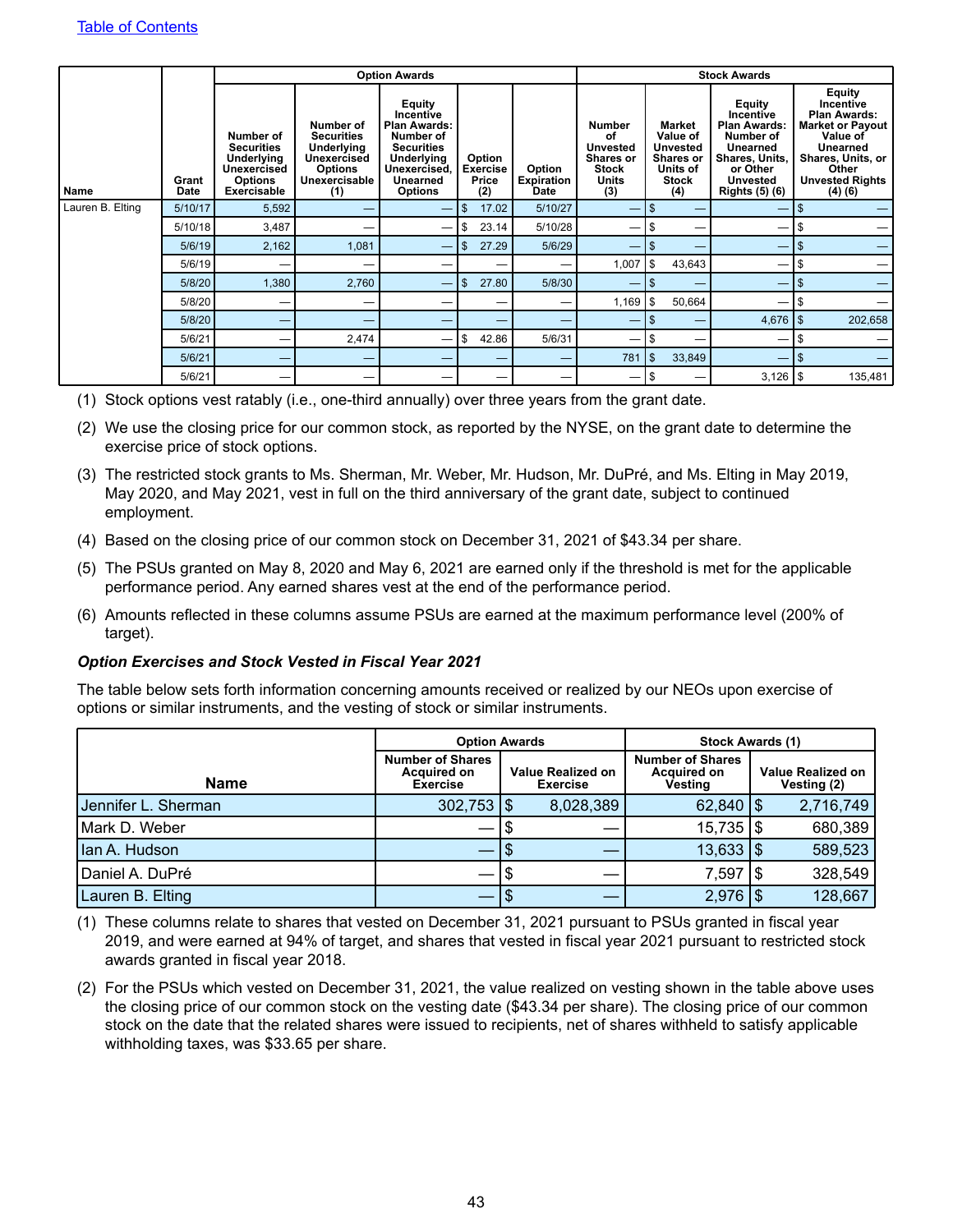|                  |               |                                                                                                     |                                                                                                                     | <b>Option Awards</b>                                                                                                                     |                                           |                                            | <b>Stock Awards</b>                                                                        |                                                                                              |                                                                                                                                               |                                                                                                                                                                        |
|------------------|---------------|-----------------------------------------------------------------------------------------------------|---------------------------------------------------------------------------------------------------------------------|------------------------------------------------------------------------------------------------------------------------------------------|-------------------------------------------|--------------------------------------------|--------------------------------------------------------------------------------------------|----------------------------------------------------------------------------------------------|-----------------------------------------------------------------------------------------------------------------------------------------------|------------------------------------------------------------------------------------------------------------------------------------------------------------------------|
| <b>Name</b>      | Grant<br>Date | Number of<br><b>Securities</b><br><b>Underlying</b><br>Unexercised<br><b>Options</b><br>Exercisable | Number of<br><b>Securities</b><br><b>Underlying</b><br><b>Unexercised</b><br><b>Options</b><br>Unexercisable<br>(1) | Equity<br>Incentive<br><b>Plan Awards:</b><br>Number of<br><b>Securities</b><br>Underlying<br>Unexercised,<br>Unearned<br><b>Options</b> | Option<br><b>Exercise</b><br>Price<br>(2) | Option<br><b>Expiration</b><br><b>Date</b> | <b>Number</b><br>of<br><b>Unvested</b><br>Shares or<br><b>Stock</b><br><b>Units</b><br>(3) | Market<br>Value of<br><b>Unvested</b><br><b>Shares or</b><br>Units of<br><b>Stock</b><br>(4) | Equity<br>Incentive<br><b>Plan Awards:</b><br>Number of<br>Unearned<br>Shares, Units,<br>or Other<br><b>Unvested</b><br><b>Rights (5) (6)</b> | <b>Equity</b><br>Incentive<br><b>Plan Awards:</b><br><b>Market or Payout</b><br>Value of<br>Unearned<br>Shares, Units, or<br>Other<br><b>Unvested Rights</b><br>(4)(6) |
| Lauren B. Elting | 5/10/17       | 5,592                                                                                               |                                                                                                                     | -                                                                                                                                        | $\mathfrak{s}$<br>17.02                   | 5/10/27                                    |                                                                                            | \$                                                                                           |                                                                                                                                               | $\mathbb{S}$                                                                                                                                                           |
|                  | 5/10/18       | 3,487                                                                                               |                                                                                                                     |                                                                                                                                          | 23.14<br>-S                               | 5/10/28                                    |                                                                                            | S                                                                                            |                                                                                                                                               | \$                                                                                                                                                                     |
|                  | 5/6/19        | 2,162                                                                                               | 1,081                                                                                                               | –                                                                                                                                        | 27.29<br>\$                               | 5/6/29                                     | -                                                                                          | \$                                                                                           |                                                                                                                                               | \$                                                                                                                                                                     |
|                  | 5/6/19        | –                                                                                                   |                                                                                                                     |                                                                                                                                          |                                           | –                                          | 1,007                                                                                      | \$<br>43,643                                                                                 |                                                                                                                                               | \$                                                                                                                                                                     |
|                  | 5/8/20        | 1,380                                                                                               | 2,760                                                                                                               | -                                                                                                                                        | 5<br>27.80                                | 5/8/30                                     |                                                                                            | S.<br>–                                                                                      | –                                                                                                                                             | \$                                                                                                                                                                     |
|                  | 5/8/20        | –                                                                                                   |                                                                                                                     |                                                                                                                                          |                                           |                                            | $1,169$ \ \$                                                                               | 50,664                                                                                       |                                                                                                                                               | \$                                                                                                                                                                     |
|                  | 5/8/20        | _                                                                                                   |                                                                                                                     |                                                                                                                                          |                                           |                                            | -                                                                                          | S.                                                                                           | $4,676$ \\$                                                                                                                                   | 202,658                                                                                                                                                                |
|                  | 5/6/21        |                                                                                                     | 2,474                                                                                                               |                                                                                                                                          | \$<br>42.86                               | 5/6/31                                     | —                                                                                          | S                                                                                            |                                                                                                                                               | S                                                                                                                                                                      |
|                  | 5/6/21        | -                                                                                                   |                                                                                                                     |                                                                                                                                          | –                                         | –                                          | 781                                                                                        | $\mathfrak{S}$<br>33,849                                                                     |                                                                                                                                               | \$                                                                                                                                                                     |
|                  | 5/6/21        |                                                                                                     |                                                                                                                     |                                                                                                                                          |                                           |                                            | —                                                                                          | \$                                                                                           | $3,126$   \$                                                                                                                                  | 135,481                                                                                                                                                                |

(1) Stock options vest ratably (i.e., one-third annually) over three years from the grant date.

- (2) We use the closing price for our common stock, as reported by the NYSE, on the grant date to determine the exercise price of stock options.
- (3) The restricted stock grants to Ms. Sherman, Mr. Weber, Mr. Hudson, Mr. DuPré, and Ms. Elting in May 2019, May 2020, and May 2021, vest in full on the third anniversary of the grant date, subject to continued employment.
- (4) Based on the closing price of our common stock on December 31, 2021 of \$43.34 per share.
- (5) The PSUs granted on May 8, 2020 and May 6, 2021 are earned only if the threshold is met for the applicable performance period. Any earned shares vest at the end of the performance period.
- (6) Amounts reflected in these columns assume PSUs are earned at the maximum performance level (200% of target).

#### *Option Exercises and Stock Vested in Fiscal Year 2021*

The table below sets forth information concerning amounts received or realized by our NEOs upon exercise of options or similar instruments, and the vesting of stock or similar instruments.

|                     |                                                                  | <b>Option Awards</b>                        |                                                          |                                         | <b>Stock Awards (1)</b> |           |  |  |  |  |
|---------------------|------------------------------------------------------------------|---------------------------------------------|----------------------------------------------------------|-----------------------------------------|-------------------------|-----------|--|--|--|--|
| Name                | <b>Number of Shares</b><br><b>Acquired on</b><br><b>Exercise</b> | <b>Value Realized on</b><br><b>Exercise</b> | <b>Number of Shares</b><br><b>Acquired on</b><br>Vesting | <b>Value Realized on</b><br>Vesting (2) |                         |           |  |  |  |  |
| Jennifer L. Sherman | $302,753$ \\$                                                    |                                             | 8,028,389                                                | $62,840$ $\sqrt{5}$                     |                         | 2,716,749 |  |  |  |  |
| Mark D. Weber       |                                                                  |                                             |                                                          | $15,735$ $\frac{1}{9}$                  |                         | 680,389   |  |  |  |  |
| Ian A. Hudson       |                                                                  |                                             |                                                          | $13,633$ $\frac{1}{9}$                  |                         | 589,523   |  |  |  |  |
| Daniel A. DuPré     |                                                                  |                                             |                                                          | 7,597                                   |                         | 328,549   |  |  |  |  |
| Lauren B. Elting    |                                                                  |                                             |                                                          | $2,976$ \\$                             |                         | 128,667   |  |  |  |  |

(1) These columns relate to shares that vested on December 31, 2021 pursuant to PSUs granted in fiscal year 2019, and were earned at 94% of target, and shares that vested in fiscal year 2021 pursuant to restricted stock awards granted in fiscal year 2018.

(2) For the PSUs which vested on December 31, 2021, the value realized on vesting shown in the table above uses the closing price of our common stock on the vesting date (\$43.34 per share). The closing price of our common stock on the date that the related shares were issued to recipients, net of shares withheld to satisfy applicable withholding taxes, was \$33.65 per share.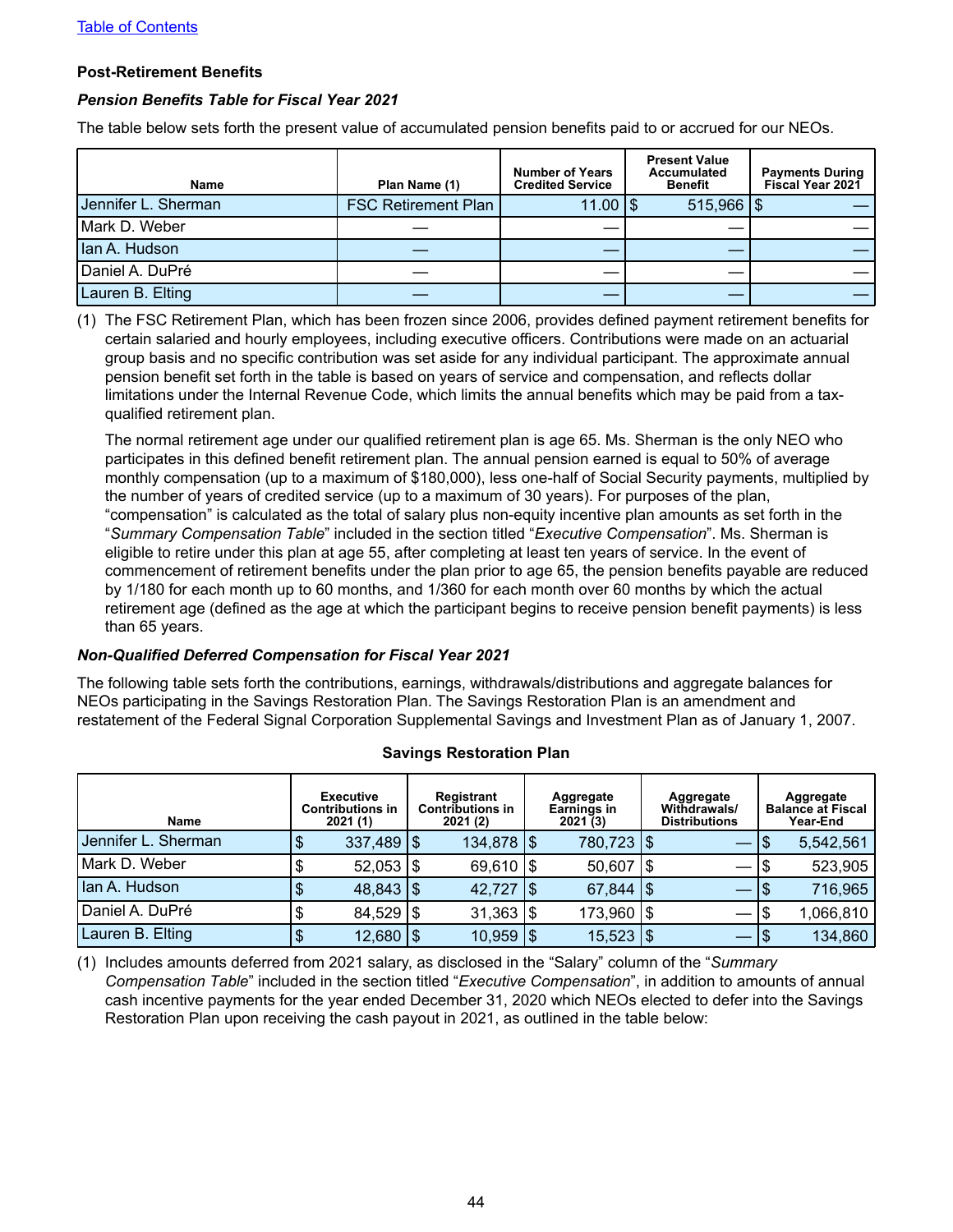#### <span id="page-47-0"></span>**Post-Retirement Benefits**

#### *Pension Benefits Table for Fiscal Year 2021*

The table below sets forth the present value of accumulated pension benefits paid to or accrued for our NEOs.

| <b>Name</b>         | Plan Name (1)              | <b>Number of Years</b><br><b>Credited Service</b> | <b>Present Value</b><br><b>Accumulated</b><br><b>Benefit</b> | <b>Payments During</b><br>Fiscal Year 2021 |
|---------------------|----------------------------|---------------------------------------------------|--------------------------------------------------------------|--------------------------------------------|
| Jennifer L. Sherman | <b>FSC Retirement Plan</b> | $11.00$ $\frac{1}{9}$                             | $515,966$ $\frac{1}{3}$                                      |                                            |
| Mark D. Weber       |                            |                                                   |                                                              |                                            |
| Ian A. Hudson       |                            |                                                   |                                                              |                                            |
| Daniel A. DuPré     |                            |                                                   |                                                              |                                            |
| Lauren B. Elting    |                            |                                                   |                                                              |                                            |

(1) The FSC Retirement Plan, which has been frozen since 2006, provides defined payment retirement benefits for certain salaried and hourly employees, including executive officers. Contributions were made on an actuarial group basis and no specific contribution was set aside for any individual participant. The approximate annual pension benefit set forth in the table is based on years of service and compensation, and reflects dollar limitations under the Internal Revenue Code, which limits the annual benefits which may be paid from a taxqualified retirement plan.

The normal retirement age under our qualified retirement plan is age 65. Ms. Sherman is the only NEO who participates in this defined benefit retirement plan. The annual pension earned is equal to 50% of average monthly compensation (up to a maximum of \$180,000), less one-half of Social Security payments, multiplied by the number of years of credited service (up to a maximum of 30 years). For purposes of the plan, "compensation" is calculated as the total of salary plus non-equity incentive plan amounts as set forth in the "*Summary Compensation Table*" included in the section titled "*Executive Compensation*". Ms. Sherman is eligible to retire under this plan at age 55, after completing at least ten years of service. In the event of commencement of retirement benefits under the plan prior to age 65, the pension benefits payable are reduced by 1/180 for each month up to 60 months, and 1/360 for each month over 60 months by which the actual retirement age (defined as the age at which the participant begins to receive pension benefit payments) is less than 65 years.

#### *Non-Qualified Deferred Compensation for Fiscal Year 2021*

The following table sets forth the contributions, earnings, withdrawals/distributions and aggregate balances for NEOs participating in the Savings Restoration Plan. The Savings Restoration Plan is an amendment and restatement of the Federal Signal Corporation Supplemental Savings and Investment Plan as of January 1, 2007.

| Name                |    | <b>Executive</b><br><b>Contributions in</b><br>2021(1) | <b>Registrant</b><br><b>Contributions in</b><br>2021(2) |     | Aggregate<br>Earnings in<br>2021(3) |     | Aggregate<br><b>Withdrawals/</b><br><b>Distributions</b> | Aggregate<br><b>Balance at Fiscal</b><br>Year-End |           |  |  |  |
|---------------------|----|--------------------------------------------------------|---------------------------------------------------------|-----|-------------------------------------|-----|----------------------------------------------------------|---------------------------------------------------|-----------|--|--|--|
| Jennifer L. Sherman | D  | $337,489$ \\$                                          | $134,878$ $\frac{1}{3}$                                 |     | 780,723   \$                        |     |                                                          | 1\$                                               | 5,542,561 |  |  |  |
| l Mark D. Weber     | \$ | $52,053$ $\frac{1}{9}$                                 | $69,610$ $\frac{15}{2}$                                 |     | 50,607                              | 1\$ |                                                          |                                                   | 523,905   |  |  |  |
| Ian A. Hudson       |    | $48,843$ \\$                                           | 42,727                                                  | 1\$ | 67,844                              | 1\$ |                                                          | الت                                               | 716,965   |  |  |  |
| Daniel A. DuPré     | \$ | $84,529$ \\$                                           | $31,363$ $\frac{1}{9}$                                  |     | 173,960   \$                        |     |                                                          |                                                   | 1,066,810 |  |  |  |
| Lauren B. Elting    |    | $12,680$ $\sqrt{5}$                                    | $10,959$ $\frac{1}{9}$                                  |     | $15,523$ $\frac{1}{9}$              |     |                                                          |                                                   | 134,860   |  |  |  |

#### **Savings Restoration Plan**

(1) Includes amounts deferred from 2021 salary, as disclosed in the "Salary" column of the "*Summary Compensation Table*" included in the section titled "*Executive Compensation*", in addition to amounts of annual cash incentive payments for the year ended December 31, 2020 which NEOs elected to defer into the Savings Restoration Plan upon receiving the cash payout in 2021, as outlined in the table below: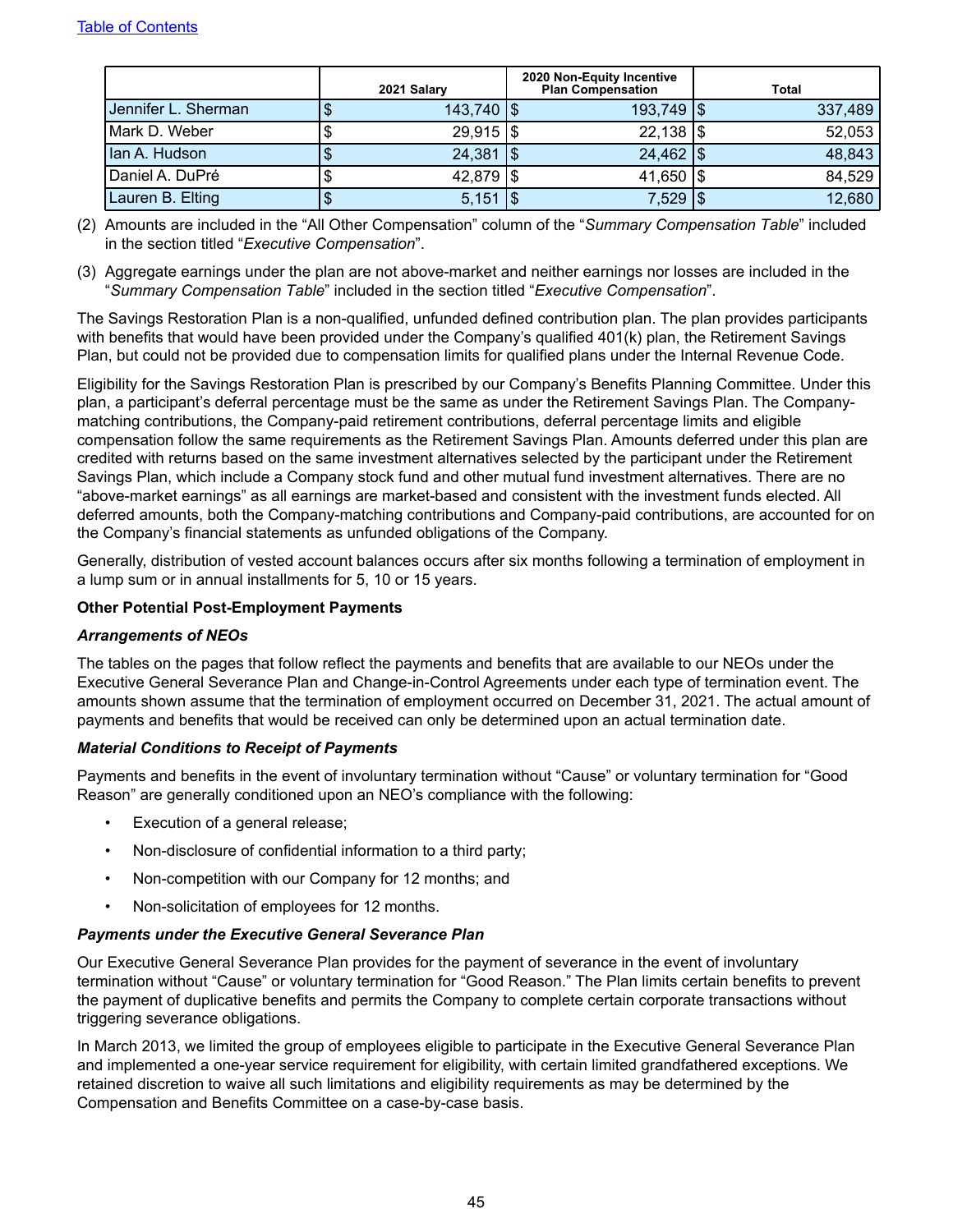<span id="page-48-0"></span>

|                     | 2021 Salary            | 2020 Non-Equity Incentive<br><b>Plan Compensation</b> | Total   |
|---------------------|------------------------|-------------------------------------------------------|---------|
| Jennifer L. Sherman | $143,740$ $\sqrt{5}$   | $193,749$ $\sqrt{5}$                                  | 337,489 |
| Mark D. Weber       | $29,915$ $\frac{1}{3}$ | $22,138$ \\$                                          | 52,053  |
| lan A. Hudson       | $24,381$ $\frac{1}{9}$ | $24,462$ $\frac{1}{3}$                                | 48,843  |
| Daniel A. DuPré     | $42,879$ $\frac{1}{3}$ | 41,650   \$                                           | 84,529  |
| Lauren B. Elting    | 5,151                  | 7,529   \$                                            | 12,680  |

- (2) Amounts are included in the "All Other Compensation" column of the "*Summary Compensation Table*" included in the section titled "*Executive Compensation*".
- (3) Aggregate earnings under the plan are not above-market and neither earnings nor losses are included in the "*Summary Compensation Table*" included in the section titled "*Executive Compensation*".

The Savings Restoration Plan is a non-qualified, unfunded defined contribution plan. The plan provides participants with benefits that would have been provided under the Company's qualified 401(k) plan, the Retirement Savings Plan, but could not be provided due to compensation limits for qualified plans under the Internal Revenue Code.

Eligibility for the Savings Restoration Plan is prescribed by our Company's Benefits Planning Committee. Under this plan, a participant's deferral percentage must be the same as under the Retirement Savings Plan. The Companymatching contributions, the Company-paid retirement contributions, deferral percentage limits and eligible compensation follow the same requirements as the Retirement Savings Plan. Amounts deferred under this plan are credited with returns based on the same investment alternatives selected by the participant under the Retirement Savings Plan, which include a Company stock fund and other mutual fund investment alternatives. There are no "above-market earnings" as all earnings are market-based and consistent with the investment funds elected. All deferred amounts, both the Company-matching contributions and Company-paid contributions, are accounted for on the Company's financial statements as unfunded obligations of the Company.

Generally, distribution of vested account balances occurs after six months following a termination of employment in a lump sum or in annual installments for 5, 10 or 15 years.

### **Other Potential Post-Employment Payments**

#### *Arrangements of NEOs*

The tables on the pages that follow reflect the payments and benefits that are available to our NEOs under the Executive General Severance Plan and Change-in-Control Agreements under each type of termination event. The amounts shown assume that the termination of employment occurred on December 31, 2021. The actual amount of payments and benefits that would be received can only be determined upon an actual termination date.

#### *Material Conditions to Receipt of Payments*

Payments and benefits in the event of involuntary termination without "Cause" or voluntary termination for "Good Reason" are generally conditioned upon an NEO's compliance with the following:

- Execution of a general release;
- Non-disclosure of confidential information to a third party;
- Non-competition with our Company for 12 months; and
- Non-solicitation of employees for 12 months.

#### *Payments under the Executive General Severance Plan*

Our Executive General Severance Plan provides for the payment of severance in the event of involuntary termination without "Cause" or voluntary termination for "Good Reason." The Plan limits certain benefits to prevent the payment of duplicative benefits and permits the Company to complete certain corporate transactions without triggering severance obligations.

In March 2013, we limited the group of employees eligible to participate in the Executive General Severance Plan and implemented a one-year service requirement for eligibility, with certain limited grandfathered exceptions. We retained discretion to waive all such limitations and eligibility requirements as may be determined by the Compensation and Benefits Committee on a case-by-case basis.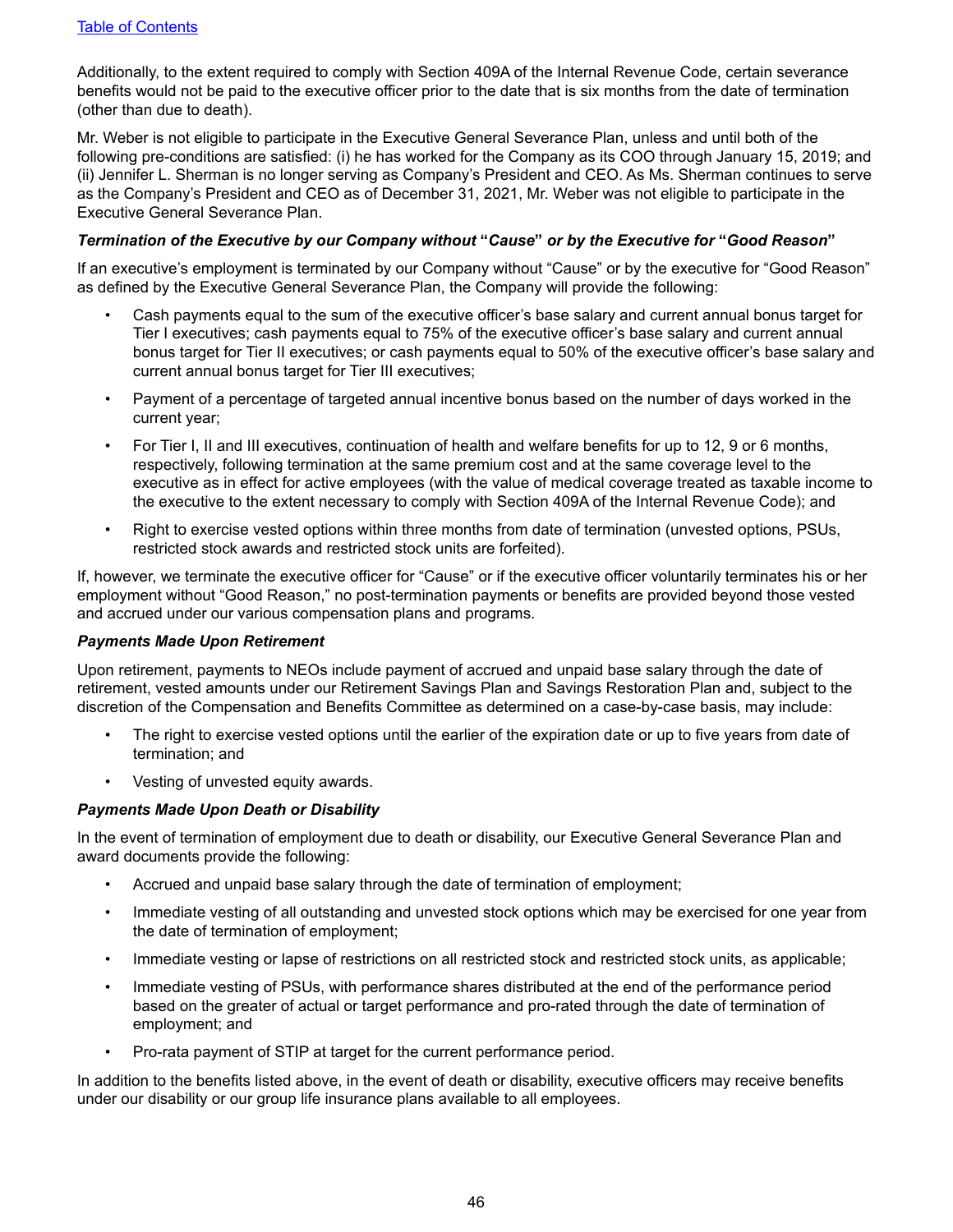Additionally, to the extent required to comply with Section 409A of the Internal Revenue Code, certain severance benefits would not be paid to the executive officer prior to the date that is six months from the date of termination (other than due to death).

Mr. Weber is not eligible to participate in the Executive General Severance Plan, unless and until both of the following pre-conditions are satisfied: (i) he has worked for the Company as its COO through January 15, 2019; and (ii) Jennifer L. Sherman is no longer serving as Company's President and CEO. As Ms. Sherman continues to serve as the Company's President and CEO as of December 31, 2021, Mr. Weber was not eligible to participate in the Executive General Severance Plan.

#### *Termination of the Executive by our Company without* **"***Cause***"** *or by the Executive for* **"***Good Reason***"**

If an executive's employment is terminated by our Company without "Cause" or by the executive for "Good Reason" as defined by the Executive General Severance Plan, the Company will provide the following:

- Cash payments equal to the sum of the executive officer's base salary and current annual bonus target for Tier I executives; cash payments equal to 75% of the executive officer's base salary and current annual bonus target for Tier II executives; or cash payments equal to 50% of the executive officer's base salary and current annual bonus target for Tier III executives;
- Payment of a percentage of targeted annual incentive bonus based on the number of days worked in the current year;
- For Tier I, II and III executives, continuation of health and welfare benefits for up to 12, 9 or 6 months, respectively, following termination at the same premium cost and at the same coverage level to the executive as in effect for active employees (with the value of medical coverage treated as taxable income to the executive to the extent necessary to comply with Section 409A of the Internal Revenue Code); and
- Right to exercise vested options within three months from date of termination (unvested options, PSUs, restricted stock awards and restricted stock units are forfeited).

If, however, we terminate the executive officer for "Cause" or if the executive officer voluntarily terminates his or her employment without "Good Reason," no post-termination payments or benefits are provided beyond those vested and accrued under our various compensation plans and programs.

#### *Payments Made Upon Retirement*

Upon retirement, payments to NEOs include payment of accrued and unpaid base salary through the date of retirement, vested amounts under our Retirement Savings Plan and Savings Restoration Plan and, subject to the discretion of the Compensation and Benefits Committee as determined on a case-by-case basis, may include:

- The right to exercise vested options until the earlier of the expiration date or up to five years from date of termination; and
- Vesting of unvested equity awards.

#### *Payments Made Upon Death or Disability*

In the event of termination of employment due to death or disability, our Executive General Severance Plan and award documents provide the following:

- Accrued and unpaid base salary through the date of termination of employment;
- Immediate vesting of all outstanding and unvested stock options which may be exercised for one year from the date of termination of employment;
- Immediate vesting or lapse of restrictions on all restricted stock and restricted stock units, as applicable;
- Immediate vesting of PSUs, with performance shares distributed at the end of the performance period based on the greater of actual or target performance and pro-rated through the date of termination of employment; and
- Pro-rata payment of STIP at target for the current performance period.

In addition to the benefits listed above, in the event of death or disability, executive officers may receive benefits under our disability or our group life insurance plans available to all employees.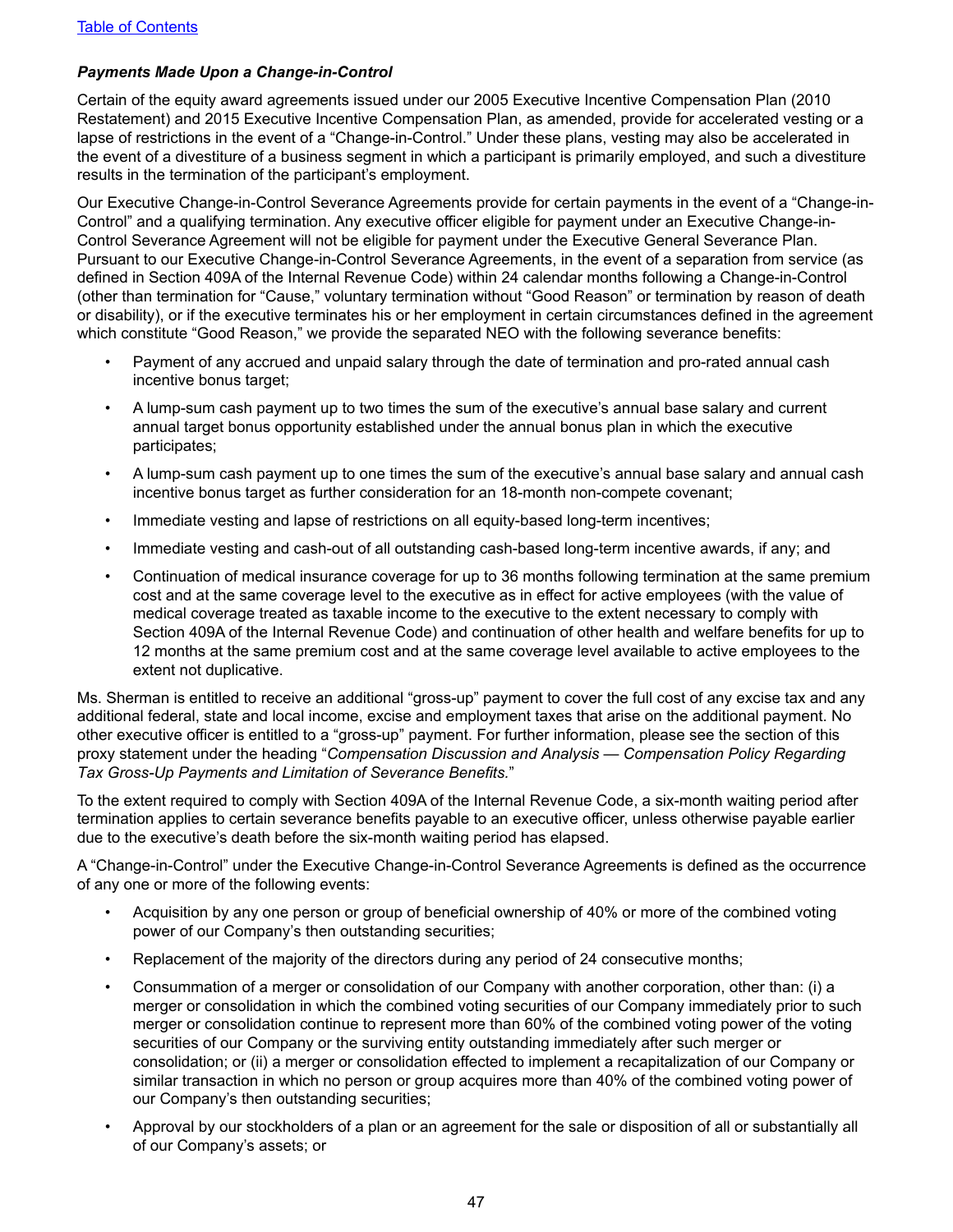### *Payments Made Upon a Change-in-Control*

Certain of the equity award agreements issued under our 2005 Executive Incentive Compensation Plan (2010 Restatement) and 2015 Executive Incentive Compensation Plan, as amended, provide for accelerated vesting or a lapse of restrictions in the event of a "Change-in-Control." Under these plans, vesting may also be accelerated in the event of a divestiture of a business segment in which a participant is primarily employed, and such a divestiture results in the termination of the participant's employment.

Our Executive Change-in-Control Severance Agreements provide for certain payments in the event of a "Change-in-Control" and a qualifying termination. Any executive officer eligible for payment under an Executive Change-in-Control Severance Agreement will not be eligible for payment under the Executive General Severance Plan. Pursuant to our Executive Change-in-Control Severance Agreements, in the event of a separation from service (as defined in Section 409A of the Internal Revenue Code) within 24 calendar months following a Change-in-Control (other than termination for "Cause," voluntary termination without "Good Reason" or termination by reason of death or disability), or if the executive terminates his or her employment in certain circumstances defined in the agreement which constitute "Good Reason," we provide the separated NEO with the following severance benefits:

- Payment of any accrued and unpaid salary through the date of termination and pro-rated annual cash incentive bonus target;
- A lump-sum cash payment up to two times the sum of the executive's annual base salary and current annual target bonus opportunity established under the annual bonus plan in which the executive participates;
- A lump-sum cash payment up to one times the sum of the executive's annual base salary and annual cash incentive bonus target as further consideration for an 18-month non-compete covenant;
- Immediate vesting and lapse of restrictions on all equity-based long-term incentives;
- Immediate vesting and cash-out of all outstanding cash-based long-term incentive awards, if any; and
- Continuation of medical insurance coverage for up to 36 months following termination at the same premium cost and at the same coverage level to the executive as in effect for active employees (with the value of medical coverage treated as taxable income to the executive to the extent necessary to comply with Section 409A of the Internal Revenue Code) and continuation of other health and welfare benefits for up to 12 months at the same premium cost and at the same coverage level available to active employees to the extent not duplicative.

Ms. Sherman is entitled to receive an additional "gross-up" payment to cover the full cost of any excise tax and any additional federal, state and local income, excise and employment taxes that arise on the additional payment. No other executive officer is entitled to a "gross-up" payment. For further information, please see the section of this proxy statement under the heading "*Compensation Discussion and Analysis* — *Compensation Policy Regarding Tax Gross-Up Payments and Limitation of Severance Benefits.*"

To the extent required to comply with Section 409A of the Internal Revenue Code, a six-month waiting period after termination applies to certain severance benefits payable to an executive officer, unless otherwise payable earlier due to the executive's death before the six-month waiting period has elapsed.

A "Change-in-Control" under the Executive Change-in-Control Severance Agreements is defined as the occurrence of any one or more of the following events:

- Acquisition by any one person or group of beneficial ownership of 40% or more of the combined voting power of our Company's then outstanding securities;
- Replacement of the majority of the directors during any period of 24 consecutive months;
- Consummation of a merger or consolidation of our Company with another corporation, other than: (i) a merger or consolidation in which the combined voting securities of our Company immediately prior to such merger or consolidation continue to represent more than 60% of the combined voting power of the voting securities of our Company or the surviving entity outstanding immediately after such merger or consolidation; or (ii) a merger or consolidation effected to implement a recapitalization of our Company or similar transaction in which no person or group acquires more than 40% of the combined voting power of our Company's then outstanding securities;
- Approval by our stockholders of a plan or an agreement for the sale or disposition of all or substantially all of our Company's assets; or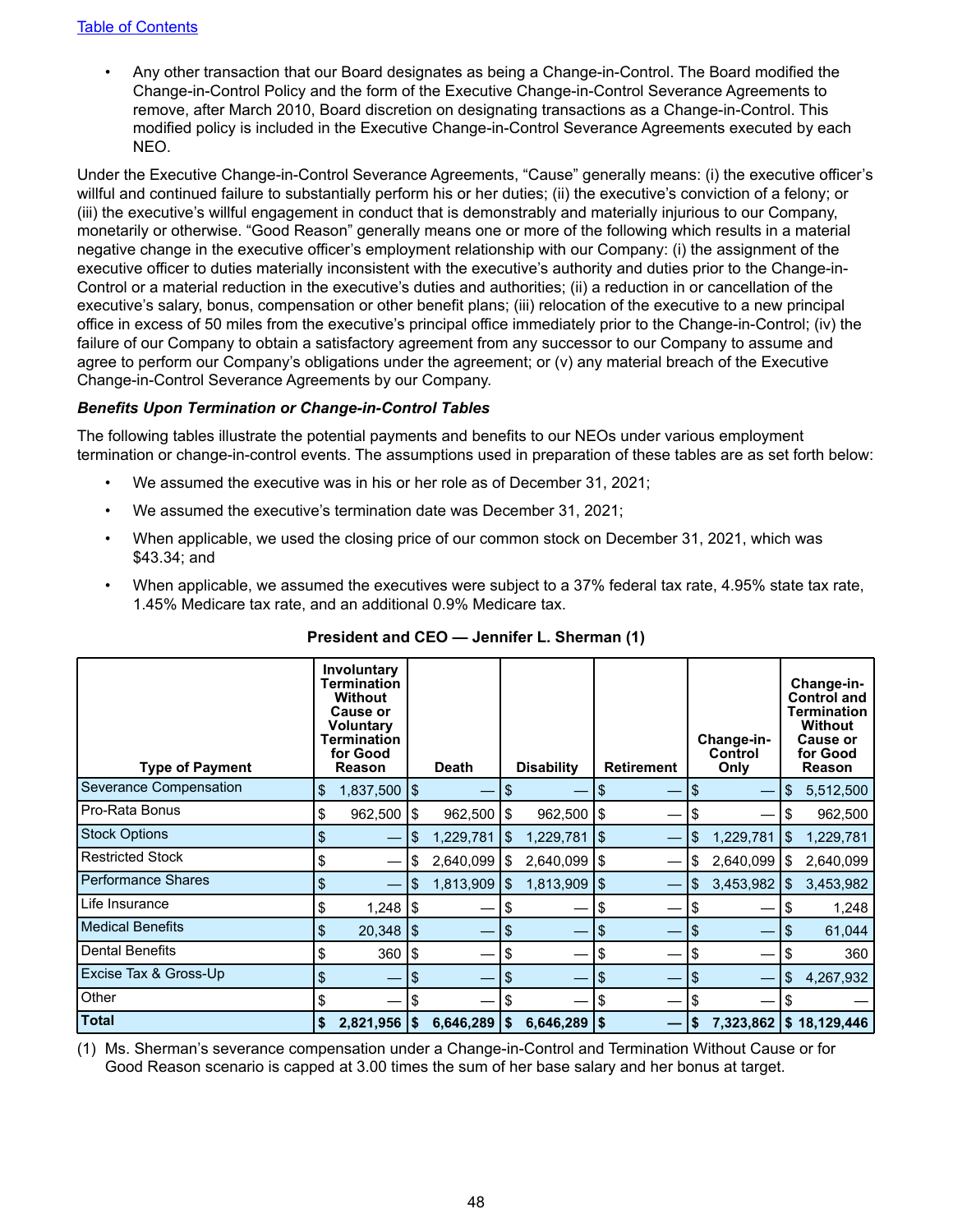• Any other transaction that our Board designates as being a Change-in-Control. The Board modified the Change-in-Control Policy and the form of the Executive Change-in-Control Severance Agreements to remove, after March 2010, Board discretion on designating transactions as a Change-in-Control. This modified policy is included in the Executive Change-in-Control Severance Agreements executed by each NEO.

Under the Executive Change-in-Control Severance Agreements, "Cause" generally means: (i) the executive officer's willful and continued failure to substantially perform his or her duties; (ii) the executive's conviction of a felony; or (iii) the executive's willful engagement in conduct that is demonstrably and materially injurious to our Company, monetarily or otherwise. "Good Reason" generally means one or more of the following which results in a material negative change in the executive officer's employment relationship with our Company: (i) the assignment of the executive officer to duties materially inconsistent with the executive's authority and duties prior to the Change-in-Control or a material reduction in the executive's duties and authorities; (ii) a reduction in or cancellation of the executive's salary, bonus, compensation or other benefit plans; (iii) relocation of the executive to a new principal office in excess of 50 miles from the executive's principal office immediately prior to the Change-in-Control; (iv) the failure of our Company to obtain a satisfactory agreement from any successor to our Company to assume and agree to perform our Company's obligations under the agreement; or (v) any material breach of the Executive Change-in-Control Severance Agreements by our Company.

#### *Benefits Upon Termination or Change-in-Control Tables*

The following tables illustrate the potential payments and benefits to our NEOs under various employment termination or change-in-control events. The assumptions used in preparation of these tables are as set forth below:

- *•* We assumed the executive was in his or her role as of December 31, 2021;
- We assumed the executive's termination date was December 31, 2021;
- When applicable, we used the closing price of our common stock on December 31, 2021, which was \$43.34; and
- When applicable, we assumed the executives were subject to a 37% federal tax rate, 4.95% state tax rate, 1.45% Medicare tax rate, and an additional 0.9% Medicare tax.

| <b>Type of Payment</b>    | Involuntary<br>Termination<br><b>Without</b><br><b>Cause or</b><br>Voluntary<br>Termination<br>for Good<br>Reason |    | <b>Death</b> |     | <b>Disability</b> |                    | <b>Retirement</b> |     | Change-in-<br>Control<br>Only | Change-in-<br><b>Control and</b><br>Termination<br><b>Without</b><br><b>Cause or</b><br>for Good<br>Reason |                          |  |
|---------------------------|-------------------------------------------------------------------------------------------------------------------|----|--------------|-----|-------------------|--------------------|-------------------|-----|-------------------------------|------------------------------------------------------------------------------------------------------------|--------------------------|--|
| Severance Compensation    | \$<br>$1,837,500$ $\sqrt{$}$                                                                                      |    |              | \$  |                   |                    |                   | \$  |                               | \$                                                                                                         | 5,512,500                |  |
| Pro-Rata Bonus            | \$<br>$962,500$   \$                                                                                              |    | 962,500      | \$  | $962,500$   \$    |                    |                   | \$  |                               | \$                                                                                                         | 962,500                  |  |
| <b>Stock Options</b>      | \$                                                                                                                |    | 1,229,781    | \$  | 1,229,781         | 1\$                |                   | \$. | 1,229,781                     | \$                                                                                                         | 1,229,781                |  |
| <b>Restricted Stock</b>   | \$                                                                                                                |    | 2,640,099    | 1\$ | $2,640,099$   \$  |                    |                   |     | 2,640,099                     | 1\$                                                                                                        | 2,640,099                |  |
| <b>Performance Shares</b> | \$                                                                                                                | S  | 1,813,909    | 1\$ | 1,813,909         | $\sqrt{5}$         |                   | \$. | 3,453,982                     | 1\$                                                                                                        | 3,453,982                |  |
| Life Insurance            | \$<br>$1,248$ $\sqrt{3}$                                                                                          |    |              | \$  |                   |                    |                   | \$  |                               | S                                                                                                          | 1,248                    |  |
| <b>Medical Benefits</b>   | \$<br>$20,348$   \$                                                                                               |    |              | \$  |                   | \$                 |                   | \$  |                               | \$                                                                                                         | 61,044                   |  |
| <b>Dental Benefits</b>    | \$<br>360                                                                                                         | \$ |              | \$  |                   | S                  |                   | \$  |                               | S                                                                                                          | 360                      |  |
| Excise Tax & Gross-Up     | \$                                                                                                                | \$ |              | \$  |                   |                    |                   | \$  |                               | \$                                                                                                         | 4,267,932                |  |
| Other                     |                                                                                                                   |    |              | \$  |                   |                    |                   | \$  |                               |                                                                                                            |                          |  |
| <b>Total</b>              | \$<br>$2,821,956$ \\$                                                                                             |    | 6,646,289    | \$  | 6,646,289         | $\vert \mathsf{s}$ |                   |     |                               |                                                                                                            | 7,323,862   \$18,129,446 |  |

| President and CEO - Jennifer L. Sherman (1) |  |  |
|---------------------------------------------|--|--|
|---------------------------------------------|--|--|

(1) Ms. Sherman's severance compensation under a Change-in-Control and Termination Without Cause or for Good Reason scenario is capped at 3.00 times the sum of her base salary and her bonus at target.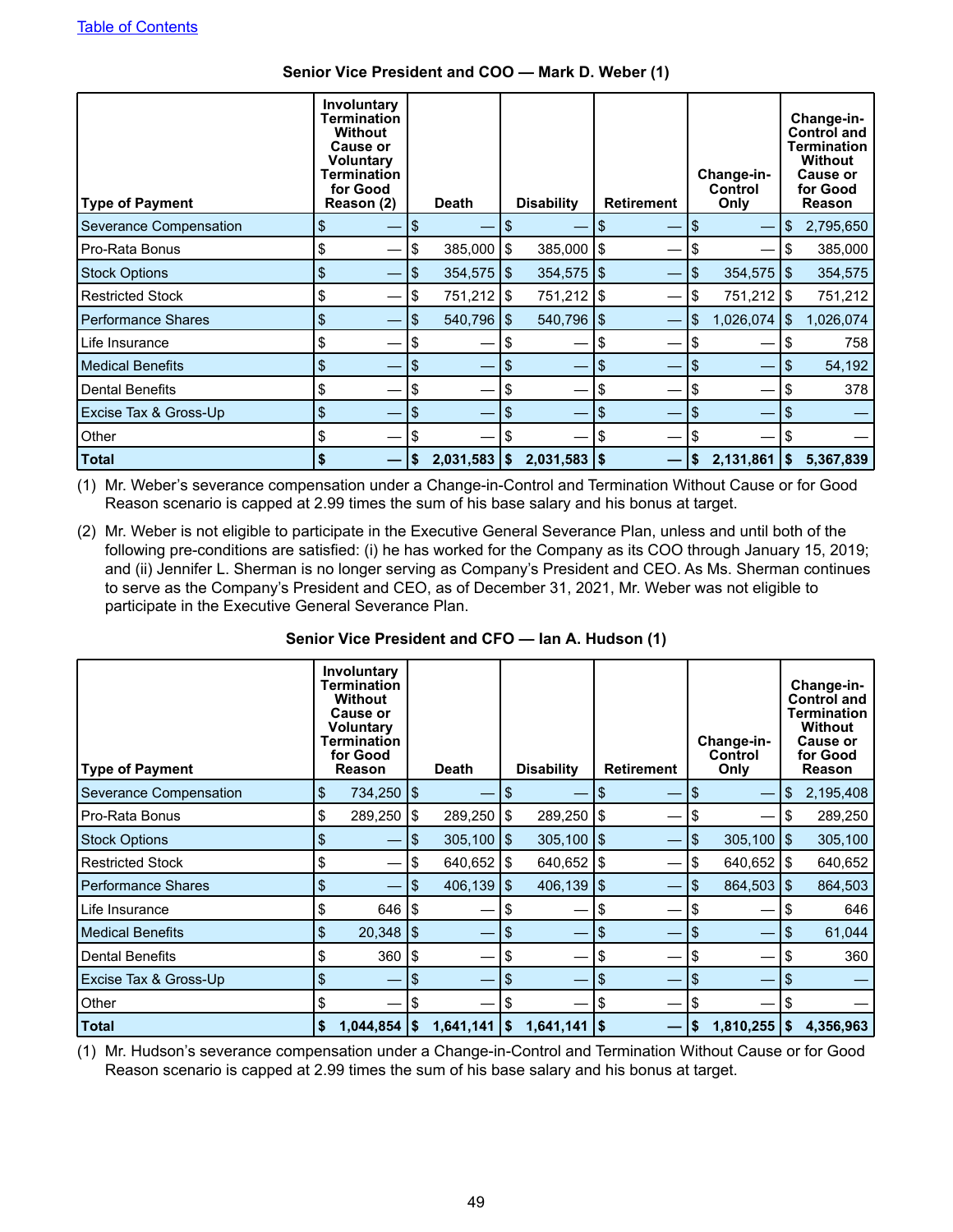| <b>Type of Payment</b>    | Involuntary<br>Termination<br><b>Without</b><br><b>Cause or</b><br><b>Voluntary</b><br>Termination<br>for Good<br>Reason (2) |    | Death                   |     | <b>Disability</b>       |     | <b>Retirement</b> |     | Change-in-<br>Control<br>Only |     | Change-in-<br><b>Control and</b><br><b>Termination</b><br><b>Without</b><br><b>Cause or</b><br>for Good<br>Reason |
|---------------------------|------------------------------------------------------------------------------------------------------------------------------|----|-------------------------|-----|-------------------------|-----|-------------------|-----|-------------------------------|-----|-------------------------------------------------------------------------------------------------------------------|
| Severance Compensation    | \$                                                                                                                           | \$ |                         | S   |                         |     |                   | \$  |                               | \$  | 2,795,650                                                                                                         |
| Pro-Rata Bonus            | \$                                                                                                                           | \$ | 385,000                 | 1\$ | $385,000$   \$          |     |                   | \$  |                               | \$  | 385,000                                                                                                           |
| <b>Stock Options</b>      | \$                                                                                                                           | \$ | $354,575$ $\frac{1}{9}$ |     | $354,575$ $\frac{1}{9}$ |     |                   | \$  | $354,575$ $\frac{1}{3}$       |     | 354,575                                                                                                           |
| <b>Restricted Stock</b>   | \$                                                                                                                           | S  | 751,212   \$            |     | 751,212   \$            |     |                   | \$  | 751,212   \$                  |     | 751,212                                                                                                           |
| <b>Performance Shares</b> | \$                                                                                                                           | \$ | 540,796                 | 1\$ | 540,796                 | 1\$ |                   | \$. | 1,026,074                     | 1\$ | 1,026,074                                                                                                         |
| Life Insurance            | \$                                                                                                                           | \$ |                         | \$  |                         | \$  |                   | \$  |                               | S   | 758                                                                                                               |
| <b>Medical Benefits</b>   | \$                                                                                                                           | \$ |                         | \$  |                         | \$  |                   | \$  |                               | S   | 54,192                                                                                                            |
| <b>Dental Benefits</b>    | \$                                                                                                                           | \$ |                         | S   |                         | \$  |                   | \$  |                               | \$  | 378                                                                                                               |
| Excise Tax & Gross-Up     | \$                                                                                                                           | \$ |                         | \$  |                         | \$  |                   | \$  | —                             | \$  |                                                                                                                   |
| Other                     | \$                                                                                                                           | \$ |                         |     |                         | \$  |                   | S   |                               |     |                                                                                                                   |
| <b>Total</b>              | S                                                                                                                            | S  | 2,031,583               | 1\$ | $2,031,583$ \\$         |     |                   | S   | 2,131,861                     | 1\$ | 5,367,839                                                                                                         |

### **Senior Vice President and COO — Mark D. Weber (1)**

(1) Mr. Weber's severance compensation under a Change-in-Control and Termination Without Cause or for Good Reason scenario is capped at 2.99 times the sum of his base salary and his bonus at target.

(2) Mr. Weber is not eligible to participate in the Executive General Severance Plan, unless and until both of the following pre-conditions are satisfied: (i) he has worked for the Company as its COO through January 15, 2019; and (ii) Jennifer L. Sherman is no longer serving as Company's President and CEO. As Ms. Sherman continues to serve as the Company's President and CEO, as of December 31, 2021, Mr. Weber was not eligible to participate in the Executive General Severance Plan.

## **Senior Vice President and CFO — Ian A. Hudson (1)**

| <b>Type of Payment</b>    | Involuntary<br>Termination<br>Without<br><b>Cause or</b><br>Voluntary<br>Termination<br>for Good<br>Reason |     | Death          |     | <b>Disability</b>       |     | <b>Retirement</b> |    | Change-in-<br>Control<br>Only |    | Change-in-<br><b>Control and</b><br>Termination<br><b>Without</b><br><b>Cause or</b><br>for Good<br>Reason |
|---------------------------|------------------------------------------------------------------------------------------------------------|-----|----------------|-----|-------------------------|-----|-------------------|----|-------------------------------|----|------------------------------------------------------------------------------------------------------------|
| Severance Compensation    | \$<br>734,250   \$                                                                                         |     |                | S   |                         | \$  |                   | \$ |                               | \$ | 2,195,408                                                                                                  |
| Pro-Rata Bonus            | \$<br>289,250                                                                                              | Ι\$ | 289,250        | 1\$ | 289,250                 | 1\$ |                   | \$ |                               | S  | 289,250                                                                                                    |
| <b>Stock Options</b>      | \$                                                                                                         | \$  | 305,100        | 1\$ | $305,100$ $\frac{1}{3}$ |     |                   | \$ | $305,100$ $\frac{1}{9}$       |    | 305,100                                                                                                    |
| <b>Restricted Stock</b>   | \$                                                                                                         | \$  | $640,652$   \$ |     | $640,652$ $\frac{1}{3}$ |     |                   | \$ | $640,652$   \$                |    | 640,652                                                                                                    |
| <b>Performance Shares</b> | \$                                                                                                         | \$  | 406,139        | 1\$ | 406,139                 | \$  |                   | \$ | $864,503$ $\frac{1}{9}$       |    | 864,503                                                                                                    |
| Life Insurance            | \$<br>646 l                                                                                                | ۱\$ |                | S   |                         | \$  |                   | \$ |                               |    | 646                                                                                                        |
| <b>Medical Benefits</b>   | \$<br>$20,348$   \$                                                                                        |     |                | \$  |                         | \$  |                   | \$ |                               | -S | 61,044                                                                                                     |
| <b>Dental Benefits</b>    | \$<br>360                                                                                                  | \$  |                | S   |                         | \$  |                   | \$ |                               |    | 360                                                                                                        |
| Excise Tax & Gross-Up     | \$                                                                                                         | \$  |                | \$  |                         | \$  |                   | \$ |                               | S  |                                                                                                            |
| Other                     |                                                                                                            | S   |                | S   |                         | \$  |                   | \$ |                               |    |                                                                                                            |
| <b>Total</b>              | \$<br>$1,044,854$ \\$                                                                                      |     | 1,641,141      | 1\$ | $1,641,141$   \$        |     |                   | \$ | $1,810,255$ \\$               |    | 4,356,963                                                                                                  |

(1) Mr. Hudson's severance compensation under a Change-in-Control and Termination Without Cause or for Good Reason scenario is capped at 2.99 times the sum of his base salary and his bonus at target.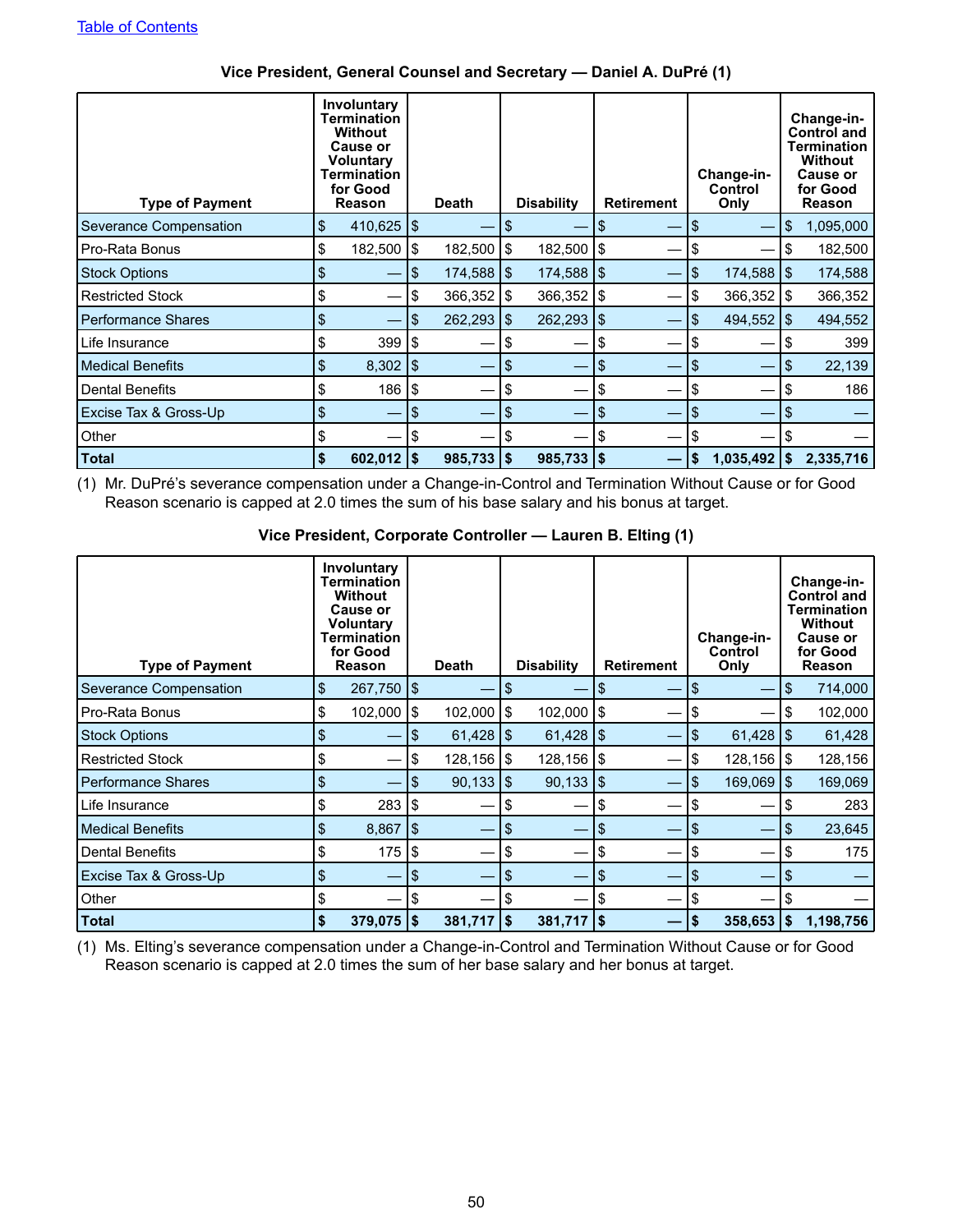| <b>Type of Payment</b>    | Involuntary<br>Termination<br><b>Without</b><br><b>Cause or</b><br><b>Voluntary</b><br>Termination<br>for Good<br>Reason |    | <b>Death</b> |      | <b>Disability</b> |      | <b>Retirement</b> |    | Change-in-<br>Control<br>Only |    | Change-in-<br><b>Control and</b><br><b>Termination</b><br><b>Without</b><br><b>Cause or</b><br>for Good<br>Reason |
|---------------------------|--------------------------------------------------------------------------------------------------------------------------|----|--------------|------|-------------------|------|-------------------|----|-------------------------------|----|-------------------------------------------------------------------------------------------------------------------|
| Severance Compensation    | \$<br>$410,625$   \$                                                                                                     |    |              | S    |                   | \$   |                   | \$ |                               | \$ | 1,095,000                                                                                                         |
| Pro-Rata Bonus            | \$<br>182,500   \$                                                                                                       |    | 182,500      | \$   | 182,500           | 1\$  |                   |    |                               | \$ | 182,500                                                                                                           |
| <b>Stock Options</b>      | \$                                                                                                                       | \$ | 174,588      | 1\$  | $174,588$ \ \\$   |      |                   | \$ | $174,588$ \\$                 |    | 174,588                                                                                                           |
| <b>Restricted Stock</b>   | \$                                                                                                                       | \$ | 366,352      | 1\$  | 366,352           | 1\$  |                   | \$ | $366,352$   \$                |    | 366,352                                                                                                           |
| <b>Performance Shares</b> | \$                                                                                                                       | S  | 262,293      | ا \$ | 262,293           | l \$ |                   | \$ | $494,552$ \\$                 |    | 494,552                                                                                                           |
| Life Insurance            | \$<br>$399$ $\frac{1}{9}$                                                                                                |    |              | \$   |                   | \$   |                   | S  |                               | S  | 399                                                                                                               |
| Medical Benefits          | \$<br>$8,302$   \$                                                                                                       |    |              | \$   |                   | \$   |                   | \$ |                               | \$ | 22,139                                                                                                            |
| <b>Dental Benefits</b>    | \$<br>$186$ $\frac{1}{3}$                                                                                                |    |              | \$   |                   | \$   |                   |    |                               | \$ | 186                                                                                                               |
| Excise Tax & Gross-Up     | \$                                                                                                                       | \$ |              | \$   |                   | \$   |                   | \$ |                               | S  |                                                                                                                   |
| Other                     | \$                                                                                                                       | \$ |              | \$   |                   | S    |                   |    |                               |    |                                                                                                                   |
| <b>Total</b>              | \$<br>$602,012$   \$                                                                                                     |    | 985,733      | 1\$  | $985,733$   \$    |      |                   |    | $1,035,492$   \$              |    | 2,335,716                                                                                                         |

## **Vice President, General Counsel and Secretary — Daniel A. DuPré (1)**

(1) Mr. DuPré's severance compensation under a Change-in-Control and Termination Without Cause or for Good Reason scenario is capped at 2.0 times the sum of his base salary and his bonus at target.

### **Vice President, Corporate Controller — Lauren B. Elting (1)**

| <b>Type of Payment</b>        | <b>Involuntary</b><br><b>Termination</b><br><b>Without</b><br><b>Cause or</b><br>Voluntary<br>Termination<br>for Good<br>Reason |               | <b>Death</b> |                | <b>Disability</b> |                        | <b>Retirement</b> |  | Change-in-<br>Control<br>Only |                         | Change-in-<br>Control and<br>Termination<br><b>Without</b><br><b>Cause or</b><br>for Good<br>Reason |           |
|-------------------------------|---------------------------------------------------------------------------------------------------------------------------------|---------------|--------------|----------------|-------------------|------------------------|-------------------|--|-------------------------------|-------------------------|-----------------------------------------------------------------------------------------------------|-----------|
| <b>Severance Compensation</b> | \$                                                                                                                              | $267,750$ \\$ |              |                | \$                |                        | \$                |  | \$                            |                         | \$                                                                                                  | 714,000   |
| Pro-Rata Bonus                | \$                                                                                                                              | 102,000       | Ι\$          | 102,000        | 1\$               | 102,000                | 1\$               |  | \$                            |                         | \$                                                                                                  | 102,000   |
| <b>Stock Options</b>          | S                                                                                                                               |               | \$           | 61,428         | 1\$               | 61,428                 | 1\$               |  | \$                            | $61,428$   \$           |                                                                                                     | 61,428    |
| <b>Restricted Stock</b>       | \$                                                                                                                              |               | \$           | $128,156$   \$ |                   | 128,156   \$           |                   |  | \$                            | $128,156$ \\$           |                                                                                                     | 128,156   |
| <b>Performance Shares</b>     | \$                                                                                                                              |               | S            | 90,133         | 1\$               | $90,133$ $\frac{1}{9}$ |                   |  | \$                            | $169,069$ $\frac{1}{3}$ |                                                                                                     | 169,069   |
| Life Insurance                | \$                                                                                                                              | 283 l         | Ι\$          |                | \$                |                        | \$                |  | S                             |                         | \$                                                                                                  | 283       |
| <b>Medical Benefits</b>       | \$                                                                                                                              | 8,867         | 5            |                | \$                |                        | \$                |  | \$                            |                         | \$                                                                                                  | 23,645    |
| <b>Dental Benefits</b>        | S                                                                                                                               | 175           | \$           |                | S                 |                        | \$                |  | S                             |                         | S                                                                                                   | 175       |
| Excise Tax & Gross-Up         | \$                                                                                                                              |               | \$           |                | \$                |                        | \$                |  | \$                            |                         | \$                                                                                                  |           |
| Other                         | \$                                                                                                                              |               | \$           |                |                   |                        | \$                |  | S                             |                         | \$                                                                                                  |           |
| <b>Total</b>                  | \$                                                                                                                              | $379,075$ \$  |              | $381,717$ \\$  |                   | $381,717$   \$         |                   |  | \$                            | $358,653$   \$          |                                                                                                     | 1,198,756 |

(1) Ms. Elting's severance compensation under a Change-in-Control and Termination Without Cause or for Good Reason scenario is capped at 2.0 times the sum of her base salary and her bonus at target.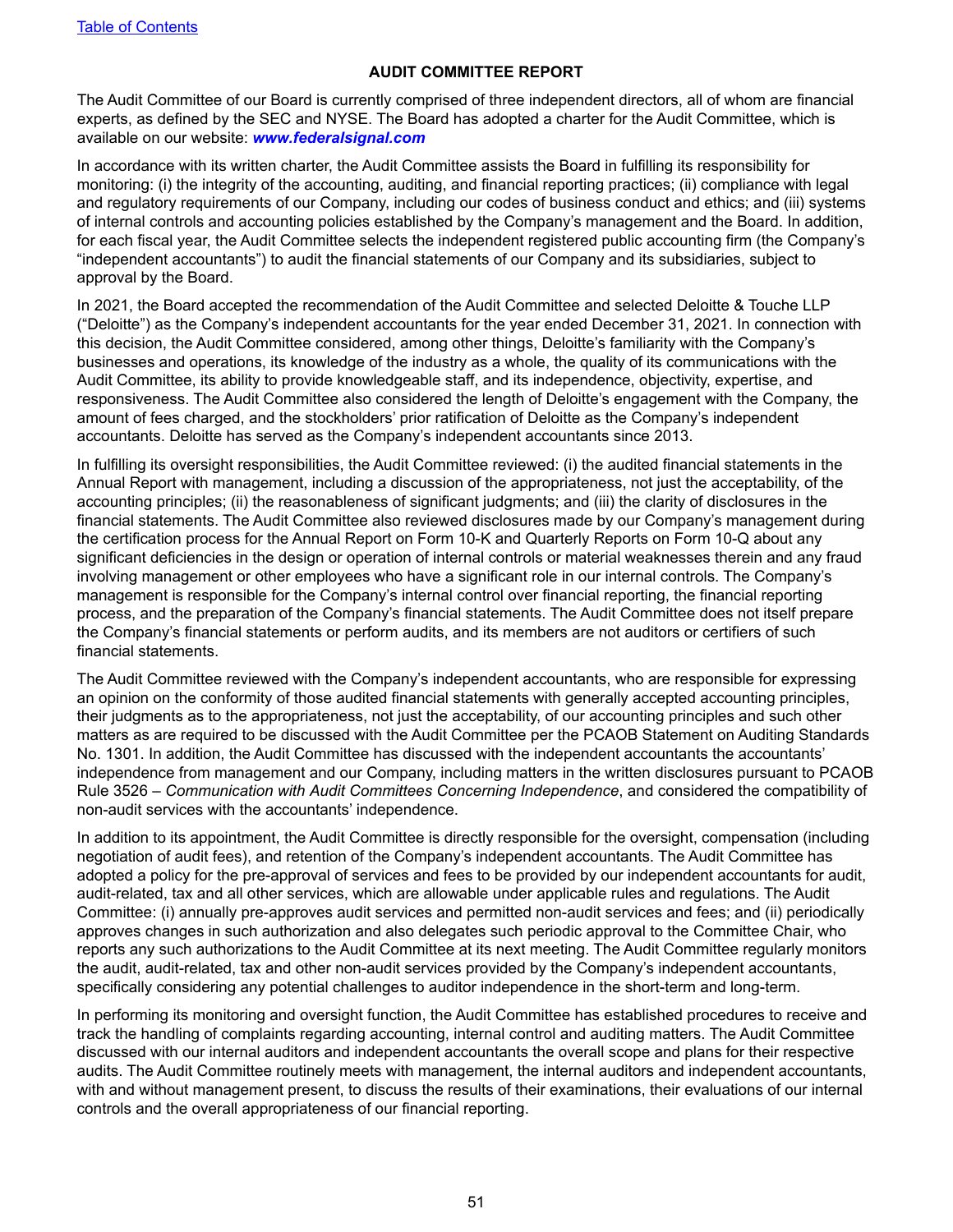#### **AUDIT COMMITTEE REPORT**

<span id="page-54-0"></span>The Audit Committee of our Board is currently comprised of three independent directors, all of whom are financial experts, as defined by the SEC and NYSE. The Board has adopted a charter for the Audit Committee, which is available on our website: *www.federalsignal.com*

In accordance with its written charter, the Audit Committee assists the Board in fulfilling its responsibility for monitoring: (i) the integrity of the accounting, auditing, and financial reporting practices; (ii) compliance with legal and regulatory requirements of our Company, including our codes of business conduct and ethics; and (iii) systems of internal controls and accounting policies established by the Company's management and the Board. In addition, for each fiscal year, the Audit Committee selects the independent registered public accounting firm (the Company's "independent accountants") to audit the financial statements of our Company and its subsidiaries, subject to approval by the Board.

In 2021, the Board accepted the recommendation of the Audit Committee and selected Deloitte & Touche LLP ("Deloitte") as the Company's independent accountants for the year ended December 31, 2021. In connection with this decision, the Audit Committee considered, among other things, Deloitte's familiarity with the Company's businesses and operations, its knowledge of the industry as a whole, the quality of its communications with the Audit Committee, its ability to provide knowledgeable staff, and its independence, objectivity, expertise, and responsiveness. The Audit Committee also considered the length of Deloitte's engagement with the Company, the amount of fees charged, and the stockholders' prior ratification of Deloitte as the Company's independent accountants. Deloitte has served as the Company's independent accountants since 2013.

In fulfilling its oversight responsibilities, the Audit Committee reviewed: (i) the audited financial statements in the Annual Report with management, including a discussion of the appropriateness, not just the acceptability, of the accounting principles; (ii) the reasonableness of significant judgments; and (iii) the clarity of disclosures in the financial statements. The Audit Committee also reviewed disclosures made by our Company's management during the certification process for the Annual Report on Form 10-K and Quarterly Reports on Form 10-Q about any significant deficiencies in the design or operation of internal controls or material weaknesses therein and any fraud involving management or other employees who have a significant role in our internal controls. The Company's management is responsible for the Company's internal control over financial reporting, the financial reporting process, and the preparation of the Company's financial statements. The Audit Committee does not itself prepare the Company's financial statements or perform audits, and its members are not auditors or certifiers of such financial statements.

The Audit Committee reviewed with the Company's independent accountants, who are responsible for expressing an opinion on the conformity of those audited financial statements with generally accepted accounting principles, their judgments as to the appropriateness, not just the acceptability, of our accounting principles and such other matters as are required to be discussed with the Audit Committee per the PCAOB Statement on Auditing Standards No. 1301. In addition, the Audit Committee has discussed with the independent accountants the accountants' independence from management and our Company, including matters in the written disclosures pursuant to PCAOB Rule 3526 – *Communication with Audit Committees Concerning Independence*, and considered the compatibility of non-audit services with the accountants' independence.

In addition to its appointment, the Audit Committee is directly responsible for the oversight, compensation (including negotiation of audit fees), and retention of the Company's independent accountants. The Audit Committee has adopted a policy for the pre-approval of services and fees to be provided by our independent accountants for audit, audit-related, tax and all other services, which are allowable under applicable rules and regulations. The Audit Committee: (i) annually pre-approves audit services and permitted non-audit services and fees; and (ii) periodically approves changes in such authorization and also delegates such periodic approval to the Committee Chair, who reports any such authorizations to the Audit Committee at its next meeting. The Audit Committee regularly monitors the audit, audit-related, tax and other non-audit services provided by the Company's independent accountants, specifically considering any potential challenges to auditor independence in the short-term and long-term.

In performing its monitoring and oversight function, the Audit Committee has established procedures to receive and track the handling of complaints regarding accounting, internal control and auditing matters. The Audit Committee discussed with our internal auditors and independent accountants the overall scope and plans for their respective audits. The Audit Committee routinely meets with management, the internal auditors and independent accountants, with and without management present, to discuss the results of their examinations, their evaluations of our internal controls and the overall appropriateness of our financial reporting.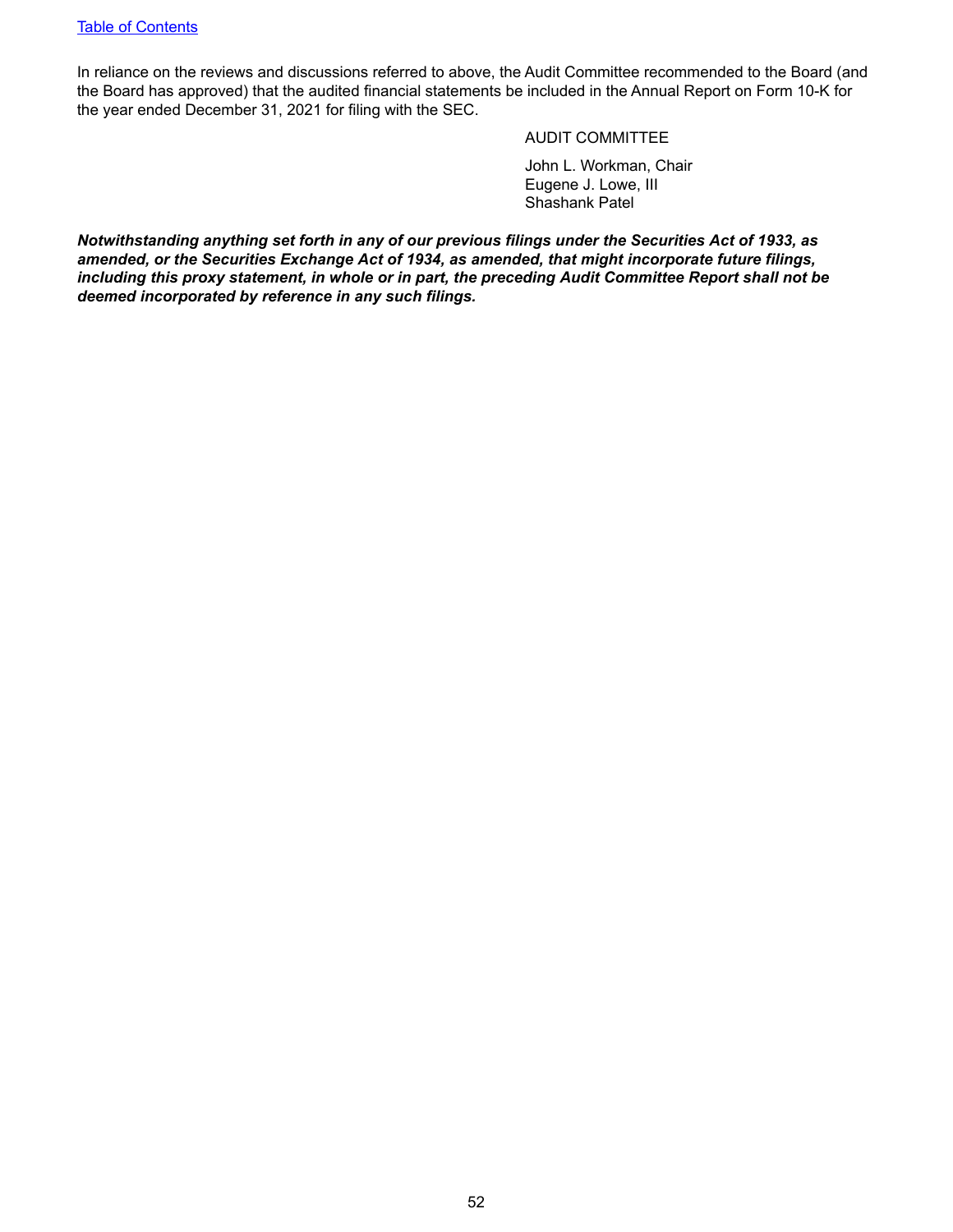In reliance on the reviews and discussions referred to above, the Audit Committee recommended to the Board (and the Board has approved) that the audited financial statements be included in the Annual Report on Form 10-K for the year ended December 31, 2021 for filing with the SEC.

#### AUDIT COMMITTEE

John L. Workman, Chair Eugene J. Lowe, III Shashank Patel

*Notwithstanding anything set forth in any of our previous filings under the Securities Act of 1933, as amended, or the Securities Exchange Act of 1934, as amended, that might incorporate future filings, including this proxy statement, in whole or in part, the preceding Audit Committee Report shall not be deemed incorporated by reference in any such filings.*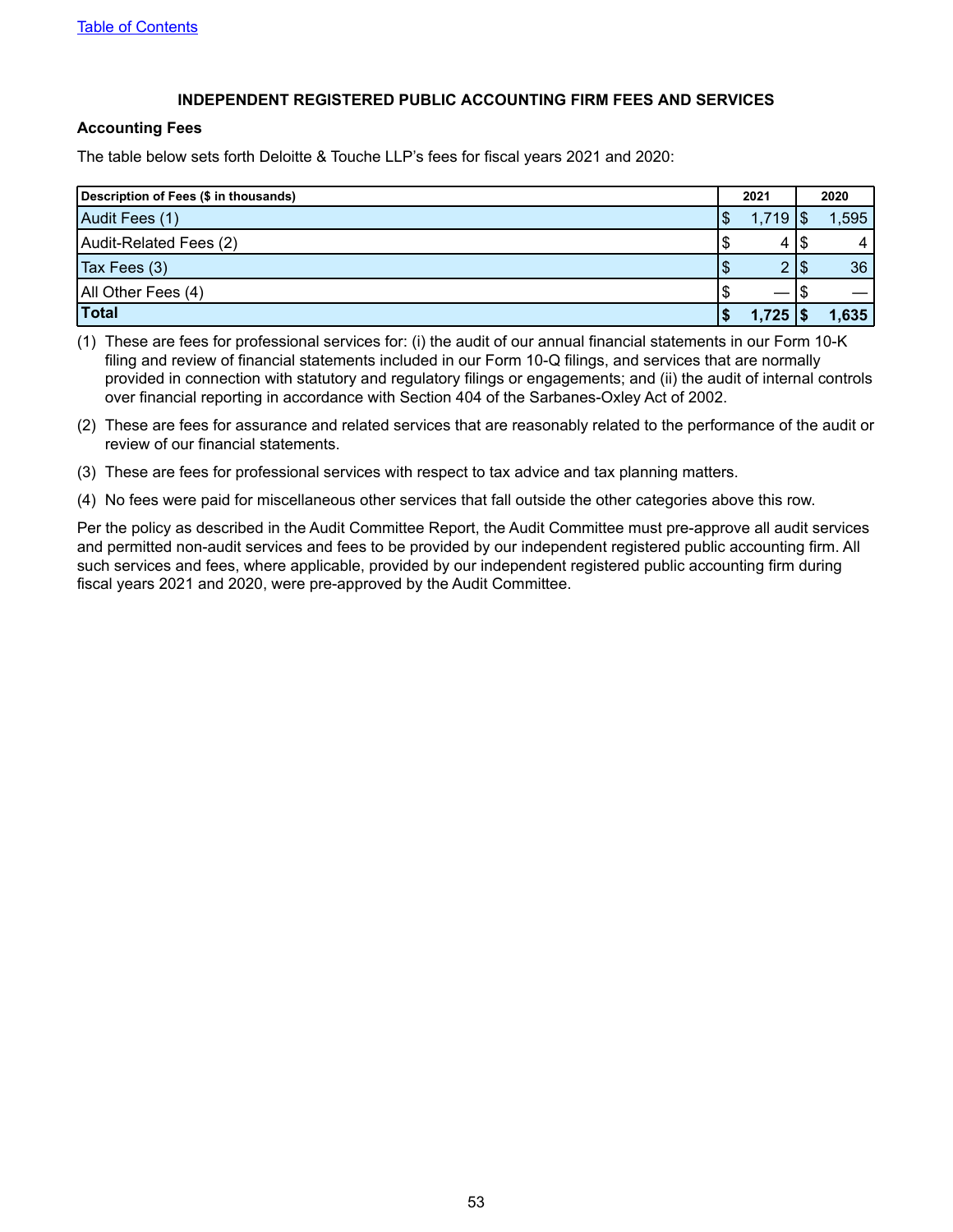#### **INDEPENDENT REGISTERED PUBLIC ACCOUNTING FIRM FEES AND SERVICES**

#### <span id="page-56-0"></span>**Accounting Fees**

The table below sets forth Deloitte & Touche LLP's fees for fiscal years 2021 and 2020:

| Description of Fees (\$ in thousands) |    | 2021          |     | 2020  |
|---------------------------------------|----|---------------|-----|-------|
| Audit Fees (1)                        | \$ | 1,719         |     | 1,595 |
| Audit-Related Fees (2)                | จ  | 4             | ם ו |       |
| Tax Fees (3)                          | ъ  | $\mathcal{D}$ |     | 36    |
| All Other Fees (4)                    | S  |               |     |       |
| Total                                 |    | 1,725         |     | 1,635 |

(1) These are fees for professional services for: (i) the audit of our annual financial statements in our Form 10-K filing and review of financial statements included in our Form 10-Q filings, and services that are normally provided in connection with statutory and regulatory filings or engagements; and (ii) the audit of internal controls over financial reporting in accordance with Section 404 of the Sarbanes-Oxley Act of 2002.

- (2) These are fees for assurance and related services that are reasonably related to the performance of the audit or review of our financial statements.
- (3) These are fees for professional services with respect to tax advice and tax planning matters.
- (4) No fees were paid for miscellaneous other services that fall outside the other categories above this row.

Per the policy as described in the Audit Committee Report, the Audit Committee must pre-approve all audit services and permitted non-audit services and fees to be provided by our independent registered public accounting firm. All such services and fees, where applicable, provided by our independent registered public accounting firm during fiscal years 2021 and 2020, were pre-approved by the Audit Committee.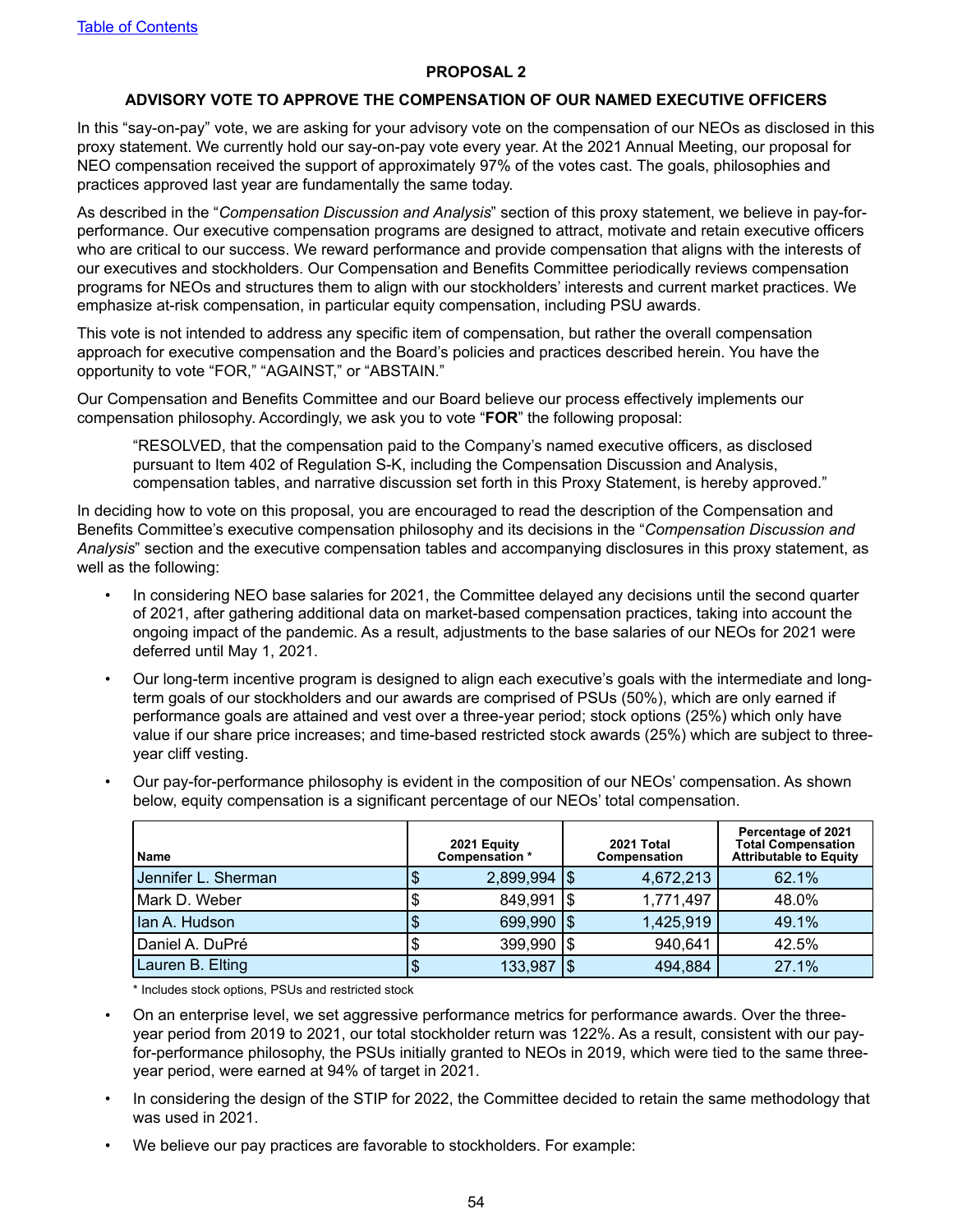#### **PROPOSAL 2**

#### **ADVISORY VOTE TO APPROVE THE COMPENSATION OF OUR NAMED EXECUTIVE OFFICERS**

<span id="page-57-0"></span>In this "say-on-pay" vote, we are asking for your advisory vote on the compensation of our NEOs as disclosed in this proxy statement. We currently hold our say-on-pay vote every year. At the 2021 Annual Meeting, our proposal for NEO compensation received the support of approximately 97% of the votes cast. The goals, philosophies and practices approved last year are fundamentally the same today.

As described in the "*Compensation Discussion and Analysis*" section of this proxy statement, we believe in pay-forperformance. Our executive compensation programs are designed to attract, motivate and retain executive officers who are critical to our success. We reward performance and provide compensation that aligns with the interests of our executives and stockholders. Our Compensation and Benefits Committee periodically reviews compensation programs for NEOs and structures them to align with our stockholders' interests and current market practices. We emphasize at-risk compensation, in particular equity compensation, including PSU awards.

This vote is not intended to address any specific item of compensation, but rather the overall compensation approach for executive compensation and the Board's policies and practices described herein. You have the opportunity to vote "FOR," "AGAINST," or "ABSTAIN."

Our Compensation and Benefits Committee and our Board believe our process effectively implements our compensation philosophy. Accordingly, we ask you to vote "**FOR**" the following proposal:

"RESOLVED, that the compensation paid to the Company's named executive officers, as disclosed pursuant to Item 402 of Regulation S-K, including the Compensation Discussion and Analysis, compensation tables, and narrative discussion set forth in this Proxy Statement, is hereby approved."

In deciding how to vote on this proposal, you are encouraged to read the description of the Compensation and Benefits Committee's executive compensation philosophy and its decisions in the "*Compensation Discussion and Analysis*" section and the executive compensation tables and accompanying disclosures in this proxy statement, as well as the following:

- *•* In considering NEO base salaries for 2021, the Committee delayed any decisions until the second quarter of 2021, after gathering additional data on market-based compensation practices, taking into account the ongoing impact of the pandemic. As a result, adjustments to the base salaries of our NEOs for 2021 were deferred until May 1, 2021.
- Our long-term incentive program is designed to align each executive's goals with the intermediate and longterm goals of our stockholders and our awards are comprised of PSUs (50%), which are only earned if performance goals are attained and vest over a three-year period; stock options (25%) which only have value if our share price increases; and time-based restricted stock awards (25%) which are subject to threeyear cliff vesting.

| <b>Name</b>         | 2021 Equity<br>Compensation * | 2021 Total<br>Compensation | Percentage of 2021<br><b>Total Compensation</b><br><b>Attributable to Equity</b> |
|---------------------|-------------------------------|----------------------------|----------------------------------------------------------------------------------|
| Jennifer L. Sherman | $2,899,994$ \\$               | 4,672,213                  | 62.1%                                                                            |
| Mark D. Weber       | 849,991   \$                  | 1,771,497                  | 48.0%                                                                            |
| Ian A. Hudson       | 699,990   \$                  | 1,425,919                  | 49.1%                                                                            |
| Daniel A. DuPré     | $399,990$ $\sqrt{5}$          | 940,641                    | 42.5%                                                                            |
| Lauren B. Elting    | 133,987                       | 494,884                    | 27.1%                                                                            |

• Our pay-for-performance philosophy is evident in the composition of our NEOs' compensation. As shown below, equity compensation is a significant percentage of our NEOs' total compensation.

\* Includes stock options, PSUs and restricted stock

- On an enterprise level, we set aggressive performance metrics for performance awards. Over the threeyear period from 2019 to 2021, our total stockholder return was 122%. As a result, consistent with our payfor-performance philosophy, the PSUs initially granted to NEOs in 2019, which were tied to the same threeyear period, were earned at 94% of target in 2021.
- In considering the design of the STIP for 2022, the Committee decided to retain the same methodology that was used in 2021.
- We believe our pay practices are favorable to stockholders. For example: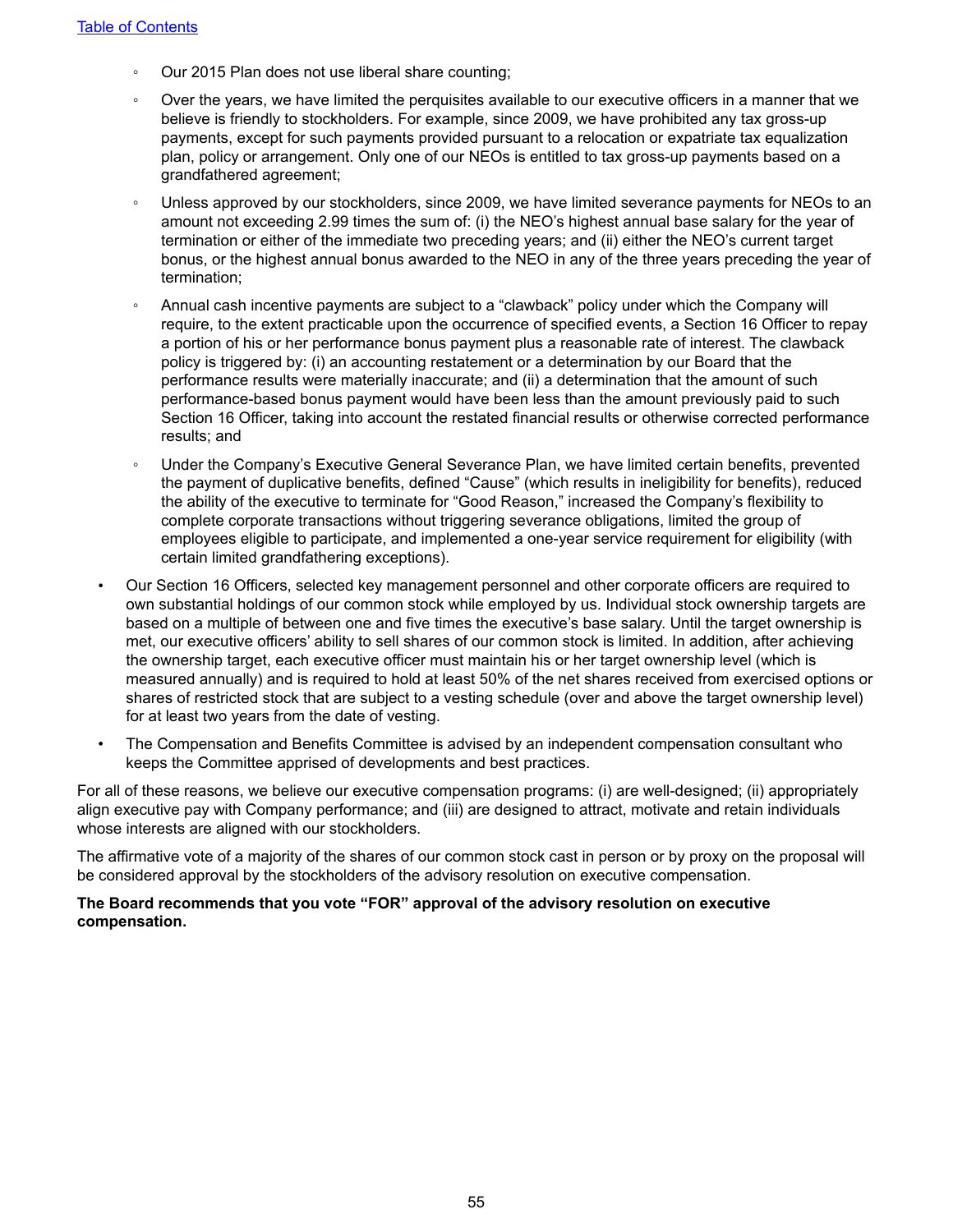- Our 2015 Plan does not use liberal share counting;
- Over the years, we have limited the perquisites available to our executive officers in a manner that we believe is friendly to stockholders. For example, since 2009, we have prohibited any tax gross-up payments, except for such payments provided pursuant to a relocation or expatriate tax equalization plan, policy or arrangement. Only one of our NEOs is entitled to tax gross-up payments based on a grandfathered agreement;
- Unless approved by our stockholders, since 2009, we have limited severance payments for NEOs to an amount not exceeding 2.99 times the sum of: (i) the NEO's highest annual base salary for the year of termination or either of the immediate two preceding years; and (ii) either the NEO's current target bonus, or the highest annual bonus awarded to the NEO in any of the three years preceding the year of termination;
- Annual cash incentive payments are subject to a "clawback" policy under which the Company will require, to the extent practicable upon the occurrence of specified events, a Section 16 Officer to repay a portion of his or her performance bonus payment plus a reasonable rate of interest. The clawback policy is triggered by: (i) an accounting restatement or a determination by our Board that the performance results were materially inaccurate; and (ii) a determination that the amount of such performance-based bonus payment would have been less than the amount previously paid to such Section 16 Officer, taking into account the restated financial results or otherwise corrected performance results; and
- Under the Company's Executive General Severance Plan, we have limited certain benefits, prevented the payment of duplicative benefits, defined "Cause" (which results in ineligibility for benefits), reduced the ability of the executive to terminate for "Good Reason," increased the Company's flexibility to complete corporate transactions without triggering severance obligations, limited the group of employees eligible to participate, and implemented a one-year service requirement for eligibility (with certain limited grandfathering exceptions).
- Our Section 16 Officers, selected key management personnel and other corporate officers are required to own substantial holdings of our common stock while employed by us. Individual stock ownership targets are based on a multiple of between one and five times the executive's base salary. Until the target ownership is met, our executive officers' ability to sell shares of our common stock is limited. In addition, after achieving the ownership target, each executive officer must maintain his or her target ownership level (which is measured annually) and is required to hold at least 50% of the net shares received from exercised options or shares of restricted stock that are subject to a vesting schedule (over and above the target ownership level) for at least two years from the date of vesting.
- The Compensation and Benefits Committee is advised by an independent compensation consultant who keeps the Committee apprised of developments and best practices.

For all of these reasons, we believe our executive compensation programs: (i) are well-designed; (ii) appropriately align executive pay with Company performance; and (iii) are designed to attract, motivate and retain individuals whose interests are aligned with our stockholders.

The affirmative vote of a majority of the shares of our common stock cast in person or by proxy on the proposal will be considered approval by the stockholders of the advisory resolution on executive compensation.

#### **The Board recommends that you vote "FOR" approval of the advisory resolution on executive compensation.**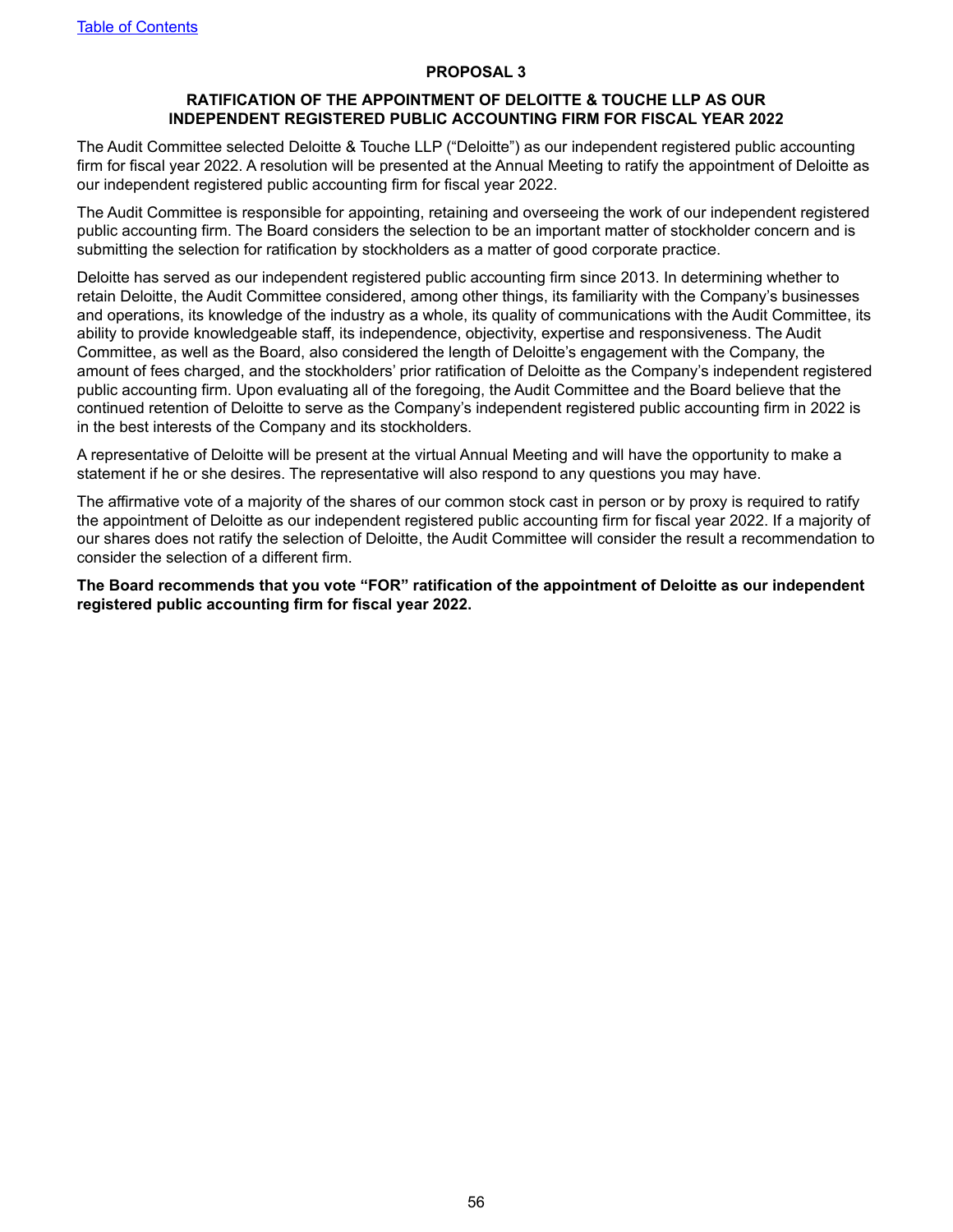#### **PROPOSAL 3**

#### **RATIFICATION OF THE APPOINTMENT OF DELOITTE & TOUCHE LLP AS OUR INDEPENDENT REGISTERED PUBLIC ACCOUNTING FIRM FOR FISCAL YEAR 2022**

<span id="page-59-0"></span>The Audit Committee selected Deloitte & Touche LLP ("Deloitte") as our independent registered public accounting firm for fiscal year 2022. A resolution will be presented at the Annual Meeting to ratify the appointment of Deloitte as our independent registered public accounting firm for fiscal year 2022.

The Audit Committee is responsible for appointing, retaining and overseeing the work of our independent registered public accounting firm. The Board considers the selection to be an important matter of stockholder concern and is submitting the selection for ratification by stockholders as a matter of good corporate practice.

Deloitte has served as our independent registered public accounting firm since 2013. In determining whether to retain Deloitte, the Audit Committee considered, among other things, its familiarity with the Company's businesses and operations, its knowledge of the industry as a whole, its quality of communications with the Audit Committee, its ability to provide knowledgeable staff, its independence, objectivity, expertise and responsiveness. The Audit Committee, as well as the Board, also considered the length of Deloitte's engagement with the Company, the amount of fees charged, and the stockholders' prior ratification of Deloitte as the Company's independent registered public accounting firm. Upon evaluating all of the foregoing, the Audit Committee and the Board believe that the continued retention of Deloitte to serve as the Company's independent registered public accounting firm in 2022 is in the best interests of the Company and its stockholders.

A representative of Deloitte will be present at the virtual Annual Meeting and will have the opportunity to make a statement if he or she desires. The representative will also respond to any questions you may have.

The affirmative vote of a majority of the shares of our common stock cast in person or by proxy is required to ratify the appointment of Deloitte as our independent registered public accounting firm for fiscal year 2022. If a majority of our shares does not ratify the selection of Deloitte, the Audit Committee will consider the result a recommendation to consider the selection of a different firm.

**The Board recommends that you vote "FOR" ratification of the appointment of Deloitte as our independent registered public accounting firm for fiscal year 2022.**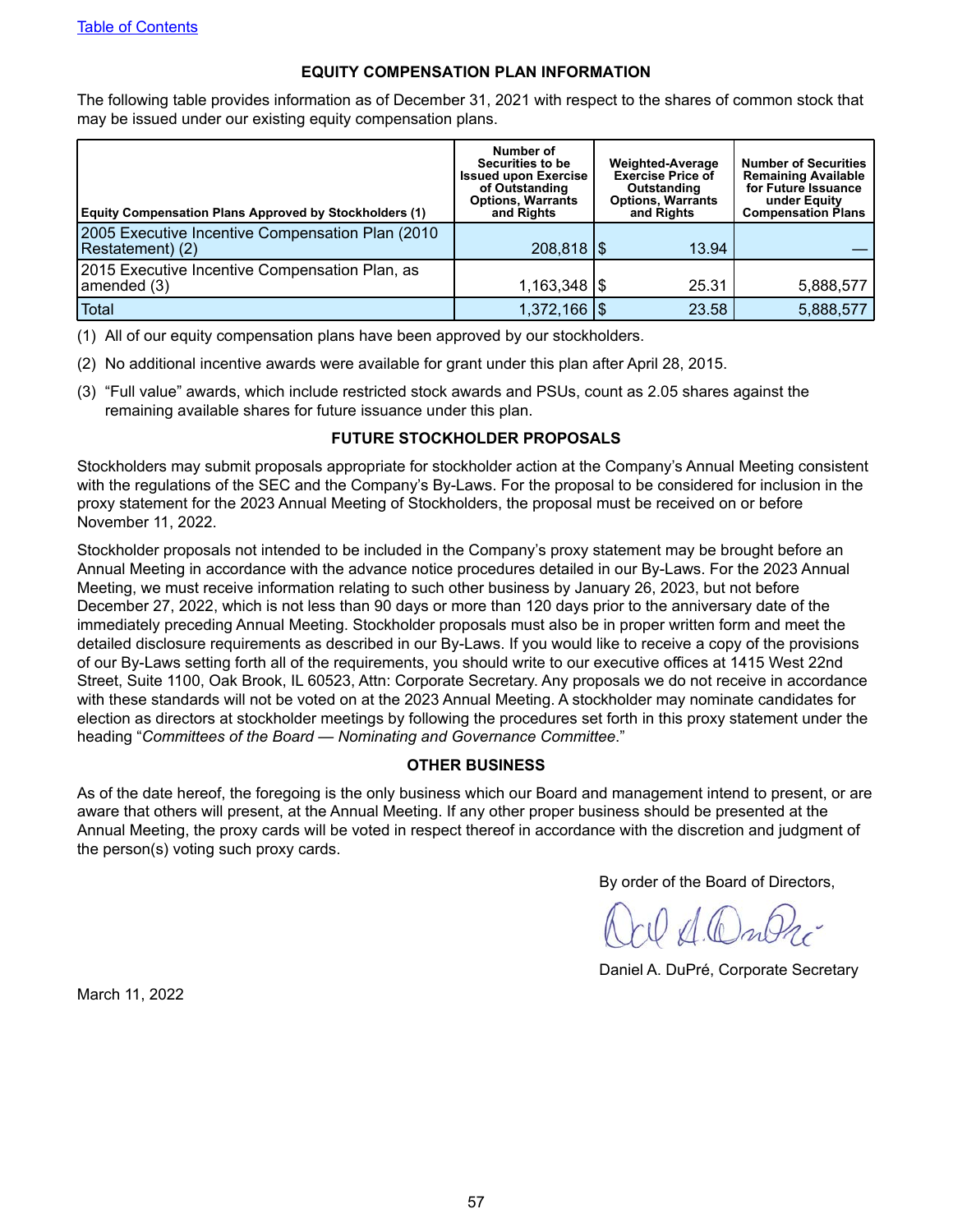#### **EQUITY COMPENSATION PLAN INFORMATION**

<span id="page-60-0"></span>The following table provides information as of December 31, 2021 with respect to the shares of common stock that may be issued under our existing equity compensation plans.

| <b>Equity Compensation Plans Approved by Stockholders (1)</b>         | Number of<br>Securities to be<br><b>Issued upon Exercise</b><br>of Outstanding<br><b>Options, Warrants</b><br>and Rights | <b>Weighted-Average</b><br><b>Exercise Price of</b><br>Outstanding<br><b>Options, Warrants</b><br>and Rights | <b>Number of Securities</b><br><b>Remaining Available</b><br>for Future Issuance<br>under Equity<br><b>Compensation Plans</b> |  |  |
|-----------------------------------------------------------------------|--------------------------------------------------------------------------------------------------------------------------|--------------------------------------------------------------------------------------------------------------|-------------------------------------------------------------------------------------------------------------------------------|--|--|
| 2005 Executive Incentive Compensation Plan (2010)<br>Restatement) (2) | 208,818   \$                                                                                                             | 13.94                                                                                                        |                                                                                                                               |  |  |
| 2015 Executive Incentive Compensation Plan, as<br>amended (3)         | $1,163,348$ $\frac{1}{9}$                                                                                                | 25.31                                                                                                        | 5,888,577                                                                                                                     |  |  |
| Total                                                                 | $1,372,166$ \\$                                                                                                          | 23.58                                                                                                        | 5,888,577                                                                                                                     |  |  |

- (1) All of our equity compensation plans have been approved by our stockholders.
- (2) No additional incentive awards were available for grant under this plan after April 28, 2015.
- (3) "Full value" awards, which include restricted stock awards and PSUs, count as 2.05 shares against the remaining available shares for future issuance under this plan.

#### **FUTURE STOCKHOLDER PROPOSALS**

Stockholders may submit proposals appropriate for stockholder action at the Company's Annual Meeting consistent with the regulations of the SEC and the Company's By-Laws. For the proposal to be considered for inclusion in the proxy statement for the 2023 Annual Meeting of Stockholders, the proposal must be received on or before November 11, 2022.

Stockholder proposals not intended to be included in the Company's proxy statement may be brought before an Annual Meeting in accordance with the advance notice procedures detailed in our By-Laws. For the 2023 Annual Meeting, we must receive information relating to such other business by January 26, 2023, but not before December 27, 2022, which is not less than 90 days or more than 120 days prior to the anniversary date of the immediately preceding Annual Meeting. Stockholder proposals must also be in proper written form and meet the detailed disclosure requirements as described in our By-Laws. If you would like to receive a copy of the provisions of our By-Laws setting forth all of the requirements, you should write to our executive offices at 1415 West 22nd Street, Suite 1100, Oak Brook, IL 60523, Attn: Corporate Secretary. Any proposals we do not receive in accordance with these standards will not be voted on at the 2023 Annual Meeting. A stockholder may nominate candidates for election as directors at stockholder meetings by following the procedures set forth in this proxy statement under the heading "*Committees of the Board — Nominating and Governance Committee*."

#### **OTHER BUSINESS**

As of the date hereof, the foregoing is the only business which our Board and management intend to present, or are aware that others will present, at the Annual Meeting. If any other proper business should be presented at the Annual Meeting, the proxy cards will be voted in respect thereof in accordance with the discretion and judgment of the person(s) voting such proxy cards.

By order of the Board of Directors,

Daniel A. DuPré, Corporate Secretary

March 11, 2022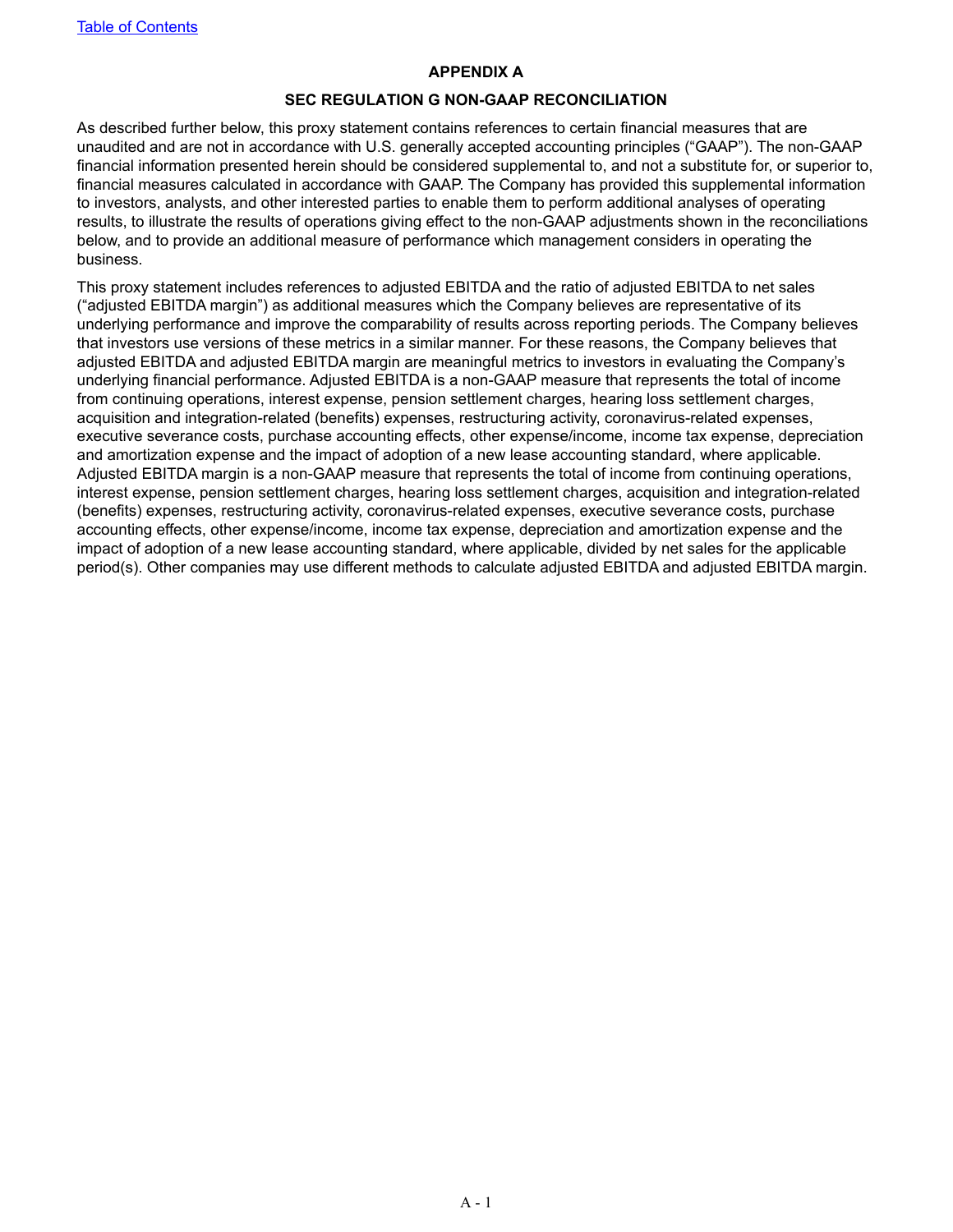#### **APPENDIX A**

#### **SEC REGULATION G NON-GAAP RECONCILIATION**

<span id="page-61-0"></span>As described further below, this proxy statement contains references to certain financial measures that are unaudited and are not in accordance with U.S. generally accepted accounting principles ("GAAP"). The non-GAAP financial information presented herein should be considered supplemental to, and not a substitute for, or superior to, financial measures calculated in accordance with GAAP. The Company has provided this supplemental information to investors, analysts, and other interested parties to enable them to perform additional analyses of operating results, to illustrate the results of operations giving effect to the non-GAAP adjustments shown in the reconciliations below, and to provide an additional measure of performance which management considers in operating the business.

This proxy statement includes references to adjusted EBITDA and the ratio of adjusted EBITDA to net sales ("adjusted EBITDA margin") as additional measures which the Company believes are representative of its underlying performance and improve the comparability of results across reporting periods. The Company believes that investors use versions of these metrics in a similar manner. For these reasons, the Company believes that adjusted EBITDA and adjusted EBITDA margin are meaningful metrics to investors in evaluating the Company's underlying financial performance. Adjusted EBITDA is a non-GAAP measure that represents the total of income from continuing operations, interest expense, pension settlement charges, hearing loss settlement charges, acquisition and integration-related (benefits) expenses, restructuring activity, coronavirus-related expenses, executive severance costs, purchase accounting effects, other expense/income, income tax expense, depreciation and amortization expense and the impact of adoption of a new lease accounting standard, where applicable. Adjusted EBITDA margin is a non-GAAP measure that represents the total of income from continuing operations, interest expense, pension settlement charges, hearing loss settlement charges, acquisition and integration-related (benefits) expenses, restructuring activity, coronavirus-related expenses, executive severance costs, purchase accounting effects, other expense/income, income tax expense, depreciation and amortization expense and the impact of adoption of a new lease accounting standard, where applicable, divided by net sales for the applicable period(s). Other companies may use different methods to calculate adjusted EBITDA and adjusted EBITDA margin.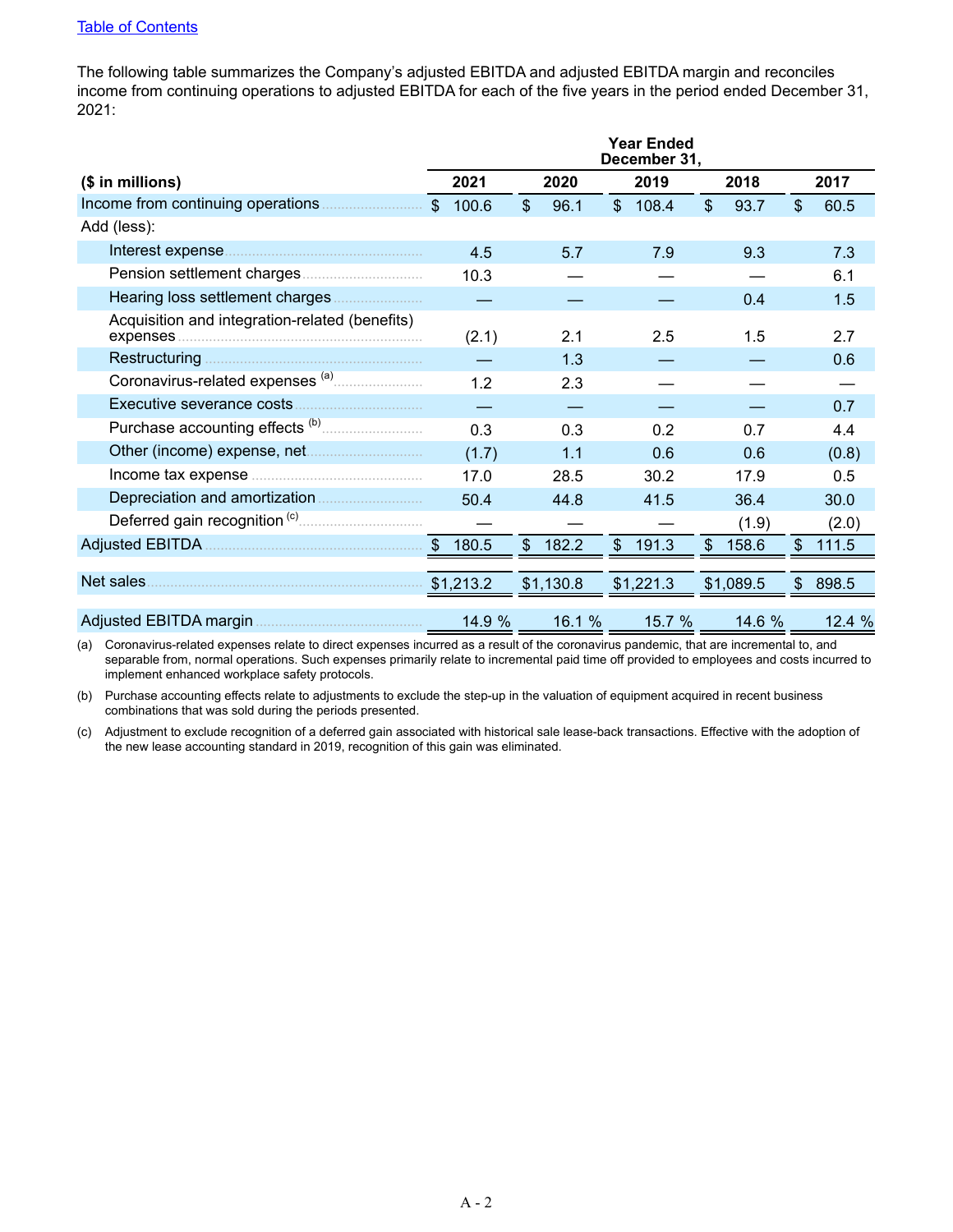The following table summarizes the Company's adjusted EBITDA and adjusted EBITDA margin and reconciles income from continuing operations to adjusted EBITDA for each of the five years in the period ended December 31, 2021:

|                                                |             |              |           |                | <b>Year Ended</b><br>December 31, |              |           |               |        |
|------------------------------------------------|-------------|--------------|-----------|----------------|-----------------------------------|--------------|-----------|---------------|--------|
| $($$ in millions)                              | 2021        |              | 2020      |                | 2019                              |              | 2018      |               | 2017   |
|                                                | \$<br>100.6 | $\mathbb{S}$ | 96.1      | $\mathfrak{S}$ | 108.4                             | $\mathbb{S}$ | 93.7      | $\mathcal{S}$ | 60.5   |
| Add (less):                                    |             |              |           |                |                                   |              |           |               |        |
|                                                | 4.5         |              | 5.7       |                | 7.9                               |              | 9.3       |               | 7.3    |
|                                                | 10.3        |              |           |                |                                   |              |           |               | 6.1    |
|                                                |             |              |           |                |                                   |              | 0.4       |               | 1.5    |
| Acquisition and integration-related (benefits) | (2.1)       |              | 2.1       |                | 2.5                               |              | 1.5       |               | 2.7    |
| Restructuring                                  |             |              | 1.3       |                |                                   |              |           |               | 0.6    |
|                                                | 1.2         |              | 2.3       |                |                                   |              |           |               |        |
| Executive severance costs                      |             |              |           |                |                                   |              |           |               | 0.7    |
|                                                | 0.3         |              | 0.3       |                | 0.2                               |              | 0.7       |               | 4.4    |
|                                                | (1.7)       |              | 1.1       |                | 0.6                               |              | 0.6       |               | (0.8)  |
|                                                | 17.0        |              | 28.5      |                | 30.2                              |              | 17.9      |               | 0.5    |
|                                                | 50.4        |              | 44.8      |                | 41.5                              |              | 36.4      |               | 30.0   |
|                                                |             |              |           |                |                                   |              | (1.9)     |               | (2.0)  |
|                                                | 180.5       | \$           | 182.2     | $\frac{1}{2}$  | 191.3                             | \$           | 158.6     | $\$\$         | 111.5  |
|                                                |             |              |           |                |                                   |              |           |               |        |
| Net sales.                                     | \$1,213.2   |              | \$1,130.8 |                | \$1,221.3                         |              | \$1,089.5 | $\mathcal{S}$ | 898.5  |
|                                                | 14.9 %      |              | 16.1 %    |                | 15.7 %                            |              | 14.6 %    |               | 12.4 % |

(a) Coronavirus-related expenses relate to direct expenses incurred as a result of the coronavirus pandemic, that are incremental to, and separable from, normal operations. Such expenses primarily relate to incremental paid time off provided to employees and costs incurred to implement enhanced workplace safety protocols.

(b) Purchase accounting effects relate to adjustments to exclude the step-up in the valuation of equipment acquired in recent business combinations that was sold during the periods presented.

(c) Adjustment to exclude recognition of a deferred gain associated with historical sale lease-back transactions. Effective with the adoption of the new lease accounting standard in 2019, recognition of this gain was eliminated.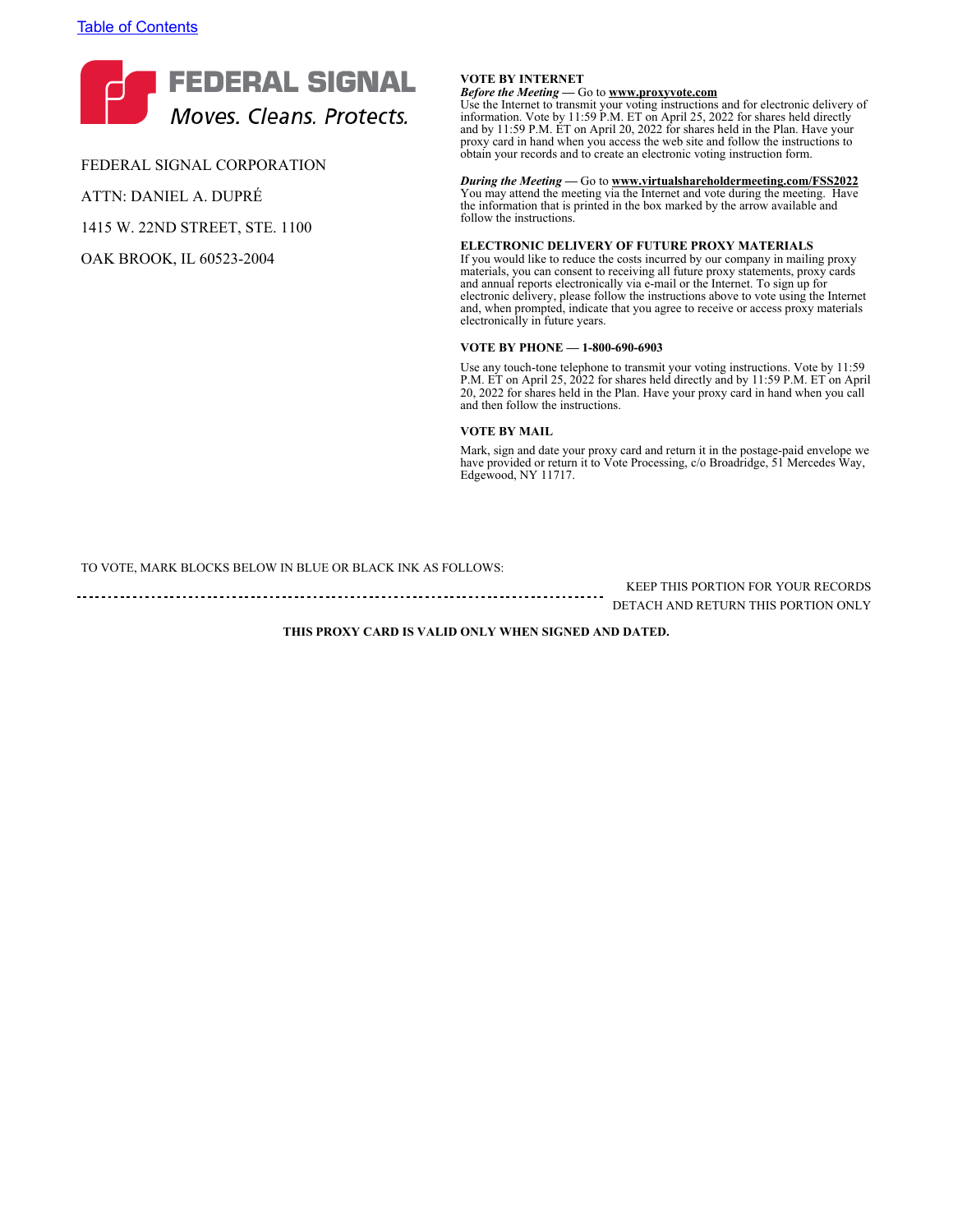

FEDERAL SIGNAL CORPORATION ATTN: DANIEL A. DUPRÉ

1415 W. 22ND STREET, STE. 1100

OAK BROOK, IL 60523-2004

#### **VOTE BY INTERNET**

*Before the Meeting* **—** Go to **www.proxyvote.com** Use the Internet to transmit your voting instructions and for electronic delivery of information. Vote by 11:59 P.M. ET on April 25, 2022 for shares held directly and by 11:59 P.M. ET on April 20, 2022 for shares held in the Plan. Have your proxy card in hand when you access the web site and follow the instructions to obtain your records and to create an electronic voting instruction form.

*During the Meeting* **—** Go to **www.virtualshareholdermeeting.com/FSS2022** You may attend the meeting via the Internet and vote during the meeting. Have the information that is printed in the box marked by the arrow available and follow the instructions.

#### **ELECTRONIC DELIVERY OF FUTURE PROXY MATERIALS**

If you would like to reduce the costs incurred by our company in mailing proxy materials, you can consent to receiving all future proxy statements, proxy cards and annual reports electronically via e-mail or the Internet. To sign up for electronic delivery, please follow the instructions above to vote using the Internet and, when prompted, indicate that you agree to receive or access proxy materials electronically in future years.

#### **VOTE BY PHONE — 1-800-690-6903**

Use any touch-tone telephone to transmit your voting instructions. Vote by 11:59 P.M. ET on April 25, 2022 for shares held directly and by 11:59 P.M. ET on April 20, 2022 for shares held in the Plan. Have your proxy card in hand when you call and then follow the instructions.

#### **VOTE BY MAIL**

Mark, sign and date your proxy card and return it in the postage-paid envelope we have provided or return it to Vote Processing, c/o Broadridge, 51 Mercedes Way, Edgewood, NY 11717.

TO VOTE, MARK BLOCKS BELOW IN BLUE OR BLACK INK AS FOLLOWS:

KEEP THIS PORTION FOR YOUR RECORDS DETACH AND RETURN THIS PORTION ONLY

**THIS PROXY CARD IS VALID ONLY WHEN SIGNED AND DATED.**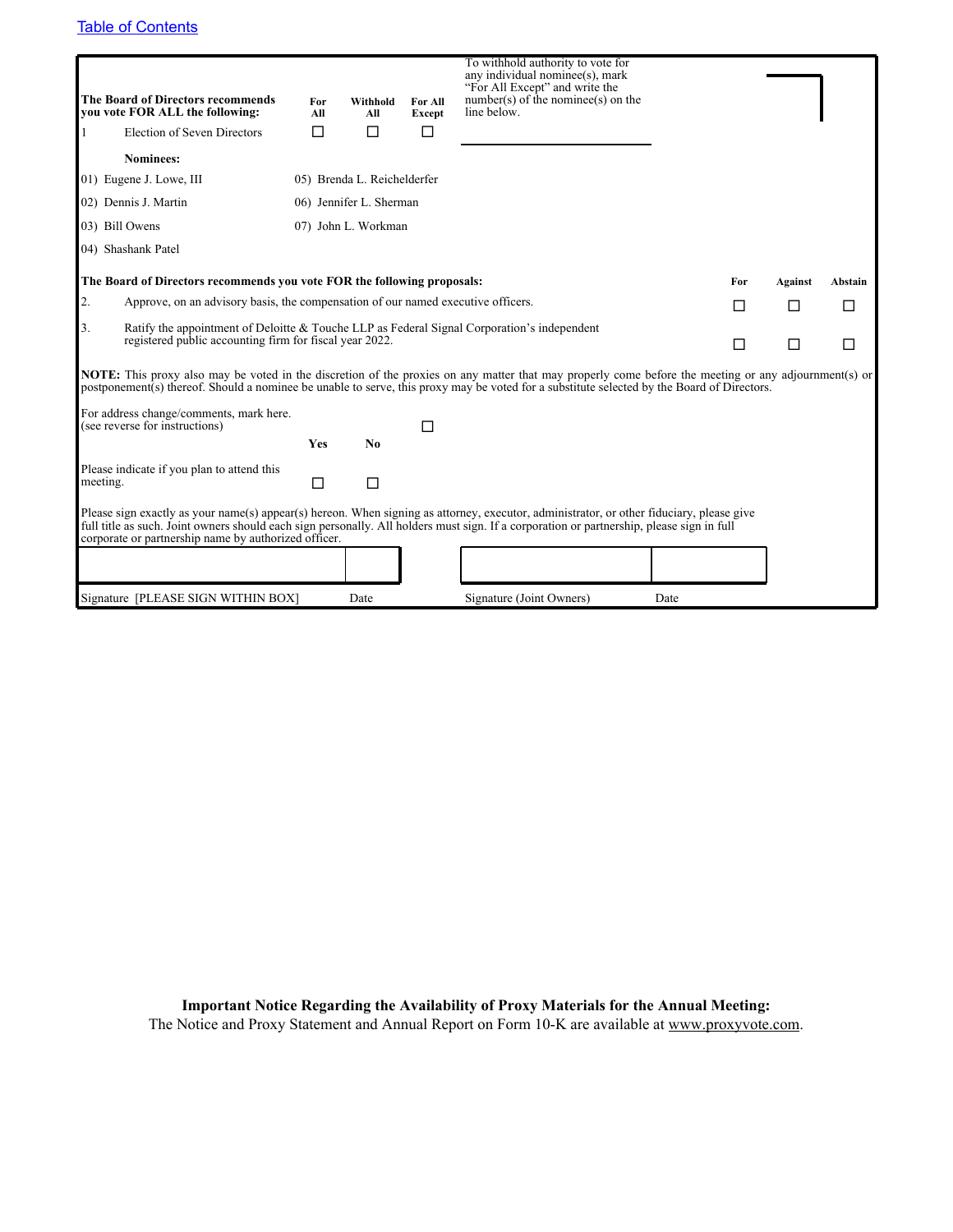| <b>The Board of Directors recommends</b><br>vou vote FOR ALL the following:                                                                                                                                                                                                                               | For<br>All | Withhold<br>All             | For All<br>Except | To withhold authority to vote for<br>any individual nominee(s), mark<br>"For All Except" and write the<br>$number(s)$ of the nomine e(s) on the<br>line below.                                                                                                                        |     |         |         |  |  |
|-----------------------------------------------------------------------------------------------------------------------------------------------------------------------------------------------------------------------------------------------------------------------------------------------------------|------------|-----------------------------|-------------------|---------------------------------------------------------------------------------------------------------------------------------------------------------------------------------------------------------------------------------------------------------------------------------------|-----|---------|---------|--|--|
| Election of Seven Directors                                                                                                                                                                                                                                                                               | П          | П                           | П                 |                                                                                                                                                                                                                                                                                       |     |         |         |  |  |
| <b>Nominees:</b>                                                                                                                                                                                                                                                                                          |            |                             |                   |                                                                                                                                                                                                                                                                                       |     |         |         |  |  |
| 01) Eugene J. Lowe, III                                                                                                                                                                                                                                                                                   |            | 05) Brenda L. Reichelderfer |                   |                                                                                                                                                                                                                                                                                       |     |         |         |  |  |
| 02) Dennis J. Martin                                                                                                                                                                                                                                                                                      |            | 06) Jennifer L. Sherman     |                   |                                                                                                                                                                                                                                                                                       |     |         |         |  |  |
| 03) Bill Owens                                                                                                                                                                                                                                                                                            |            | 07) John L. Workman         |                   |                                                                                                                                                                                                                                                                                       |     |         |         |  |  |
| 04) Shashank Patel                                                                                                                                                                                                                                                                                        |            |                             |                   |                                                                                                                                                                                                                                                                                       |     |         |         |  |  |
| The Board of Directors recommends you vote FOR the following proposals:                                                                                                                                                                                                                                   |            |                             |                   |                                                                                                                                                                                                                                                                                       | For | Against | Abstain |  |  |
| 2.<br>Approve, on an advisory basis, the compensation of our named executive officers.                                                                                                                                                                                                                    |            |                             |                   |                                                                                                                                                                                                                                                                                       | П   | П       | □       |  |  |
| 3.<br>Ratify the appointment of Deloitte & Touche LLP as Federal Signal Corporation's independent<br>registered public accounting firm for fiscal year 2022.                                                                                                                                              | $\Box$     | П                           | □                 |                                                                                                                                                                                                                                                                                       |     |         |         |  |  |
| <b>NOTE:</b> This proxy also may be voted in the discretion of the proxies on any matter that may properly come before the meeting or any adjournment(s) or<br>postponement(s) thereof. Should a nominee be unable to serve, this proxy may be voted for a substitute selected by the Board of Directors. |            |                             |                   |                                                                                                                                                                                                                                                                                       |     |         |         |  |  |
| For address change/comments, mark here.<br>(see reverse for instructions)                                                                                                                                                                                                                                 | Yes        | N <sub>0</sub>              | П                 |                                                                                                                                                                                                                                                                                       |     |         |         |  |  |
| Please indicate if you plan to attend this<br>meeting.                                                                                                                                                                                                                                                    | □          | $\Box$                      |                   |                                                                                                                                                                                                                                                                                       |     |         |         |  |  |
| corporate or partnership name by authorized officer.                                                                                                                                                                                                                                                      |            |                             |                   | Please sign exactly as your name(s) appear(s) hereon. When signing as attorney, executor, administrator, or other fiduciary, please give<br>full title as such. Joint owners should each sign personally. All holders must sign. If a corporation or partnership, please sign in full |     |         |         |  |  |
|                                                                                                                                                                                                                                                                                                           |            |                             |                   |                                                                                                                                                                                                                                                                                       |     |         |         |  |  |
| Signature [PLEASE SIGN WITHIN BOX]                                                                                                                                                                                                                                                                        |            | Date                        |                   | Signature (Joint Owners)<br>Date                                                                                                                                                                                                                                                      |     |         |         |  |  |

**Important Notice Regarding the Availability of Proxy Materials for the Annual Meeting:** The Notice and Proxy Statement and Annual Report on Form 10-K are available at www.proxyvote.com.